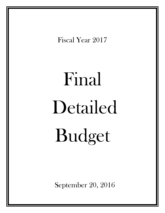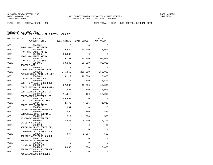FUND − 001 − GENERAL FUND − BCC DEPT TOTAL − 0051 − BCC CONTROL−GENERAL GOVT

| ORGANIZATION | ACCOUNT                              |             |             | 2017        |
|--------------|--------------------------------------|-------------|-------------|-------------|
|              |                                      |             |             | APPROVED    |
| 0051         | 5143101                              | $\Omega$    | $\Omega$    | $\Omega$    |
| 0051         | PROF SRV-CO ATTORNEY<br>5143103      | 9,544       | 30,000      | 5,000       |
| 0051         | PROF SRV-LABOR ATTNY<br>5143105      | 90,000      | $\Omega$    | $\Omega$    |
| 0051         | PROF SRV-OTHER ATTNY<br>5143110      | 79,207      | 100,000     | 100,000     |
| 0051         | PROF SRV-LITIGATION<br>5253405       | 30,943      | 30,000      | 30,000      |
| 0051         | RESTORE ACT<br>5303142               | $\Omega$    | $\Omega$    | $\Omega$    |
|              | COURT APPT ATTNY-CT COST             |             |             |             |
| 0051         | 5303201<br>ACCOUNTING & AUDITING SRV | 246,558     | 250,000     | 250,000     |
| 0051         | 5303401<br>CONTRACTED SERVICES       | 8,112       | 16,000      | 10,000      |
| 0051         | 5303403<br>CONTR SRV-BANK CHRG POOL  | $\Omega$    | 1,500       | 1,500       |
| 0051         | 5303407<br>CONTR SRV-VALUE ADJ BOARD | 27,560      | 45,000      | 45,000      |
| 0051         | 5303417<br>CONTRACTED SERVICES (SA)  | 11,865      | 100         | 12,000      |
| 0051         | 5303418<br>CONTRACTED SERVICES (PD)  | 11,213      | 100         | 12,000      |
| 0051         | 5303434<br>CONTR SRV-CONSULTATION    | 49,989      | $\mathbf 0$ | $\mathbf 0$ |
| 0051         | 5303446                              | 2,770       | 4,056       | 1,919       |
| 0051         | CONTR SRV-FACILITIES<br>5304001      | 201         | $\Omega$    | 0           |
| 0051         | TRAVEL/TRAINING NON-LOCAL<br>5304101 | 902         | 780         | 840         |
| 0051         | COMMUNICATIONS SERVICES<br>5304125   | 512         | 300         | 500         |
| 0051         | POSTAGE/TRANSP/FREIGHT<br>5304301    | 4,636       | 4,200       | 4,700       |
| 0051         | UTILITY SERVICES<br>5304414          | $\mathbf 0$ | 0           | 36          |
| 0051         | RENTALS/LEASES-EQUIP(IT)<br>5304604  | $\Omega$    | 0           | $\Omega$    |
| 0051         | REPAIR/MAINT-BLD&GRD DEPT<br>5304605 | 677         | 1,267       | 500         |
| 0051         | REPAIR/MAINT-BLDG & GRND<br>5304615  | 26          | $\Omega$    | $\Omega$    |
| 0051         | REPAIR/MAINT-EQUIPMENT<br>5304701    | $\mathbf 0$ | $\Omega$    | $\Omega$    |
|              | PRINTING & BINDING                   |             |             |             |
| 0051         | 5304905<br>FEES&COSTS-LGL ADV/ADVERT | 5,686       | 1,000       | 6,000       |
| 0051         | 5304990<br>MISCELLANEOUS EXPENSES    | 0           | $\mathbf 0$ | 0           |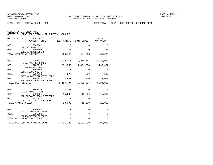FUND − 001 − GENERAL FUND − BCC DEPT TOTAL − 0051 − BCC CONTROL−GENERAL GOVT

| SELECTION CRITERIA: ALL |  |  |                                                    |  |
|-------------------------|--|--|----------------------------------------------------|--|
|                         |  |  | SORTED BY: FUND, DEPT TOTAL, 1ST SUBTOTAL, ACCOUNT |  |

| ORGANIZATION<br><b>ACCOUNT</b><br>-----ACCOUNT TITLE------ 2015 ACTUAL  |             | 2016 BUDGET | 2017<br>APPROVED    |
|-------------------------------------------------------------------------|-------------|-------------|---------------------|
| 0051<br>5305101                                                         | $\mathbf 0$ | 0           | $\mathbf 0$         |
| OFFICE SUPPLIES<br>0051<br>5305402<br>DUES & MEMBERSHIPS                | 45          | $\Omega$    | 44                  |
| TOTAL OPERATING EXPENSES                                                | 580,445     | 484,303     | 480,039             |
| 0051<br>5707115                                                         | 1,813,356   | 2,264,184   | 2,328,012           |
| PRINCIPAL-REV BONDS<br>0051<br>5707215                                  | 1,291,553   | 1,331,303   | 1,263,487           |
| INTEREST-REV BONDS<br>0051<br>5707303                                   | 0           | $\mathbf 0$ | $\mathbf 0$         |
| <b>BOND ISSUE COSTS</b><br>0051<br>5707316<br>PAYING AGENT/TRUSTEE-FEES | 278         | 600         | 500                 |
| 0051<br>5707370<br>ARBITRAGE REBATE EXPENSE                             | 2,607       | 7,000       | 3,000               |
| TOTAL DEBT SERVICE                                                      | 3,107,794   |             | 3,603,087 3,594,999 |
| 0051<br>5808175                                                         | 8,000       | $\Omega$    | $\Omega$            |
| GRANT-BYRNE GRANT<br>5808201<br>0051                                    | 15,000      | 15,000      | 15,000              |
| AID-PRIVATE ORGANIZATIONS<br>0051<br>5810010                            | $\Omega$    | $\mathbf 0$ | $\mathbf 0$         |
| CONTRIBUTION-OTHER GOVT<br>TOTAL GRANTS & AIDS                          | 23,000      | 15,000      | 15,000              |
| 0051<br>5905907                                                         | 0           | 0           | 0                   |
| LITIGATION SETTLEMENT<br>0051<br>5905998                                | $\mathbf 0$ | $\mathbf 0$ | $\mathbf 0$         |
| DEPRECIATION EXPENSE<br>TOTAL NON-OPERATING EXPENSES                    | $\Omega$    | $\Omega$    | $\Omega$            |
| TOTAL BCC CONTROL-GENERAL GOVT                                          | 3,711,239   | 4,102,390   | 4,090,038           |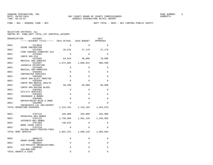FUND − 001 − GENERAL FUND − BCC DEPT TOTAL − 0052 − BCC CONTROL−PUBLIC SAFETY

| ORGANIZATION       | <b>ACCOUNT</b>                        |           |             | 2017      |
|--------------------|---------------------------------------|-----------|-------------|-----------|
|                    | ------ACCOUNT TITLE------ 2015 ACTUAL |           | 2016 BUDGET | APPROVED  |
| 0052               | 5213010                               | $\Omega$  | $\Omega$    | $\Omega$  |
| 0052               | CRIME PREVENTION<br>5223401           | 26,632    | 27,179      | 27,179    |
| 0052               | FIRE CONTROL-FORESTRY DIV<br>5233401  | 0         | 0           | 0         |
| 0052               | CONTR SRV-CCA<br>5233405              | 64,624    | 30,000      | 70,000    |
|                    | MEDICAL SRV-INMATES                   |           |             |           |
| 0052               | 5233407<br>JUVENILE DETENTION         | 1,072,882 | 1,009,015   | 886,500   |
| 0052               | 5233409                               | 0         | 0           | 0         |
| 0052               | MEDICAL SRV-ARRESTED<br>5303401       | 0         | 0           | 0         |
| 0052               | CONTRACTED SERVICES<br>5303405        | 0         | $\Omega$    | $\Omega$  |
|                    | CONTR SRV-ELECT MONITOR               | $\Omega$  | $\Omega$    |           |
| 0052               | 5303466<br>CONTR SRV-MENTAL HEALTH    |           |             | $\Omega$  |
| 0052               | 5303487<br>CONTR SRV-RAZING BLDGS     | 58,206    | 50,000      | 60,000    |
| 0052               | 5304301                               | 0         | 0           | 0         |
| 0052               | UTILITY SERVICES<br>5304501           | 0         | 0           | 0         |
| 0052               | INSURANCE & BONDS<br>5304605          | 0         | $\Omega$    | $\Omega$  |
| 0052               | REPAIR/MAINT-BLDG & GRND<br>5304905   | 0         | $\Omega$    | $\Omega$  |
|                    | FEES&COSTS-LGL ADV/ADVERT             |           |             |           |
|                    | TOTAL OPERATING EXPENSES              | 1,222,345 | 1,116,194   | 1,043,679 |
| 0052               | 5707115                               | 195,000   | 335,000     | 345,000   |
| 0052               | PRINCIPAL-REV BONDS<br>5707215        | 1,739,909 | 1,361,126   | 1,349,803 |
| 0052               | INTEREST-REV BONDS<br>5707303         | 146,632   | $\Omega$    | 0         |
| 0052               | <b>BOND ISSUE COSTS</b><br>5707316    | $\Omega$  | $\Omega$    | $\Omega$  |
|                    | PAYING AGENT/TRUSTEE-FEES             |           |             |           |
| TOTAL DEBT SERVICE |                                       | 2,081,541 | 1,696,126   | 1,694,803 |
| 0052               | 5808175                               | 0         | $\Omega$    | $\Omega$  |
| 0052               | GRANT-BYRNE GRANT<br>5808201          | 0         | 0           | $\Omega$  |
|                    | AID-PRIVATE ORGANIZATIONS             |           |             |           |
| 0052               | 5808209<br>AID-BMC/EMS                | 0         | 0           | $\Omega$  |
|                    | TOTAL GRANTS & AIDS                   | 0         | $\Omega$    | $\Omega$  |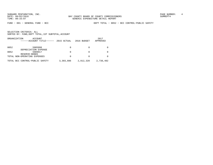SUNGARD PENTAMATION, INC.<br>
BAY COUNTY BOARD OF COUNTY COMMISSIONERS AND SUNREPT4 SUMREPT4

FUND − 001 − GENERAL FUND − BCC DEPT TOTAL − 0052 − BCC CONTROL−PUBLIC SAFETY

| ORGANIZATION | ACCOUNT<br>------ACCOUNT TITLE------ | 2015 ACTUAL | 2016 BUDGET | 2017<br>APPROVED |
|--------------|--------------------------------------|-------------|-------------|------------------|
| 0052         | 5905998                              | 0           |             |                  |
| 0052         | DEPRECIATION EXPENSE<br>5909917      | 0           |             |                  |
|              | RESERVE-BONDS                        |             |             |                  |
|              | TOTAL NON-OPERATING EXPENSES         | 0           |             |                  |
|              | TOTAL BCC CONTROL-PUBLIC SAFETY      | 3,303,886   | 2,812,320   | 2,738,482        |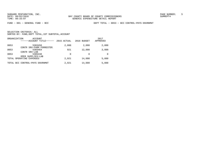FUND − 001 − GENERAL FUND − BCC DEPT TOTAL − 0053 − BCC CONTROL−PHYS ENVRNMNT

|      | ORGANIZATION<br>ACCOUNT<br>------ACCOUNT TITLE------ | 2015 ACTUAL | 2016 BUDGET | 2017<br>APPROVED |
|------|------------------------------------------------------|-------------|-------------|------------------|
| 0053 | 5303450                                              | 2,000       | 2,000       | 2,000            |
| 0053 | CONTR SRV-FARM FORRESTER<br>5303464                  | 921         | 12,000      | 3,000            |
| 0053 | CONTR SRV-LAB<br>5305240                             | 0           | 0           | <sup>0</sup>     |
|      | OPER SUPPLIES-LAB                                    |             |             |                  |
|      | TOTAL OPERATING EXPENSES                             | 2,921       | 14,000      | 5,000            |
|      | TOTAL BCC CONTROL-PHYS ENVRNMNT                      | 2,921       | 14,000      | 5,000            |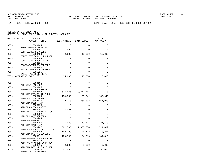FUND − 001 − GENERAL FUND − BCC DEPT TOTAL − 0055 − BCC CONTROL−ECON ENVRNMNT

| ORGANIZATION | ACCOUNT<br>------ACCOUNT TITLE------ 2015 ACTUAL                |             | 2016 BUDGET | 2017<br>APPROVED |
|--------------|-----------------------------------------------------------------|-------------|-------------|------------------|
| 0055         | 5303104                                                         | $\Omega$    | $\Omega$    | $\Omega$         |
| 0055         | PROF SRV-ENGINEERING<br>5303401                                 | 25,993      | $\Omega$    | 0                |
| 0055         | CONTRACTED SERVICES<br>5303403                                  | 9,302       | 10,000      | 10,000           |
| 0055         | CONTR SRV-BANK CHRG POOL<br>5303443                             | $\mathbf 0$ | $\Omega$    | 0                |
| 0055         | CONTR SRV-BEACH PATROL<br>5304125                               | $\mathbf 0$ | $\mathbf 0$ | 0                |
| 0055         | POSTAGE/TRANSP/FREIGHT<br>5304990                               | $\Omega$    | $\Omega$    | 0                |
| 0055         | MISCELLANEOUS EXPENSES<br>5305216                               | $\Omega$    | $\Omega$    | $\Omega$         |
|              | SALES TAX INITIATIVE<br>TOTAL OPERATING EXPENSES                | 35,295      | 10,000      | 10,000           |
| 0055         | 5808101                                                         | 0           | $\Omega$    | 0                |
|              | AID-GOV'T AGENGY                                                |             |             |                  |
| 0055         | 5808105<br>AID-MEXICO BEACH/EMS                                 | $\Omega$    | $\Omega$    | 0                |
| 0055         | 5808108<br>AID-CRA PANAMA CITY BCH                              | 7,634,645   | 8,411,487   | $\Omega$         |
| 0055         | 5808109<br>AID-CRA LYNN HAVEN                                   | 154,589     | 153,342     | 155,945          |
| 0055         | 5808110<br>AID-CRA PIER PARK                                    | 439,310     | 458,308     | 467,958          |
| 0055         | 5808190<br>AID-CRA CEDAR GROVE                                  | $\Omega$    | $\Omega$    | $\Omega$         |
| 0055         | 5808201<br>AID-PRIVATE ORGANIZATIONS                            | 8,000       | 0           | 0                |
| 0055         | 5808202<br>AID-CRA SPRINGFIELD                                  | $\mathsf 0$ | $\mathbf 0$ | 0                |
| 0055         | 5808204<br>AID-CRA PARKER                                       | $\Omega$    | $\Omega$    | $\Omega$         |
| 0055         | 5808206                                                         | 16,048      | 13,474      | 21,618           |
| 0055         | AID-CRA CALLAWAY<br>5808207<br>AID-CRA PANAMA CITY / DIB        | 1,081,565   | 1,055,758   | 1,014,009        |
| 0055         | 5808208<br>AID-CRA P.C./MILLVILLE                               | 142,393     | 146,772     | 148,364          |
| 0055         | 5808211<br>AID-CHAMBER ECON DEVELPMT                            | 109,740     | 134,316     | 134,316          |
| 0055         | 5808212                                                         | $\mathbf 0$ | $\mathbf 0$ | 0                |
| 0055         | AID-PCB CHAMBER ECON DEV<br>5808215<br>AID-CHAMBER BASE CLOSURE | 9,000       | 9,000       | 9,000            |
| 0055         | 5808218<br>AID-FILM COMMISSION                                  | 27,000      | 30,000      | 30,000           |
|              |                                                                 |             |             |                  |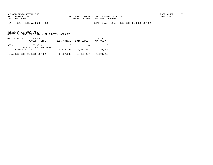FUND − 001 − GENERAL FUND − BCC DEPT TOTAL − 0055 − BCC CONTROL−ECON ENVRNMNT

|      | ORGANIZATION<br>ACCOUNT<br>------ACCOUNT TITLE------ | 2015 ACTUAL | 2016 BUDGET | 2017<br>APPROVED |
|------|------------------------------------------------------|-------------|-------------|------------------|
| 0055 | 5810010<br>CONTRIBUTION-OTHER GOVT                   | $\Omega$    |             |                  |
|      | TOTAL GRANTS & AIDS                                  | 9,622,290   | 10,412,457  | 1,981,210        |
|      | TOTAL BCC CONTROL-ECON ENVRNMNT                      | 9,657,585   | 10,422,457  | 1,991,210        |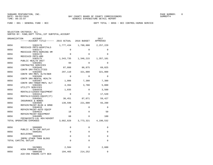SUNGARD PENTAMATION, INC. SUNGARD OF COUNTY BOARD OF COUNTY COMMISSIONERS SUNGARD PAGE NUMBER: 8

FUND − 001 − GENERAL FUND − BCC DEPT TOTAL − 0056 − BCC CONTROL−HUMAN SERVICE

SELECTION CRITERIA: ALL

SORTED BY: FUND,DEPT TOTAL,1ST SUBTOTAL,ACCOUNT

| ORGANIZATION | ACCOUNT                                                  |             |                     | 2017        |
|--------------|----------------------------------------------------------|-------------|---------------------|-------------|
|              | ------ACCOUNT TITLE------ 2015 ACTUAL 2016 BUDGET        |             |                     | APPROVED    |
| 0056         | 5303170                                                  | 1,777,434   | 1,700,000           | 2,257,229   |
| 0056         | MEDICAID PMTS-HOSPITALS<br>5303171                       | $\Omega$    | $\Omega$            | 0           |
| 0056         | MEDICAID PMTS-NURSING HM<br>5303172                      | $\Omega$    | $\Omega$            | $\Omega$    |
| 0056         | MEDICAID PMTS-HMO<br>5303175                             |             | 1,343,735 1,346,215 | 1,357,101   |
|              | PUBLIC HEALTH UNIT                                       |             |                     |             |
| 0056         | 5303401<br>CONTRACTED SERVICES                           | 94          | $\Omega$            | $\Omega$    |
| 0056         | 5303446<br>CONTR SRV-FACILITIES                          | 87,888      | 86,875              | 69,025      |
| 0056         | 5303465<br>CONTR SRV-MNTL HLTH/BKR                       | 297,110     | 321,000             | 321,000     |
| 0056         | 5303466                                                  | $\Omega$    | $\Omega$            | 0           |
| 0056         | CONTR SRV-MENTAL HEALTH<br>5303467                       | 1,006       | 7,380               | 7,380       |
| 0056         | CONTR SRV-TRNSP/MNTL HLT<br>5304301                      | 4,394       | 3,780               | 5,000       |
| 0056         | UTILITY SERVICES<br>5304410                              | 1,035       | $\mathbf 0$         | 3,500       |
| 0056         | RENTALS/LEASES-EOUIPMENT<br>5304414                      | $\Omega$    | $\Omega$            | 17,520      |
|              | RENTALS/LEASES-EOUIP(IT)                                 |             |                     |             |
| 0056         | 5304501<br>INSURANCE & BONDS                             | 30,451      | 87,071              | 59,427      |
| 0056         | 5304605<br>REPAIR/MAINT-BLDG & GRND                      | 139,596     | 221,000             | 93,200      |
| 0056         | 5304610<br>REPAIR/MAINT-AUTO EQUIP                       | $\Omega$    | $\Omega$            | $\Omega$    |
| 0056         | 5304615                                                  | 18          | $\mathbf{0}$        | 50          |
| 0056         | REPAIR/MAINT-EQUIPMENT<br>5304905                        | 68          | $\Omega$            | 100         |
|              | FEES&COSTS-LGL ADV/ADVERT<br>TOTAL OPERATING EXPENSES    |             | 3,682,828 3,773,321 | 4,190,532   |
|              |                                                          |             |                     |             |
| 0056         | 5606005<br>PUBLIC HLTH-CAP OUTLAY                        | $\Omega$    | 0                   | 0           |
| 0056         | 5606201                                                  | $\mathbf 0$ | 0                   | $\mathbf 0$ |
| 0056         | BUILDINGS<br>5606301                                     | $\Omega$    | $\Omega$            | $\Omega$    |
|              | IMPRV OTHER THAN BLDGS<br>TOTAL CAPITAL OUTLAY           | $\Omega$    | $\Omega$            | $\Omega$    |
|              |                                                          |             |                     |             |
| 0056         | 5629001                                                  | 2,584       | 0                   | 2,600       |
| 0056         | HCRA PROGRAM COSTS<br>5808108<br>AID-CRA PANAMA CITY BCH |             | 194,465 214,252     | $\Omega$    |
|              |                                                          |             |                     |             |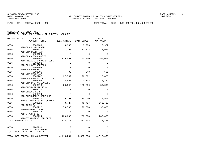FUND − 001 − GENERAL FUND − BCC DEPT TOTAL − 0056 − BCC CONTROL−HUMAN SERVICE

| ORGANIZATION<br>ACCOUNT                                         | ------ACCOUNT TITLE------ 2015 ACTUAL | 2016 BUDGET      | 2017<br>APPROVED    |
|-----------------------------------------------------------------|---------------------------------------|------------------|---------------------|
| 0056<br>5808109                                                 | 3,938                                 | 3,906            | 3,972               |
| AID-CRA LYNN HAVEN<br>0056<br>5808110                           | 11,190                                | 11,674           | 11,920              |
| AID-CRA PIER PARK<br>0056<br>5808190<br>AID-CRA CEDAR GROVE     | 0                                     | 0                | 0                   |
| 0056<br>5808201<br>AID-PRIVATE ORGANIZATIONS                    | 119,591                               | 143,000          | 155,000             |
| 0056<br>5808202<br>AID-CRA SPRINGFIELD                          | $\Omega$                              | $\Omega$         | 0                   |
| 0056<br>5808204<br>AID-CRA PARKER                               | $\Omega$                              | $\Omega$         | $\Omega$            |
| 0056<br>5808206<br>AID-CRA CALLAWAY                             | 409                                   | 343              | 551                 |
| 0056<br>5808207<br>AID-CRA PANAMA CITY / DIB                    | 27,549                                | 26,892           | 25,828              |
| 0056<br>5808208<br>AID-CRA P.C./MILLVILLE                       | 3,627                                 | 3,738            | 3,779               |
| 0056<br>5808216<br>AID-CHILD PROTECTION                         | 60,545                                | 100,000          | 50,000              |
| 0056<br>5808217<br>AID-CHOOSE LIFE                              | 0                                     | 0                | 0                   |
| 0056<br>5808219<br>AID-CHILDREN'S HOME SOC                      | 0                                     | $\Omega$         | $\Omega$            |
| 0056<br>5808220<br>AID-ST ANDREWS BAY CENTER<br>0056<br>5808221 | 9,251<br>48,727                       | 14,500<br>48,727 | 14,500<br>168,726   |
| AID-TROLLEY<br>0056<br>5808222                                  | 73,500                                | 90,000           | 90,000              |
| AID-INDIGENT CARE<br>0056<br>5808223                            | $\Omega$                              | $\Omega$         | $\Omega$            |
| AID-B.A.S.I.C.<br>0056<br>5808224                               | 180,000                               | 200,000          | 200,000             |
| AID-ST ANDREWS MED CNTR<br>TOTAL GRANTS & AIDS                  | 735,375                               | 857,032          | 726,876             |
|                                                                 |                                       |                  |                     |
| 0056<br>5905998<br>DEPRECIATION EXPENSE                         | 0                                     | 0                | 0                   |
| TOTAL NON-OPERATING EXPENSES                                    | $\Omega$                              | $\Omega$         | $\Omega$            |
| TOTAL BCC CONTROL-HUMAN SERVICE                                 | 4,418,204                             |                  | 4,630,353 4,917,408 |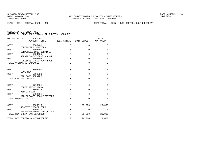FUND − 001 − GENERAL FUND − BCC DEPT TOTAL − 0057 − BCC CONTROL−CULTR/RECREAT

| ORGANIZATION<br><b>ACCOUNT</b><br>$----ACCOUNT$ TITLE $--- 2015$ ACTUAL $2016$ BUDGET |             |             | 2017<br>APPROVED |
|---------------------------------------------------------------------------------------|-------------|-------------|------------------|
| 0057<br>5303401<br>CONTRACTED SERVICES                                                | $\mathbf 0$ | 0           | $\mathbf 0$      |
| 0057<br>5304101<br>COMMUNICATIONS SERVICES                                            | $\Omega$    | $\Omega$    | $\Omega$         |
| 5304605<br>0057<br>REPAIR/MAINT-BLDG & GRND                                           | $\Omega$    | $\Omega$    | $\mathbf 0$      |
| 0057<br>5304905<br>FEES&COSTS-LGL ADV/ADVERT                                          | $\Omega$    | $\Omega$    | $\Omega$         |
| TOTAL OPERATING EXPENSES                                                              | $\Omega$    | $\Omega$    | $\Omega$         |
| 0057<br>5606401                                                                       | $\Omega$    | $\Omega$    | $\Omega$         |
| EOUIPMENT<br>0057<br>5606526                                                          | $\Omega$    | $\Omega$    | $\Omega$         |
| CIP-ROOF REPAIRS<br>TOTAL CAPITAL OUTLAY                                              | $\Omega$    | $\Omega$    | $\Omega$         |
| 0057<br>5710001<br>CONTR SRV-LIBRARY                                                  | $\mathbf 0$ | $\Omega$    | $\mathbf 0$      |
| 0057<br>5808125<br>AID-LIBRARY                                                        | $\mathbf 0$ | $\Omega$    | $\mathbf 0$      |
| 0057<br>5808201<br>AID-PRIVATE ORGANIZATIONS                                          | $\Omega$    | $\Omega$    | $\Omega$         |
| TOTAL GRANTS & AIDS                                                                   | $\Omega$    | $\Omega$    | $\Omega$         |
| 0057<br>5909913                                                                       | $\mathbf 0$ | 29,000      | 29,000           |
| RESERVE-IMPACT FEES<br>0057<br>5909920                                                | $\mathbf 0$ | $\mathbf 0$ | $\mathbf 0$      |
| RESERVE-FUTURE CAP OUTLAY<br>TOTAL NON-OPERATING EXPENSES                             | 0           | 29,000      | 29,000           |
| TOTAL BCC CONTROL-CULTR/RECREAT                                                       | $\Omega$    | 29,000      | 29,000           |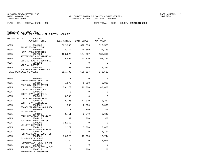FUND − 001 − GENERAL FUND − BCC DEPT TOTAL − 0095 − COUNTY COMMISSIONERS

| ORGANIZATION | ACCOUNT<br>------ACCOUNT TITLE------ 2015 ACTUAL 2016 BUDGET |          |             | 2017<br>APPROVED |
|--------------|--------------------------------------------------------------|----------|-------------|------------------|
| 0095         | 5101100<br>SALARIES-EXECUTIVE                                | 322,335  | 322,335     | 323,570          |
| 0095         | 5102100<br>FICA TAXES-MATCHING                               | 23,272   | 24,659      | 24,753           |
| 0095         | 5102200<br>RETIREMENT CONTRIBUTIONS                          | 133,223  | 134,027     | 135,012          |
| 0095         | 5102300<br>LIFE & HEALTH INSURANCE                           | 35,498   | 43,120      | 63,796           |
| 0095         | 5102302<br>VIRTUAL DOCTOR                                    | $\Omega$ | $\Omega$    | $\Omega$         |
| 0095         | 5102400<br>WORKERS COMP. PREMIUMS                            | 1,380    | 1,386       | 1,391            |
|              | TOTAL PERSONAL SERVICES                                      | 515,709  | 525,527     | 548,522          |
| 0095         | 5303101                                                      | 0        | $\mathbf 0$ | $\Omega$         |
| 0095         | PROFESSIONAL SERVICES<br>5303105                             | 5,078    | 6,000       | 6,000            |
| 0095         | PROF SRV-CODIFICATION<br>5303401<br>CONTRACTED SERVICES      | 59,173   | 20,000      | 40,000           |
| 0095         | 5303410<br>CONTR SRV-JANITORIAL                              | $\Omega$ | $\Omega$    | $\Omega$         |
| 0095         | 5303425<br>CONTR SRV-ADMIN FEES                              | 6,708    | $\Omega$    | $\Omega$         |
| 0095         | 5303446<br>CONTR SRV-FACILITIES                              | 12,186   | 71,870      | 78,282           |
| 0095         | 5304001<br>TRAVEL/TRAINING NON-LOCAL                         | 988      | 2,500       | 3,000            |
| 0095         | 5304005<br>TRAVEL-LOCAL                                      | $\Omega$ | 300         | 300              |
| 0095         | 5304101<br>COMMUNICATIONS SERVICES                           | 2,751    | 2,340       | 2,640            |
| 0095         | 5304125<br>POSTAGE/TRANSP/FREIGHT                            | 49       | 300         | 300              |
| 0095         | 5304301<br>UTILITY SERVICES                                  | 32,362   | $\Omega$    | $\Omega$         |
| 0095         | 5304410<br>RENTALS/LEASES-EQUIPMENT                          | 2,372    | 5,000       | 5,000            |
| 0095         | 5304414<br>RENTALS/LEASES-EOUIP(IT)                          | $\Omega$ | $\Omega$    | 1,451            |
| 0095         | 5304501<br>INSURANCE & BONDS                                 | 99,525   | 17,085      | 12,744           |
| 0095         | 5304605<br>REPAIR/MAINT-BLDG & GRND                          | 17,284   | $\Omega$    | 2,000            |
| 0095         | 5304611<br>REPAIR/MAINT-FLEET MAINT                          | $\Omega$ | $\Omega$    | $\Omega$         |
| 0095         | 5304615<br>REPAIR/MAINT-EOUIPMENT                            | 179      | 300         | 200              |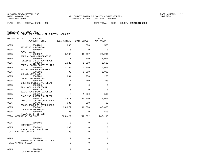FUND − 001 − GENERAL FUND − BCC DEPT TOTAL − 0095 − COUNTY COMMISSIONERS

|              | ORGANIZATION<br>ACCOUNT<br>------ACCOUNT TITLE------ 2015 ACTUAL 2016 BUDGET |                |                      | 2017<br>APPROVED |
|--------------|------------------------------------------------------------------------------|----------------|----------------------|------------------|
| 0095         | 5304701                                                                      | 205            | 500                  | 500              |
| 0095         | PRINTING & BINDING<br>5304801                                                | $\Omega$       | $\Omega$             | $\Omega$         |
| 0095         | ADVERTISING<br>5304902<br>FEES & COSTS-PURCHASING                            | 9,196          | 13,937               | 20,296           |
| 0095         | 5304905<br>FEES&COSTS-LGL ADV/ADVERT                                         | $\Omega$       | 1,000                | 1,000            |
| 0095         | 5304909<br>FEES & COSTS-COURT FILING                                         | 1,329          | 2,500                | 2,500            |
| 0095         | 5304990<br>MISCELLANEOUS EXPENSES                                            | 2,138          | 5,000                | 6,000            |
| 0095         | 5305101<br>OFFICE SUPPLIES                                                   | 99             | 2,000                | 2,000            |
| 0095         | 5305201<br>OPERATING SUPPLIES                                                | 294            | 250                  | 250              |
| 0095         | 5305202<br>OPER SUPPLIES-JANITORIAL                                          | 7              | 250                  | 250              |
| 0095<br>0095 | 5305205<br>GAS, OIL & LUBRICANTS<br>5305213                                  | 99<br>$\Omega$ | $\Omega$<br>$\Omega$ | 0<br>$\Omega$    |
| 0095         | BOARD RECORDING EXPENSES<br>5305215                                          | 0              | 1,500                | 500              |
| 0095         | CLOTHING & WEARING APPRL<br>5305225                                          | 12,672         | 14,000               | 14,000           |
| 0095         | EMPLOYEE SUGG/RECOGN PRGM<br>5305401                                         | 335            | 200                  | 400              |
| 0095         | BOOKS/RESOURCE MATR/SUBSC<br>5305402                                         | 38,077         | 46,000               | 46,000           |
| 0095         | DUES & MEMBERSHIPS<br>5305406                                                | 325            | $\Omega$             | 500              |
|              | TRAINING & TUITION<br>TOTAL OPERATING EXPENSES                               | 303,429        | 212,832              | 246,113          |
| 0095         | 5606401                                                                      | $\Omega$       | $\Omega$             | 0                |
| 0095         | EQUIPMENT<br>5606402                                                         | 200            | $\Omega$             | $\Omega$         |
|              | EQUIP LESS THAN \$1000<br>TOTAL CAPITAL OUTLAY                               | 200            | $\Omega$             | 0                |
| 0095         | 5808201                                                                      | $\Omega$       | $\Omega$             | $\Omega$         |
|              | AID-PRIVATE ORGANIZATIONS<br>TOTAL GRANTS & AIDS                             | $\Omega$       | $\Omega$             | $\Omega$         |
| 0095         | 5905908<br>LOSS ON DISPOSAL                                                  | 0              | 0                    | 0                |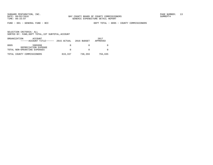FUND − 001 − GENERAL FUND − BCC DEPT TOTAL − 0095 − COUNTY COMMISSIONERS

| ORGANIZATION | ACCOUNT<br>$---ACCOUNT$ TITLE $---2$ 2015 ACTUAL |         | 2016 BUDGET | 2017<br>APPROVED |
|--------------|--------------------------------------------------|---------|-------------|------------------|
| 0095         | 5905998<br>DEPRECIATION EXPENSE                  | 0       |             |                  |
|              | TOTAL NON-OPERATING EXPENSES                     | 0       |             |                  |
|              | TOTAL COUNTY COMMISSIONERS                       | 819,337 | 738,359     | 794,635          |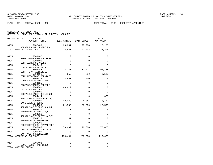SELECTION CRITERIA: ALL

SORTED BY: FUND,DEPT TOTAL,1ST SUBTOTAL,ACCOUNT

| ORGANIZATION<br>ACCOUNT<br>------ACCOUNT TITLE------ 2015 ACTUAL 2016 BUDGET |             |                 | 2017<br>APPROVED |
|------------------------------------------------------------------------------|-------------|-----------------|------------------|
| 0105<br>5102400<br>WORKERS COMP. PREMIUMS                                    | 23,861      | 27,208          | 27,208           |
| TOTAL PERSONAL SERVICES                                                      | 23,861      | 27,208          | 27,208           |
| 0105<br>5303107                                                              | $\Omega$    | $\Omega$        | $\Omega$         |
| PROF SRV-SUBSTANCE TEST<br>0105<br>5303401                                   | $\mathbf 0$ | $\Omega$        | $\Omega$         |
| CONTRACTED SERVICES<br>0105<br>5303410                                       | $\mathbf 0$ | 0               | 0                |
| CONTR SRV-JANITORIAL<br>0105<br>5303446                                      | 8,388       | 81,477          | 91,828           |
| CONTR SRV-FACILITIES<br>0105<br>5304101<br>COMMUNICATIONS SERVICES           | 850         | 780             | 2,520            |
| 0105<br>5304122<br>COMM SRV-LEASED LINES                                     | 2,400       | 2,400           | 0                |
| 0105<br>5304125<br>POSTAGE/TRANSP/FREIGHT                                    | 0           | 0               | $\Omega$         |
| 0105<br>5304301<br>UTILITY SERVICES                                          | 43,629      | $\mathbf 0$     | $\mathbf 0$      |
| 0105<br>5304405<br>RENTALS/LEASES-BUILDINGS                                  | $\mathbf 0$ | $\Omega$        | $\Omega$         |
| 0105<br>5304414<br>RENTALS/LEASES-EQUIP(IT)                                  | $\mathbf 0$ | $\Omega$        | 339              |
| 0105<br>5304501<br>INSURANCE & BONDS                                         | 43,049      | 24,847          | 18,452           |
| 0105<br>5304605<br>REPAIR/MAINT-BLDG & GRND                                  | 21,995      | 27,500          | 27,500           |
| 0105<br>5304610<br>REPAIR/MAINT-AUTO EOUIP                                   | $\mathbf 0$ | $\mathbf 0$     | 0                |
| 0105<br>5304611<br>REPAIR/MAINT-FLEET MAINT                                  | $\Omega$    | $\Omega$        | $\Omega$         |
| 0105<br>5304615<br>REPAIR/MAINT-EQUIPMENT                                    | 241         | $\mathbf{0}$    | $\Omega$         |
| 0105<br>5304905<br>FEES&COSTS-LGL ADV/ADVERT                                 | $\Omega$    | $\Omega$        | $\Omega$         |
| 0105<br>5305105<br>OFFICE SUPP-TRIM BILL NTC                                 | 73,892      | 70,000          | 70,000           |
| 0105<br>5305205<br>GAS, OIL & LUBRICANTS                                     | $\Omega$    | $\Omega$        | $\Omega$         |
| TOTAL OPERATING EXPENSES                                                     |             | 194,444 207,004 | 210,639          |
| 0105<br>5606402<br>EOUIP LESS THAN \$1000                                    | 0           | 0               | $\Omega$         |
| ТОТАL САРІТАL ОНТІАҮ                                                         | $\Omega$    | $\Omega$        | 0                |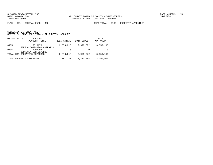FUND − 001 − GENERAL FUND − BCC DEPT TOTAL − 0105 − PROPERTY APPRAISER

| ORGANIZATION<br>ACCOUNT<br>------ACCOUNT TITLE------ | 2015 ACTUAL | 2016 BUDGET | 2017<br>APPROVED |
|------------------------------------------------------|-------------|-------------|------------------|
| 5819170<br>0105<br>FEES & COST-PROP APPRAISR         | 2,873,018   | 2,979,672   | 3,059,110        |
| 0105<br>5905998<br>DEPRECIATION EXPENSE              | $\Omega$    |             |                  |
| TOTAL NON-OPERATING EXPENSES                         | 2,873,018   | 2,979,672   | 3,059,110        |
| TOTAL PROPERTY APPRAISER                             | 3,091,322   | 3, 213, 884 | 3,296,957        |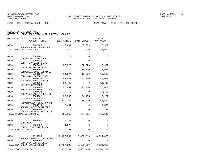FUND − 001 − GENERAL FUND − BCC DEPT TOTAL − 0110 − TAX COLLECTOR

SELECTION CRITERIA: ALL

|  |  |  | SORTED BY: FUND, DEPT TOTAL, 1ST SUBTOTAL, ACCOUNT |  |  |
|--|--|--|----------------------------------------------------|--|--|
|--|--|--|----------------------------------------------------|--|--|

| ORGANIZATION<br>ACCOUNT<br>------ACCOUNT TITLE------ 2015 ACTUAL 2016 BUDGET |           |             | 2017<br>APPROVED |
|------------------------------------------------------------------------------|-----------|-------------|------------------|
| 0110<br>5102400                                                              | 7,044     | 7,909       | 7,909            |
| WORKERS COMP. PREMIUMS<br>TOTAL PERSONAL SERVICES                            | 7,044     | 7,909       | 7,909            |
| 0110<br>5303401                                                              | 0         | 0           | 0                |
| CONTRACTED SERVICES<br>0110<br>5303410                                       | $\Omega$  | $\Omega$    | $\Omega$         |
| CONTR SRV-JANITORIAL<br>0110<br>5303446                                      | 27,323    | 92,726      | 95,997           |
| CONTR SRV-FACILITIES<br>0110<br>5304101                                      | 13,339    | 15,000      | 16,920           |
| COMMUNICATIONS SERVICES<br>0110<br>5304122                                   | 10,674    | 10,200      | 10,500           |
| COMM SRV-LEASED LINES<br>0110<br>5304125                                     | 46,420    | 42,000      | 47,000           |
| POSTAGE/TRANSP/FREIGHT<br>0110<br>5304301                                    | 59,449    | 0           | 14,745           |
| UTILITY SERVICES<br>0110<br>5304405                                          | 92,497    | 175,000     | 175,000          |
| RENTALS/LEASES-BUILDINGS<br>0110<br>5304414                                  | $\Omega$  | $\Omega$    | 2,705            |
| RENTALS/LEASES-EOUIP(IT)<br>0110<br>5304501                                  | 32,583    | 24,155      | 17,222           |
| INSURANCE & BONDS<br>0110<br>5304605                                         | 136,340   | 65,310      | 67,810           |
| REPAIR/MAINT-BLDG & GRND<br>0110<br>5304615                                  | 2,451     | $\mathbf 0$ | 2,500            |
| REPAIR/MAINT-EQUIPMENT<br>0110<br>5305202                                    | 76        | $\Omega$    | 150              |
| OPER SUPPLIES-JANITORIAL<br>TOTAL OPERATING EXPENSES                         | 421,152   | 424,391     | 450,549          |
|                                                                              |           |             |                  |
| 0110<br>5606401<br>EOUIPMENT                                                 | 3,283     | 0           | 0                |
| 0110<br>5606402                                                              | 3,873     | 0           | $\Omega$         |
| EQUIP LESS THAN \$1000<br>TOTAL CAPITAL OUTLAY                               | 7,157     | $\Omega$    | $\Omega$         |
| 0110<br>5819190                                                              | 3,487,008 | 3,428,810   | 3,624,329        |
| FEES & COST-TAX COLLECTOR<br>0110<br>5905998                                 | $\Omega$  | $\Omega$    | $\Omega$         |
| DEPRECIATION EXPENSE<br>TOTAL NON-OPERATING EXPENSES                         | 3,487,008 | 3,428,810   | 3,624,329        |
| TOTAL TAX COLLECTOR                                                          | 3,922,360 | 3,861,110   | 4,082,787        |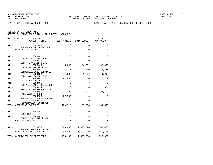FUND − 001 − GENERAL FUND − BCC DEPT TOTAL − 0115 − SUPERVISOR OF ELECTIONS

| ORGANIZATION<br>ACCOUNT<br>------ACCOUNT TITLE------ 2015 ACTUAL |             | 2016 BUDGET | 2017<br>APPROVED |
|------------------------------------------------------------------|-------------|-------------|------------------|
| 0115<br>5102400<br>WORKERS COMP. PREMIUMS                        | 0           | $\Omega$    | 0                |
| TOTAL PERSONAL SERVICES                                          | $\mathbf 0$ | 0           | 0                |
| 0115<br>5303401<br>CONTRACTED SERVICES                           | $\mathbf 0$ | $\Omega$    | $\mathbf 0$      |
| 0115<br>5303410                                                  | $\Omega$    | $\Omega$    | $\Omega$         |
| CONTR SRV-JANITORIAL<br>0115<br>5303446                          | 15,642      | 94,931      | 109,066          |
| CONTR SRV-FACILITIES<br>0115<br>5304101                          | 2,217       | 2,040       | 2,520            |
| COMMUNICATIONS SERVICES<br>0115<br>5304122                       | 1,200       | 1,200       | 1,200            |
| COMM SRV-LEASED LINES<br>0115<br>5304301                         | 47,802      | 0           | 0                |
| UTILITY SERVICES<br>0115                                         |             |             |                  |
| 5304405<br>RENTALS/LEASES-BUILDINGS                              | $\mathbf 0$ | $\mathbf 0$ | $\mathbf 0$      |
| 0115<br>5304414<br>RENTALS/LEASES-EOUIP(IT)                      | $\Omega$    | $\Omega$    | 371              |
| 0115<br>5304501<br>INSURANCE & BONDS                             | 15,008      | 30,397      | 21,409           |
| 0115<br>5304605<br>REPAIR/MAINT-BLDG & GRND                      | 27,580      | 0           | 0                |
| 0115<br>5304615<br>REPAIR/MAINT-EQUIPMENT                        | 264         | $\Omega$    | $\Omega$         |
| TOTAL OPERATING EXPENSES                                         | 109,712     | 128,568     | 134,566          |
|                                                                  |             |             |                  |
| 0115<br>5606401<br>EOUIPMENT                                     | 0           | $\Omega$    | 0                |
| 0115<br>5606402<br>EQUIP LESS THAN \$1000                        | $\mathbf 0$ | 0           | $\mathbf 0$      |
| TOTAL CAPITAL OUTLAY                                             | $\Omega$    | $\Omega$    | $\Omega$         |
| 0115<br>5819175                                                  | 1,368,483   | 1,680,820   | 1,562,456        |
| FEES & COST-SUP OF ELECT<br>TOTAL NON-OPERATING EXPENSES         | 1,368,483   | 1,680,820   | 1,562,456        |
| TOTAL SUPERVISOR OF ELECTIONS                                    | 1,478,195   | 1,809,388   | 1,697,022        |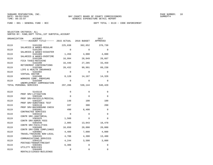FUND − 001 − GENERAL FUND − BCC DEPT TOTAL − 0119 − CODE ENFORCEMENT

| ORGANIZATION | ACCOUNT<br>------ACCOUNT TITLE------ 2015 ACTUAL 2016 BUDGET |             |             | 2017<br>APPROVED |
|--------------|--------------------------------------------------------------|-------------|-------------|------------------|
| 0119         | 5101200<br>SALARIES & WAGES-REGULAR                          | 225,838     | 362,652     | 370,730          |
| 0119         | 5101205<br>SALARIES & WAGES-DISASTER                         | $\Omega$    | $\Omega$    | $\Omega$         |
| 0119         | 5101400<br>SALARIES & WAGES-OVERTIME                         | 1,456       | 4,000       | 4,000            |
| 0119         | 5102100<br>FICA TAXES-MATCHING                               | 16,994      | 28,049      | 28,667           |
| 0119         | 5102200<br>RETIREMENT CONTRIBUTIONS                          | 16,446      | 27,285      | 33,459           |
| 0119         | 5102300<br>LIFE & HEALTH INSURANCE                           | 28,432      | 99,991      | 89,238           |
| 0119         | 5102302<br>VIRTUAL DOCTOR                                    | $\Omega$    | $\Omega$    | $\mathbf 0$      |
| 0119         | 5102400<br>WORKERS COMP. PREMIUMS                            | 8,120       | 14,167      | 14,326           |
| 0119         | 5102500<br>UNEMPLOYMENT COMPENSATION                         | $\Omega$    | $\Omega$    | $\Omega$         |
|              | TOTAL PERSONAL SERVICES                                      | 297,286     | 536,144     | 540,420          |
| 0119         | 5143110                                                      | 0           | $\Omega$    | $\Omega$         |
| 0119         | PROF SRV-LITIGATION<br>5303106                               | $\Omega$    | $\Omega$    | $\Omega$         |
| 0119         | PROF SRV-PHYSICLS/MEDICAL<br>5303107                         | 148         | 100         | 100              |
| 0119         | PROF SRV-SUBSTANCE TEST<br>5303110                           | 337         | 300         | 200              |
| 0119         | PROF SRV-BACKGROUND CHECK<br>5303401<br>CONTRACTED SERVICES  | 490         | 6,400       | $\Omega$         |
| 0119         | 5303410<br>CONTR SRV-JANITORIAL                              | $\mathbf 0$ | $\Omega$    | $\Omega$         |
| 0119         | 5303425<br>CONTR SRV-ADMIN FEES                              | 1,560       | $\Omega$    | 0                |
| 0119         | 5303446<br>CONTR SRV-FACILITIES                              | 2,005       | 13,043      | 18,470           |
| 0119         | 5303488<br>CONTR SRV-CODE COMPLIANCE                         | 16,650      | 20,000      | 20,000           |
| 0119         | 5304001<br>TRAVEL/TRAINING NON-LOCAL                         | 4,489       | 7,000       | 4,000            |
| 0119         | 5304101<br>COMMUNICATIONS SERVICES                           | 4,708       | 4,300       | 13,488           |
| 0119         | 5304125<br>POSTAGE/TRANSP/FREIGHT                            | 4,244       | 3,500       | 3,000            |
| 0119         | 5304301<br>UTILITY SERVICES                                  | 6,306       | $\Omega$    | $\Omega$         |
| 0119         | 5304405<br>RENTALS/LEASES-BUILDINGS                          | 0           | $\mathbf 0$ | 0                |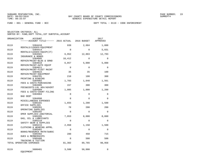| ORGANIZATION | ACCOUNT<br>------ACCOUNT TITLE------ 2015 ACTUAL 2016 BUDGET |                      |                      | 2017<br>APPROVED     |
|--------------|--------------------------------------------------------------|----------------------|----------------------|----------------------|
| 0119         | 5304410<br>RENTALS/LEASES-EOUIPMENT                          | 939                  | 2,684                | 1,000                |
| 0119         | 5304414<br>RENTALS/LEASES-EQUIP(IT)                          | $\Omega$             | $\Omega$             | 5,031                |
| 0119         | 5304501<br>INSURANCE & BONDS                                 | 6,952                | 12,863               | 12,793               |
| 0119         | 5304605<br>REPAIR/MAINT-BLDG & GRND                          | 10,412               | $\Omega$             | $\Omega$             |
| 0119         | 5304610<br>REPAIR/MAINT-AUTO EOUIP                           | 6,857                | 5,000                | 5,000                |
| 0119         | 5304611<br>REPAIR/MAINT-FLEET MAINT                          | $\Omega$             | $\Omega$             | $\Omega$             |
| 0119         | 5304615<br>REPAIR/MAINT-EOUIPMENT                            | 35                   | 35                   | 100                  |
| 0119         | 5304701<br>PRINTING & BINDING                                | 210                  | 100                  | 300                  |
| 0119         | 5304902<br>FEES & COSTS-PURCHASING                           | 1,703                | 1,640                | 1,561                |
| 0119         | 5304905<br>FEES&COSTS-LGL ADV/ADVERT                         | 157                  | 300                  | 300                  |
| 0119         | 5304909<br>FEES & COSTS-COURT FILING                         | 1,085                | 1,000                | 1,200                |
| 0119<br>0119 | 5304984<br>BAD DEBT                                          | $\Omega$<br>$\Omega$ | $\Omega$<br>$\Omega$ | $\Omega$<br>$\Omega$ |
| 0119         | 5304990<br>MISCELLANEOUS EXPENSES<br>5305101                 | 1,655                | 1,200                | 1,500                |
| 0119         | OFFICE SUPPLIES<br>5305201                                   | 78                   | 200                  | 200                  |
| 0119         | OPERATING SUPPLIES<br>5305202                                | $\Omega$             | $\Omega$             | $\Omega$             |
| 0119         | OPER SUPPLIES-JANITORIAL<br>5305205                          | 7,053                | 8,000                | 8,000                |
| 0119         | GAS, OIL & LUBRICANTS<br>5305210                             | $\Omega$             | $\Omega$             | $\Omega$             |
| 0119         | SAFETY GEAR & SUPPLIES<br>5305215                            | 2,950                | 1,150                | 1,500                |
| 0119         | CLOTHING & WEARING APPRL<br>5305401                          | $\mathbf 0$          | $\Omega$             | $\Omega$             |
| 0119         | BOOKS/RESOURCE MATR/SUBSC<br>5305402<br>DUES & MEMBERSHIPS   | 280                  | 450                  | 715                  |
| 0119         | 5305406<br>TRAINING & TUITION                                | $\Omega$             | 500                  | 500                  |
|              | TOTAL OPERATING EXPENSES                                     | 81,302               | 89,765               | 98,958               |
| 0119         | 5606401<br>EQUIPMENT                                         | 3,500                | 50,000               | 0                    |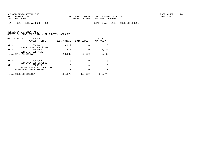FUND − 001 − GENERAL FUND − BCC DEPT TOTAL − 0119 − CODE ENFORCEMENT

|  | SELECTION CRITERIA: ALL                            |  |  |
|--|----------------------------------------------------|--|--|
|  | SORTED BY: FUND, DEPT TOTAL, 1ST SUBTOTAL, ACCOUNT |  |  |

| ORGANIZATION                 | ACCOUNT<br>------ACCOUNT TITLE------ | 2015 ACTUAL | 2016 BUDGET | 2017<br>APPROVED |
|------------------------------|--------------------------------------|-------------|-------------|------------------|
| 0119                         | 5606402<br>EOUIP LESS THAN \$1000    | 3,912       | 0           | 0                |
| 0119                         | 5606450<br>COMPUTER SOFTWARE         | 5,875       | 0           | 6,400            |
| TOTAL CAPITAL OUTLAY         |                                      | 13,287      | 50,000      | 6,400            |
| 0119                         | 5905998                              | 0           | 0           | 0                |
| 0119                         | DEPRECIATION EXPENSE<br>5909915      | 0           | 0           | 0                |
| TOTAL NON-OPERATING EXPENSES | RESERVE FOR PAY ADJUSTMNT            | 0           | 0           | $\Omega$         |
| TOTAL CODE ENFORCEMENT       |                                      | 391,875     | 675,909     | 645,778          |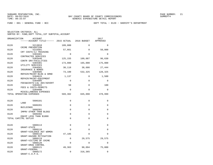FUND − 001 − GENERAL FUND − BCC DEPT TOTAL − 0120 − SHERIFF'S DEPARTMENT

| ORGANIZATION | <b>ACCOUNT</b>                        |          |             | 2017        |
|--------------|---------------------------------------|----------|-------------|-------------|
|              | ------ACCOUNT TITLE------ 2015 ACTUAL |          | 2016 BUDGET | APPROVED    |
| 0120         | 5213010                               | 109,000  | $\Omega$    | $\Omega$    |
| 0120         | CRIME PREVENTION<br>5215501           | 57,661   | $\Omega$    | 50,000      |
| 0120         | CRT COSTS-CJ TRAINING<br>5303401      | $\Omega$ | $\Omega$    | $\Omega$    |
| 0120         | CONTRACTED SERVICES<br>5303446        | 125,155  | 109,087     | 96,630      |
| 0120         | CONTR SRV-FACILITIES<br>5304301       | 173,080  | 165,000     | 175,000     |
| 0120         | UTILITY SERVICES<br>5304501           | 30,118   | 38,686      | 27,444      |
| 0120         | INSURANCE & BONDS<br>5304605          | 73,100   | 532,325     | 128,325     |
| 0120         | REPAIR/MAINT-BLDG & GRND<br>5304615   | 1,137    | $\Omega$    | 1,500       |
| 0120         | REPAIR/MAINT-EOUIPMENT<br>5304905     | $\Omega$ | $\Omega$    | $\Omega$    |
| 0120         | FEES&COSTS-LGL ADV/ADVERT<br>5304922  | 50       | $\Omega$    | 100         |
| 0120         | FEES & COSTS-PERMITS                  | $\Omega$ | $\Omega$    | $\Omega$    |
|              | 5304990<br>MISCELLANEOUS EXPENSES     |          |             |             |
|              | TOTAL OPERATING EXPENSES              | 569,302  | 845,098     | 478,999     |
| 0120         | 5606101                               | 0        | $\mathbf 0$ | $\Omega$    |
| 0120         | LAND<br>5606201                       | 0        | $\mathbf 0$ | $\mathbf 0$ |
|              | <b>BUILDINGS</b>                      |          |             |             |
| 0120         | 5606301<br>IMPRV OTHER THAN BLDGS     | $\Omega$ | $\Omega$    | $\Omega$    |
| 0120         | 5606402<br>EOUIP LESS THAN \$1000     | 0        | $\Omega$    | $\Omega$    |
|              | TOTAL CAPITAL OUTLAY                  | 0        | $\mathbf 0$ | $\mathbf 0$ |
| 0120         | 5808113                               | 0        | $\Omega$    | $\Omega$    |
| 0120         | GRANT-STATE<br>5808116                | $\Omega$ | $\Omega$    | $\Omega$    |
| 0120         | GRANT-VIOLENCE AGT WOMEN<br>5808118   | 47,185   | $\Omega$    | $\Omega$    |
| 0120         | GRANT-HAZARD MITIGATION<br>5808119    | $\Omega$ | 29,575      | 29,575      |
| 0120         | GRANT-VICTIMS OF CRIME<br>5808120     | $\Omega$ | $\Omega$    | $\Omega$    |
| 0120         | GRANT-DRUG CONTROL<br>5808121         | 49,363   | 98,094      | 75,000      |
| 0120         | GRANT-FEDERAL<br>5808172              | $\Omega$ | 316,365     | $\Omega$    |
|              | GRANT-C.O.P.S.                        |          |             |             |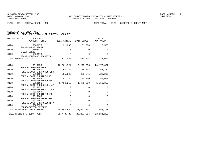SELECTION CRITERIA: ALL

SORTED BY: FUND,DEPT TOTAL,1ST SUBTOTAL,ACCOUNT

| ORGANIZATION               | ACCOUNT<br>------ACCOUNT TITLE------ 2015 ACTUAL     |             | 2016 BUDGET              | 2017<br>APPROVED    |
|----------------------------|------------------------------------------------------|-------------|--------------------------|---------------------|
| 0120                       | 5808175<br>GRANT-BYRNE GRANT                         | 31,000      | 31,000                   | 28,500              |
| 0120                       | 5808177                                              | 0           | $\Omega$                 | $\Omega$            |
| 0120                       | GRANT-LLEBG<br>5808178                               | $\Omega$    | $\Omega$                 | $\Omega$            |
| TOTAL GRANTS & AIDS        | GRANT-HOMELAND SECURITY                              |             | 127,548 475,034          | 133,075             |
| 0120                       | 5819150                                              |             | 18,561,924    19,277,895 | 20, 173, 357        |
| 0120                       | FEES & COST-SHERIFF<br>5819151                       | 58,232      | 58,232                   | 58,232              |
| 0120                       | FEES & COST-SHER/CRSS GRD<br>5819152                 | 685,045     | 685,045                  | 720,232             |
| 0120                       | FEES & COST-SHERIFF/SRO<br>5819153                   | 41,224      | 50,000                   | 50,000              |
| 0120                       | FEES & COST-SHER/PROCESS<br>5819156                  | 1,406,219   |                          | 1,476,530 1,550,357 |
| 0120                       | FEES & COST-SHER/CALLAWAY<br>5819157                 | $\mathbf 0$ | $\mathbf 0$              | 0                   |
| 0120                       | FEES & COST-SHER/BOOT CMP<br>5819159                 | $\mathbf 0$ | $\Omega$                 | $\mathbf 0$         |
| 0120                       | FEES & COST-SHERIFF/MISC<br>5819160                  | $\mathbf 0$ | $\Omega$                 | $\mathbf 0$         |
| 0120                       | FEES & COST-SHERIFF/JAIL<br>5819161                  | $\Omega$    | $\Omega$                 | $\Omega$            |
| 0120                       | FEES & COST-SHER/SECURITY<br>5905998                 | $\Omega$    | $\Omega$                 | $\Omega$            |
|                            | DEPRECIATION EXPENSE<br>TOTAL NON-OPERATING EXPENSES |             | 20,752,644 21,547,702    | 22,552,178          |
| TOTAL SHERIFF'S DEPARTMENT |                                                      | 21,449,493  | 22,867,834               | 23, 164, 252        |
|                            |                                                      |             |                          |                     |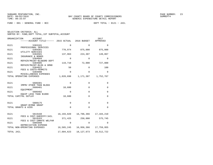FUND − 001 − GENERAL FUND − BCC DEPT TOTAL − 0121 − JAIL

|  | SELECTION CRITERIA: ALL                            |  |  |
|--|----------------------------------------------------|--|--|
|  | SORTED BY: FUND, DEPT TOTAL, 1ST SUBTOTAL, ACCOUNT |  |  |

| ORGANIZATION | ACCOUNT<br>------ACCOUNT TITLE------ 2015 ACTUAL     |             | 2016 BUDGET  | 2017<br>APPROVED |
|--------------|------------------------------------------------------|-------------|--------------|------------------|
| 0121         | 5303101                                              | $\Omega$    | $\Omega$     | $\Omega$         |
| 0121         | PROFESSIONAL SERVICES<br>5304301                     | 770,974     | 875,000      | 875,000          |
| 0121         | UTILITY SERVICES<br>5304501                          | 137,963     | 224,307      | 149,867          |
| 0121         | INSURANCE & BONDS<br>5304604                         | 0           | 0            | 0                |
| 0121         | REPAIR/MAINT-BLD&GRD DEPT<br>5304605                 | 119,710     | 72,000       | 727,800          |
| 0121         | REPAIR/MAINT-BLDG & GRND<br>5304922                  | 50          | $\Omega$     | 100              |
| 0121         | FEES & COSTS-PERMITS<br>5304990                      | $\mathbf 0$ | $\mathbf 0$  | $\mathbf 0$      |
|              | MISCELLANEOUS EXPENSES<br>TOTAL OPERATING EXPENSES   | 1,028,698   | 1,171,307    | 1,752,767        |
|              |                                                      |             |              |                  |
| 0121         | 5606301<br>IMPRV OTHER THAN BLDGS                    | $\Omega$    | $\Omega$     | $\mathbf 0$      |
| 0121         | 5606401<br>EOUIPMENT                                 | 10,680      | 0            | 0                |
| 0121         | 5606402<br>EOUIP LESS THAN \$1000                    | 0           | $\Omega$     | $\mathbf 0$      |
|              | TOTAL CAPITAL OUTLAY                                 | 10,680      | $\Omega$     | $\mathbf 0$      |
| 0121         | 5808175                                              | 0           | $\Omega$     | 0                |
|              | GRANT-BYRNE GRANT<br>TOTAL GRANTS & AIDS             | $\mathbf 0$ | 0            | $\Omega$         |
|              |                                                      |             |              |                  |
| 0121         | 5819160                                              | 16,193,820  | 16,706,366   | 17,184,210       |
| 0121         | FEES & COST-SHERIFF/JAIL<br>5819163                  | 371,425     | 250,000      | 575,745          |
| 0121         | FEES & COST-INMATE WELFAR<br>5905998                 | $\mathbf 0$ | 0            | $\Omega$         |
|              | DEPRECIATION EXPENSE<br>TOTAL NON-OPERATING EXPENSES | 16,565,245  | 16,956,366   | 17,759,955       |
| TOTAL JAIL   |                                                      | 17,604,623  | 18, 127, 673 | 19,512,722       |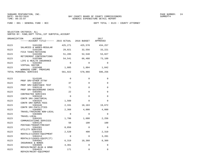FUND − 001 − GENERAL FUND − BCC DEPT TOTAL − 0123 − COUNTY ATTORNEY

| ORGANIZATION | <b>ACCOUNT</b><br>------ACCOUNT TITLE------ 2015 ACTUAL 2016 BUDGET |          |             | 2017<br>APPROVED |
|--------------|---------------------------------------------------------------------|----------|-------------|------------------|
| 0123         | 5101200<br>SALARIES & WAGES-REGULAR                                 | 425,271  | 425,570     | 434,257          |
| 0123         | 5102100<br>FICA TAXES-MATCHING                                      | 29,021   | 32,556      | 33,221           |
| 0123         | 5102200<br>RETIREMENT CONTRIBUTIONS                                 | 51,285   | 52,548      | 53,827           |
| 0123         | 5102300<br>LIFE & HEALTH INSURANCE                                  | 54,541   | 66,488      | 73,109           |
| 0123         | 5102302<br>VIRTUAL DOCTOR                                           | $\Omega$ | $\Omega$    | $\Omega$         |
| 0123         | 5102400<br>WORKERS COMP. PREMIUMS                                   | 1,805    | 1,804       | 1,842            |
|              | TOTAL PERSONAL SERVICES                                             | 561,922  | 578,966     | 596,256          |
| 0123         | 5143105                                                             | $\Omega$ | $\Omega$    | 0                |
| 0123         | PROF SRV-OTHER ATTNY<br>5303107                                     | 37       | $\Omega$    | $\Omega$         |
| 0123         | PROF SRV-SUBSTANCE TEST<br>5303110<br>PROF SRV-BACKGROUND CHECK     | 71       | $\Omega$    | $\Omega$         |
| 0123         | 5303401<br>CONTRACTED SERVICES                                      | 22       | $\Omega$    | $\Omega$         |
| 0123         | 5303410<br>CONTR SRV-JANITORIAL                                     | $\Omega$ | $\Omega$    | $\Omega$         |
| 0123         | 5303425<br>CONTR SRV-ADMIN FEES                                     | 1,560    | $\Omega$    | $\Omega$         |
| 0123         | 5303446<br>CONTR SRV-FACILITIES                                     | 2,331    | 18,163      | 19,672           |
| 0123         | 5304001<br>TRAVEL/TRAINING NON-LOCAL                                | 2,368    | 4,000       | 4,000            |
| 0123         | 5304005<br>TRAVEL-LOCAL                                             | $\Omega$ | $\Omega$    | $\Omega$         |
| 0123         | 5304101<br>COMMUNICATIONS SERVICES                                  | 1,706    | 1,680       | 2,256            |
| 0123         | 5304125<br>POSTAGE/TRANSP/FREIGHT                                   | 58       | 100         | 100              |
| 0123         | 5304301<br>UTILITY SERVICES                                         | 8,856    | $\Omega$    | $\Omega$         |
| 0123         | 5304410<br>RENTALS/LEASES-EQUIPMENT                                 | 2,520    | 400         | 2,310            |
| 0123         | 5304414<br>RENTALS/LEASES-EQUIP(IT)                                 | $\Omega$ | $\Omega$    | 3,201            |
| 0123         | 5304501<br>INSURANCE & BONDS                                        | 6,319    | 10,360      | 8,309            |
| 0123         | 5304605<br>REPAIR/MAINT-BLDG & GRND                                 | 4,361    | $\Omega$    | 0                |
| 0123         | 5304615<br>REPAIR/MAINT-EOUIPMENT                                   | 171      | $\mathbf 0$ | 0                |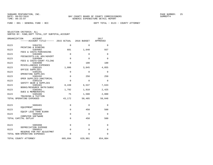FUND − 001 − GENERAL FUND − BCC DEPT TOTAL − 0123 − COUNTY ATTORNEY

| ORGANIZATION<br>ACCOUNT<br>------ACCOUNT TITLE------ 2015 ACTUAL |             | 2016 BUDGET  | 2017<br>APPROVED |
|------------------------------------------------------------------|-------------|--------------|------------------|
| 0123<br>5304701                                                  | $\mathbf 0$ | $\Omega$     | $\Omega$         |
| PRINTING & BINDING<br>0123<br>5304902                            | 681         | 1,640        | 937              |
| FEES & COSTS-PURCHASING<br>0123<br>5304905                       | $\mathbf 0$ | 0            | $\mathbf 0$      |
| FEES&COSTS-LGL ADV/ADVERT<br>0123<br>5304909                     | $\Omega$    | $\Omega$     | $\Omega$         |
| FEES & COSTS-COURT FILING<br>0123<br>5304990                     | $\Omega$    | 100          | 100              |
| MISCELLANEOUS EXPENSES<br>0123<br>5305101                        | 1,806       | 3,845        | 4,855            |
| OFFICE SUPPLIES<br>0123<br>5305201                               | $\mathbf 0$ | $\Omega$     | $\Omega$         |
| OPERATING SUPPLIES<br>0123<br>5305202                            | $\mathbf 0$ | 250          | 250              |
| OPER SUPPLIES-JANITORIAL<br>0123<br>5305210                      | $\mathbf 0$ | $\mathbf{0}$ | $\Omega$         |
| SAFETY GEAR & SUPPLIES<br>0123<br>5305401                        | 8,439       | 6,537        | 7,633            |
| BOOKS/RESOURCE MATR/SUBSC<br>0123<br>5305402                     | 1,792       | 1,910        | 2,425            |
| <b>DUES &amp; MEMBERSHIPS</b><br>0123<br>5305406                 | 75          | 1,500        | 2,000            |
| TRAINING & TUITION<br>TOTAL OPERATING EXPENSES                   | 43,172      | 50,485       | 58,048           |
|                                                                  |             |              |                  |
| 0123<br>5606401<br>EQUIPMENT                                     | $\Omega$    | $\Omega$     | $\Omega$         |
| 0123<br>5606402<br>EOUIP LESS THAN \$1000                        | $\Omega$    | 450          | 500              |
| 0123<br>5606450                                                  | $\Omega$    | $\Omega$     | $\Omega$         |
| COMPUTER SOFTWARE<br>TOTAL CAPITAL OUTLAY                        | $\Omega$    | 450          | 500              |
| 0123                                                             |             |              |                  |
| 5905998<br>DEPRECIATION EXPENSE                                  | 0           | 0            | 0                |
| 0123<br>5909915<br>RESERVE FOR PAY ADJUSTMNT                     | $\mathbf 0$ | $\mathbf 0$  | $\mathbf 0$      |
| TOTAL NON-OPERATING EXPENSES                                     | $\Omega$    | $\Omega$     | $\Omega$         |
| TOTAL COUNTY ATTORNEY                                            | 605,094     | 629,901      | 654,804          |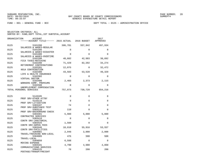FUND − 001 − GENERAL FUND − BCC DEPT TOTAL − 0125 − ADMINISTRATION OFFICE

| ORGANIZATION | ACCOUNT<br>------ACCOUNT TITLE------ 2015 ACTUAL 2016 BUDGET |             |             | 2017<br>APPROVED |
|--------------|--------------------------------------------------------------|-------------|-------------|------------------|
| 0125         | 5101200<br>SALARIES & WAGES-REGULAR                          | 586,701     | 557,942     | 497,934          |
| 0125         | 5101205                                                      | $\Omega$    | $\Omega$    | 0                |
| 0125         | SALARIES & WAGES-DISASTER<br>5101400                         | $\Omega$    | $\Omega$    | $\Omega$         |
| 0125         | SALARIES & WAGES-OVERTIME<br>5102100                         | 40,882      | 42,683      | 38,092           |
| 0125         | FICA TAXES-MATCHING<br>5102200<br>RETIREMENT CONTRIBUTIONS   | 71,429      | 82,202      | 34,274           |
| 0125         | 5102201<br>401A CONTRIBUTION                                 | 12,075      | $\Omega$    | 32,472           |
| 0125         | 5102300<br>LIFE & HEALTH INSURANCE                           | 43,583      | 53,528      | 49,329           |
| 0125         | 5102302<br>VIRTUAL DOCTOR                                    | $\Omega$    | $\Omega$    | $\Omega$         |
| 0125         | 5102400<br>WORKERS COMP. PREMIUMS                            | 2,403       | 2,373       | 2,115            |
| 0125         | 5102500<br>UNEMPLOYMENT COMPENSATION                         | $\mathbf 0$ | $\Omega$    | 0                |
|              | TOTAL PERSONAL SERVICES                                      | 757,073     | 738,728     | 654,216          |
| 0125         | 5143105                                                      | $\Omega$    | $\mathbf 0$ | 0                |
|              | PROF SRV-OTHER ATTNY                                         |             |             |                  |
| 0125         | 5143110<br>PROF SRV-LITIGATION                               | $\Omega$    | $\Omega$    | 0                |
| 0125         | 5303107<br>PROF SRV-SUBSTANCE TEST                           | 74          | $\Omega$    | 0                |
| 0125         | 5303110                                                      | 110         | $\Omega$    | $\Omega$         |
| 0125         | PROF SRV-BACKGROUND CHECK<br>5303401                         | 5,989       | 5,000       | 5,000            |
| 0125         | CONTRACTED SERVICES<br>5303410                               | $\Omega$    | $\Omega$    | $\Omega$         |
| 0125         | CONTR SRV-JANITORIAL<br>5303425                              | 1,560       | $\Omega$    | $\Omega$         |
| 0125         | CONTR SRV-ADMIN FEES<br>5303446                              | 18,810      | 55,916      | 53,557           |
| 0125         | CONTR SRV-FACILITIES<br>5304001                              | 2,949       | 2,000       | 2,000            |
| 0125         | TRAVEL/TRAINING NON-LOCAL<br>5304005                         | 476         | 500         | 500              |
| 0125         | TRAVEL-LOCAL<br>5304050                                      | 6,588       | $\Omega$    | $\Omega$         |
| 0125         | MOVING EXPENSE<br>5304101                                    | 4,790       | 4,080       | 4,860            |
| 0125         | COMMUNICATIONS SERVICES<br>5304125<br>POSTAGE/TRANSP/FREIGHT | 76          | 200         | 200              |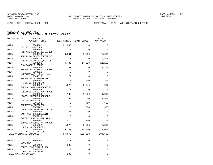FUND − 001 − GENERAL FUND − BCC DEPT TOTAL − 0125 − ADMINISTRATION OFFICE

| ORGANIZATION | <b>ACCOUNT</b><br>-----ACCOUNT TITLE------ 2015 ACTUAL |             | 2016 BUDGET | 2017<br>APPROVED |
|--------------|--------------------------------------------------------|-------------|-------------|------------------|
|              |                                                        |             |             |                  |
| 0125         | 5304301<br>UTILITY SERVICES                            | 21,235      | 0           | 0                |
| 0125         | 5304405                                                | $\Omega$    | $\Omega$    | $\Omega$         |
| 0125         | RENTALS/LEASES-BUILDINGS<br>5304410                    | 3,831       | 9,500       | 3,680            |
| 0125         | RENTALS/LEASES-EQUIPMENT<br>5304414                    | $\mathbf 0$ | $\Omega$    | 6,808            |
| 0125         | RENTALS/LEASES-EQUIP(IT)<br>5304501                    | 4,739       | 14,628      | 11,198           |
| 0125         | INSURANCE & BONDS<br>5304605                           | 11,707      | $\Omega$    | 1,250            |
| 0125         | REPAIR/MAINT-BLDG & GRND<br>5304611                    | $\Omega$    | $\Omega$    | 0                |
| 0125         | REPAIR/MAINT-FLEET MAINT<br>5304615                    | 172         | $\Omega$    | $\Omega$         |
| 0125         | REPAIR/MAINT-EQUIPMENT<br>5304701                      | $\Omega$    | 200         | 200              |
|              | PRINTING & BINDING                                     |             |             |                  |
| 0125         | 5304902<br>FEES & COSTS-PURCHASING                     | 1,022       | 2,049       | 937              |
| 0125         | 5304905<br>FEES&COSTS-LGL ADV/ADVERT                   | $\Omega$    | $\Omega$    | $\Omega$         |
| 0125         | 5304990<br>MISCELLANEOUS EXPENSES                      | 130         | 1,000       | 1,000            |
| 0125         | 5305101<br>OFFICE SUPPLIES                             | 1,258       | 1,500       | 2,500            |
| 0125         | 5305201<br>OPERATING SUPPLIES                          | 6           | 750         | 600              |
| 0125         | 5305202<br>OPER SUPPLIES-JANITORIAL                    | $\mathbf 0$ | 500         | 300              |
| 0125         | 5305205                                                | 36          | $\Omega$    | $\Omega$         |
| 0125         | GAS, OIL & LUBRICANTS<br>5305210                       | $\Omega$    | $\Omega$    | $\Omega$         |
| 0125         | SAFETY GEAR & SUPPLIES<br>5305401                      | 1,014       | 100         | 100              |
| 0125         | BOOKS/RESOURCE MATR/SUBSC<br>5305402                   | 1,970       | 2,000       | 2,000            |
| 0125         | DUES & MEMBERSHIPS<br>5305406                          | 9,130       | 10,000      | 8,000            |
|              | TRAINING & TUITION<br>TOTAL OPERATING EXPENSES         | 97,670      | 109,923     | 104,690          |
|              |                                                        |             |             |                  |
| 0125         | 5606401<br>EOUIPMENT                                   | $\Omega$    | $\Omega$    | 0                |
| 0125         | 5606402                                                | 305         | $\mathbf 0$ | 0                |
| 0125         | EQUIP LESS THAN \$1000<br>5606450                      | $\mathbf 0$ | $\Omega$    | $\Omega$         |
|              | COMPUTER SOFTWARE<br>TOTAL CAPITAL OUTLAY              | 305         | 0           | 0                |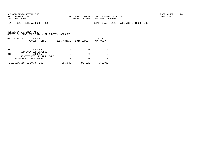FUND − 001 − GENERAL FUND − BCC DEPT TOTAL − 0125 − ADMINISTRATION OFFICE

|      | ORGANIZATION<br>ACCOUNT<br>------ACCOUNT TITLE------         | 2015 ACTUAL | 2016 BUDGET | 2017<br>APPROVED |
|------|--------------------------------------------------------------|-------------|-------------|------------------|
|      |                                                              |             |             |                  |
| 0125 | 5905998                                                      | 0           |             |                  |
| 0125 | DEPRECIATION EXPENSE<br>5909915<br>RESERVE FOR PAY ADJUSTMNT | 0           |             |                  |
|      | TOTAL NON-OPERATING EXPENSES                                 | 0           |             |                  |
|      | TOTAL ADMINISTRATION OFFICE                                  | 855,048     | 848,651     | 758,906          |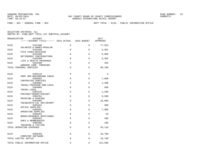FUND − 001 − GENERAL FUND − BCC DEPT TOTAL − 0126 − PUBLIC INFORMATION OFFICE

| ORGANIZATION<br><b>ACCOUNT</b><br>------ACCOUNT TITLE------ | 2015 ACTUAL | 2016 BUDGET  | 2017<br>APPROVED |
|-------------------------------------------------------------|-------------|--------------|------------------|
| 0126<br>5101200                                             | 0           | 0            | 77,924           |
| SALARIES & WAGES-REGULAR<br>0126<br>5102100                 | 0           | $\mathbf{0}$ | 5,961            |
| FICA TAXES-MATCHING<br>0126<br>5102200                      | $\mathbf 0$ | 0            | 6,006            |
| RETIREMENT CONTRIBUTIONS<br>0126<br>5102300                 | 0           | 0            | 5,963            |
| LIFE & HEALTH INSURANCE<br>0126<br>5102400                  | $\mathbf 0$ | $\mathbf 0$  | 335              |
| WORKERS COMP. PREMIUMS<br>TOTAL PERSONAL SERVICES           | 0           | 0            | 96,189           |
|                                                             |             |              |                  |
| 0126<br>5303110                                             | $\mathbf 0$ | $\mathbf{0}$ | $\mathbf 0$      |
| PROF SRV-BACKGROUND CHECK<br>0126<br>5303401                | 0           | 0            | 7,000            |
| CONTRACTED SERVICES<br>0126<br>5304001                      | $\mathbf 0$ | 0            | 2,300            |
| TRAVEL/TRAINING NON-LOCAL<br>0126<br>5304005                | $\mathbf 0$ | 0            | 500              |
| TRAVEL-LOCAL<br>0126<br>5304125                             | 0           | $\mathbf{0}$ | 1,200            |
| POSTAGE/TRANSP/FREIGHT<br>0126<br>5304701                   | $\mathbf 0$ | $\Omega$     | 9,500            |
| PRINTING & BINDING<br>0126<br>5304905                       | $\mathbf 0$ | $\mathbf{0}$ | 16,800           |
| FEES&COSTS-LGL ADV/ADVERT                                   |             |              |                  |
| 0126<br>5305101<br>OFFICE SUPPLIES                          | $\mathbf 0$ | 0            | 300              |
| 0126<br>5305201<br>OPERATING SUPPLIES                       | 0           | 0            | 7,000            |
| 0126<br>5305401<br>BOOKS/RESOURCE MATR/SUBSC                | $\mathbf 0$ | 0            | 20               |
| 0126<br>5305402<br><b>DUES &amp; MEMBERSHIPS</b>            | $\mathbf 0$ | $\mathbf 0$  | 390              |
| 0126<br>5305406<br>TRAINING & TUITION                       | $\mathbf 0$ | $\Omega$     | 100              |
| TOTAL OPERATING EXPENSES                                    | $\mathbf 0$ | $\mathbf{0}$ | 45,110           |
| 0126<br>5606450                                             | $\mathbf 0$ | 0            | 10,700           |
| COMPUTER SOFTWARE<br>TOTAL CAPITAL OUTLAY                   | $\mathbf 0$ | 0            | 10,700           |
| TOTAL PUBLIC INFORMATION OFFICE                             | 0           | $\Omega$     | 151,999          |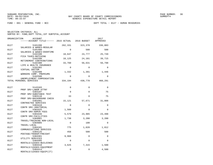FUND − 001 − GENERAL FUND − BCC DEPT TOTAL − 0127 − HUMAN RESOURCES

| ORGANIZATION | ACCOUNT<br>------ACCOUNT TITLE------ 2015 ACTUAL 2016 BUDGET |             |          | 2017<br>APPROVED |
|--------------|--------------------------------------------------------------|-------------|----------|------------------|
| 0127         | 5101200<br>SALARIES & WAGES-REGULAR                          | 262,331     | 323,378  | 336,083          |
| 0127         | 5101400<br>SALARIES & WAGES-OVERTIME                         | $\Omega$    | 500      | 500              |
| 0127         | 5102100<br>FICA TAXES-MATCHING                               | 18,647      | 24,777   | 25,749           |
| 0127         | 5102200<br>RETIREMENT CONTRIBUTIONS                          | 18,125      | 24,101   | 39,715           |
| 0127         | 5102300<br>LIFE & HEALTH INSURANCE                           | 33,760      | 56,631   | 56,798           |
| 0127         | 5102302<br>VIRTUAL DOCTOR                                    | $\Omega$    | $\Omega$ | $\Omega$         |
| 0127         | 5102400<br>WORKERS COMP. PREMIUMS                            | 1,332       | 1,391    | 1,446            |
| 0127         | 5102500<br>UNEMPLOYMENT COMPENSATION                         | $\mathbf 0$ | $\Omega$ | $\Omega$         |
|              | TOTAL PERSONAL SERVICES                                      | 334,194     | 430,778  | 460,291          |
| 0127         | 5143103                                                      | $\Omega$    | $\Omega$ | $\Omega$         |
| 0127         | PROF SRV-LABOR ATTNY<br>5303107                              | $\Omega$    | $\Omega$ | 75               |
| 0127         | PROF SRV-SUBSTANCE TEST<br>5303110                           | 33          | $\Omega$ | 75               |
| 0127         | PROF SRV-BACKGROUND CHECK<br>5303401                         | 15,121      | 57,671   | 31,808           |
| 0127         | CONTRACTED SERVICES<br>5303410<br>CONTR SRV-JANITORIAL       | $\Omega$    | $\Omega$ | $\Omega$         |
| 0127         | 5303425<br>CONTR SRV-ADMIN FEES                              | 1,560       | $\Omega$ | $\Omega$         |
| 0127         | 5303446<br>CONTR SRV-FACILITIES                              | 5,579       | 23,985   | 23,498           |
| 0127         | 5304001<br>TRAVEL/TRAINING NON-LOCAL                         | 1,738       | 3,200    | 3,200            |
| 0127         | 5304005<br>TRAVEL-LOCAL                                      | $\Omega$    | 100      | $\Omega$         |
| 0127         | 5304101<br>COMMUNICATIONS SERVICES                           | 775         | 1,020    | 1,812            |
| 0127         | 5304125<br>POSTAGE/TRANSP/FREIGHT                            | 458         | 500      | 500              |
| 0127         | 5304301<br>UTILITY SERVICES                                  | 9,968       | $\Omega$ | $\Omega$         |
| 0127         | 5304405<br>RENTALS/LEASES-BUILDINGS                          | $\mathbf 0$ | $\Omega$ | $\Omega$         |
| 0127         | 5304410<br>RENTALS/LEASES-EQUIPMENT                          | 3,625       | 7,315    | 1,500            |
| 0127         | 5304414<br>RENTALS/LEASES-EQUIP(IT)                          | $\mathbf 0$ | $\Omega$ | 4,500            |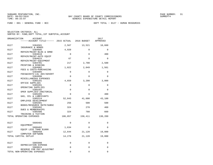FUND − 001 − GENERAL FUND − BCC DEPT TOTAL − 0127 − HUMAN RESOURCES

| ORGANIZATION<br>ACCOUNT<br>------ACCOUNT TITLE------ 2015 ACTUAL |             | 2016 BUDGET | 2017<br>APPROVED |
|------------------------------------------------------------------|-------------|-------------|------------------|
| 0127<br>5304501                                                  | 2,567       | 13,521      | 10,660           |
| INSURANCE & BONDS<br>0127<br>5304605                             | 4,920       | $\Omega$    | $\Omega$         |
| REPAIR/MAINT-BLDG & GRND<br>0127<br>5304610                      | 0           | $\Omega$    | 400              |
| REPAIR/MAINT-AUTO EQUIP<br>0127<br>5304615                       | 67          | $\Omega$    | $\mathbf 0$      |
| REPAIR/MAINT-EOUIPMENT<br>0127<br>5304701                        | 217         | 2,700       | 2,500            |
| PRINTING & BINDING<br>0127<br>5304902                            | 1,022       | 2,049       | 1,561            |
| FEES & COSTS-PURCHASING<br>0127<br>5304905                       | 0           | $\Omega$    | 0                |
| FEES&COSTS-LGL ADV/ADVERT<br>0127<br>5304990                     | $\mathbf 0$ | $\Omega$    | $\mathbf 0$      |
| MISCELLANEOUS EXPENSES<br>0127<br>5305101                        | 4,659       | 3,200       | 3,000            |
| OFFICE SUPPLIES<br>0127<br>5305201                               | 0           | $\Omega$    | $\Omega$         |
| OPERATING SUPPLIES<br>0127<br>5305202                            | $\mathbf 0$ | $\Omega$    | $\Omega$         |
| OPER SUPPLIES-JANITORIAL<br>0127<br>5305205                      | 0           | $\Omega$    | 400              |
| GAS, OIL & LUBRICANTS<br>0127<br>5305224                         | 52,843      | 41,600      | 43,100           |
| EMPLOYEE DEVELOPMENT<br>0127<br>5305401                          | 256         | 500         | 500              |
| BOOKS/RESOURCE MATR/SUBSC<br>0127<br>5305402                     | 324         | 270         | 460              |
| DUES & MEMBERSHIPS<br>0127<br>5305406                            | 324         | 780         | 660              |
| TRAINING & TUITION<br>TOTAL OPERATING EXPENSES                   | 106,057     | 158,411     | 130,209          |
| 0127<br>5606401                                                  | $\Omega$    | $\Omega$    | $\Omega$         |
| EOUIPMENT                                                        |             |             |                  |
| 0127<br>5606402<br>EOUIP LESS THAN \$1000                        | 1,634       | $\Omega$    | $\Omega$         |
| 0127<br>5606450<br>COMPUTER SOFTWARE                             | 12,644      | 21,120      | 19,800           |
| TOTAL CAPITAL OUTLAY                                             | 14,278      | 21,120      | 19,800           |
| 0127<br>5905998                                                  | 0           | $\Omega$    | $\Omega$         |
| DEPRECIATION EXPENSE<br>0127<br>5909915                          | 0           | $\Omega$    | 0                |
| RESERVE FOR PAY ADJUSTMNT<br>TOTAL NON-OPERATING EXPENSES        | $\Omega$    | $\Omega$    | $\Omega$         |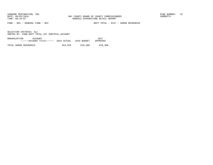FUND − 001 − GENERAL FUND − BCC DEPT TOTAL − 0127 − HUMAN RESOURCES

| ORGANIZATION          | ACCOUNT                           |         |             | 2017     |
|-----------------------|-----------------------------------|---------|-------------|----------|
|                       | $---ACCOVINT TITLE---2015 ACTUAL$ |         | 2016 BUDGET | APPROVED |
|                       |                                   |         |             |          |
| TOTAL HUMAN RESOURCES |                                   | 454,528 | 610,309     | 610,300  |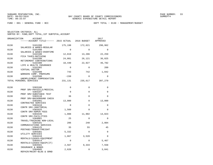FUND − 001 − GENERAL FUND − BCC DEPT TOTAL − 0130 − MANAGEMENT/BUDGET

| ORGANIZATION | ACCOUNT<br>------ACCOUNT TITLE------ 2015 ACTUAL 2016 BUDGET |             |          | 2017<br>APPROVED |
|--------------|--------------------------------------------------------------|-------------|----------|------------------|
| 0130         | 5101200<br>SALARIES & WAGES-REGULAR                          | 175,198     | 172,621  | 290,962          |
| 0130         | 5101400<br>SALARIES & WAGES-OVERTIME                         | $\Omega$    | $\Omega$ | $\Omega$         |
| 0130         | 5102100<br>FICA TAXES-MATCHING                               | 12,819      | 13,206   | 22,259           |
| 0130         | 5102200<br>RETIREMENT CONTRIBUTIONS                          | 24,081      | 26,121   | 36,025           |
| 0130         | 5102300<br>LIFE & HEALTH INSURANCE                           | 18,440      | 22,927   | 46,782           |
| 0130         | 5102302<br>VIRTUAL DOCTOR                                    | $\Omega$    | $\Omega$ | 209              |
| 0130         | 5102400<br>WORKERS COMP. PREMIUMS                            | 743         | 742      | 1,042            |
| 0130         | 5102500<br>UNEMPLOYMENT COMPENSATION                         | $-150$      | $\Omega$ | $\Omega$         |
|              | TOTAL PERSONAL SERVICES                                      | 231,131     | 235,617  | 397,279          |
| 0130         | 5303106                                                      | $\Omega$    | $\Omega$ | 0                |
| 0130         | PROF SRV-PHYSICLS/MEDICAL<br>5303107                         | $\Omega$    | $\Omega$ | $\Omega$         |
| 0130         | PROF SRV-SUBSTANCE TEST<br>5303110                           | 36          | $\Omega$ | $\Omega$         |
| 0130         | PROF SRV-BACKGROUND CHECK<br>5303401                         | 13,000      | $\Omega$ | 13,000           |
| 0130         | CONTRACTED SERVICES<br>5303410                               | $\Omega$    | $\Omega$ | $\Omega$         |
| 0130         | CONTR SRV-JANITORIAL<br>5303425<br>CONTR SRV-ADMIN FEES      | 1,560       | $\Omega$ | $\Omega$         |
| 0130         | 5303446<br>CONTR SRV-FACILITIES                              | 1,088       | 11,902   | 14,023           |
| 0130         | 5304001<br>TRAVEL/TRAINING NON-LOCAL                         | 25          | $\Omega$ | $\Omega$         |
| 0130         | 5304101<br>COMMUNICATIONS SERVICES                           | 206         | 240      | 2,004            |
| 0130         | 5304125<br>POSTAGE/TRANSP/FREIGHT                            | 35          | 55       | 45               |
| 0130         | 5304301<br>UTILITY SERVICES                                  | 5,332       | $\Omega$ | $\Omega$         |
| 0130         | 5304410<br>RENTALS/LEASES-EOUIPMENT                          | 1,867       | 3,520    | $\Omega$         |
| 0130         | 5304414<br>RENTALS/LEASES-EQUIP(IT)                          | $\mathbf 0$ | $\Omega$ | 5,467            |
| 0130         | 5304501<br>INSURANCE & BONDS                                 | 2,567       | 9,333    | 7,558            |
| 0130         | 5304605<br>REPAIR/MAINT-BLDG & GRND                          | 2,620       | $\Omega$ | 3,041            |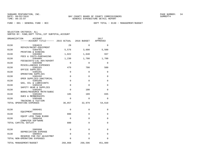FUND − 001 − GENERAL FUND − BCC DEPT TOTAL − 0130 − MANAGEMENT/BUDGET

| ORGANIZATION | <b>ACCOUNT</b><br>------ACCOUNT TITLE------ 2015 ACTUAL |             | 2016 BUDGET | 2017<br>APPROVED |
|--------------|---------------------------------------------------------|-------------|-------------|------------------|
| 0130         | 5304615                                                 | 29          | $\Omega$    | $\Omega$         |
|              | REPAIR/MAINT-EQUIPMENT                                  |             |             |                  |
| 0130         | 5304701                                                 | 5,576       | 3,600       | 5,500            |
|              | PRINTING & BINDING                                      |             |             |                  |
| 0130         | 5304902                                                 | 1,022       | 1,640       | 937              |
|              | FEES & COSTS-PURCHASING                                 |             |             |                  |
| 0130         | 5304905                                                 | 1,230       | 1,700       | 1,700            |
|              | FEES&COSTS-LGL ADV/ADVERT                               |             |             |                  |
| 0130         | 5304990                                                 | $\Omega$    | $\Omega$    | $\Omega$         |
|              | MISCELLANEOUS EXPENSES                                  |             |             |                  |
| 0130         | 5305101                                                 | 479         | 700         | 500              |
| 0130         | OFFICE SUPPLIES<br>5305201                              | 0           | $\Omega$    | $\Omega$         |
|              | OPERATING SUPPLIES                                      |             |             |                  |
| 0130         | 5305202                                                 | 0           | $\Omega$    | $\Omega$         |
|              | OPER SUPPLIES-JANITORIAL                                |             |             |                  |
| 0130         | 5305205                                                 | 0           | $\Omega$    | 0                |
|              | GAS, OIL & LUBRICANTS                                   |             |             |                  |
| 0130         | 5305210                                                 | $\mathbf 0$ | $\Omega$    | $\Omega$         |
|              | SAFETY GEAR & SUPPLIES                                  |             |             |                  |
| 0130         | 5305401                                                 | 0           | 100         | 0                |
|              | BOOKS/RESOURCE MATR/SUBSC                               | 185         |             | 835              |
| 0130         | 5305402<br><b>DUES &amp; MEMBERSHIPS</b>                |             | 189         |                  |
| 0130         | 5305406                                                 | $\Omega$    | $\Omega$    | $\Omega$         |
|              | TRAINING & TUITION                                      |             |             |                  |
|              | TOTAL OPERATING EXPENSES                                | 36,857      | 32,979      | 54,610           |
|              |                                                         |             |             |                  |
| 0130         | 5606401                                                 | 0           | $\Omega$    | 0                |
|              | EOUIPMENT                                               |             |             |                  |
| 0130         | 5606402                                                 | 880         | $\Omega$    | 0                |
|              | EQUIP LESS THAN \$1000                                  |             |             |                  |
| 0130         | 5606450<br>COMPUTER SOFTWARE                            | 0           | $\mathbf 0$ | 0                |
|              | TOTAL CAPITAL OUTLAY                                    | 880         | $\mathbf 0$ | 0                |
|              |                                                         |             |             |                  |
| 0130         | 5905998                                                 | 0           | $\mathbf 0$ | 0                |
|              | DEPRECIATION EXPENSE                                    |             |             |                  |
| 0130         | 5909915                                                 | $\Omega$    | $\Omega$    | $\Omega$         |
|              | RESERVE FOR PAY ADJUSTMNT                               |             |             |                  |
|              | TOTAL NON-OPERATING EXPENSES                            | $\Omega$    | $\Omega$    | 0                |
|              | TOTAL MANAGEMENT/BUDGET                                 | 268,868     | 268,596     | 451,889          |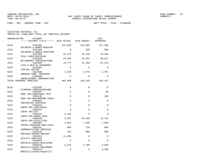FUND − 001 − GENERAL FUND − BCC DEPT TOTAL − 0135 − PLANNING

| ORGANIZATION | ACCOUNT<br>------ACCOUNT TITLE------ 2015 ACTUAL 2016 BUDGET     |                |                 | 2017<br>APPROVED |
|--------------|------------------------------------------------------------------|----------------|-----------------|------------------|
| 0135         | 5101200                                                          | 312,639        | 319,889         | 337,360          |
| 0135         | SALARIES & WAGES-REGULAR<br>5101400<br>SALARIES & WAGES-OVERTIME | $\Omega$       | 500             | 500              |
| 0135         | 5102100<br>FICA TAXES-MATCHING                                   | 22,373         | 24,510          | 25,846           |
| 0135         | 5102200<br>RETIREMENT CONTRIBUTIONS                              | 24,346         | 25,561          | 30,617           |
| 0135         | 5102300<br>LIFE & HEALTH INSURANCE                               | 42,777         | 51,350          | 67,373           |
| 0135         | 5102302<br>VIRTUAL DOCTOR                                        | $\Omega$       | $\Omega$        | $\Omega$         |
| 0135         | 5102400<br>WORKERS COMP. PREMIUMS                                | 1,333          | 1,376           | 1,451            |
| 0135         | 5102500<br>UNEMPLOYMENT COMPENSATION                             | $\Omega$       | $\Omega$        | $\Omega$         |
|              | TOTAL PERSONAL SERVICES                                          | 403,469        | 423,186         | 463,147          |
| 0135         | 5153105<br>PLANNING COMMISSION/DRB                               | $\Omega$       | $\mathbf 0$     | $\Omega$         |
| 0135         | 5303107<br>PROF SRV-SUBSTANCE TEST                               | $\mathbf 0$    | 0               | 50               |
| 0135         | 5303110<br>PROF SRV-BACKGROUND CHECK                             | $\mathbf 0$    | $\Omega$        | 100              |
| 0135         | 5303401<br>CONTRACTED SERVICES                                   | 0              | 0               | 0                |
| 0135         | 5303410<br>CONTR SRV-JANITORIAL                                  | $\Omega$       | $\Omega$        | $\Omega$         |
| 0135         | 5303422<br>CONTR SRV-GIS                                         | $\Omega$       | $\Omega$        | $\Omega$         |
| 0135         | 5303425<br>CONTR SRV-ADMIN FEES                                  | 2,184          | 0               | $\Omega$         |
| 0135<br>0135 | 5303446<br>CONTR SRV-FACILITIES<br>5304001                       | 3,287<br>4,052 | 29,439<br>7,650 | 32,761<br>7,650  |
| 0135         | TRAVEL/TRAINING NON-LOCAL<br>5304101                             | 660            | 720             | 804              |
| 0135         | COMMUNICATIONS SERVICES<br>5304125                               | 345            | 600             | 600              |
| 0135         | POSTAGE/TRANSP/FREIGHT<br>5304301                                | 14,605         | $\Omega$        | $\Omega$         |
| 0135         | UTILITY SERVICES<br>5304405                                      | $\Omega$       | $\Omega$        | $\Omega$         |
| 0135         | RENTALS/LEASES-BUILDINGS<br>5304410                              | 3,216          | 7,169           | 3,828            |
| 0135         | RENTALS/LEASES-EQUIPMENT<br>5304414<br>RENTALS/LEASES-EOUIP(IT)  | 0              | $\mathbf 0$     | 4,196            |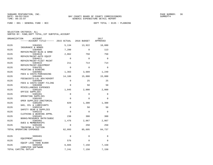FUND − 001 − GENERAL FUND − BCC DEPT TOTAL − 0135 − PLANNING

| ORGANIZATION | ACCOUNT                                                  |                 |              | 2017<br>APPROVED |
|--------------|----------------------------------------------------------|-----------------|--------------|------------------|
| 0135         | 5304501                                                  | 5,134           | 13,922       | 10,880           |
| 0135         | INSURANCE & BONDS<br>5304605<br>REPAIR/MAINT-BLDG & GRND | 7,200           | $\Omega$     | 113              |
| 0135         | 5304610<br>REPAIR/MAINT-AUTO EQUIP                       | 2,062           | 750          | 750              |
| 0135         | 5304611<br>REPAIR/MAINT-FLEET MAINT                      | $\mathbf 0$     | $\Omega$     | $\mathbf 0$      |
| 0135         | 5304615<br>REPAIR/MAINT-EOUIPMENT                        | 211             | 714          | 714              |
| 0135         | 5304701<br>PRINTING & BINDING                            | $\mathbf 0$     | $\Omega$     | $\mathbf 0$      |
| 0135         | 5304902<br>FEES & COSTS-PURCHASING                       | 1,363           | 3,689        | 1,249            |
| 0135         | 5304905<br>FEES&COSTS-LGL ADV/ADVERT                     | 14,186          | 15,000       | 15,000           |
| 0135         | 5304909<br>FEES & COSTS-COURT FILING                     | $\Omega$        | 25           | 25               |
| 0135         | 5304990<br>MISCELLANEOUS EXPENSES                        | $\mathbf 0$     | 50           | 50               |
| 0135         | 5305101<br>OFFICE SUPPLIES                               | 1,045           | 2,000        | 2,000            |
| 0135         | 5305201<br>OPERATING SUPPLIES                            | $\mathbf 0$     | $\mathbf{0}$ | $\Omega$         |
| 0135         | 5305202<br>OPER SUPPLIES-JANITORIAL                      | $\Omega$        | $\Omega$     | $\Omega$         |
| 0135         | 5305205<br>GAS, OIL & LUBRICANTS                         | 829             | 1,300        | 1,300            |
| 0135         | 5305210<br>SAFETY GEAR & SUPPLIES                        | $\mathbf 0$     | 50           | 50               |
| 0135         | 5305215<br>CLOTHING & WEARING APPRL                      | $\Omega$<br>238 | $\Omega$     | $\Omega$         |
| 0135<br>0135 | 5305401<br>BOOKS/RESOURCE MATR/SUBSC<br>5305402          | 1,476           | 300<br>2,067 | 300<br>2,067     |
| 0135         | DUES & MEMBERSHIPS<br>5305406                            | $\mathbf 0$     | 250          | 250              |
|              | TRAINING & TUITION<br>TOTAL OPERATING EXPENSES           | 62,093          | 85,695       | 84,737           |
|              |                                                          |                 |              |                  |
| 0135         | 5606401<br>EQUIPMENT                                     | $\mathbf 0$     | $\mathbf 0$  | $\Omega$         |
| 0135         | 5606402<br>EQUIP LESS THAN \$1000                        | 576             | 0            | $\Omega$         |
| 0135         | 5606450<br>COMPUTER SOFTWARE                             | 6,665           | 7,150        | 7,150            |
|              | TOTAL CAPITAL OUTLAY                                     | 7,241           | 7,150        | 7,150            |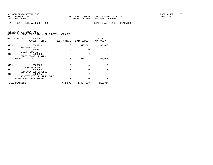FUND − 001 − GENERAL FUND − BCC DEPT TOTAL − 0135 − PLANNING

| SELECTION CRITERIA: ALL |  |  |                                                    |  |
|-------------------------|--|--|----------------------------------------------------|--|
|                         |  |  | SORTED BY: FUND, DEPT TOTAL, 1ST SUBTOTAL, ACCOUNT |  |

| ORGANIZATION   | ACCOUNT<br>-----ACCOUNT TITLE------                 |          | 2015 ACTUAL 2016 BUDGET | 2017<br>APPROVED |
|----------------|-----------------------------------------------------|----------|-------------------------|------------------|
| 0135           | 5808113<br>GRANT-STATE                              | $\Omega$ | 978,542                 | 60,000           |
| 0135           | 5808121<br>GRANT-FEDERAL                            | 0        | 0                       | <sup>0</sup>     |
| 0135           | 5808300<br>OTHER GRANTS & AIDS                      | $\Omega$ | 0                       | <sup>0</sup>     |
|                | TOTAL GRANTS & AIDS                                 | 0        | 978,542                 | 60,000           |
| 0135           | 5905908                                             | 0        | O                       | <sup>0</sup>     |
| 0135           | LOSS ON DISPOSAL<br>5905998<br>DEPRECIATION EXPENSE | 0        | 0                       | $\Omega$         |
| 0135           | 5909915<br>RESERVE FOR PAY ADJUSTMNT                | O        | O                       | $\Omega$         |
|                | TOTAL NON-OPERATING EXPENSES                        | 0        | 0                       | <sup>0</sup>     |
| TOTAL PLANNING |                                                     | 472,803  | 1,494,573               | 615,034          |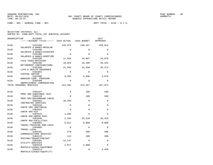FUND − 001 − GENERAL FUND − BCC DEPT TOTAL − 0136 − G.I.S.

| ORGANIZATION | ACCOUNT<br>------ACCOUNT TITLE------ 2015 ACTUAL 2016 BUDGET |             |             | 2017<br>APPROVED |
|--------------|--------------------------------------------------------------|-------------|-------------|------------------|
| 0136         | 5101200<br>SALARIES & WAGES-REGULAR                          | 245,975     | 248,457     | 259,812          |
| 0136         | 5101205<br>SALARIES & WAGES-DISASTER                         | $\Omega$    | $\Omega$    | 0                |
| 0136         | 5101400<br>SALARIES & WAGES-OVERTIME                         | $\Omega$    | $\Omega$    | $\Omega$         |
| 0136         | 5102100<br>FICA TAXES-MATCHING                               | 17,929      | 19,007      | 19,876           |
| 0136         | 5102200<br>RETIREMENT CONTRIBUTIONS                          | 18,029      | 18,489      | 26,432           |
| 0136         | 5102300<br>LIFE & HEALTH INSURANCE                           | 21,845      | 22,858      | 26,274           |
| 0136         | 5102302<br>VIRTUAL DOCTOR                                    | $\Omega$    | $\Omega$    | $\Omega$         |
| 0136         | 5102400<br>WORKERS COMP. PREMIUMS                            | 9,504       | 4,696       | 4,679            |
| 0136         | 5102500<br>UNEMPLOYMENT COMPENSATION                         | $\Omega$    | $\Omega$    | $\Omega$         |
|              | TOTAL PERSONAL SERVICES                                      | 313,282     | 313,507     | 337,073          |
| 0136         | 5303107<br>PROF SRV-SUBSTANCE TEST                           | $\Omega$    | 100         | 100              |
| 0136         | 5303110<br>PROF SRV-BACKGROUND CHECK                         | $\Omega$    | 100         | 100              |
| 0136         | 5303401<br>CONTRACTED SERVICES                               | 10,209      | $\Omega$    | $\Omega$         |
| 0136         | 5303410<br>CONTR SRV-JANITORIAL                              | $\Omega$    | $\Omega$    | $\Omega$         |
| 0136         | 5303422<br>CONTR SRV-GIS                                     | $\Omega$    | $\Omega$    | $\Omega$         |
| 0136         | 5303425<br>CONTR SRV-ADMIN FEES                              | 1,560       | $\Omega$    | 0                |
| 0136         | 5303446<br>CONTR SRV-FACILITIES                              | 2,104       | 23,528      | 26,316           |
| 0136         | 5304001<br>TRAVEL/TRAINING NON-LOCAL                         | 9,011       | 8,000       | 8,000            |
| 0136         | 5304005<br>TRAVEL-LOCAL                                      | $\mathbf 0$ | $\Omega$    | 0                |
| 0136         | 5304101<br>COMMUNICATIONS SERVICES                           | 279         | 300         | 300              |
| 0136         | 5304125<br>POSTAGE/TRANSP/FREIGHT                            | 112         | 100         | 100              |
| 0136         | 5304301<br>UTILITY SERVICES                                  | 12,147      | $\mathbf 0$ | 0                |
| 0136         | 5304410<br>RENTALS/LEASES-EQUIPMENT                          | 1,871       | 4,000       | 0                |
| 0136         | 5304414<br>RENTALS/LEASES-EQUIP(IT)                          | $\mathbf 0$ | 0           | 4,436            |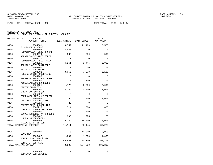FUND − 001 − GENERAL FUND − BCC DEPT TOTAL − 0136 − G.I.S.

|      | ORGANIZATION             | ACCOUNT<br>------ACCOUNT TITLE------ 2015 ACTUAL 2016 BUDGET   |             |             | 2017<br>APPROVED |
|------|--------------------------|----------------------------------------------------------------|-------------|-------------|------------------|
|      |                          |                                                                |             |             |                  |
| 0136 |                          | 5304501                                                        | 3,752       | 11,169      | 8,565            |
| 0136 |                          | INSURANCE & BONDS<br>5304605                                   | 5,980       | $\Omega$    | $\Omega$         |
| 0136 |                          | REPAIR/MAINT-BLDG & GRND<br>5304610<br>REPAIR/MAINT-AUTO EQUIP | 980         | 500         | 500              |
| 0136 |                          | 5304611<br>REPAIR/MAINT-FLEET MAINT                            | $\Omega$    | $\Omega$    | $\Omega$         |
| 0136 |                          | 5304615<br>REPAIR/MAINT-EQUIPMENT                              | 4,261       | 3,445       | 3,000            |
| 0136 |                          | 5304701<br>PRINTING & BINDING                                  | $\mathbf 0$ | 50          | 50               |
| 0136 |                          | 5304902<br>FEES & COSTS-PURCHASING                             | 3,066       | 7,378       | 2,186            |
| 0136 |                          | 5304905<br>FEES&COSTS-LGL ADV/ADVERT                           | $\mathbf 0$ | $\mathbf 0$ | $\mathbf 0$      |
| 0136 |                          | 5304990<br>MISCELLANEOUS EXPENSES                              | $\Omega$    | 100         | 100              |
| 0136 |                          | 5305101<br>OFFICE SUPPLIES                                     | 1,779       | 2,000       | 2,000            |
| 0136 |                          | 5305201<br>OPERATING SUPPLIES                                  | 2,222       | 3,000       | 3,000            |
| 0136 |                          | 5305202                                                        | $\mathbf 0$ | $\mathbf 0$ | $\mathbf 0$      |
| 0136 |                          | OPER SUPPLIES-JANITORIAL<br>5305205                            | 364         | 1,000       | 1,000            |
| 0136 |                          | GAS, OIL & LUBRICANTS<br>5305210                               | 22          | $\Omega$    | $\Omega$         |
| 0136 |                          | SAFETY GEAR & SUPPLIES<br>5305215                              | 714         | 800         | 800              |
| 0136 |                          | CLOTHING & WEARING APPRL<br>5305401                            | 217         | 300         | 400              |
| 0136 |                          | BOOKS/RESOURCE MATR/SUBSC<br>5305402                           | 300         | 275         | 275              |
| 0136 |                          | DUES & MEMBERSHIPS<br>5305406                                  | 10,159      | 16,000      | 22,000           |
|      | TOTAL OPERATING EXPENSES | TRAINING & TUITION                                             | 71,111      | 82,145      | 83,228           |
| 0136 |                          | 5606401                                                        | $\Omega$    | 10,000      | 10,000           |
| 0136 | EOUIPMENT                | 5606402                                                        | 1,097       | 1,000       | 1,000            |
| 0136 |                          | EQUIP LESS THAN \$1000<br>5606450                              | 40,903      | 153,300     | 97,300           |
|      | TOTAL CAPITAL OUTLAY     | COMPUTER SOFTWARE                                              | 42,000      | 164,300     | 108,300          |
| 0136 |                          | 5905998<br>DEPRECIATION EXPENSE                                | 0           | $\mathbf 0$ | 0                |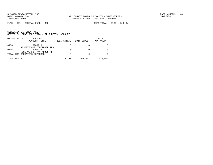FUND − 001 − GENERAL FUND − BCC DEPT TOTAL − 0136 − G.I.S.

| ORGANIZATION<br>ACCOUNT<br>------ACCOUNT TITLE------ | 2015 ACTUAL | 2016 BUDGET | 2017<br>APPROVED |
|------------------------------------------------------|-------------|-------------|------------------|
| 5909910<br>0136<br>RESERVE FOR CONTINGENCIES         | 0           |             |                  |
| 0136<br>5909915<br>RESERVE FOR PAY ADJUSTMNT         | 0           |             |                  |
| TOTAL NON-OPERATING EXPENSES                         | 0           |             |                  |
| TOTAL G.I.S.                                         | 426,392     | 559,952     | 528,601          |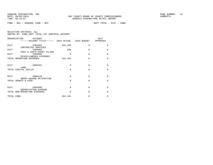FUND − 001 − GENERAL FUND − BCC DEPT TOTAL − 0137 − CDBG

| ORGANIZATION<br><b>ACCOUNT</b><br>------ACCOUNT TITLE------ 2015 ACTUAL 2016 BUDGET |          |          | 2017<br>APPROVED |
|-------------------------------------------------------------------------------------|----------|----------|------------------|
| 0137<br>5303401<br>CONTRACTED SERVICES                                              | 101,236  | $\Omega$ | 0                |
| 0137<br>5304909<br>FEES & COSTS-COURT FILING                                        | 205      | $\Omega$ | $\Omega$         |
| 0137<br>5304990<br>MISCELLANEOUS EXPENSES                                           | $\Omega$ | $\Omega$ | $\Omega$         |
| TOTAL OPERATING EXPENSES                                                            | 101,441  | $\Omega$ | $\Omega$         |
| 5606101<br>0137<br>LAND                                                             | $\Omega$ | $\Omega$ | 0                |
| TOTAL CAPITAL OUTLAY                                                                | $\Omega$ | $\Omega$ | $\Omega$         |
| 0137<br>5808118<br>GRANT-HAZARD MITIGATION                                          | $\Omega$ | $\Omega$ | $\Omega$         |
| TOTAL GRANTS & AIDS                                                                 | $\Omega$ | $\Omega$ | $\Omega$         |
| 0137<br>5905998                                                                     | $\Omega$ | $\Omega$ | 0                |
| DEPRECIATION EXPENSE<br>TOTAL NON-OPERATING EXPENSES                                | $\Omega$ | $\Omega$ | $\Omega$         |
| TOTAL CDBG                                                                          | 101,441  | 0        | 0                |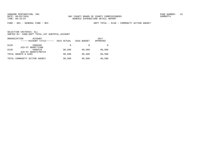FUND − 001 − GENERAL FUND − BCC DEPT TOTAL − 0138 − COMMUNITY ACTION AGENCY

|      | ORGANIZATION<br>ACCOUNT<br>------ACCOUNT TITLE------ | 2015 ACTUAL | 2016 BUDGET | 2017<br>APPROVED |
|------|------------------------------------------------------|-------------|-------------|------------------|
| 0138 | 5808205<br>AID-ST GRANT/CSBG                         | 0           |             |                  |
| 0138 | 5808210<br>AID-ST GRANTS/MATCH                       | 98,500      | 99,500      | 99,500           |
|      | TOTAL GRANTS & AIDS                                  | 98,500      | 99,500      | 99,500           |
|      | TOTAL COMMUNITY ACTION AGENCY                        | 98,500      | 99,500      | 99,500           |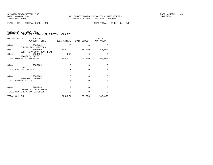FUND − 001 − GENERAL FUND − BCC DEPT TOTAL − 0144 − S.H.I.P.

| SELECTION CRITERIA: ALL |  |  |                                                    |  |
|-------------------------|--|--|----------------------------------------------------|--|
|                         |  |  | SORTED BY: FUND, DEPT TOTAL, 1ST SUBTOTAL, ACCOUNT |  |

| ORGANIZATION   | <b>ACCOUNT</b><br>------ACCOUNT TITLE------ 2015 ACTUAL 2016 BUDGET |          |          | 2017<br>APPROVED |  |
|----------------|---------------------------------------------------------------------|----------|----------|------------------|--|
| 0144           | 5303401<br>CONTRACTED SERVICES                                      | 120      | $\Omega$ | $\mathbf 0$      |  |
| 0144           | 5303496<br>CONTR SRV-COMM.DEV. PLAN                                 | 302,712  | 165,000  | 165,000          |  |
| 0144           | 5304921<br>PROPERTY TAXES                                           | 242      | $\Omega$ | 0                |  |
|                | TOTAL OPERATING EXPENSES                                            | 303,074  | 165,000  | 165,000          |  |
| 0144           | 5606101<br>LAND                                                     | $\Omega$ | $\Omega$ | $\mathbf 0$      |  |
|                | TOTAL CAPITAL OUTLAY                                                | $\Omega$ | $\Omega$ | $\mathbf 0$      |  |
| 0144           | 5808101<br>AID-GOV'T AGENGY                                         | $\Omega$ | $\Omega$ | $\Omega$         |  |
|                | TOTAL GRANTS & AIDS                                                 | $\Omega$ | $\Omega$ | $\mathbf 0$      |  |
| 0144           | 5905998<br>DEPRECIATION EXPENSE                                     | $\Omega$ | $\Omega$ | $\mathbf 0$      |  |
|                | TOTAL NON-OPERATING EXPENSES                                        | $\Omega$ | $\Omega$ | $\Omega$         |  |
| TOTAL S.H.I.P. |                                                                     | 303,074  | 165,000  | 165,000          |  |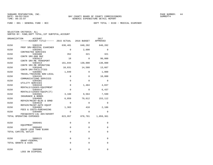|      | ORGANIZATION<br>ACCOUNT<br>------ACCOUNT TITLE------ 2015 ACTUAL 2016 BUDGET |             |                         | 2017<br>APPROVED |
|------|------------------------------------------------------------------------------|-------------|-------------------------|------------------|
| 0150 | 5303135<br>PROF SRV-MEDICAL EXAMINER                                         |             | 638,481 640,202 640,202 |                  |
| 0150 | 5303401<br>CONTRACTED SERVICES                                               | $\Omega$    | 2,600                   | $\Omega$         |
| 0150 | 5303408<br>CONTR SRV-800 MHZ                                                 | 352         | 321                     | 321              |
| 0150 | 5303413<br>CONTR SRV-ME TRANSPORT                                            | 18          | $\Omega$                | 90,000           |
| 0150 | 5303414<br>CONTR SRV-ME OPERATING                                            | 161,844     | 130,000                 | 130,000          |
| 0150 | 5303446<br>CONTR SRV-FACILITIES                                              | 10,831      | 14,588                  | 13,667           |
| 0150 | 5304001<br>TRAVEL/TRAINING NON-LOCAL                                         | 1,049       | $\Omega$                | 1,000            |
| 0150 | 5304101<br>COMMUNICATIONS SERVICES                                           | $\Omega$    | $\Omega$                | 10,800           |
| 0150 | 5304301<br>UTILITY SERVICES                                                  | $\Omega$    | $\Omega$                | $\Omega$         |
| 0150 | 5304410<br>RENTALS/LEASES-EQUIPMENT                                          | $\mathbf 0$ | 1,484                   | 4,037            |
| 0150 | 5304414<br>RENTALS/LEASES-EOUIP(IT)                                          | $\Omega$    | $\Omega$                | 6,437            |
| 0150 | 5304501<br>INSURANCE & BONDS                                                 | 3,160       | 9,564                   | 7,599            |
| 0150 | 5304605<br>REPAIR/MAINT-BLDG & GRND                                          | 6,859       | 79,612                  | 153,112          |
| 0150 | 5304610<br>REPAIR/MAINT-AUTO EOUIP                                           | $\mathbf 0$ | $\mathbf 0$             | $\mathbf 0$      |
| 0150 | 5304902<br>FEES & COSTS-PURCHASING                                           | 1,363       | 410                     | 2,186            |
| 0150 | 5304905<br>FEES&COSTS-LGL ADV/ADVERT                                         | $\Omega$    | $\Omega$                | $\Omega$         |
|      | TOTAL OPERATING EXPENSES                                                     | 823,957     | 878,781 1,059,361       |                  |
| 0150 | 5606401<br>EOUIPMENT                                                         | $\Omega$    | $\Omega$                | $\Omega$         |
| 0150 | 5606402<br>EQUIP LESS THAN \$1000                                            | $\Omega$    | $\Omega$                | $\Omega$         |
|      | TOTAL CAPITAL OUTLAY                                                         | $\Omega$    | $\mathbf{0}$            | 0                |
| 0150 | 5808121                                                                      | $\Omega$    | $\Omega$                | $\Omega$         |
|      | GRANT-FEDERAL<br>TOTAL GRANTS & AIDS                                         | $\Omega$    | $\mathbf 0$             | 0                |
| 0150 | 5905908<br>LOSS ON DISPOSAL                                                  | 0           | $\mathbf{0}$            | 0                |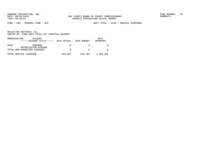FUND − 001 − GENERAL FUND − BCC DEPT TOTAL − 0150 − MEDICAL EXAMINER

|      | ORGANIZATION<br>ACCOUNT<br>$----ACCOUNT$ TITLE $--- 2015$ ACTUAL 2016 BUDGET |          |         | 2017<br>APPROVED |
|------|------------------------------------------------------------------------------|----------|---------|------------------|
| 0150 | 5905998<br>DEPRECIATION EXPENSE                                              | $\Omega$ |         |                  |
|      | TOTAL NON-OPERATING EXPENSES                                                 | $\Omega$ |         |                  |
|      | TOTAL MEDICAL EXAMINER                                                       | 823,957  | 878,781 | 1,059,361        |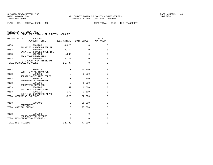| ORGANIZATION<br><b>ACCOUNT</b><br>------ACCOUNT TITLE------ 2015 ACTUAL 2016 BUDGET |             |              | 2017<br>APPROVED |
|-------------------------------------------------------------------------------------|-------------|--------------|------------------|
| 0153<br>5101200                                                                     | 4,620       | $\Omega$     | $\mathbf 0$      |
| SALARIES & WAGES-REGULAR<br>0153<br>5101400                                         | 12,174      | $\Omega$     | $\Omega$         |
| SALARIES & WAGES-OVERTIME<br>0153<br>5102100<br>FICA TAXES-MATCHING                 | 1,285       | $\Omega$     | $\mathbf 0$      |
| 0153<br>5102200<br>RETIREMENT CONTRIBUTIONS                                         | 3,329       | $\Omega$     | $\Omega$         |
| TOTAL PERSONAL SERVICES                                                             | 21,407      | $\mathbf{0}$ | $\mathbf 0$      |
| 0153<br>5303413                                                                     | $\mathbf 0$ | 40,000       | $\mathbf 0$      |
| CONTR SRV-ME TRANSPORT<br>0153<br>5304610                                           | $\mathbf 0$ | 5,000        | $\mathbf 0$      |
| REPAIR/MAINT-AUTO EOUIP<br>0153<br>5304615                                          | $\mathbf 0$ | 2,000        | $\Omega$         |
| REPAIR/MAINT-EQUIPMENT<br>0153<br>5305201                                           | $\Omega$    | 1,000        | $\mathbf 0$      |
| OPERATING SUPPLIES<br>0153<br>5305205                                               | 1,152       | 2,500        | $\mathbf 0$      |
| GAS, OIL & LUBRICANTS<br>0153<br>5305215<br>CLOTHING & WEARING APPRL                | 173         | 1,500        | $\mathbf 0$      |
| TOTAL OPERATING EXPENSES                                                            | 1,325       | 52,000       | $\mathbf 0$      |
| 0153<br>5606401                                                                     | $\mathbf 0$ | 25,000       | $\mathbf 0$      |
| EOUIPMENT<br>TOTAL CAPITAL OUTLAY                                                   | $\mathbf 0$ | 25,000       | $\mathbf 0$      |
|                                                                                     |             |              |                  |
| 0153<br>5905998<br>DEPRECIATION EXPENSE                                             | $\mathbf 0$ | $\mathbf 0$  | $\Omega$         |
| TOTAL NON-OPERATING EXPENSES                                                        | 0           | $\Omega$     | 0                |
| TOTAL M E TRANSPORT                                                                 | 22,733      | 77,000       | $\mathbf 0$      |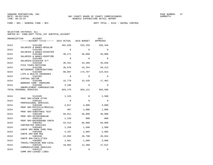FUND − 001 − GENERAL FUND − BCC DEPT TOTAL − 0154 − ANIMAL CONTROL

| ORGANIZATION<br>ACCOUNT<br>------ACCOUNT TITLE------ 2015 ACTUAL 2016 BUDGET |             |          | 2017<br>APPROVED |
|------------------------------------------------------------------------------|-------------|----------|------------------|
| 0154<br>5101200                                                              | 462,636     | 525,259  | 595,446          |
| SALARIES & WAGES-REGULAR<br>0154<br>5101205                                  | $\Omega$    | $\Omega$ | $\Omega$         |
| SALARIES & WAGES-DISASTER<br>0154<br>5101400                                 | 40,271      | 56,000   | 56,000           |
| SALARIES & WAGES-OVERTIME<br>0154<br>5101405<br>SALARIES-DISASTER O/T        | $\Omega$    | $\Omega$ | $\Omega$         |
| 0154<br>5102100<br>FICA TAXES-MATCHING                                       | 36,441      | 44,466   | 49,836           |
| 0154<br>5102200<br>RETIREMENT CONTRIBUTIONS                                  | 36,070      | 43,254   | 50,213           |
| 0154<br>5102300<br>LIFE & HEALTH INSURANCE                                   | 88,887      | 174,707  | 124,623          |
| 0154<br>5102302<br>VIRTUAL DOCTOR                                            | $\Omega$    | $\Omega$ | $\Omega$         |
| 0154<br>5102400<br>WORKERS COMP. PREMIUMS                                    | 15,779      | 15,435   | 17,462           |
| 0154<br>5102500<br>UNEMPLOYMENT COMPENSATION                                 | 3,196       | $\Omega$ | 0                |
| TOTAL PERSONAL SERVICES                                                      | 683,279     | 859,121  | 893,580          |
| 0154<br>5143105                                                              | 1,125       | $\Omega$ | 1,500            |
| PROF SRV-OTHER ATTNY<br>0154<br>5303101                                      | $\mathbf 0$ | $\Omega$ | $\mathbf 0$      |
| PROFESSIONAL SERVICES<br>0154<br>5303106                                     | 4,017       | 4,000    | 4,000            |
| PROF SRV-PHYSICLS/MEDICAL<br>0154<br>5303107                                 | 407         | 1,000    | 1,000            |
| PROF SRV-SUBSTANCE TEST<br>0154<br>5303109                                   | 56,911      | 56,000   | 36,000           |
| PROF SRV-VETERINARIAN<br>0154<br>5303110<br>PROF SRV-BACKGROUND CHECK        | 1,158       | 800      | 800              |
| 5303401<br>0154<br>CONTRACTED SERVICES                                       | 53,413      | 66,000   | 66,000           |
| 0154<br>5303403<br>CONTR SRV-BANK CHRG POOL                                  | 1,250       | 1,500    | 1,500            |
| 0154<br>5303408<br>CONTR SRV-800 MHZ                                         | 3,167       | 2,885    | 2,885            |
| 0154<br>5303446<br>CONTR SRV-FACILITIES                                      | 22,058      | 28,790   | 26,834           |
| 0154<br>5304001<br>TRAVEL/TRAINING NON-LOCAL                                 | 1,661       | 1,000    | 3,000            |
| 0154<br>5304101<br>COMMUNICATIONS SERVICES                                   | 10,865      | 12,360   | 27,612           |
| 0154<br>5304122<br>COMM SRV-LEASED LINES                                     | 0           | 0        | 0                |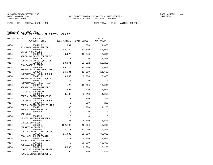FUND − 001 − GENERAL FUND − BCC DEPT TOTAL − 0154 − ANIMAL CONTROL

| ORGANIZATION | <b>ACCOUNT</b>                                       |             |             | 2017     |
|--------------|------------------------------------------------------|-------------|-------------|----------|
|              | -----ACCOUNT TITLE------ 2015 ACTUAL                 |             | 2016 BUDGET | APPROVED |
| 0154         | 5304125                                              | 807         | 1,000       | 1,000    |
| 0154         | POSTAGE/TRANSP/FREIGHT<br>5304301                    | 42,764      | 53,600      | 52,000   |
| 0154         | UTILITY SERVICES<br>5304410                          | 8,276       | 10,748      | 3,800    |
| 0154         | RENTALS/LEASES-EQUIPMENT<br>5304414                  | $\Omega$    | $\Omega$    | 11,579   |
| 0154         | RENTALS/LEASES-EOUIP(IT)<br>5304501                  | 10,071      | 23,292      | 18,252   |
| 0154         | INSURANCE & BONDS<br>5304604                         | 65,718      | 20,000      | 20,000   |
| 0154         | REPAIR/MAINT-BLD&GRD DEPT<br>5304605                 | 14,331      | 11,500      | 11,500   |
| 0154         | REPAIR/MAINT-BLDG & GRND<br>5304610                  | 3,843       | 8,000       | 13,000   |
| 0154         | REPAIR/MAINT-AUTO EOUIP<br>5304611                   | $\Omega$    | $\Omega$    | $\Omega$ |
| 0154         | REPAIR/MAINT-FLEET MAINT<br>5304615                  | 476         | 13,200      | 10,000   |
| 0154         | REPAIR/MAINT-EOUIPMENT<br>5304701                    | 1,495       | 1,470       | 2,000    |
| 0154         | PRINTING & BINDING<br>5304902                        | 3,406       | 9,018       | 4,059    |
| 0154         | FEES & COSTS-PURCHASING<br>5304905                   | 227         | 300         | 300      |
| 0154         | FEES&COSTS-LGL ADV/ADVERT<br>5304909                 | $\Omega$    | 200         | 200      |
| 0154         | FEES & COSTS-COURT FILING<br>5304922                 | 83          | 1,200       | 1,200    |
| 0154         | FEES & COSTS-PERMITS<br>5304984                      | $\mathbf 0$ | $\Omega$    | $\Omega$ |
| 0154         | <b>BAD DEBT</b><br>5304990                           | $\Omega$    | $\Omega$    | $\Omega$ |
| 0154         | MISCELLANEOUS EXPENSES<br>5305101<br>OFFICE SUPPLIES | 1,750       | 6,600       | 6,600    |
| 0154         | 5305201<br>OPERATING SUPPLIES                        | 122,798     | 46,000      | 46,000   |
| 0154         | 5305202<br>OPER SUPPLIES-JANITORIAL                  | 14,211      | 15,500      | 15,500   |
| 0154         | 5305205<br>GAS, OIL & LUBRICANTS                     | 16,686      | 35,000      | 35,000   |
| 0154         | 5305210<br>SAFETY GEAR & SUPPLIES                    | 1,022       | 4,000       | 4,000    |
| 0154         | 5305211<br>MEDICAL SUPPLIES                          | $\mathbf 0$ | 28,300      | 68,300   |
| 0154         | 5305215<br>CLOTHING & WEARING APPRL                  | 5,883       | 6,200       | 6,200    |
| 0154         | 5305220<br>TOOL & SMALL IMPLEMENTS                   | 799         | 500         | 500      |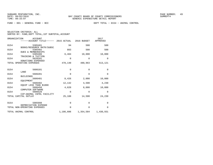| SELECTION CRITERIA: ALL |  |                                                    |  |
|-------------------------|--|----------------------------------------------------|--|
|                         |  | SORTED BY: FUND. DEPT TOTAL. 1ST SUBTOTAL. ACCOUNT |  |

| ORGANIZATION | <b>ACCOUNT</b><br>------ACCOUNT TITLE------ 2015 ACTUAL 2016 BUDGET |             |                                     | 2017<br>APPROVED |
|--------------|---------------------------------------------------------------------|-------------|-------------------------------------|------------------|
| 0154         | 5305401                                                             | 94          | 500                                 | 500              |
| 0154         | BOOKS/RESOURCE MATR/SUBSC<br>5305402                                | 883         | 500                                 | 500              |
| 0154         | <b>DUES &amp; MEMBERSHIPS</b><br>5305406                            | 6,484       | 10,000                              | 10,000           |
| 0154         | TRAINING & TUITION<br>5620101                                       | 0           | $\Omega$                            | $\Omega$         |
|              | DONATIONS EXPENSED<br>TOTAL OPERATING EXPENSES                      | 478,140     | 480,963                             | 513,121          |
| 0154         | 5606101                                                             | $\mathbf 0$ | $\mathbf{0}$                        | $\mathbf 0$      |
| 0154         | LAND<br>5606201                                                     | 0           | $\Omega$                            | $\Omega$         |
| 0154         | <b>BUILDINGS</b><br>5606401                                         | 8,426       | 2,000                               | 10,000           |
| 0154         | EQUIPMENT<br>5606402                                                | 12,142      | 4,500                               | 4,230            |
| 0154         | EOUIP LESS THAN \$1000<br>5606450                                   | 4,620       | 8,000                               | 10,000           |
| 0154         | COMPUTER SOFTWARE<br>5606528                                        | 0           | $\mathbf{0}$                        | 0                |
|              | CIP-ANIMAL CNTRL FACILITY<br>TOTAL CAPITAL OUTLAY                   | 25,188      | 14,500                              | 24,230           |
| 0154         | 5905998                                                             | 0           | $\mathbf 0$                         | $\mathbf 0$      |
|              | DEPRECIATION EXPENSE<br>TOTAL NON-OPERATING EXPENSES                | $\Omega$    | $\Omega$                            | $\Omega$         |
|              | TOTAL ANIMAL CONTROL                                                |             | 1, 186, 606 1, 354, 584 1, 430, 931 |                  |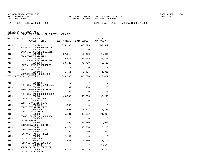FUND − 001 − GENERAL FUND − BCC DEPT TOTAL − 0166 − INFORMATION SERVICES

| SELECTION CRITERIA: ALL |  |                                                    |  |
|-------------------------|--|----------------------------------------------------|--|
|                         |  | SORTED BY: FUND, DEPT TOTAL, 1ST SUBTOTAL, ACCOUNT |  |

| ORGANIZATION | <b>ACCOUNT</b><br>------ACCOUNT TITLE------ 2015 ACTUAL    |             | 2016 BUDGET | 2017<br>APPROVED |
|--------------|------------------------------------------------------------|-------------|-------------|------------------|
| 0166         | 5101200                                                    | 315,185     | 345,925     | 309,562          |
| 0166         | SALARIES & WAGES-REGULAR<br>5101205                        | $\Omega$    | $\Omega$    | $\Omega$         |
| 0166         | SALARIES & WAGES-DISASTER<br>5102100                       | 22,513      | 26,463      | 23,681           |
| 0166         | FICA TAXES-MATCHING<br>5102200<br>RETIREMENT CONTRIBUTIONS | 25,623      | 28,785      | 30,267           |
| 0166         | 5102300<br>LIFE & HEALTH INSURANCE                         | 33,726      | 43,710      | 52,626           |
| 0166         | 5102302<br>VIRTUAL DOCTOR                                  | $\Omega$    | $\Omega$    | $\Omega$         |
| 0166         | 5102400<br>WORKERS COMP. PREMIUMS                          | 1,461       | 1,487       | 1,331            |
|              | TOTAL PERSONAL SERVICES                                    | 398,508     | 446,370     | 417,467          |
| 0166         | 5303106                                                    | $\Omega$    | $\Omega$    | $\Omega$         |
| 0166         | PROF SRV-PHYSICLS/MEDICAL<br>5303107                       | 37          | 100         | 100              |
| 0166         | PROF SRV-SUBSTANCE TEST<br>5303110                         | 80          | $\Omega$    | 155              |
| 0166         | PROF SRV-BACKGROUND CHECK<br>5303401                       | 46,590      | 118,795     | 196,295          |
| 0166         | CONTRACTED SERVICES<br>5303410                             | $\Omega$    | $\Omega$    | $\Omega$         |
| 0166         | CONTR SRV-JANITORIAL<br>5303425                            | 1,560       | $\Omega$    | $\Omega$         |
| 0166         | CONTR SRV-ADMIN FEES<br>5303446<br>CONTR SRV-FACILITIES    | 4,590       | 25,591      | 30,346           |
| 0166         | 5304001<br>TRAVEL/TRAINING NON-LOCAL                       | 5,761       | 18,000      | 21,000           |
| 0166         | 5304005<br>TRAVEL-LOCAL                                    | $\mathbf 0$ | $\Omega$    | $\Omega$         |
| 0166         | 5304101<br>COMMUNICATIONS SERVICES                         | 6,498       | 15,440      | 12,024           |
| 0166         | 5304122<br>COMM SRV-LEASED LINES                           | 8,274       | 18,200      | 18,200           |
| 0166         | 5304125<br>POSTAGE/TRANSP/FREIGHT                          | 103         | 250         | 250              |
| 0166         | 5304301<br>UTILITY SERVICES                                | 12,147      | $\mathbf 0$ | $\Omega$         |
| 0166         | 5304410<br>RENTALS/LEASES-EQUIPMENT                        | 3,428       | 24,160      | 21,407           |
| 0166         | 5304414<br>RENTALS/LEASES-EQUIP(IT)                        | $\mathbf 0$ | $\mathbf 0$ | 28,529           |
| 0166         | 5304501<br>INSURANCE & BONDS                               | 5,529       | 14,389      | 11,233           |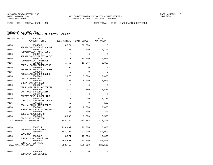FUND − 001 − GENERAL FUND − BCC DEPT TOTAL − 0166 − INFORMATION SERVICES

| ORGANIZATION | <b>ACCOUNT</b>                       |             |             | 2017        |
|--------------|--------------------------------------|-------------|-------------|-------------|
|              | -----ACCOUNT TITLE------ 2015 ACTUAL |             | 2016 BUDGET | APPROVED    |
| 0166         | 5304605                              | 10,574      | 60,000      | $\Omega$    |
| 0166         | REPAIR/MAINT-BLDG & GRND<br>5304610  | 1,180       | 2,400       | 2,400       |
| 0166         | REPAIR/MAINT-AUTO EOUIP<br>5304611   | $\Omega$    | $\Omega$    | $\Omega$    |
| 0166         | REPAIR/MAINT-FLEET MAINT<br>5304615  | 12,111      | 10,000      | 10,000      |
| 0166         | REPAIR/MAINT-EQUIPMENT<br>5304902    | 5,450       | 10,247      | 9,367       |
| 0166         | FEES & COSTS-PURCHASING<br>5304905   | 64          | $\Omega$    | $\mathbf 0$ |
| 0166         | FEES&COSTS-LGL ADV/ADVERT<br>5304990 | $\Omega$    | $\Omega$    | $\Omega$    |
| 0166         | MISCELLANEOUS EXPENSES<br>5305101    | 2,076       | 3,000       | 3,000       |
| 0166         | OFFICE SUPPLIES<br>5305201           | 1,220       | 5,000       | 5,000       |
| 0166         | OPERATING SUPPLIES<br>5305202        | $\mathbf 0$ | $\Omega$    | $\Omega$    |
| 0166         | OPER SUPPLIES-JANITORIAL             |             |             |             |
|              | 5305205<br>GAS, OIL & LUBRICANTS     | 1,072       | 1,560       | 1,560       |
| 0166         | 5305210<br>SAFETY GEAR & SUPPLIES    | 0           | $\Omega$    | $\mathbf 0$ |
| 0166         | 5305215<br>CLOTHING & WEARING APPRL  | $\mathbf 0$ | 630         | 1,130       |
| 0166         | 5305220<br>TOOL & SMALL IMPLEMENTS   | 50          | $\Omega$    | 100         |
| 0166         | 5305401<br>BOOKS/RESOURCE MATR/SUBSC | 102         | 2,000       | 2,000       |
| 0166         | 5305402<br>DUES & MEMBERSHIPS        | 245         | 300         | 300         |
| 0166         | 5305406<br>TRAINING & TUITION        | 14,000      | 3,500       | 3,500       |
|              | TOTAL OPERATING EXPENSES             | 142,742     | 333,562     | 377,896     |
| 0166         | 5606314                              | 220,437     | 20,000      | 20,000      |
| 0166         | IMPRV-NETWORK CONNECT<br>5606401     | 166,187     | 101,000     | 52,000      |
|              | EOUIPMENT                            |             |             |             |
| 0166         | 5606402<br>EQUIP LESS THAN \$1000    | 9,571       | 10,000      | 10,000      |
| 0166         | 5606450<br>COMPUTER SOFTWARE         | 264,557     | 50,000      | 56,500      |
|              | TOTAL CAPITAL OUTLAY                 | 660,752     | 181,000     | 138,500     |
| 0166         | 5905998<br>DEPRECIATION EXPENSE      | 0           | $\mathbf 0$ | $\Omega$    |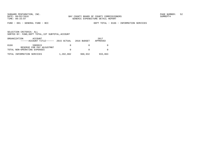FUND − 001 − GENERAL FUND − BCC DEPT TOTAL − 0166 − INFORMATION SERVICES

|      | ORGANIZATION<br>ACCOUNT<br>$----ACCOUNT$ TITLE $---2015$ ACTUAL 2016 BUDGET |           |         | 2017<br>APPROVED |
|------|-----------------------------------------------------------------------------|-----------|---------|------------------|
| 0166 | 5909915<br>RESERVE FOR PAY ADJUSTMNT                                        | $\Omega$  |         |                  |
|      | TOTAL NON-OPERATING EXPENSES                                                |           |         |                  |
|      | TOTAL INFORMATION SERVICES                                                  | 1,202,002 | 960,932 | 933,863          |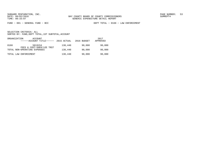FUND − 001 − GENERAL FUND − BCC DEPT TOTAL − 0168 − LAW ENFORCEMENT

| ORGANIZATION | ACCOUNT<br>------ACCOUNT TITLE------ | 2015 ACTUAL | 2016 BUDGET | 2017<br>APPROVED |
|--------------|--------------------------------------|-------------|-------------|------------------|
| 0168         | 5819154<br>FEES & COST-SHER/LEE TRST | 138,440     | 90,000      | 90,000           |
|              | TOTAL NON-OPERATING EXPENSES         | 138,440     | 90,000      | 90,000           |
|              | TOTAL LAW ENFORCEMENT                | 138,440     | 90,000      | 90,000           |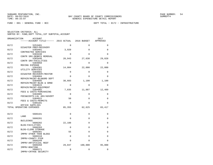FUND − 001 − GENERAL FUND − BCC DEPT TOTAL − 0172 − INFRASTRUCTURE

| ORGANIZATION | ACCOUNT                                           |          |          | 2017     |
|--------------|---------------------------------------------------|----------|----------|----------|
|              | ------ACCOUNT TITLE------ 2015 ACTUAL 2016 BUDGET |          |          | APPROVED |
| 0172         | 5253401                                           | $\Omega$ | $\Omega$ | $\Omega$ |
| 0172         | DISASTER PREP/RECOVERY<br>5303401                 | 3,920    | $\Omega$ | $\Omega$ |
| 0172         | CONTRACTED SERVICES<br>5303438                    | $\Omega$ | $\Omega$ | $\Omega$ |
| 0172         | CONTR SRV-DEBRIS REMOVAL<br>5303446               | 20,943   | 27,638   | 29,828   |
| 0172         | CONTR SRV-FACILITIES<br>5304050                   | $\Omega$ | $\Omega$ | $\Omega$ |
| 0172         | MOVING EXPENSE<br>5304301                         | 14,004   | 22,000   | 22,000   |
| 0172         | UTILITY SERVICES<br>5304601                       | $\Omega$ | $\Omega$ | $\Omega$ |
| 0172         | DISASTER RECOVERY/RESTOR<br>5304604               | $\Omega$ | $\Omega$ | $\Omega$ |
| 0172         | REPAIR/MAINT-BLD&GRD DEPT<br>5304605              | 38,603   | 1,100    | 1,100    |
| 0172         | REPAIR/MAINT-BLDG & GRND<br>5304615               | $\Omega$ | $\Omega$ | $\Omega$ |
| 0172         | REPAIR/MAINT-EOUIPMENT<br>5304902                 | 7,835    | 11,887   | 12,489   |
| 0172         | FEES & COSTS-PURCHASING<br>5304905                | 0        | $\Omega$ | $\Omega$ |
| 0172         | FEES&COSTS-LGL ADV/ADVERT<br>5304922              | 50       | $\Omega$ | $\Omega$ |
| 0172         | FEES & COSTS-PERMITS<br>5305101                   | $\Omega$ | $\Omega$ | $\Omega$ |
|              | OFFICE SUPPLIES<br>TOTAL OPERATING EXPENSES       | 85,355   | 62,625   | 65,417   |
| 0172         | 5606101                                           | 0        | 0        | 0        |
|              | LAND                                              |          |          |          |
| 0172         | 5606201<br><b>BUILDINGS</b>                       | 0        | $\Omega$ | $\Omega$ |
| 0172         | 5606202<br>BLDG-FACILITIES                        | 22,188   | $\Omega$ | $\Omega$ |
| 0172         | 5606203<br>BLDG-CLERK STORAGE                     | $\Omega$ | $\Omega$ | $\Omega$ |
| 0172         | 5606301<br>IMPRV OTHER THAN BLDGS                 | 55       | $\Omega$ | $\Omega$ |
| 0172         | 5606318<br>IMPRV-COUNTY PIER                      | $\Omega$ | $\Omega$ | $\Omega$ |
| 0172         | 5606349<br>IMPRV-ARTIFICIAL REEF                  | $\Omega$ | $\Omega$ | $\Omega$ |
| 0172         | 5606350<br>IMPRV-BOATING                          | 29,047   | 100,000  | 95,000   |
| 0172         | 5606371<br>IMPRV-CRTHSE SECURITY                  | $\Omega$ | $\Omega$ | $\Omega$ |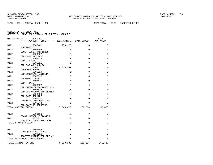FUND − 001 − GENERAL FUND − BCC DEPT TOTAL − 0172 − INFRASTRUCTURE

| ORGANIZATION<br><b>ACCOUNT</b> |                                                                                                                                                                                                                                                                                               |                                                                                                                  | 2017                                                                                                                            |
|--------------------------------|-----------------------------------------------------------------------------------------------------------------------------------------------------------------------------------------------------------------------------------------------------------------------------------------------|------------------------------------------------------------------------------------------------------------------|---------------------------------------------------------------------------------------------------------------------------------|
|                                |                                                                                                                                                                                                                                                                                               |                                                                                                                  | APPROVED                                                                                                                        |
| 5606401                        | 970,170                                                                                                                                                                                                                                                                                       | 0                                                                                                                | 0                                                                                                                               |
| 5606402                        | 0                                                                                                                                                                                                                                                                                             | $\mathbf 0$                                                                                                      | 0                                                                                                                               |
| EQUIP LESS THAN \$1000         |                                                                                                                                                                                                                                                                                               |                                                                                                                  | 0                                                                                                                               |
| CIP-EAST BAY PASS              |                                                                                                                                                                                                                                                                                               |                                                                                                                  |                                                                                                                                 |
| 5606515                        | $\Omega$                                                                                                                                                                                                                                                                                      | $\Omega$                                                                                                         | $\Omega$                                                                                                                        |
| 5606516                        | $\Omega$                                                                                                                                                                                                                                                                                      | $\Omega$                                                                                                         | 0                                                                                                                               |
| CIP-BCC ADMIN BLDG             |                                                                                                                                                                                                                                                                                               |                                                                                                                  |                                                                                                                                 |
|                                |                                                                                                                                                                                                                                                                                               |                                                                                                                  | $\Omega$                                                                                                                        |
| 5606519                        | 0                                                                                                                                                                                                                                                                                             | $\Omega$                                                                                                         | $\Omega$                                                                                                                        |
| CIP-JUDICIAL FACILITY          |                                                                                                                                                                                                                                                                                               |                                                                                                                  |                                                                                                                                 |
|                                |                                                                                                                                                                                                                                                                                               |                                                                                                                  | 0                                                                                                                               |
| 5606521                        | $\Omega$                                                                                                                                                                                                                                                                                      | $\Omega$                                                                                                         | $\Omega$                                                                                                                        |
| CIP - JAIL                     |                                                                                                                                                                                                                                                                                               |                                                                                                                  |                                                                                                                                 |
|                                |                                                                                                                                                                                                                                                                                               |                                                                                                                  | $\Omega$                                                                                                                        |
| 5606524                        | $\Omega$                                                                                                                                                                                                                                                                                      | $\Omega$                                                                                                         | 0                                                                                                                               |
|                                |                                                                                                                                                                                                                                                                                               |                                                                                                                  | $\Omega$                                                                                                                        |
| CIP-ROOF REPAIRS               |                                                                                                                                                                                                                                                                                               |                                                                                                                  |                                                                                                                                 |
|                                |                                                                                                                                                                                                                                                                                               |                                                                                                                  | $\Omega$                                                                                                                        |
| 5606574                        | 0                                                                                                                                                                                                                                                                                             | $\Omega$                                                                                                         | 0                                                                                                                               |
| CIP-BAYSIDE DREDGING           |                                                                                                                                                                                                                                                                                               |                                                                                                                  |                                                                                                                                 |
|                                |                                                                                                                                                                                                                                                                                               |                                                                                                                  | 95,000                                                                                                                          |
| 5808118                        | 0                                                                                                                                                                                                                                                                                             | 0                                                                                                                | 0                                                                                                                               |
| GRANT-HAZARD MITIGATION        |                                                                                                                                                                                                                                                                                               |                                                                                                                  |                                                                                                                                 |
| CONTRIBUTION-OTHER GOVT        |                                                                                                                                                                                                                                                                                               |                                                                                                                  | $\Omega$                                                                                                                        |
| TOTAL GRANTS & AIDS            | $\Omega$                                                                                                                                                                                                                                                                                      | $\Omega$                                                                                                         | $\Omega$                                                                                                                        |
|                                |                                                                                                                                                                                                                                                                                               |                                                                                                                  | 0                                                                                                                               |
| DEPRECIATION EXPENSE           |                                                                                                                                                                                                                                                                                               |                                                                                                                  |                                                                                                                                 |
| 5909920                        | 0                                                                                                                                                                                                                                                                                             | 0                                                                                                                | 0                                                                                                                               |
| TOTAL NON-OPERATING EXPENSES   | 0                                                                                                                                                                                                                                                                                             | 0                                                                                                                | 0                                                                                                                               |
| TOTAL INFRASTRUCTURE           | 5,929,983                                                                                                                                                                                                                                                                                     | 162,625                                                                                                          | 160,417                                                                                                                         |
|                                | EOUIPMENT<br>5606502<br>CIP-LIBRARY<br>5606517<br>CIP-COURTHOUSE<br>5606520<br>CIP-FUEL TANKS<br>5606522<br>CIP-EMERG OPERATIONS CNTR<br>CIP-CSS OPERATIONS CENTER<br>5606526<br>5606571<br>CIP-MEDIATION PROJ AWT<br>TOTAL CAPITAL OUTLAY<br>5810010<br>5905998<br>RESERVE-FUTURE CAP OUTLAY | ------ACCOUNT TITLE------ 2015 ACTUAL<br>0<br>4,823,167<br>0<br>0<br>$\Omega$<br>$\Omega$<br>5,844,628<br>0<br>0 | 2016 BUDGET<br>$\mathbf 0$<br>$\Omega$<br>$\mathbf 0$<br>$\Omega$<br>$\Omega$<br>$\Omega$<br>100,000<br>$\Omega$<br>$\mathbf 0$ |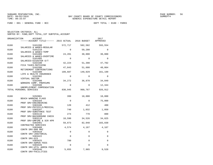FUND − 001 − GENERAL FUND − BCC DEPT TOTAL − 0180 − PARKS

| ORGANIZATION | <b>ACCOUNT</b><br>------ACCOUNT TITLE------ 2015 ACTUAL 2016 BUDGET |             |             | 2017<br>APPROVED |
|--------------|---------------------------------------------------------------------|-------------|-------------|------------------|
| 0180         | 5101200                                                             | 572,717     | 582,582     | 593,554          |
| 0180         | SALARIES & WAGES-REGULAR<br>5101210                                 | $\Omega$    | 59,280      | $\Omega$         |
| 0180         | SALARIES & WAGES-TEMP<br>5101400                                    | 24,201      | 30,000      | 30,000           |
| 0180         | SALARIES & WAGES-OVERTIME<br>5101405                                | $\Omega$    | $\Omega$    | $\Omega$         |
| 0180         | SALARIES-DISASTER O/T<br>5102100<br>FICA TAXES-MATCHING             | 42,224      | 51,398      | 47,702           |
| 0180         | 5102200<br>RETIREMENT CONTRIBUTIONS                                 | 47,843      | 51,608      | 48,064           |
| 0180         | 5102300<br>LIFE & HEALTH INSURANCE                                  | 109,687     | 149,029     | 161,199          |
| 0180         | 5102302<br>VIRTUAL DOCTOR                                           | $\Omega$    | $\Omega$    | $\Omega$         |
| 0180         | 5102400<br>WORKERS COMP. PREMIUMS                                   | 34,272      | 36,870      | 34,049           |
| 0180         | 5102500<br>UNEMPLOYMENT COMPENSATION                                | $\mathbf 0$ | $\Omega$    | 12,344           |
|              | TOTAL PERSONAL SERVICES                                             | 830,945     | 960,767     | 926,912          |
| 0180         | 5292001                                                             | 399         | 10,000      | 10,000           |
| 0180         | BEACH WARNING FLAGS<br>5303104                                      | $\Omega$    | $\Omega$    | 75,000           |
| 0180         | PROF SRV-ENGINEERING<br>5303106                                     | 120         | 412         | 400              |
| 0180         | PROF SRV-PHYSICLS/MEDICAL<br>5303107                                | 740         | 1,032       | 1,050            |
|              | PROF SRV-SUBSTANCE TEST                                             |             |             |                  |
| 0180         | 5303110<br>PROF SRV-BACKGROUND CHECK                                | 274         | 770         | 800              |
| 0180         | 5303118<br>PROF SRV-UMPIRE & SCR KPR                                | 10,590      | 34,526      | 34,825           |
| 0180         | 5303401<br>CONTRACTED SERVICES                                      | 59,873      | 82,048      | 103,830          |
| 0180         | 5303408<br>CONTR SRV-800 MHZ                                        | 4,574       | 4,167       | 4,167            |
| 0180         | 5303410<br>CONTR SRV-JANITORIAL                                     | 0           | 0           | 0                |
| 0180         | 5303422                                                             | $\Omega$    | $\mathbf 0$ | $\Omega$         |
| 0180         | CONTR SRV-GIS<br>5303425                                            | 780         | $\Omega$    | $\Omega$         |
| 0180         | CONTR SRV-ADMIN FEES<br>5303426                                     | $\Omega$    | $\Omega$    | $\Omega$         |
| 0180         | CONTR SRV-UTIL ADMIN FEES<br>5303446<br>CONTR SRV-FACILITIES        | 5,655       | 7,965       | 9,528            |
|              |                                                                     |             |             |                  |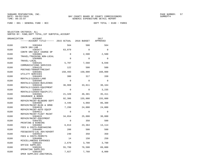FUND − 001 − GENERAL FUND − BCC DEPT TOTAL − 0180 − PARKS

| ORGANIZATION | <b>ACCOUNT</b><br>------ACCOUNT TITLE------ 2015 ACTUAL 2016 BUDGET |             |          | 2017<br>APPROVED |
|--------------|---------------------------------------------------------------------|-------------|----------|------------------|
| 0180         | 5303464                                                             | 564         | 500      | 564              |
| 0180         | CONTR SRV-LAB<br>5303477                                            | 63,079      | $\Omega$ | $\Omega$         |
| 0180         | CONTR SRV-GOLF COURSE OP<br>5304001                                 | $\mathbf 0$ | 2,500    | 2,500            |
| 0180         | TRAVEL/TRAINING NON-LOCAL<br>5304005<br>TRAVEL-LOCAL                | $\Omega$    | $\Omega$ | $\Omega$         |
| 0180         | 5304101<br>COMMUNICATIONS SERVICES                                  | 5,707       | 7,560    | 9,048            |
| 0180         | 5304125<br>POSTAGE/TRANSP/FREIGHT                                   | 122         | 500      | 500              |
| 0180         | 5304301<br>UTILITY SERVICES                                         | 150,493     | 150,000  | 160,000          |
| 0180         | 5304403<br>RENTALS/LEASES-LAND                                      | 300         | 317      | 330              |
| 0180         | 5304405<br>RENTALS/LEASES-BUILDINGS                                 | $\Omega$    | $\Omega$ | $\Omega$         |
| 0180         | 5304410<br>RENTALS/LEASES-EQUIPMENT                                 | 36,969      | 33,811   | 30,164           |
| 0180         | 5304414<br>RENTALS/LEASES-EOUIP(IT)                                 | $\Omega$    | $\Omega$ | 3,235            |
| 0180         | 5304501<br>INSURANCE & BONDS                                        | 21,320      | 46,301   | 35,411           |
| 0180         | 5304604<br>REPAIR/MAINT-BLD&GRD DEPT                                | 92,306      | 155,000  | 155,000          |
| 0180         | 5304605<br>REPAIR/MAINT-BLDG & GRND                                 | 4,446       | 4,068    | 86,300           |
| 0180         | 5304610<br>REPAIR/MAINT-AUTO EQUIP                                  | 7,299       | 24,000   | 24,000           |
| 0180         | 5304611<br>REPAIR/MAINT-FLEET MAINT                                 | $\Omega$    | $\Omega$ | $\Omega$         |
| 0180         | 5304615<br>REPAIR/MAINT-EOUIPMENT                                   | 34,654      | 25,000   | 30,000           |
| 0180         | 5304701<br>PRINTING & BINDING                                       | 0           | 350      | 500              |
| 0180         | 5304902<br>FEES & COSTS-PURCHASING                                  | 6,813       | 23,364   | 13,114           |
| 0180         | 5304905<br>FEES&COSTS-LGL ADV/ADVERT                                | 208         | 500      | 500              |
| 0180         | 5304922<br>FEES & COSTS-PERMITS                                     | 240         | 350      | 350              |
| 0180         | 5304990<br>MISCELLANEOUS EXPENSES                                   | 14          | 150      | 250              |
| 0180         | 5305101<br>OFFICE SUPPLIES                                          | 2,670       | 3,700    | 3,700            |
| 0180         | 5305201<br>OPERATING SUPPLIES                                       | 55,799      | 76,500   | 89,000           |
| 0180         | 5305202<br>OPER SUPPLIES-JANITORIAL                                 | 7,027       | 7,760    | 8,000            |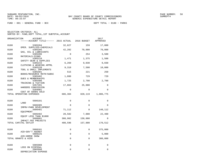FUND − 001 − GENERAL FUND − BCC DEPT TOTAL − 0180 − PARKS

| ORGANIZATION                   | <b>ACCOUNT</b><br>------ACCOUNT TITLE------ 2015 ACTUAL |             | 2016 BUDGET | 2017<br>APPROVED |
|--------------------------------|---------------------------------------------------------|-------------|-------------|------------------|
| 0180                           | 5305204                                                 | 32,827      | 159         | 17,000           |
| 0180                           | OPER. SUPPLIES-CHEMICALS<br>5305205                     | 42,202      | 70,000      | 70,000           |
| GAS, OIL & LUBRICANTS<br>0180  | 5305206                                                 | $\Omega$    | 254         | 3,500            |
| MATERIALS-SIGNS<br>0180        | 5305210                                                 | 1,471       | 1,375       | 1,500            |
| 0180                           | SAFETY GEAR & SUPPLIES<br>5305215                       | 6,269       | 9,030       | 9,030            |
| 0180                           | CLOTHING & WEARING APPRL<br>5305220                     | 9,310       | 7,500       | 10,000           |
| 0180                           | TOOL & SMALL IMPLEMENTS<br>5305401                      | 515         | 221         | 250              |
|                                | BOOKS/RESOURCE MATR/SUBSC                               |             |             |                  |
| 0180<br>DUES & MEMBERSHIPS     | 5305402                                                 | 1,088       | 729         | 729              |
| 0180<br>TRAINING & TUITION     | 5305406                                                 | 1,725       | 2,700       | 2,700            |
| 0180<br>HARDERS CONCESSION     | 5357201                                                 | 17,863      | 25,000      | $\mathbf 0$      |
| 0180<br>COST OF GOODS SOLD     | 5394901                                                 | $\Omega$    | $\mathbf 0$ | $\Omega$         |
| TOTAL OPERATING EXPENSES       |                                                         | 686,304     | 820,119     | 1,006,775        |
| 0180                           | 5606101                                                 | $\Omega$    | $\Omega$    | $\Omega$         |
| LAND                           |                                                         |             |             |                  |
| 0180                           | 5606305<br>IMPRV-PARK DEVELOPMENT                       | 0           | $\Omega$    | $\Omega$         |
| 0180<br>EOUIPMENT              | 5606401                                                 | 71,112      | 0           | 148,112          |
| 0180<br>EQUIP LESS THAN \$1000 | 5606402                                                 | 20,582      | 7,000       | 22,400           |
| 0180<br>IMPACT FEE PROJECTS    | 5606601                                                 | 308,902     | 150,000     | $\Omega$         |
| TOTAL CAPITAL OUTLAY           |                                                         | 400,596     | 157,000     | 170,512          |
| 0180                           | 5808101                                                 | 0           | 0           | 375,000          |
| AID-GOV'T AGENGY               |                                                         |             |             |                  |
| 0180<br>AID-HORSE SHOW         | 5808225                                                 | $\mathbf 0$ | 0           | 5,000            |
| TOTAL GRANTS & AIDS            |                                                         | $\Omega$    | $\Omega$    | 380,000          |
| 0180                           | 5905908                                                 | $\mathbf 0$ | $\Omega$    | $\Omega$         |
| LOSS ON DISPOSAL<br>0180       | 5905998                                                 | 0           | 0           | $\Omega$         |
| DEPRECIATION EXPENSE           |                                                         |             |             |                  |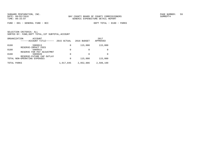FUND − 001 − GENERAL FUND − BCC DEPT TOTAL − 0180 − PARKS

|      | ORGANIZATION<br>ACCOUNT<br>------ACCOUNT TITLE------      | 2015 ACTUAL | 2016 BUDGET | 2017<br>APPROVED |
|------|-----------------------------------------------------------|-------------|-------------|------------------|
| 0180 | 5909913<br>RESERVE-IMPACT FEES                            | 0           | 115,000     | 115,000          |
| 0180 | 5909915                                                   | 0           | $\Omega$    | <sup>0</sup>     |
| 0180 | RESERVE FOR PAY ADJUSTMNT<br>5909920                      | 0           | 0           | <sup>0</sup>     |
|      | RESERVE-FUTURE CAP OUTLAY<br>TOTAL NON-OPERATING EXPENSES | 0           | 115,000     | 115,000          |
|      | TOTAL PARKS                                               | 1,917,845   | 2,052,886   | 2,599,199        |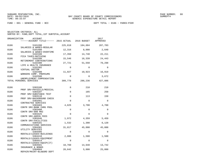FUND − 001 − GENERAL FUND − BCC DEPT TOTAL − 0186 − PARKS−PIER

| ORGANIZATION | <b>ACCOUNT</b><br>------ACCOUNT TITLE------ 2015 ACTUAL |             | 2016 BUDGET | 2017<br>APPROVED |
|--------------|---------------------------------------------------------|-------------|-------------|------------------|
| 0186         | 5101200<br>SALARIES & WAGES-REGULAR                     | 225,818     | 184,684     | 287,703          |
| 0186         | 5101400<br>SALARIES & WAGES-OVERTIME                    | 12,316      | 8,000       | 2,640            |
| 0186         | 5102100<br>FICA TAXES-MATCHING                          | 17,350      | 14,740      | 22,211           |
| 0186         | 5102200<br>RETIREMENT CONTRIBUTIONS                     | 15,546      | 16,339      | 24,443           |
| 0186         | 5102300<br>LIFE & HEALTH INSURANCE                      | 27,721      | 51,550      | 70,298           |
| 0186         | 5102302<br>VIRTUAL DOCTOR                               | $\Omega$    | $\Omega$    | $\Omega$         |
| 0186         | 5102400<br>WORKERS COMP. PREMIUMS                       | 11,027      | 10,923      | 16,919           |
| 0186         | 5102500<br>UNEMPLOYMENT COMPENSATION                    | $\Omega$    | $\Omega$    | 3,672            |
|              | TOTAL PERSONAL SERVICES                                 | 309,778     | 286,236     | 427,886          |
| 0186         | 5303106                                                 | $\mathbf 0$ | 210         | 210              |
| 0186         | PROF SRV-PHYSICLS/MEDICAL<br>5303107                    | $\Omega$    | 185         | 250              |
| 0186         | PROF SRV-SUBSTANCE TEST<br>5303110                      | $\Omega$    | 113         | 150              |
| 0186         | PROF SRV-BACKGROUND CHECK<br>5303401                    | $\mathbf 0$ | $\Omega$    | $\Omega$         |
| 0186         | CONTRACTED SERVICES<br>5303403                          | 4,625       | 3,700       | 4,700            |
| 0186         | CONTR SRV-BANK CHRG POOL<br>5303408                     | $\Omega$    | $\Omega$    | $\Omega$         |
| 0186         | CONTR SRV-800 MHZ<br>5303425                            | $\Omega$    | $\Omega$    | $\Omega$         |
| 0186         | CONTR SRV-ADMIN FEES<br>5303446<br>CONTR SRV-FACILITIES | 1,972       | 4,359       | 5,459            |
| 0186         | 5304101<br>COMMUNICATIONS SERVICES                      | 1,532       | 1,300       | 6,120            |
| 0186         | 5304301<br>UTILITY SERVICES                             | 31,817      | 45,000      | 45,000           |
| 0186         | 5304405<br>RENTALS/LEASES-BUILDINGS                     | 0           | $\Omega$    | $\Omega$         |
| 0186         | 5304410<br>RENTALS/LEASES-EQUIPMENT                     | 2,086       | 1,500       | 1,500            |
| 0186         | 5304414<br>RENTALS/LEASES-EOUIP(IT)                     | $\Omega$    | $\Omega$    | $\Omega$         |
| 0186         | 5304501<br>INSURANCE & BONDS                            | 18,760      | 14,648      | 13,742           |
| 0186         | 5304604<br>REPAIR/MAINT-BLD&GRD DEPT                    | 20,642      | 5,000       | 25,000           |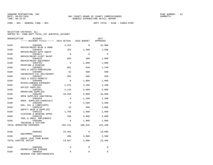FUND − 001 − GENERAL FUND − BCC DEPT TOTAL − 0186 − PARKS−PIER

| ORGANIZATION | ACCOUNT<br>------ACCOUNT TITLE------ 2015 ACTUAL 2016 BUDGET |             |             | 2017<br>APPROVED |
|--------------|--------------------------------------------------------------|-------------|-------------|------------------|
| 0186         | 5304605                                                      | 3,254       | $\Omega$    | 15,000           |
| 0186         | REPAIR/MAINT-BLDG & GRND<br>5304610                          | 353         | 1,500       | 1,500            |
| 0186         | REPAIR/MAINT-AUTO EOUIP<br>5304611                           | $\Omega$    | $\Omega$    | $\Omega$         |
| 0186         | REPAIR/MAINT-FLEET MAINT<br>5304615                          | 955         | 500         | 1,000            |
| 0186         | REPAIR/MAINT-EQUIPMENT<br>5304701<br>PRINTING & BINDING      | $\Omega$    | 1,000       | 1,000            |
| 0186         | 5304902<br>FEES & COSTS-PURCHASING                           | 681         | 820         | 1,249            |
| 0186         | 5304905<br>FEES&COSTS-LGL ADV/ADVERT                         | 52          | 500         | 500              |
| 0186         | 5304922<br>FEES & COSTS-PERMITS                              | 502         | 600         | 550              |
| 0186         | 5304990<br>MISCELLANEOUS EXPENSES                            | $\Omega$    | 1,000       | 1,000            |
| 0186         | 5305101<br>OFFICE SUPPLIES                                   | 2,476       | 3,200       | 3,200            |
| 0186         | 5305201<br>OPERATING SUPPLIES                                | 2,110       | 5,000       | 5,000            |
| 0186         | 5305202<br>OPER SUPPLIES-JANITORIAL                          | 10,256      | 9,000       | 10,000           |
| 0186         | 5305204<br>OPER. SUPPLIES-CHEMICALS                          | $\Omega$    | 1,200       | 1,200            |
| 0186         | 5305205<br>GAS, OIL & LUBRICANTS                             | $\Omega$    | 2,500       | 2,500            |
| 0186         | 5305210<br>SAFETY GEAR & SUPPLIES                            | 33          | 500         | 1,000            |
| 0186         | 5305215<br>CLOTHING & WEARING APPRL                          | 1,786       | 2,600       | 2,600            |
| 0186         | 5305220<br>TOOL & SMALL IMPLEMENTS                           | 338         | 3,000       | 3,000            |
| 0186         | 5305406<br>TRAINING & TUITION                                | $\mathbf 0$ | 1,000       | 1,000            |
|              | TOTAL OPERATING EXPENSES                                     | 104,231     | 109,935     | 153,430          |
| 0186         | 5606401                                                      | 23,401      | $\Omega$    | 19,996           |
| 0186         | EOUIPMENT<br>5606402<br>EQUIP LESS THAN \$1000               | 286         | 3,000       | 3,500            |
|              | TOTAL CAPITAL OUTLAY                                         | 23,687      | 3,000       | 23,496           |
| 0186         | 5905998                                                      | 0           | $\mathbf 0$ | $\mathbf 0$      |
| 0186         | DEPRECIATION EXPENSE<br>5909910                              | $\Omega$    | $\Omega$    | $\Omega$         |
|              | RESERVE FOR CONTINGENCIES                                    |             |             |                  |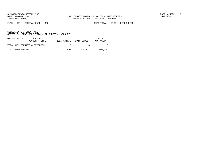FUND − 001 − GENERAL FUND − BCC DEPT TOTAL − 0186 − PARKS−PIER

| ORGANIZATION<br>ACCOUNT<br>$---ACCOUNT TITLE---2015 ACTUAL 2016 BUDGET$ |         |         | 2017<br>APPROVED |
|-------------------------------------------------------------------------|---------|---------|------------------|
| TOTAL NON-OPERATING EXPENSES                                            | $\cap$  |         |                  |
| TOTAL PARKS-PIER                                                        | 437,696 | 399,171 | 604,812          |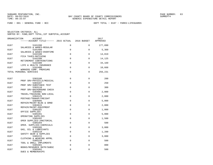| ORGANIZATION | <b>ACCOUNT</b><br>------ACCOUNT TITLE------ 2015 ACTUAL    |             | 2016 BUDGET | 2017<br>APPROVED |
|--------------|------------------------------------------------------------|-------------|-------------|------------------|
| 0187         | 5101200                                                    | 0           | $\Omega$    | 177,890          |
| 0187         | SALARIES & WAGES-REGULAR<br>5101400                        | 0           | 0           | 5,360            |
| 0187         | SALARIES & WAGES-OVERTIME<br>5102100                       | $\mathbf 0$ | 0           | 14,019           |
| 0187         | FICA TAXES-MATCHING<br>5102200                             | 0           | 0           | 14,125           |
| 0187         | RETIREMENT CONTRIBUTIONS<br>5102300                        | $\mathbf 0$ | 0           | 34,169           |
| 0187         | LIFE & HEALTH INSURANCE<br>5102400                         | $\mathbf 0$ | 0           | 10,668           |
|              | WORKERS COMP. PREMIUMS<br>TOTAL PERSONAL SERVICES          | $\mathbf 0$ | 0           | 256,231          |
| 0187         | 5303106                                                    | $\mathbf 0$ | 0           | 200              |
| 0187         | PROF SRV-PHYSICLS/MEDICAL<br>5303107                       | $\Omega$    | $\Omega$    | 250              |
| 0187         | PROF SRV-SUBSTANCE TEST<br>5303110                         | $\Omega$    | $\Omega$    | 300              |
| 0187         | PROF SRV-BACKGROUND CHECK<br>5304001                       | $\mathbf 0$ | $\Omega$    | 2,000            |
| 0187         | TRAVEL/TRAINING NON-LOCAL<br>5304125                       | $\Omega$    | $\Omega$    | 2,000            |
| 0187         | POSTAGE/TRANSP/FREIGHT<br>5304605                          | $\Omega$    | $\Omega$    | 5,000            |
| 0187         | REPAIR/MAINT-BLDG & GRND<br>5304615                        | $\Omega$    | $\Omega$    | 2,000            |
| 0187         | REPAIR/MAINT-EOUIPMENT<br>5305101                          | $\mathbf 0$ | $\Omega$    | 1,000            |
| 0187         | OFFICE SUPPLIES<br>5305201                                 | 0           | $\Omega$    | 5,000            |
| 0187         | OPERATING SUPPLIES<br>5305202                              | 0           | $\Omega$    | 1,500            |
| 0187         | OPER SUPPLIES-JANITORIAL<br>5305204                        | 0           | $\Omega$    | 500              |
| 0187         | OPER. SUPPLIES-CHEMICALS<br>5305205                        | $\mathbf 0$ | 0           | 3,000            |
| 0187         | GAS, OIL & LUBRICANTS<br>5305210                           | 0           | 0           | 1,200            |
| 0187         | SAFETY GEAR & SUPPLIES<br>5305215                          | $\mathbf 0$ | 0           | 3,000            |
| 0187         | CLOTHING & WEARING APPRL<br>5305220                        | $\mathbf 0$ | $\Omega$    | 500              |
| 0187         | TOOL & SMALL IMPLEMENTS<br>5305401                         | $\mathbf 0$ | 0           | 800              |
| 0187         | BOOKS/RESOURCE MATR/SUBSC<br>5305402<br>DUES & MEMBERSHIPS | 0           | 0           | 500              |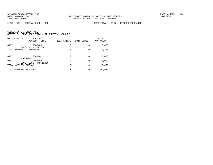FUND − 001 − GENERAL FUND − BCC DEPT TOTAL − 0187 − PARKS−LIFEGUARDS

| ORGANIZATION<br><b>ACCOUNT</b><br>------ACCOUNT TITLE------ | 2015 ACTUAL | 2016 BUDGET | 2017<br>APPROVED |
|-------------------------------------------------------------|-------------|-------------|------------------|
| 0187<br>5305406<br>& TUITION<br>TRAINING                    | 0           | 0           | 2,000            |
| TOTAL OPERATING EXPENSES                                    | 0           | 0           | 30,750           |
| 0187<br>5606401                                             | 0           | 0           | 8,000            |
| EOUIPMENT<br>0187<br>5606402<br>EOUIP LESS THAN \$1000      | 0           | $\Omega$    | 5,000            |
| TOTAL CAPITAL OUTLAY                                        | 0           | $\Omega$    | 13,000           |
| TOTAL PARKS-LIFEGUARDS                                      | 0           | 0           | 299,981          |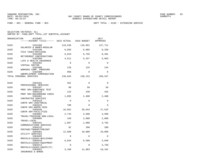| ORGANIZATION | <b>ACCOUNT</b><br>------ACCOUNT TITLE------ 2015 ACTUAL         |             | 2016 BUDGET | 2017<br>APPROVED |
|--------------|-----------------------------------------------------------------|-------------|-------------|------------------|
| 0195         | 5101200<br>SALARIES & WAGES-REGULAR                             | 119,536     | 118,991     | 137,711          |
| 0195         | 5102100<br>FICA TAXES-MATCHING                                  | 6,893       | 6,985       | 8,338            |
| 0195         | 5102200<br>RETIREMENT CONTRIBUTIONS                             | 6,819       | 6,795       | 8,401            |
| 0195         | 5102300<br>LIFE & HEALTH INSURANCE                              | 4,511       | 5,257       | 5,963            |
| 0195         | 5102302<br>VIRTUAL DOCTOR                                       | $\mathbf 0$ | $\Omega$    | $\Omega$         |
| 0195         | 5102400<br>WORKERS COMP. PREMIUMS                               | 126         | 125         | 134              |
| 0195         | 5102500<br>UNEMPLOYMENT COMPENSATION                            | 960         | $\Omega$    | $\Omega$         |
|              | TOTAL PERSONAL SERVICES                                         | 138,845     | 138,153     | 160,547          |
| 0195         | 5303101                                                         | 361         | $\Omega$    | $\Omega$         |
| 0195         | PROFESSIONAL SERVICES<br>5303107                                | 99          | 50          | 50               |
| 0195         | PROF SRV-SUBSTANCE TEST<br>5303110<br>PROF SRV-BACKGROUND CHECK | 123         | 430         | 455              |
| 0195         | 5303401<br>CONTRACTED SERVICES                                  | 1,095       | 2,400       | 2,400            |
| 0195         | 5303410<br>CONTR SRV-JANITORIAL                                 | $\Omega$    | $\Omega$    | $\Omega$         |
| 0195         | 5303425<br>CONTR SRV-ADMIN FEES                                 | 780         | $\Omega$    | $\Omega$         |
| 0195         | 5303446<br>CONTR SRV-FACILITIES                                 | 16,852      | 20,644      | 27,525           |
| 0195         | 5304001<br>TRAVEL/TRAINING NON-LOCAL                            | 2,743       | 3,500       | 3,500            |
| 0195         | 5304005<br>TRAVEL-LOCAL                                         | 159         | 2,000       | 2,000            |
| 0195         | 5304101<br>COMMUNICATIONS SERVICES                              | 1,887       | 1,980       | 3,792            |
| 0195         | 5304125<br>POSTAGE/TRANSP/FREIGHT                               | 91          | 200         | 200              |
| 0195         | 5304301<br>UTILITY SERVICES                                     | 12,600      | 10,000      | 10,000           |
| 0195         | 5304405<br>RENTALS/LEASES-BUILDINGS                             | $\Omega$    | $\Omega$    | $\Omega$         |
| 0195         | 5304410<br>RENTALS/LEASES-EOUIPMENT                             | 6,034       | 6,500       | 4,040            |
| 0195         | 5304414<br>RENTALS/LEASES-EQUIP(IT)                             | $\mathbf 0$ | $\Omega$    | 3,750            |
| 0195         | 5304501<br>INSURANCE & BONDS                                    | 3,160       | 11,883      | 10,191           |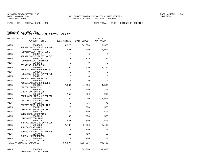FUND − 001 − GENERAL FUND − BCC DEPT TOTAL − 0195 − EXTENSION SERVICE

| ORGANIZATION | ACCOUNT<br>------ACCOUNT TITLE------ 2015 ACTUAL 2016 BUDGET |                      |             | 2017<br>APPROVED |
|--------------|--------------------------------------------------------------|----------------------|-------------|------------------|
| 0195         | 5304605<br>REPAIR/MAINT-BLDG & GRND                          | 10,328               | 34,300      | 9,300            |
| 0195         | 5304610<br>REPAIR/MAINT-AUTO EOUIP                           | 1,981                | 2,000       | 2,000            |
| 0195         | 5304611<br>REPAIR/MAINT-FLEET MAINT                          | $\mathbf 0$          | $\Omega$    | $\Omega$         |
| 0195         | 5304615<br>REPAIR/MAINT-EOUIPMENT                            | 171                  | 125         | 125              |
| 0195         | 5304701<br>PRINTING & BINDING                                | $\Omega$             | $\Omega$    | $\Omega$         |
| 0195         | 5304902<br>FEES & COSTS-PURCHASING                           | 2,384                | 410         | 2,186            |
| 0195         | 5304905<br>FEES&COSTS-LGL ADV/ADVERT                         | 0                    | $\Omega$    | $\Omega$         |
| 0195         | 5304922<br>FEES & COSTS-PERMITS                              | 0                    | $\Omega$    | $\Omega$         |
| 0195         | 5304990<br>MISCELLANEOUS EXPENSES                            | $\Omega$             | $\Omega$    | $\Omega$         |
| 0195         | 5305101<br>OFFICE SUPPLIES                                   | 2,884                | 4,500       | 4,500            |
| 0195         | 5305201<br>OPERATING SUPPLIES                                | 16                   | 200         | 200              |
| 0195<br>0195 | 5305202<br>OPER SUPPLIES-JANITORIAL                          | 157                  | 200         | 200              |
| 0195         | 5305205<br>GAS, OIL & LUBRICANTS<br>5305210                  | 1,705<br>$\mathbf 0$ | 1,600<br>75 | 1,600<br>75      |
| 0195         | SAFETY GEAR & SUPPLIES<br>5305227                            | 20                   | 500         | 500              |
| 0195         | DEMO-SEA GRANT MARINE<br>5305228                             | 252                  | 500         | 500              |
| 0195         | DEMO-HOME ECONOMICS<br>5305229                               | 166                  | 500         | 500              |
| 0195         | DEMO-HORTICULTURE<br>5305232                                 | 431                  | 500         | 500              |
| 0195         | 4-H MATERIALS & SUPPLIES<br>5305236                          | 2,700                | 3,000       | 3,400            |
| 0195         | 4-H SCHOLARSHIPS<br>5305401                                  | $\Omega$             | 150         | 150              |
| 0195         | BOOKS/RESOURCE MATR/SUBSC<br>5305402                         | 715                  | 750         | 750              |
| 0195         | DUES & MEMBERSHIPS<br>5305406<br>TRAINING & TUITION          | $\mathbf 0$          | 100         | 100              |
|              | TOTAL OPERATING EXPENSES                                     | 69,894               | 108,997     | 94,489           |
| 0195         | 5606349<br>IMPRV-ARTIFICIAL REEF                             | 0                    | 64,000      | 54,000           |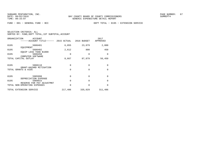| ORGANIZATION | ACCOUNT<br>-----ACCOUNT TITLE------                       | 2015 ACTUAL | 2016 BUDGET          | 2017<br>APPROVED     |
|--------------|-----------------------------------------------------------|-------------|----------------------|----------------------|
| 0195         | 5606401<br>EOUIPMENT                                      | 6,055       | 23,079               | 2,000                |
| 0195         | 5606402                                                   | 2,612       | 800                  | 450                  |
| 0195         | EOUIP LESS THAN \$1000<br>5606450<br>COMPUTER SOFTWARE    | 0           | $\Omega$             | $\Omega$             |
|              | TOTAL CAPITAL OUTLAY                                      | 8,667       | 87,879               | 56,450               |
| 0195         | 5808118<br>GRANT-HAZARD MITIGATION<br>TOTAL GRANTS & AIDS | 0<br>0      | $\Omega$<br>$\Omega$ | $\Omega$<br>$\Omega$ |
| 0195         | 5905998                                                   | $\Omega$    | $\Omega$             | 0                    |
| 0195         | DEPRECIATION EXPENSE<br>5909915                           | 0           | $\Omega$             | $\Omega$             |
|              | RESERVE FOR PAY ADJUSTMNT<br>TOTAL NON-OPERATING EXPENSES | 0           | $\Omega$             | $\Omega$             |
|              | TOTAL EXTENSION SERVICE                                   | 217,406     | 335,029              | 311,486              |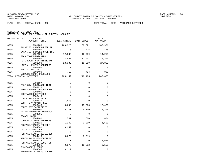FUND − 001 − GENERAL FUND − BCC DEPT TOTAL − 0205 − VETERANS SERVICES

| SELECTION CRITERIA: ALL |  |                                                    |  |
|-------------------------|--|----------------------------------------------------|--|
|                         |  | SORTED BY: FUND, DEPT TOTAL, 1ST SUBTOTAL, ACCOUNT |  |

| ORGANIZATION | ACCOUNT<br>------ACCOUNT TITLE------ 2015 ACTUAL 2016 BUDGET    |             |                 | 2017<br>APPROVED |
|--------------|-----------------------------------------------------------------|-------------|-----------------|------------------|
| 0205         | 5101200<br>SALARIES & WAGES-REGULAR                             | 169,326     | 168,321         | 185,961          |
| 0205         | 5101400<br>SALARIES & WAGES-OVERTIME                            | $\Omega$    | 425             | 425              |
| 0205         | 5102100<br>FICA TAXES-MATCHING                                  | 12,380      | 12,909          | 14,259           |
| 0205         | 5102200<br>RETIREMENT CONTRIBUTIONS                             | 12,403      | 12,557          | 14,367           |
| 0205         | 5102300<br>LIFE & HEALTH INSURANCE                              | 13,332      | 15,559          | 27,863           |
| 0205         | 5102302<br>VIRTUAL DOCTOR                                       | $\Omega$    | $\Omega$        | $\Omega$         |
| 0205         | 5102400<br>WORKERS COMP. PREMIUMS                               | 718         | 724             | 800              |
|              | TOTAL PERSONAL SERVICES                                         | 208,159     | 210,495 243,675 |                  |
| 0205         | 5303107                                                         | $\Omega$    | $\Omega$        | $\Omega$         |
| 0205         | PROF SRV-SUBSTANCE TEST<br>5303110<br>PROF SRV-BACKGROUND CHECK | $\Omega$    | $\Omega$        | $\Omega$         |
| 0205         | 5303401<br>CONTRACTED SERVICES                                  | $\Omega$    | $\Omega$        | $\Omega$         |
| 0205         | 5303410<br>CONTR SRV-JANITORIAL                                 | $\Omega$    | $\Omega$        | $\Omega$         |
| 0205         | 5303425<br>CONTR SRV-ADMIN FEES                                 | 1,560       | $\Omega$        | $\Omega$         |
| 0205         | 5303446<br>CONTR SRV-FACILITIES                                 | 6,680       | 19,375          | 17,420           |
| 0205         | 5304001<br>TRAVEL/TRAINING NON-LOCAL                            | 5,221       | 4,800           | 5,300            |
| 0205         | 5304005<br>TRAVEL-LOCAL                                         | $\Omega$    | $\Omega$        | $\Omega$         |
| 0205         | 5304101<br>COMMUNICATIONS SERVICES                              | 541         | 600             | 804              |
| 0205         | 5304125<br>POSTAGE/TRANSP/FREIGHT                               | 1,249       | 2,000           | 1,500            |
| 0205         | 5304301<br>UTILITY SERVICES                                     | 6,259       | $\Omega$        | $\Omega$         |
| 0205         | 5304405<br>RENTALS/LEASES-BUILDINGS                             | $\mathbf 0$ | $\Omega$        | $\Omega$         |
| 0205         | 5304410<br>RENTALS/LEASES-EOUIPMENT                             | 3,679       | 7,619           | $\Omega$         |
| 0205         | 5304414<br>RENTALS/LEASES-EQUIP(IT)                             | 0           | 0               | 5,660            |
| 0205         | 5304501<br>INSURANCE & BONDS                                    | 2,370       | 10,622          | 8,552            |
| 0205         | 5304605<br>REPAIR/MAINT-BLDG & GRND                             | 3,312       | $\mathbf 0$     | $\Omega$         |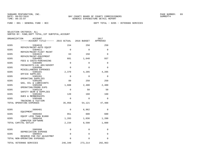FUND − 001 − GENERAL FUND − BCC DEPT TOTAL − 0205 − VETERANS SERVICES

| ORGANIZATION | ACCOUNT                                                   |             |             | 2017     |
|--------------|-----------------------------------------------------------|-------------|-------------|----------|
|              | ------ACCOUNT TITLE------ 2015 ACTUAL                     |             | 2016 BUDGET | APPROVED |
| 0205         | 5304610                                                   | 154         | 250         | 250      |
|              | REPAIR/MAINT-AUTO EQUIP                                   |             |             |          |
| 0205         | 5304611                                                   | $\Omega$    | $\Omega$    | $\Omega$ |
| 0205         | REPAIR/MAINT-FLEET MAINT                                  | 63          | 150         | $\Omega$ |
|              | 5304615<br>REPAIR/MAINT-EQUIPMENT                         |             |             |          |
| 0205         | 5304902                                                   | 681         | 1,640       | 937      |
|              | FEES & COSTS-PURCHASING                                   |             |             |          |
| 0205         | 5304905                                                   | $\mathbf 0$ | $\Omega$    | $\Omega$ |
|              | FEES&COSTS-LGL ADV/ADVERT                                 |             |             |          |
| 0205         | 5304990                                                   | 0           | $\Omega$    | $\Omega$ |
|              | MISCELLANEOUS EXPENSES                                    |             |             |          |
| 0205         | 5305101                                                   | 2,370       | 4,205       | 4,205    |
|              | OFFICE SUPPLIES                                           |             |             |          |
| 0205         | 5305201<br>OPERATING SUPPLIES                             | 0           | 0           | 0        |
| 0205         | 5305205                                                   | 89          | 250         | 250      |
|              | GAS, OIL & LUBRICANTS                                     |             |             |          |
| 0205         | 5305208                                                   | 1,608       | 2,400       | 2,400    |
|              | OPERATING/PROMO EXPS                                      |             |             |          |
| 0205         | 5305210                                                   | 0           | 50          | 50       |
|              | SAFETY GEAR & SUPPLIES                                    |             |             |          |
| 0205         | 5305402                                                   | 120         | 160         | 160      |
|              | DUES & MEMBERSHIPS                                        |             |             |          |
| 0205         | 5305406                                                   | $\Omega$    | $\Omega$    | $\Omega$ |
|              | TRAINING & TUITION                                        | 35,956      |             |          |
|              | TOTAL OPERATING EXPENSES                                  |             | 54,121      | 47,488   |
| 0205         | 5606401                                                   | 0           | 6,962       | $\Omega$ |
|              | EOUIPMENT                                                 |             |             |          |
| 0205         | 5606402                                                   | 951         | 600         | 600      |
|              | EQUIP LESS THAN \$1000                                    |             |             |          |
| 0205         | 5606450                                                   | 1,283       | 1,036       | 1,200    |
|              | COMPUTER SOFTWARE<br>TOTAL CAPITAL OUTLAY                 | 2,234       | 8,598       | 1,800    |
|              |                                                           |             |             |          |
| 0205         | 5905998                                                   | 0           | 0           | 0        |
|              | DEPRECIATION EXPENSE                                      |             |             |          |
| 0205         | 5909915                                                   | $\mathsf 0$ | $\Omega$    | 0        |
|              | RESERVE FOR PAY ADJUSTMNT<br>TOTAL NON-OPERATING EXPENSES | 0           | $\Omega$    | $\Omega$ |
|              |                                                           |             |             |          |
|              | TOTAL VETERANS SERVICES                                   | 246,349     | 273,214     | 292,963  |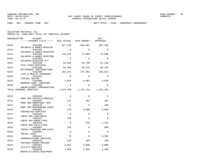FUND − 001 − GENERAL FUND − BCC DEPT TOTAL − 0210 − EMERGENCY MANAGEMENT

| ORGANIZATION | <b>ACCOUNT</b><br>------ACCOUNT TITLE------ 2015 ACTUAL |             | 2016 BUDGET | 2017<br>APPROVED |
|--------------|---------------------------------------------------------|-------------|-------------|------------------|
| 0210         | 5101200                                                 | 627,238     | 696,097     | 807,189          |
| 0210         | SALARIES & WAGES-REGULAR<br>5101205                     | $\Omega$    | $\Omega$    | $\Omega$         |
| 0210         | SALARIES & WAGES-DISASTER<br>5101400                    | 123,181     | 72,000      | 72,000           |
| 0210         | SALARIES & WAGES-OVERTIME<br>5101405                    | $\Omega$    | $\Omega$    | $\Omega$         |
| 0210         | SALARIES-DISASTER O/T<br>5102100                        | 52,050      | 58,760      | 67,258           |
| 0210         | FICA TAXES-MATCHING<br>5102200                          | 54,469      | 66,375      | 80,433           |
| 0210         | RETIREMENT CONTRIBUTIONS<br>5102300                     | 163,457     | 237,401     | 250,814          |
| 0210         | LIFE & HEALTH INSURANCE<br>5102302                      | $\Omega$    | $\Omega$    | $\Omega$         |
| 0210         | VIRTUAL DOCTOR<br>5102400                               | 3,015       | 4,083       | 4,639            |
| 0210         | WORKERS COMP. PREMIUMS<br>5102500                       | $\Omega$    | $\Omega$    | $\Omega$         |
|              | UNEMPLOYMENT COMPENSATION<br>TOTAL PERSONAL SERVICES    | 1,023,409   | 1,134,716   | 1,282,333        |
|              |                                                         |             |             |                  |
| 0210         | 5303106<br>PROF SRV-PHYSICLS/MEDICAL                    | $\Omega$    | $\Omega$    | $\Omega$         |
| 0210         | 5303107<br>PROF SRV-SUBSTANCE TEST                      | 111         | 162         | 162              |
| 0210         | 5303110<br>PROF SRV-BACKGROUND CHECK                    | 71          | $\Omega$    | 200              |
| 0210         | 5303401<br>CONTRACTED SERVICES                          | 170         | 5,000       | 5,000            |
| 0210         | 5303410<br>CONTR SRV-JANITORIAL                         | $\Omega$    | $\Omega$    | $\Omega$         |
| 0210         | 5303425<br>CONTR SRV-ADMIN FEES                         | 780         | $\Omega$    | $\Omega$         |
| 0210         | 5303446<br>CONTR SRV-FACILITIES                         | $\Omega$    | 970         | 1,314            |
| 0210         | 5304001<br>TRAVEL/TRAINING NON-LOCAL                    | 233         | $\Omega$    | 500              |
| 0210         | 5304005<br>TRAVEL-LOCAL                                 | $\mathbf 0$ | $\Omega$    | $\Omega$         |
| 0210         | 5304101<br>COMMUNICATIONS SERVICES                      | 76          | $\Omega$    | 4,392            |
| 0210         | 5304125<br>POSTAGE/TRANSP/FREIGHT                       | 323         | 165         | 165              |
| 0210         | 5304301<br>UTILITY SERVICES                             | 3,057       | 3,000       | 3,000            |
| 0210         | 5304410<br>RENTALS/LEASES-EOUIPMENT                     | 7,046       | 5,855       | 1,400            |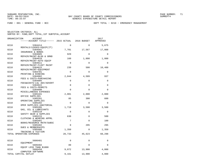FUND − 001 − GENERAL FUND − BCC DEPT TOTAL − 0210 − EMERGENCY MANAGEMENT

| ORGANIZATION | <b>ACCOUNT</b>                                 |             |             | 2017        |
|--------------|------------------------------------------------|-------------|-------------|-------------|
|              | ------ACCOUNT TITLE------ 2015 ACTUAL          |             | 2016 BUDGET | APPROVED    |
| 0210         | 5304414                                        | $\Omega$    | $\Omega$    | 5,675       |
| 0210         | RENTALS/LEASES-EQUIP(IT)<br>5304501            | 7,701       | 17,567      | 17,008      |
| 0210         | INSURANCE & BONDS<br>5304605                   | 929         | $\Omega$    | $\Omega$    |
| 0210         | REPAIR/MAINT-BLDG & GRND<br>5304610            | 160         | 1,800       | 1,800       |
| 0210         | REPAIR/MAINT-AUTO EQUIP<br>5304611             | $\Omega$    | $\Omega$    | $\Omega$    |
| 0210         | REPAIR/MAINT-FLEET MAINT<br>5304615            | 239         | 500         | 10,400      |
| 0210         | REPAIR/MAINT-EQUIPMENT<br>5304701              | $\Omega$    | $\Omega$    | $\Omega$    |
| 0210         | PRINTING & BINDING<br>5304902                  | 2,044       | 4,509       | 937         |
| 0210         | FEES & COSTS-PURCHASING<br>5304905             | $\mathbf 0$ | $\Omega$    | 0           |
| 0210         | FEES&COSTS-LGL ADV/ADVERT<br>5304922           | $\mathbf 0$ | $\Omega$    | $\Omega$    |
| 0210         | FEES & COSTS-PERMITS<br>5304990                | $\Omega$    | $\Omega$    | 0           |
| 0210         | MISCELLANEOUS EXPENSES<br>5305101              | 2,001       | 2,000       | 2,000       |
| 0210         | OFFICE SUPPLIES<br>5305201                     | 85          | 300         | 600         |
| 0210         | OPERATING SUPPLIES<br>5305202                  | $\Omega$    | $\Omega$    | $\Omega$    |
| 0210         | OPER SUPPLIES-JANITORIAL<br>5305205            | 1,719       | 3,500       | 3,500       |
| 0210         | GAS, OIL & LUBRICANTS<br>5305210               | $\mathbf 0$ | $\Omega$    | $\mathbf 0$ |
| 0210         | SAFETY GEAR & SUPPLIES<br>5305215              | 630         | $\Omega$    | 500         |
| 0210         | CLOTHING & WEARING APPRL<br>5305401            | 7           | $\Omega$    | 100         |
| 0210         | BOOKS/RESOURCE MATR/SUBSC<br>5305402           | $\mathbf 0$ | 295         | 295         |
| 0210         | DUES & MEMBERSHIPS<br>5305406                  | 1,350       | $\mathbf 0$ | 1,350       |
|              | TRAINING & TUITION<br>TOTAL OPERATING EXPENSES | 28,733      | 45,623      | 60,298      |
|              |                                                |             |             |             |
| 0210         | 5606401<br>EOUIPMENT                           | 0           | 0           | 0           |
| 0210         | 5606402<br>EQUIP LESS THAN \$1000              | 89          | $\Omega$    | $\Omega$    |
| 0210         | 5606450<br>COMPUTER SOFTWARE                   | 9,072       | 13,900      | 4,000       |
|              | TOTAL CAPITAL OUTLAY                           | 9,161       | 13,900      | 4,000       |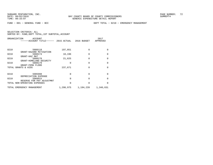FUND − 001 − GENERAL FUND − BCC DEPT TOTAL − 0210 − EMERGENCY MANAGEMENT

|      | ORGANIZATION<br><b>ACCOUNT</b><br>-----ACCOUNT TITLE------ 2015 ACTUAL |           | 2016 BUDGET | 2017<br>APPROVED |
|------|------------------------------------------------------------------------|-----------|-------------|------------------|
| 0210 | 5808118                                                                | 197,851   | $\Omega$    | $\Omega$         |
| 0210 | GRANT-HAZARD MITIGATION<br>5808174<br>GRANT-HAZ MAT                    | 18,196    | $\Omega$    | $\Omega$         |
| 0210 | 5808178<br>GRANT-HOMELAND SECURITY                                     | 21,625    | $\Omega$    | $\Omega$         |
| 0210 | 5808179<br>GRANT-FEMA FLOOD                                            | 0         | $\Omega$    | $\Omega$         |
|      | TOTAL GRANTS & AIDS                                                    | 237,671   | $\Omega$    | $\Omega$         |
| 0210 | 5905998<br>DEPRECIATION EXPENSE                                        | $\Omega$  | $\Omega$    | $\Omega$         |
| 0210 | 5909915<br>RESERVE FOR PAY ADJUSTMNT                                   | $\Omega$  | $\Omega$    | $\Omega$         |
|      | TOTAL NON-OPERATING EXPENSES                                           | $\Omega$  | $\Omega$    | $\Omega$         |
|      | TOTAL EMERGENCY MANAGEMENT                                             | 1,298,975 | 1,194,239   | 1,346,631        |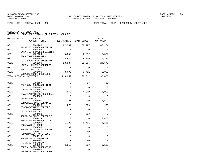FUND − 001 − GENERAL FUND − BCC DEPT TOTAL − 0211 − EMERGENCY ASSISTANCE

| SELECTION CRITERIA: ALL |  |                                                    |  |
|-------------------------|--|----------------------------------------------------|--|
|                         |  | SORTED BY: FUND. DEPT TOTAL. 1ST SUBTOTAL. ACCOUNT |  |

| ORGANIZATION | ACCOUNT<br>------ACCOUNT TITLE------ 2015 ACTUAL 2016 BUDGET |             |             | 2017<br>APPROVED |
|--------------|--------------------------------------------------------------|-------------|-------------|------------------|
| 0211         | 5101200<br>SALARIES & WAGES-REGULAR                          | 82,337      | 86,427      | 85,254           |
| 0211         | 5101205                                                      | $\Omega$    | $\Omega$    | $\Omega$         |
| 0211         | SALARIES & WAGES-DISASTER<br>5102100                         | 5,559       | 6,612       | 6,522            |
| 0211         | FICA TAXES-MATCHING<br>5102200                               | 8,925       | 9,756       | 10,226           |
| 0211         | RETIREMENT CONTRIBUTIONS<br>5102300                          | 18,537      | 21,665      | 24,578           |
| 0211         | LIFE & HEALTH INSURANCE<br>5102302<br>VIRTUAL DOCTOR         | $\Omega$    | $\Omega$    | $\Omega$         |
| 0211         | 5102400<br>WORKERS COMP. PREMIUMS                            | 3,695       | 3,751       | 3,905            |
|              | TOTAL PERSONAL SERVICES                                      | 119,052     | 128,211     | 130,485          |
| 0211         | 5303107                                                      | 0           | 37          | 37               |
| 0211         | PROF SRV-SUBSTANCE TEST<br>5303401                           | $\Omega$    | $\Omega$    | $\mathbf{0}$     |
| 0211         | CONTRACTED SERVICES<br>5304001                               | 6,579       | 4,000       | 5,000            |
| 0211         | TRAVEL/TRAINING NON-LOCAL<br>5304005                         | $\Omega$    | $\Omega$    | $\Omega$         |
| 0211         | TRAVEL-LOCAL<br>5304101                                      | 5,281       | 3,000       | 5,500            |
| 0211         | COMMUNICATIONS SERVICES<br>5304125                           | 278         | 200         | 200              |
| 0211         | POSTAGE/TRANSP/FREIGHT<br>5304301                            | $\Omega$    | $\Omega$    | $\Omega$         |
| 0211         | UTILITY SERVICES<br>5304410                                  | $\mathbf 0$ | 500         | $\Omega$         |
| 0211         | RENTALS/LEASES-EQUIPMENT<br>5304414                          | $\Omega$    | $\mathbf 0$ | 2,400            |
| 0211         | RENTALS/LEASES-EOUIP(IT)<br>5304501                          | 1,382       | 5,791       | 5,156            |
| 0211         | INSURANCE & BONDS<br>5304605                                 | 2,189       | $\Omega$    | $\Omega$         |
| 0211         | REPAIR/MAINT-BLDG & GRND<br>5304610                          | 171         | 250         | 0                |
| 0211         | REPAIR/MAINT-AUTO EQUIP<br>5304615<br>REPAIR/MAINT-EOUIPMENT | $\mathbf 0$ | $\mathbf 0$ | $\Omega$         |
| 0211         | 5304701<br>PRINTING & BINDING                                | $\Omega$    | 50          | $\Omega$         |
| 0211         | 5304902<br>FEES & COSTS-PURCHASING                           | 6,813       | 4,509       | 3,122            |
| 0211         | 5304905<br>FEES&COSTS-LGL ADV/ADVERT                         | 0           | 0           | $\mathbf 0$      |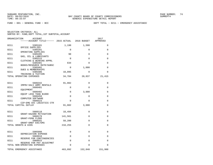FUND − 001 − GENERAL FUND − BCC DEPT TOTAL − 0211 − EMERGENCY ASSISTANCE

|      | ORGANIZATION<br>ACCOUNT<br>------ACCOUNT TITLE------ 2015 ACTUAL 2016 BUDGET |             |              | 2017<br>APPROVED |
|------|------------------------------------------------------------------------------|-------------|--------------|------------------|
| 0211 | 5305101                                                                      | 1,190       | 1,500        | 0                |
| 0211 | OFFICE SUPPLIES<br>5305201                                                   | 0           | 0            | 0                |
| 0211 | OPERATING SUPPLIES<br>5305205                                                | 90          | $\Omega$     | $\Omega$         |
| 0211 | GAS, OIL & LUBRICANTS<br>5305215                                             | $\Omega$    | $\Omega$     | $\Omega$         |
| 0211 | CLOTHING & WEARING APPRL<br>5305401                                          | 634         | $\Omega$     | $\Omega$         |
| 0211 | BOOKS/RESOURCE MATR/SUBSC<br>5305402                                         | $\mathbf 0$ | 1,000        | 0                |
| 0211 | DUES & MEMBERSHIPS<br>5305406                                                | 10,095      | 0            | 0                |
|      | TRAINING & TUITION<br>TOTAL OPERATING EXPENSES                               | 34,704      | 20,837       | 21,415           |
| 0211 | 5606342                                                                      | 91,882      | 0            | 0                |
| 0211 | IMPRV-SALV ARMY RENTALS<br>5606401                                           | 0           | 0            | 0                |
| 0211 | EOUIPMENT<br>5606402                                                         | $\mathbf 0$ | 3,000        | $\Omega$         |
| 0211 | EQUIP LESS THAN \$1000<br>5606450                                            | $\Omega$    | $\mathbf{0}$ | $\Omega$         |
| 0211 | COMPUTER SOFTWARE<br>5606523                                                 | $\Omega$    | $\Omega$     | $\Omega$         |
|      | CIP-EMG SVC LOGISTICS CTR<br>TOTAL CAPITAL OUTLAY                            | 91,882      | 3,000        | 0                |
|      |                                                                              |             |              |                  |
| 0211 | 5808118<br>GRANT-HAZARD MITIGATION                                           | 18,494      | 0            | 0                |
| 0211 | 5808179<br>GRANT-FEMA FLOOD                                                  | 141,561     | $\Omega$     | 0                |
| 0211 | 5808181<br>GRANT-DREF EOC/EMS                                                | 58,200      | $\mathbf{0}$ | 0                |
|      | TOTAL GRANTS & AIDS                                                          | 218,255     | 0            | 0                |
| 0211 | 5905998                                                                      | 0           | 0            | 0                |
| 0211 | DEPRECIATION EXPENSE<br>5909910                                              | 0           | 0            | 0                |
| 0211 | RESERVE FOR CONTINGENCIES<br>5909915                                         | $\Omega$    | $\Omega$     | $\Omega$         |
|      | RESERVE FOR PAY ADJUSTMNT<br>TOTAL NON-OPERATING EXPENSES                    | $\Omega$    | $\Omega$     | $\Omega$         |
|      | TOTAL EMERGENCY ASSISTANCE                                                   | 463,892     | 152,048      | 151,900          |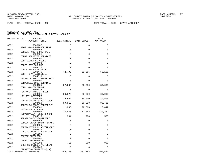| ORGANIZATION | <b>ACCOUNT</b>                                      |             |             | 2017        |
|--------------|-----------------------------------------------------|-------------|-------------|-------------|
|              | ------ACCOUNT TITLE------ 2015 ACTUAL               |             | 2016 BUDGET | APPROVED    |
| 0602         | 5303107                                             | $\Omega$    | $\Omega$    | 0           |
| 0602         | PROF SRV-SUBSTANCE TEST                             | $\mathbf 0$ | 0           |             |
|              | 5303162<br>CONSULT COSTS-PRETRAIL                   |             |             | 0           |
| 0602         | 5303301                                             | $\Omega$    | $\mathbf 0$ | $\mathbf 0$ |
| 0602         | COURT REPORTER SERVICES<br>5303401                  | $\mathbf 0$ | $\mathbf 0$ | 0           |
| 0602         | CONTRACTED SERVICES<br>5303408                      | $\Omega$    | $\Omega$    | $\Omega$    |
|              | CONTR SRV-800 MHZ                                   |             |             |             |
| 0602         | 5303410<br>CONTR SRV-JANITORIAL                     | $\Omega$    | $\Omega$    | 0           |
| 0602         | 5303446                                             | 42,790      | 52,586      | 55,166      |
| 0602         | CONTR SRV-FACILITIES<br>5304010                     | 0           | 0           | 0           |
|              | TRAVEL & PER DIEM-ST ATTY                           |             |             |             |
| 0602         | 5304101<br>COMMUNICATIONS SERVICES                  | $\Omega$    | $\Omega$    | $\Omega$    |
| 0602         | 5304105                                             | 27,203      | 36,000      | 30,000      |
| 0602         | COMM SRV-TELEPHONE<br>5304125                       | $\mathbf 0$ | 0           | 0           |
| 0602         | POSTAGE/TRANSP/FREIGHT<br>5304301                   | 56,873      | 60,000      | 60,000      |
|              | UTILITY SERVICES                                    |             |             |             |
| 0602         | 5304405<br>RENTALS/LEASES-BUILDINGS                 | 16,808      | 16,800      | 16,800      |
| 0602         | 5304410                                             | 59,512      | 60,018      | 80,731      |
| 0602         | RENTALS/LEASES-EQUIPMENT<br>5304501                 | 11,848      | 22,366      | 16,042      |
|              | INSURANCE & BONDS                                   |             |             |             |
| 0602         | 5304605<br>REPAIR/MAINT-BLDG & GRND                 | 74,665      | 112,382     | 130,382     |
| 0602         | 5304615                                             | 344         | 700         | 500         |
| 0602         | REPAIR/MAINT-EQUIPMENT<br>5304752                   | 0           | 0           | 0           |
| 0602         | COPIES-DEPOSTION/ST WTNSS<br>5304905                | $\Omega$    | $\Omega$    | $\Omega$    |
|              | FEES&COSTS-LGL ADV/ADVERT                           |             |             |             |
| 0602         | 5304916<br>FEES & COSTS-LIBRARY SRV                 | $\mathbf 0$ | $\mathbf 0$ | 0           |
| 0602         | 5305101                                             | $\Omega$    | $\Omega$    | $\Omega$    |
| 0602         | OFFICE SUPPLIES<br>5305201                          | $\Omega$    | $\Omega$    | 0           |
|              | OPERATING SUPPLIES                                  |             |             |             |
| 0602         | 5305202<br>OPER SUPPLIES-JANITORIAL                 | 715         | 900         | 900         |
| 0602         | 5305245                                             | $\Omega$    | $\Omega$    | 0           |
|              | OPERATING SUPPLIES-(SA)<br>TOTAL OPERATING EXPENSES | 290,758     | 361,752     | 390,521     |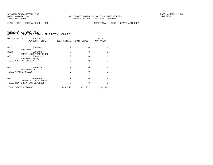| ORGANIZATION<br><b>ACCOUNT</b><br>---ACCOUNT TITLE------ | 2015 ACTUAL | 2016 BUDGET | 2017<br>APPROVED |
|----------------------------------------------------------|-------------|-------------|------------------|
| 0602<br>5606401                                          | 0           | $\Omega$    | $\Omega$         |
| EOUIPMENT<br>0602<br>5606402                             | O           | 0           | <sup>0</sup>     |
| EQUIP LESS THAN \$1000<br>0602<br>5606410                | 0           | 0           | $\Omega$         |
| EOUIPMENT-(SA)<br>TOTAL CAPITAL OUTLAY                   | $\Omega$    | $\Omega$    | $\Omega$         |
|                                                          |             |             |                  |
| 0602<br>5808113<br>GRANT-STATE                           | 0           | 0           | $\Omega$         |
| TOTAL GRANTS & AIDS                                      | O           | 0           | $\Omega$         |
| 0602<br>5905998                                          | 0           | 0           | <sup>0</sup>     |
| DEPRECIATION EXPENSE<br>TOTAL NON-OPERATING EXPENSES     | O           | 0           | <sup>0</sup>     |
| TOTAL STATE ATTORNEY                                     | 290,758     | 361,752     | 390,521          |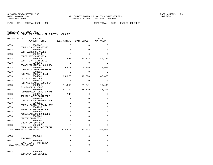| ORGANIZATION | ACCOUNT                                              |             |              | 2017        |
|--------------|------------------------------------------------------|-------------|--------------|-------------|
|              | ------ACCOUNT TITLE------ 2015 ACTUAL                |             | 2016 BUDGET  | APPROVED    |
| 0603         | 5303162                                              | 0           | $\mathbf 0$  | $\Omega$    |
| 0603         | CONSULT COSTS-PRETRAIL<br>5303401                    | $\Omega$    | $\Omega$     | $\Omega$    |
| 0603         | CONTRACTED SERVICES<br>5303410                       | $\Omega$    | $\Omega$     | $\Omega$    |
| 0603         | CONTR SRV-JANITORIAL<br>5303446                      | 27,699      | 30,378       | 40,225      |
| 0603         | CONTR SRV-FACILITIES<br>5304001                      | $\Omega$    | $\Omega$     | $\Omega$    |
| 0603         | TRAVEL/TRAINING NON-LOCAL<br>5304101                 | 5,670       | 6,336        | 4,680       |
|              | COMMUNICATIONS SERVICES                              |             |              |             |
| 0603         | 5304125<br>POSTAGE/TRANSP/FREIGHT                    | $\Omega$    | $\Omega$     | $\Omega$    |
| 0603         | 5304301<br>UTILITY SERVICES                          | 36,878      | 40,000       | 40,000      |
| 0603         | 5304410<br>RENTALS/LEASES-EQUIPMENT                  | $\Omega$    | $\Omega$     | $\Omega$    |
| 0603         | 5304501<br>INSURANCE & BONDS                         | 11,848      | 21,541       | 15,498      |
| 0603         | 5304605<br>REPAIR/MAINT-BLDG & GRND                  | 41,334      | 75,179       | 87,204      |
| 0603         | 5304615<br>REPAIR/MAINT-EQUIPMENT                    | 185         | $\mathbf 0$  | $\mathbf 0$ |
| 0603         | 5304755<br>COPIES-DEPOSTION/PUB DEF                  | 0           | $\Omega$     | $\Omega$    |
| 0603         | 5304916                                              | $\mathbf 0$ | $\mathbf 0$  | $\Omega$    |
| 0603         | FEES & COSTS-LIBRARY SRV<br>5304935                  | $\mathbf 0$ | $\Omega$     | $\Omega$    |
| 0603         | WTNSS CSTS-EXPERT/P.D.<br>5304990                    | $\mathbf 0$ | $\mathbf{0}$ | $\Omega$    |
| 0603         | MISCELLANEOUS EXPENSES<br>5305101                    | $\Omega$    | $\Omega$     | $\Omega$    |
| 0603         | OFFICE SUPPLIES<br>5305201                           | $\mathbf 0$ | $\Omega$     | $\Omega$    |
| 0603         | OPERATING SUPPLIES<br>5305202                        | $\Omega$    | $\Omega$     | $\Omega$    |
|              | OPER SUPPLIES-JANITORIAL<br>TOTAL OPERATING EXPENSES | 123,613     | 173,434      | 187,607     |
|              |                                                      |             |              |             |
| 0603         | 5606401                                              | $\mathbf 0$ | $\mathbf 0$  | 0           |
| 0603         | <b>EOUIPMENT</b><br>5606402                          | $\mathbf 0$ | $\Omega$     | $\Omega$    |
|              | EQUIP LESS THAN \$1000<br>TOTAL CAPITAL OUTLAY       | $\mathbf 0$ | $\mathbf 0$  | $\Omega$    |
| 0603         | 5905998<br>DEPRECIATION EXPENSE                      | $\Omega$    | $\Omega$     | $\Omega$    |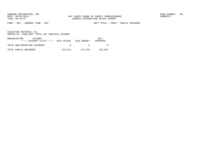FUND − 001 − GENERAL FUND − BCC DEPT TOTAL − 0603 − PUBLIC DEFENDER

| ORGANIZATION<br>ACCOUNT<br>$---ACCOINT TITLE---2015 ACTUAL 2016 BUDGET$ |         |         | 2017<br>APPROVED |
|-------------------------------------------------------------------------|---------|---------|------------------|
| TOTAL NON-OPERATING EXPENSES                                            | $\cap$  |         |                  |
| TOTAL PUBLIC DEFENDER                                                   | 123,613 | 173,434 | 187,607          |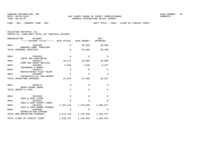FUND − 001 − GENERAL FUND − BCC DEPT TOTAL − 0604 − CLERK OF CIRCUIT COURT

| ORGANIZATION<br>ACCOUNT<br>------ACCOUNT TITLE------ 2015 ACTUAL 2016 BUDGET |             |             | 2017<br>APPROVED |
|------------------------------------------------------------------------------|-------------|-------------|------------------|
| 0604<br>5102400                                                              | 0           | 20,468      | 20,468           |
| WORKERS COMP. PREMIUMS<br>TOTAL PERSONAL SERVICES                            | $\mathbf 0$ | 20,468      | 20,468           |
| 0604<br>5303410<br>CONTR SRV-JANITORIAL                                      | $\mathbf 0$ | $\Omega$    | $\Omega$         |
| 0604<br>5304107<br>COMM SRV-COURT RELATED                                    | 18,112      | 20,000      | 20,000           |
| 0604<br>5304501<br>INSURANCE & BONDS                                         | 4,542       | 7,636       | 6,327            |
| 0604<br>5304611<br>REPAIR/MAINT-FLEET MAINT                                  | $\mathbf 0$ | $\Omega$    | 0                |
| 0604<br>5304905<br>FEES&COSTS-LGL ADV/ADVERT                                 | $\mathbf 0$ | $\mathbf 0$ | $\mathbf 0$      |
| TOTAL OPERATING EXPENSES                                                     | 22,654      | 27,636      | 26,327           |
| 0604<br>5808175<br>GRANT-BYRNE GRANT                                         | $\mathbf 0$ | $\mathbf 0$ | $\mathbf 0$      |
| TOTAL GRANTS & AIDS                                                          | $\mathbf 0$ | $\mathbf 0$ | $\Omega$         |
| 0604<br>5819180                                                              | $\mathbf 0$ | $\Omega$    | $\mathbf 0$      |
| FEES & COST-CLERK<br>0604<br>5819181                                         | $\mathbf 0$ | $\Omega$    | $\Omega$         |
| FEES & COST-COUNTY COURT<br>0604<br>5819182                                  | 1, 214, 143 | 1,270,838   | 1,355,077        |
| FEES & COST-BOARD FINANCE<br>0604<br>5905998                                 | $\mathbf 0$ | $\mathbf 0$ | $\mathbf 0$      |
| DEPRECIATION EXPENSE<br>TOTAL NON-OPERATING EXPENSES                         | 1, 214, 143 | 1,270,838   | 1,355,077        |
| TOTAL CLERK OF CIRCUIT COURT                                                 | 1,236,797   | 1,318,942   | 1,401,872        |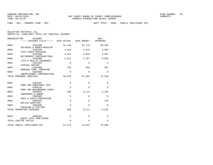FUND − 001 − GENERAL FUND − BCC DEPT TOTAL − 0605 − PUBLIC INFO/COURT EFF

| ORGANIZATION<br><b>ACCOUNT</b><br>------ACCOUNT TITLE------ 2015 ACTUAL |             | 2016 BUDGET | 2017<br>APPROVED |
|-------------------------------------------------------------------------|-------------|-------------|------------------|
| 0605<br>5101200                                                         | 54,149      | 54,176      | 58,336           |
| SALARIES & WAGES-REGULAR<br>0605<br>5102100                             | 4,012       | 4,144       | 4,463            |
| FICA TAXES-MATCHING<br>0605<br>5102200                                  | 3,971       | 4,032       | 4,497            |
| RETIREMENT CONTRIBUTIONS<br>0605<br>5102300                             | 4,511       | 5,257       | 5,963            |
| LIFE & HEALTH INSURANCE<br>0605<br>5102302                              | $\mathbf 0$ | $\Omega$    | $\Omega$         |
| VIRTUAL DOCTOR<br>5102400<br>0605                                       | 233         | 233         | 251              |
| WORKERS COMP. PREMIUMS<br>0605<br>5102500<br>UNEMPLOYMENT COMPENSATION  | 0           | 0           | $\mathbf 0$      |
| TOTAL PERSONAL SERVICES                                                 | 66,876      | 67,842      | 73,510           |
| 0605<br>5303107                                                         | 0           | $\mathbf 0$ | 0                |
| PROF SRV-SUBSTANCE TEST<br>0605<br>5303110                              | $\Omega$    | $\Omega$    | $\Omega$         |
| PROF SRV-BACKGROUND CHECK<br>0605<br>5304501                            | 395         | 6,171       | 5,435            |
| INSURANCE & BONDS<br>0605<br>5304902                                    | $\mathbf 0$ | $\Omega$    | $\Omega$         |
| FEES & COSTS-PURCHASING<br>0605<br>5305101                              | 0           | $\Omega$    | 750              |
| OFFICE SUPPLIES<br>0605<br>5305406                                      | $\Omega$    | $\Omega$    | $\Omega$         |
| TRAINING & TUITION<br>TOTAL OPERATING EXPENSES                          | 395         | 6,171       | 6,185            |
|                                                                         |             |             |                  |
| 0605<br>5606402<br>EOUIP LESS THAN \$1000                               | 0           | 0           | 0                |
| TOTAL CAPITAL OUTLAY                                                    | 0           | $\Omega$    | $\mathbf 0$      |
| TOTAL PUBLIC INFO/COURT EFF                                             | 67,271      | 74,013      | 79,695           |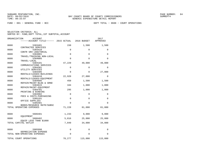FUND − 001 − GENERAL FUND − BCC DEPT TOTAL − 0608 − COURT OPERATIONS

|      | ORGANIZATION<br><b>ACCOUNT</b><br>------ACCOUNT TITLE------ 2015 ACTUAL |                | 2016 BUDGET  | 2017<br>APPROVED |
|------|-------------------------------------------------------------------------|----------------|--------------|------------------|
| 0608 | 5303401                                                                 | 150            | 1,500        | 1,500            |
| 0608 | CONTRACTED SERVICES<br>5303410                                          | 0              | 0            | 0                |
| 0608 | CONTR SRV-JANITORIAL<br>5304001                                         | $\mathbf 0$    | $\mathbf 0$  | 0                |
| 0608 | TRAVEL/TRAINING NON-LOCAL<br>5304005                                    | $\Omega$       | $\Omega$     | 0                |
| 0608 | TRAVEL-LOCAL<br>5304101                                                 | 47,229         | 49,000       | 49,000           |
| 0608 | COMMUNICATIONS SERVICES<br>5304301                                      | $\mathbf 0$    | $\Omega$     | 0                |
| 0608 | UTILITY SERVICES<br>5304405                                             | $\Omega$       | 0            | 27,000           |
| 0608 | RENTALS/LEASES-BUILDINGS<br>5304410                                     | 22,920         | 27,000       | 0                |
| 0608 | RENTALS/LEASES-EQUIPMENT<br>5304605                                     | 450            | 1,500        | 1,500            |
| 0608 | REPAIR/MAINT-BLDG & GRND<br>5304615                                     | 184            | 1,000        | 1,000            |
| 0608 | REPAIR/MAINT-EOUIPMENT<br>5304701                                       | 295            | 1,000        | 1,000            |
| 0608 | PRINTING & BINDING<br>5304902                                           | 0              | 0            | 0                |
| 0608 | FEES & COSTS-PURCHASING<br>5305101                                      | $\overline{0}$ | $\mathbf{0}$ | 0                |
| 0608 | OFFICE SUPPLIES<br>5305401                                              | $\Omega$       | $\Omega$     | 0                |
|      | BOOKS/RESOURCE MATR/SUBSC<br>TOTAL OPERATING EXPENSES                   | 71,228         | 81,000       | 81,000           |
|      |                                                                         |                |              |                  |
| 0608 | 5606401<br>EOUIPMENT                                                    | 1,233          | 9,000        | 9,000            |
| 0608 | 5606402<br>EOUIP LESS THAN \$1000                                       | 5,816          | 25,000       | 25,000           |
|      | TOTAL CAPITAL OUTLAY                                                    | 7,049          | 34,000       | 34,000           |
| 0608 | 5905998                                                                 | $\mathbf 0$    | 0            | 0                |
|      | DEPRECIATION EXPENSE<br>TOTAL NON-OPERATING EXPENSES                    | 0              | 0            | 0                |
|      | TOTAL COURT OPERATIONS                                                  | 78,277         | 115,000      | 115,000          |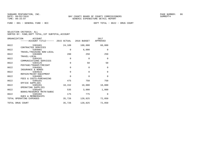FUND − 001 − GENERAL FUND − BCC DEPT TOTAL − 0622 − DRUG COURT

|  | SELECTION CRITERIA: ALL                            |  |  |
|--|----------------------------------------------------|--|--|
|  | SORTED BY: FUND, DEPT TOTAL, 1ST SUBTOTAL, ACCOUNT |  |  |

|      | ORGANIZATION<br><b>ACCOUNT</b><br>------ACCOUNT TITLE------ 2015 ACTUAL 2016 BUDGET |             |             | 2017<br>APPROVED |
|------|-------------------------------------------------------------------------------------|-------------|-------------|------------------|
| 0622 | 5303401                                                                             | 24,109      | 100,000     | 60,000           |
| 0622 | CONTRACTED SERVICES<br>5304001                                                      | $\Omega$    | 6,000       | $\Omega$         |
| 0622 | TRAVEL/TRAINING NON-LOCAL<br>5304005                                                | 280         | 250         | 250              |
| 0622 | TRAVEL-LOCAL<br>5304101                                                             | $\Omega$    | $\mathbf 0$ | $\mathbf 0$      |
| 0622 | COMMUNICATIONS SERVICES<br>5304125                                                  | $\mathbf 0$ | 50          | 50               |
| 0622 | POSTAGE/TRANSP/FREIGHT<br>5304501                                                   | $\Omega$    | $\Omega$    | $\mathbf 0$      |
| 0622 | INSURANCE & BONDS<br>5304615                                                        | $\Omega$    | $\Omega$    | $\mathbf 0$      |
| 0622 | REPAIR/MAINT-EOUIPMENT<br>5304902                                                   | $\Omega$    | $\Omega$    | $\Omega$         |
| 0622 | FEES & COSTS-PURCHASING<br>5305101                                                  | 475         | 750         | 750              |
| 0622 | OFFICE SUPPLIES<br>5305201                                                          | 10,152      | 10,000      | 10,000           |
| 0622 | OPERATING SUPPLIES<br>5305401                                                       | 535         | 3,000       | 1,000            |
| 0622 | BOOKS/RESOURCE MATR/SUBSC<br>5305402                                                | 175         | 775         | $\Omega$         |
|      | <b>DUES &amp; MEMBERSHIPS</b><br>TOTAL OPERATING EXPENSES                           | 35,726      | 120,825     | 72,050           |
|      | TOTAL DRUG COURT                                                                    | 35,726      | 120,825     | 72,050           |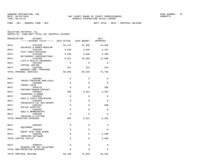FUND − 001 − GENERAL FUND − BCC DEPT TOTAL − 0623 − PRETRIAL RELEASE

| ORGANIZATION<br>ACCOUNT<br>------ACCOUNT TITLE------ 2015 ACTUAL |             | 2016 BUDGET | 2017<br>APPROVED |
|------------------------------------------------------------------|-------------|-------------|------------------|
| 0623<br>5101200                                                  | 52,276      | 51,606      | 54,466           |
| SALARIES & WAGES-REGULAR<br>0623<br>5102100                      | 3,649       | 3,948       | 4,167            |
| FICA TAXES-MATCHING<br>0623<br>5102200                           | 3,836       | 3,840       | 4,198            |
| RETIREMENT CONTRIBUTIONS<br>0623<br>5102300                      | 8,821       | 10,303      | 11,688           |
| LIFE & HEALTH INSURANCE<br>0623<br>5102302                       | $\Omega$    | $\Omega$    | $\Omega$         |
| VIRTUAL DOCTOR<br>0623<br>5102400                                | 221         | 222         | 234              |
| WORKERS COMP. PREMIUMS<br>TOTAL PERSONAL SERVICES                | 68,803      | 69,919      | 74,753           |
| 0623<br>5304001                                                  | $\mathbf 0$ | $\mathbf 0$ | $\mathbf 0$      |
| TRAVEL/TRAINING NON-LOCAL<br>0623<br>5304005                     | $\mathbf 0$ | $\Omega$    | $\Omega$         |
| TRAVEL-LOCAL<br>0623<br>5304125                                  | $\Omega$    | $\Omega$    | 350              |
| POSTAGE/TRANSP/FREIGHT<br>0623<br>5304501                        | 395         | 5,921       | 5,252            |
| INSURANCE & BONDS<br>0623<br>5304902                             | $\mathbf 0$ | $\Omega$    | $\Omega$         |
| FEES & COSTS-PURCHASING<br>0623<br>5304905                       | $\mathbf 0$ | 0           | $\Omega$         |
| FEES&COSTS-LGL ADV/ADVERT<br>0623<br>5305101                     | $\Omega$    | $\Omega$    | 500              |
| OFFICE SUPPLIES<br>0623<br>5305402                               | $\mathbf 0$ | $\Omega$    | $\mathbf 0$      |
| DUES & MEMBERSHIPS<br>0623<br>5305406                            | 0           | 0           | 0                |
| TRAINING & TUITION<br>TOTAL OPERATING EXPENSES                   | 395         | 5,921       | 6,102            |
| 0623<br>5606401                                                  | $\mathbf 0$ | $\mathbf 0$ | 0                |
| EOUIPMENT<br>0623<br>5606402                                     | $\mathbf 0$ | $\Omega$    | $\Omega$         |
| EQUIP LESS THAN \$1000<br>0623<br>5606450                        | 0           | $\Omega$    | 2,500            |
| COMPUTER SOFTWARE                                                | $\mathbf 0$ | 0           |                  |
| TOTAL CAPITAL OUTLAY                                             |             |             | 2,500            |
| 0623<br>5909915                                                  | $\Omega$    | $\Omega$    | $\Omega$         |
| RESERVE FOR PAY ADJUSTMNT<br>TOTAL NON-OPERATING EXPENSES        | $\mathbf 0$ | $\Omega$    | $\Omega$         |
| TOTAL PRETRIAL RELEASE                                           | 69,198      | 75,840      | 83,355           |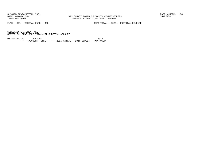BAY COUNTY BOARD OF COUNTY COMMISSIONERS TIME: 09:33:07 GENERIC EXPENDITURE DETAIL REPORT

FUND − 001 − GENERAL FUND − BCC DEPT TOTAL − 0623 − PRETRIAL RELEASE

SELECTION CRITERIA: ALLSORTED BY: FUND,DEPT TOTAL,1ST SUBTOTAL,ACCOUNT

ORGANIZATION ACCOUNT 2017−−−−−−ACCOUNT TITLE−−−−−− 2015 ACTUAL 2016 BUDGET APPROVED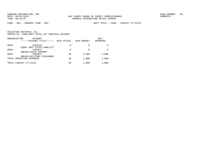FUND − 001 − GENERAL FUND − BCC DEPT TOTAL − 0640 − CIRCUIT CT−CIVIL

|      | ORGANIZATION<br>ACCOUNT<br>-----ACCOUNT TITLE------ | 2015 ACTUAL | 2016 BUDGET | 2017<br>APPROVED |
|------|-----------------------------------------------------|-------------|-------------|------------------|
| 0640 | 5303143<br>COURT APPT ATTNY-CONFLICT                | 0           | 0           |                  |
| 0640 | 5304971<br>UREASA-CHILD SUPPORT                     | $\Omega$    |             |                  |
| 0640 | 5304972<br>UREASA-MILITARY DISCHARGE                | 49          | 1,000       | 1,000            |
|      | TOTAL OPERATING EXPENSES                            | 49          | 1,000       | 1,000            |
|      | TOTAL CIRCUIT CT-CIVIL                              | 49          | 1,000       | 1,000            |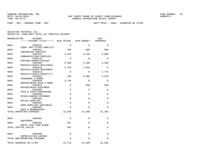|      | ORGANIZATION<br>ACCOUNT<br>------ACCOUNT TITLE------ 2015 ACTUAL |             | 2016 BUDGET  | 2017<br>APPROVED |
|------|------------------------------------------------------------------|-------------|--------------|------------------|
| 0685 | 5303143                                                          | $\Omega$    | $\Omega$     | $\Omega$         |
| 0685 | COURT APPT ATTNY-CONFLICT<br>5303401                             | 700         | 600          | 600              |
| 0685 | CONTRACTED SERVICES<br>5304101                                   | 4,378       | 4,260        | 4,680            |
| 0685 | COMMUNICATIONS SERVICES<br>5304125                               | $\mathbf 0$ | $\mathbf{0}$ | 0                |
| 0685 | POSTAGE/TRANSP/FREIGHT<br>5304405                                | 2,280       | 2,200        | 2,200            |
| 0685 | RENTALS/LEASES-BUILDINGS<br>5304410                              | 2,478       | 7,633        | 0                |
| 0685 | RENTALS/LEASES-EQUIPMENT<br>5304414                              | $\mathbf 0$ | $\mathbf 0$  | 7,776            |
| 0685 | RENTALS/LEASES-EQUIP(IT)<br>5304501                              | 790         | 6,396        | 5,510            |
| 0685 | INSURANCE & BONDS<br>5304605                                     | 3,720       | $\mathbf{0}$ | 0                |
| 0685 | REPAIR/MAINT-BLDG & GRND<br>5304615                              | 0           | 500          | 500              |
| 0685 | REPAIR/MAINT-EQUIPMENT<br>5304902                                | $\mathbf 0$ | $\Omega$     | $\Omega$         |
| 0685 | FEES & COSTS-PURCHASING<br>5304990                               | $\mathbf 0$ | $\Omega$     | $\Omega$         |
| 0685 | MISCELLANEOUS EXPENSES<br>5305101                                | $\mathbf 0$ | 0            | 0                |
| 0685 | OFFICE SUPPLIES<br>5305202                                       | $\mathbf 0$ | $\Omega$     | $\Omega$         |
| 0685 | OPER SUPPLIES-JANITORIAL<br>5305402                              | $\mathbf 0$ | 0            | 0                |
|      | DUES & MEMBERSHIPS<br>TOTAL OPERATING EXPENSES                   | 14,346      | 21,589       | 21,266           |
|      |                                                                  |             |              |                  |
| 0685 | 5606401<br>EOUIPMENT                                             | 0           | 0            | 0                |
| 0685 | 5606402<br>EOUIP LESS THAN \$1000                                | 367         | $\Omega$     | $\Omega$         |
|      | TOTAL CAPITAL OUTLAY                                             | 367         | 0            | 0                |
| 0685 | 5905998                                                          | $\mathbf 0$ | $\mathbf 0$  | 0                |
|      | DEPRECIATION EXPENSE<br>TOTAL NON-OPERATING EXPENSES             | $\Omega$    | $\Omega$     | $\Omega$         |
|      | TOTAL GUARDIAN AD LITEM                                          | 14,713      | 21,589       | 21,266           |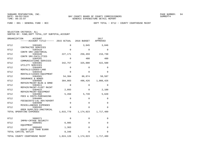FUND − 001 − GENERAL FUND − BCC DEPT TOTAL − 0712 − COUNTY COURTHOUSE MAINT

|      | ORGANIZATION<br>ACCOUNT<br>------ACCOUNT TITLE------ 2015 ACTUAL |             | 2016 BUDGET | 2017<br>APPROVED |
|------|------------------------------------------------------------------|-------------|-------------|------------------|
| 0712 | 5303401<br>CONTRACTED SERVICES                                   | 0           | 3,045       | 3,046            |
| 0712 | 5303410                                                          | $\mathbf 0$ | $\mathbf 0$ | 0                |
| 0712 | CONTR SRV-JANITORIAL<br>5303446                                  | 227,171     | 256,459     | 216,730          |
| 0712 | CONTR SRV-FACILITIES<br>5304101                                  | $\Omega$    | 480         | 480              |
| 0712 | COMMUNICATIONS SERVICES<br>5304301                               | 342,757     | 325,000     | 422,500          |
| 0712 | UTILITY SERVICES<br>5304403                                      | $\mathbf 0$ | $\Omega$    | $\Omega$         |
| 0712 | RENTALS/LEASES-LAND<br>5304410                                   | $\mathbf 0$ | $\Omega$    | $\Omega$         |
| 0712 | RENTALS/LEASES-EOUIPMENT<br>5304501                              | 54,304      | 86,874      | 58,587           |
| 0712 | INSURANCE & BONDS<br>5304605                                     | 384,003     | 496,426     | 1,008,426        |
| 0712 | REPAIR/MAINT-BLDG & GRND<br>5304611                              | 0           | $\Omega$    | $\Omega$         |
| 0712 | REPAIR/MAINT-FLEET MAINT<br>5304615                              | 2,093       | 0           | 2,100            |
| 0712 | REPAIR/MAINT-EOUIPMENT<br>5304902                                | 5,450       | 5,739       | 5,620            |
| 0712 | FEES & COSTS-PURCHASING<br>5304905                               | $\mathbf 0$ | $\Omega$    | 0                |
| 0712 | FEES&COSTS-LGL ADV/ADVERT<br>5304990                             | $\mathbf 0$ | 0           | $\mathbf 0$      |
| 0712 | MISCELLANEOUS EXPENSES<br>5305202                                | $\Omega$    | $\Omega$    | $\mathbf 0$      |
|      | OPER SUPPLIES-JANITORIAL<br>TOTAL OPERATING EXPENSES             | 1,015,778   | 1,174,023   | 1,717,489        |
|      |                                                                  |             |             |                  |
| 0712 | 5606371<br>IMPRV-CRTHSE SECURITY                                 | 0           | $\Omega$    | 0                |
| 0712 | 5606401<br>EOUIPMENT                                             | 6,985       | 0           | $\mathbf 0$      |
| 0712 | 5606402<br>EQUIP LESS THAN \$1000                                | 1,363       | $\mathbf 0$ | $\Omega$         |
|      | TOTAL CAPITAL OUTLAY                                             | 8,348       | $\Omega$    | $\Omega$         |
|      | TOTAL COUNTY COURTHOUSE MAINT                                    | 1,024,126   | 1,174,023   | 1,717,489        |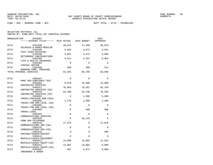FUND − 001 − GENERAL FUND − BCC DEPT TOTAL − 0713 − TECHNOLOGY

| ORGANIZATION | <b>ACCOUNT</b><br>------ACCOUNT TITLE------ 2015 ACTUAL 2016 BUDGET |             |             | 2017<br>APPROVED |
|--------------|---------------------------------------------------------------------|-------------|-------------|------------------|
| 0713         | 5101200                                                             | 49,812      | 47,998      | 50,079           |
| 0713         | SALARIES & WAGES-REGULAR<br>5102100                                 | 3,645       | 3,672       | 3,831            |
| 0713         | FICA TAXES-MATCHING<br>5102200                                      | 3,651       | 3,572       | 3,860            |
| 0713         | RETIREMENT CONTRIBUTIONS<br>5102300                                 | 4,511       | 5,257       | 5,963            |
| 0713         | LIFE & HEALTH INSURANCE<br>5102302                                  | 0           | $\mathbf 0$ | $\Omega$         |
| 0713         | VIRTUAL DOCTOR<br>5102400                                           | 206         | 206         | 215              |
|              | WORKERS COMP. PREMIUMS<br>TOTAL PERSONAL SERVICES                   | 61,825      | 60,705      | 63,948           |
| 0713         | 5303107                                                             | $\Omega$    | $\Omega$    | $\Omega$         |
| 0713         | PROF SRV-SUBSTANCE TEST<br>5303401                                  | 9,070       | 15,000      | 15,000           |
| 0713         | CONTRACTED SERVICES<br>5303417                                      | 76,864      | 79,387      | 81,769           |
| 0713         | CONTRACTED SERVICES (SA)<br>5303418                                 | 53,480      | 62,238      | 70,526           |
| 0713         | CONTRACTED SERVICES (PD)<br>5304001                                 | $\Omega$    | 1,500       | 5,000            |
| 0713         | TRAVEL/TRAINING NON-LOCAL<br>5304002                                | 1,170       | 1,500       | 1,500            |
| 0713         | TRAVEL/TRN NON-LOCAL (SA)<br>5304003                                | $\Omega$    | $\Omega$    | $\Omega$         |
| 0713         | TRAVEL/TRN NON-LOCAL (PD)<br>5304005<br>TRAVEL-LOCAL                | $\mathbf 0$ | 500         | 500              |
| 0713         | 5304101<br>COMMUNICATIONS SERVICES                                  | $\mathsf 0$ | $\Omega$    | $\Omega$         |
| 0713         | 5304105<br>COMM SRV-TELEPHONE                                       | $\Omega$    | 18,125      | $\Omega$         |
| 0713         | 5304110<br>COMMUNICATIONS SRV-(SA)                                  | 17,475      | 0           | 27,029           |
| 0713         | 5304115<br>COMMUNICATIONS SRV-(PD)                                  | $\mathbf 0$ | $\mathbf 0$ | $\Omega$         |
| 0713         | 5304125<br>POSTAGE/TRANSP/FREIGHT                                   | $\mathbf 0$ | $\Omega$    | 500              |
| 0713         | 5304410<br>RENTALS/LEASES-EQUIPMENT                                 | $\Omega$    | $\Omega$    | $\Omega$         |
| 0713         | 5304411<br>RENTALS/LEASES EOUIP-(SA)                                | 13,980      | 13,802      | 11,822           |
| 0713         | 5304412<br>RENTALS/LEASES EQUIP-(PD)                                | 13,802      | 13,802      | 9,000            |
| 0713         | 5304501<br>INSURANCE & BONDS                                        | 987         | 5,671       | 5,068            |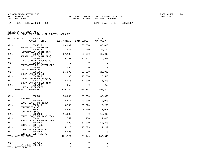FUND − 001 − GENERAL FUND − BCC DEPT TOTAL − 0713 − TECHNOLOGY

| ORGANIZATION       | ACCOUNT<br>------ACCOUNT TITLE------ 2015 ACTUAL |          | 2016 BUDGET | 2017<br>APPROVED |
|--------------------|--------------------------------------------------|----------|-------------|------------------|
| 0713               | 5304615                                          | 29,002   | 38,000      | 40,000           |
| 0713               | REPAIR/MAINT-EQUIPMENT<br>5304618                | 31,567   | 33,250      | 33,593           |
| 0713               | REPAIR/MAINT-EOUIP (SA)<br>5304619               | 27,103   | 32,090      | 32,090           |
| 0713               | REPAIR/MAINT-EQUIP (PD)<br>5304902               | 5,791    | 11,477      | 6,557            |
| 0713               | FEES & COSTS-PURCHASING<br>5304905               | $\Omega$ | $\Omega$    | $\Omega$         |
| 0713               | FEES&COSTS-LGL ADV/ADVERT<br>5305101             | 1,596    | $\Omega$    | $\mathbf 0$      |
| 0713               | OFFICE SUPPLIES<br>5305201                       | 16,990   | 20,000      | 20,000           |
| 0713               | OPERATING SUPPLIES<br>5305245                    | 2,168    | 15,500      | 15,500           |
| 0713               | OPERATING SUPPLIES-(SA)<br>5305246               | 8,955    | 12,000      | 16,800           |
| 0713               | OPERATING SUPPLIES-(PD)<br>5305402               | 250      | $\Omega$    | 250              |
|                    | DUES & MEMBERSHIPS<br>TOTAL OPERATING EXPENSES   | 310,249  | 373,842     | 392,504          |
| 0713               | 5606401                                          | 54,688   | 35,000      | 38,000           |
| 0713               | EOUIPMENT<br>5606402                             | 13,857   | 40,000      | 40,000           |
| 0713               | EQUIP LESS THAN \$1000<br>5606410                | 8,768    | 36,670      | 28,250           |
| 0713               | EOUIPMENT-(SA)<br>5606411                        | 5,692    | 6,000       | 28,000           |
| 0713               | EOUIPMENT-(PD)<br>5606420                        | 11,909   | 0           | 16,000           |
| 0713               | EQUIP LESS THAN\$1000 (SA)<br>5606421            | 1,552    | 1,400       | 1,400            |
| 0713               | EQUIP LESS THAN\$1000 (PD)<br>5606450            | 37,623   | 57,000      | 60,800           |
| 0713               | COMPUTER SOFTWARE<br>5606451                     | 15,113   | 15,079      | 21,199           |
| 0713               | COMPUTER SOFTWARE (SA)<br>5606452                | 12,525   | $\Omega$    | 0                |
|                    | COMPUTER SOFTWARE (PD)<br>TOTAL CAPITAL OUTLAY   | 161,727  | 191,149     | 233,649          |
| 0713               | 5707201                                          | 0        | $\Omega$    | 0                |
| TOTAL DEBT SERVICE | <b>INTEREST EXPENSE</b>                          | $\Omega$ | $\Omega$    | $\Omega$         |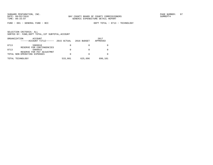FUND − 001 − GENERAL FUND − BCC DEPT TOTAL − 0713 − TECHNOLOGY

|      | ORGANIZATION<br>ACCOUNT<br>------ACCOUNT TITLE------      | 2015 ACTUAL | 2016 BUDGET | 2017<br>APPROVED |
|------|-----------------------------------------------------------|-------------|-------------|------------------|
| 0713 | 5909910                                                   | 0           |             |                  |
| 0713 | RESERVE FOR CONTINGENCIES<br>5909915                      | 0           |             |                  |
|      | RESERVE FOR PAY ADJUSTMNT<br>TOTAL NON-OPERATING EXPENSES | 0           |             |                  |
|      | TOTAL TECHNOLOGY                                          | 533,801     | 625,696     | 690,101          |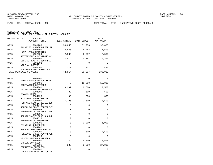FUND − 001 − GENERAL FUND − BCC DEPT TOTAL − 0715 − INNOVATIVE COURT PROGRAMS

| ORGANIZATION | <b>ACCOUNT</b><br>------ACCOUNT TITLE------ 2015 ACTUAL 2016 BUDGET |          |              | 2017<br>APPROVED |
|--------------|---------------------------------------------------------------------|----------|--------------|------------------|
| 0715         | 5101200<br>SALARIES & WAGES-REGULAR                                 | 34,653   | 81,933       | 98,080           |
| 0715         | 5102100<br>FICA TAXES-MATCHING                                      | 2,630    | 6,268        | 7,503            |
| 0715         | 5102200                                                             | 2,539    | 6,097        | 7,560            |
| 0715         | RETIREMENT CONTRIBUTIONS<br>5102300<br>LIFE & HEALTH INSURANCE      | 2,474    | 5,187        | 26,357           |
| 0715         | 5102302<br>VIRTUAL DOCTOR                                           | $\Omega$ | $\Omega$     | $\Omega$         |
| 0715         | 5102400<br>WORKERS COMP. PREMIUMS                                   | 219      | 352          | 422              |
|              | TOTAL PERSONAL SERVICES                                             | 42,514   | 99,837       | 139,922          |
| 0715         | 5303107                                                             | 74       | $\mathbf 0$  | $\Omega$         |
| 0715         | PROF SRV-SUBSTANCE TEST<br>5303401                                  | $\Omega$ | 15,000       | 15,000           |
| 0715         | CONTRACTED SERVICES<br>5304001                                      | 3,297    | 2,500        | 2,500            |
| 0715         | TRAVEL/TRAINING NON-LOCAL<br>5304005<br>TRAVEL-LOCAL                | 39       | 500          | 500              |
| 0715         | 5304125<br>POSTAGE/TRANSP/FREIGHT                                   | 196      | 300          | 300              |
| 0715         | 5304405<br>RENTALS/LEASES-BUILDINGS                                 | 5,725    | 3,500        | 3,500            |
| 0715         | 5304410<br>RENTALS/LEASES-EOUIPMENT                                 | 0        | $\mathbf{0}$ | $\mathbf 0$      |
| 0715         | 5304604<br>REPAIR/MAINT-BLD&GRD DEPT                                | 0        | $\Omega$     | $\Omega$         |
| 0715         | 5304605<br>REPAIR/MAINT-BLDG & GRND                                 | $\Omega$ | $\Omega$     | $\Omega$         |
| 0715         | 5304615<br>REPAIR/MAINT-EQUIPMENT                                   | $\Omega$ | $\Omega$     | $\Omega$         |
| 0715         | 5304701<br>PRINTING & BINDING                                       | 0        | 1,000        | 1,000            |
| 0715         | 5304902<br>FEES & COSTS-PURCHASING                                  | $\Omega$ | $\Omega$     | $\Omega$         |
| 0715         | 5304905<br>FEES&COSTS-LGL ADV/ADVERT                                | 0        | 2,500        | 2,500            |
| 0715         | 5304990<br>MISCELLANEOUS EXPENSES                                   | $\Omega$ | $\Omega$     | $\Omega$         |
| 0715         | 5305101<br>OFFICE SUPPLIES                                          | 1,234    | 4,500        | 4,500            |
| 0715         | 5305201<br>OPERATING SUPPLIES                                       | 336      | 2,000        | 27,000           |
| 0715         | 5305202<br>OPER SUPPLIES-JANITORIAL                                 | 0        | $\mathbf 0$  | 0                |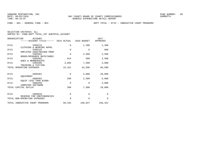FUND − 001 − GENERAL FUND − BCC DEPT TOTAL − 0715 − INNOVATIVE COURT PROGRAMS

|      | ORGANIZATION<br>ACCOUNT<br>------ACCOUNT TITLE------ 2015 ACTUAL |             | 2016 BUDGET | 2017<br>APPROVED |
|------|------------------------------------------------------------------|-------------|-------------|------------------|
| 0715 | 5305215                                                          | 0           | 1,200       | 1,200            |
| 0715 | CLOTHING & WEARING APPRL<br>5305225                              | $\Omega$    | $\Omega$    | 600              |
| 0715 | EMPLOYEE SUGG/RECOGN PRGM<br>5305401                             | $\mathbf 0$ | 2,500       | 2,500            |
| 0715 | BOOKS/RESOURCE MATR/SUBSC<br>5305402                             | 914         | 500         | 2,500            |
| 0715 | <b>DUES &amp; MEMBERSHIPS</b><br>5305406                         | 3,605       | 7,500       | 4,900            |
|      | TRAINING & TUITION<br>TOTAL OPERATING EXPENSES                   | 15,421      | 43,500      | 68,500           |
|      |                                                                  |             |             |                  |
| 0715 | 5606401<br>EOUIPMENT                                             | $\Omega$    | 5,000       | 20,000           |
| 0715 | 5606402<br>EQUIP LESS THAN \$1000                                | 399         | 2,500       | 5,000            |
| 0715 | 5606450<br>COMPUTER SOFTWARE                                     | $\Omega$    | $\Omega$    | 3,000            |
|      | TOTAL CAPITAL OUTLAY                                             | 399         | 7,500       | 28,000           |
| 0715 | 5909910                                                          | $\mathbf 0$ | 0           | $\mathbf 0$      |
|      | RESERVE FOR CONTINGENCIES<br>TOTAL NON-OPERATING EXPENSES        | 0           | $\Omega$    | $\Omega$         |
|      | TOTAL INNOVATIVE COURT PROGRAMS                                  | 58,334      | 150,837     | 236,422          |
|      |                                                                  |             |             |                  |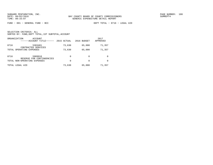FUND − 001 − GENERAL FUND − BCC DEPT TOTAL − 0716 − LEGAL AID

| ORGANIZATION             | ACCOUNT<br>------ACCOUNT TITLE------ | 2015 ACTUAL | 2016 BUDGET | 2017<br>APPROVED |
|--------------------------|--------------------------------------|-------------|-------------|------------------|
| 0716                     | 5303401<br>CONTRACTED SERVICES       | 73,630      | 65,000      | 71,357           |
| TOTAL OPERATING EXPENSES |                                      | 73,630      | 65,000      | 71,357           |
| 0716                     | 5909910<br>RESERVE FOR CONTINGENCIES | $\Omega$    | $\Omega$    | <sup>0</sup>     |
|                          | TOTAL NON-OPERATING EXPENSES         | 0           | $\Omega$    | <sup>0</sup>     |
| TOTAL LEGAL AID          |                                      | 73,630      | 65,000      | 71,357           |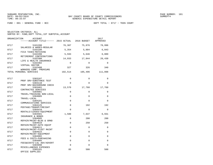FUND − 001 − GENERAL FUND − BCC DEPT TOTAL − 0717 − TEEN COURT

| ORGANIZATION | <b>ACCOUNT</b><br>------ACCOUNT TITLE------ 2015 ACTUAL 2016 BUDGET |             |             | 2017<br>APPROVED |
|--------------|---------------------------------------------------------------------|-------------|-------------|------------------|
| 0717         | 5101200                                                             | 76,307      | 75,876      | 78,996           |
| 0717         | SALARIES & WAGES-REGULAR<br>5102100                                 | 5,354       | 5,804       | 6,043            |
| 0717         | FICA TAXES-MATCHING<br>5102200                                      | 5,593       | 5,646       | 6,089            |
| 0717         | RETIREMENT CONTRIBUTIONS<br>5102300                                 | 14,933      | 17,844      | 20,430           |
| 0717         | LIFE & HEALTH INSURANCE<br>5102302                                  | $\Omega$    | $\Omega$    | $\Omega$         |
| 0717         | VIRTUAL DOCTOR<br>5102400                                           | 327         | 326         | 340              |
|              | WORKERS COMP. PREMIUMS<br>TOTAL PERSONAL SERVICES                   | 102,514     | 105,496     | 111,898          |
| 0717         | 5303107                                                             | $\Omega$    | 0           | $\Omega$         |
| 0717         | PROF SRV-SUBSTANCE TEST<br>5303110                                  | $\Omega$    | $\Omega$    | $\Omega$         |
| 0717         | PROF SRV-BACKGROUND CHECK<br>5303401                                | 13,570      | 17,760      | 17,760           |
| 0717         | CONTRACTED SERVICES<br>5304001                                      | $\Omega$    | $\Omega$    | $\Omega$         |
| 0717         | TRAVEL/TRAINING NON-LOCAL<br>5304005<br>TRAVEL-LOCAL                | $\mathbf 0$ | 0           | $\Omega$         |
| 0717         | 5304101<br>COMMUNICATIONS SERVICES                                  | $\Omega$    | $\Omega$    | $\Omega$         |
| 0717         | 5304125<br>POSTAGE/TRANSP/FREIGHT                                   | $\Omega$    | 192         | 192              |
| 0717         | 5304410<br>RENTALS/LEASES-EOUIPMENT                                 | $\Omega$    | $\Omega$    | $\Omega$         |
| 0717         | 5304501<br>INSURANCE & BONDS                                        | 1,580       | 7,637       | 6,931            |
| 0717         | 5304605<br>REPAIR/MAINT-BLDG & GRND                                 | $\mathbf 0$ | 200         | 200              |
| 0717         | 5304610<br>REPAIR/MAINT-AUTO EQUIP                                  | $\Omega$    | 250         | 250              |
| 0717         | 5304611<br>REPAIR/MAINT-FLEET MAINT                                 | $\mathbf 0$ | $\mathbf 0$ | $\Omega$         |
| 0717         | 5304615<br>REPAIR/MAINT-EOUIPMENT                                   | $\Omega$    | $\Omega$    | $\Omega$         |
| 0717         | 5304902<br>FEES & COSTS-PURCHASING                                  | $\Omega$    | $\Omega$    | $\Omega$         |
| 0717         | 5304905<br>FEES&COSTS-LGL ADV/ADVERT                                | $\mathbf 0$ | $\mathbf 0$ | 0                |
| 0717         | 5304990<br>MISCELLANEOUS EXPENSES                                   | $\Omega$    | $\Omega$    | $\Omega$         |
| 0717         | 5305101<br>OFFICE SUPPLIES                                          | 85          | 500         | 500              |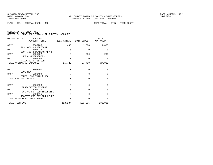FUND − 001 − GENERAL FUND − BCC DEPT TOTAL − 0717 − TEEN COURT

| SELECTION CRITERIA: ALL |  |  |                                                    |  |
|-------------------------|--|--|----------------------------------------------------|--|
|                         |  |  | SORTED BY: FUND, DEPT TOTAL, 1ST SUBTOTAL, ACCOUNT |  |

| ORGANIZATION<br>ACCOUNT<br>------ACCOUNT TITLE------ 2015 ACTUAL 2016 BUDGET APPROVED |          |                 | 2017        |
|---------------------------------------------------------------------------------------|----------|-----------------|-------------|
| 0717<br>5305205                                                                       | 485      | 1,000           | 1,000       |
| GAS, OIL & LUBRICANTS<br>0717<br>5305215                                              | $\Omega$ | 0               | 0           |
| CLOTHING & WEARING APPRL<br>0717<br>5305402                                           | $\Omega$ | 200             | 200         |
| <b>DUES &amp; MEMBERSHIPS</b><br>0717<br>5305406                                      | $\Omega$ | $\Omega$        | $\Omega$    |
| TRAINING & TUITION<br>TOTAL OPERATING EXPENSES                                        | 15,720   | 27,739          | 27,033      |
| 0717<br>5606401                                                                       | $\Omega$ | $\Omega$        | 0           |
| EQUIPMENT<br>0717<br>5606402                                                          | $\Omega$ | $\Omega$        | $\mathbf 0$ |
| EQUIP LESS THAN \$1000<br>TOTAL CAPITAL OUTLAY                                        | $\Omega$ | $\Omega$        | $\Omega$    |
| 0717<br>5905998                                                                       | $\Omega$ | $\Omega$        | 0           |
| DEPRECIATION EXPENSE<br>0717<br>5909910                                               | $\Omega$ | $\Omega$        | 0           |
| RESERVE FOR CONTINGENCIES<br>0717<br>5909915                                          | $\Omega$ | $\Omega$        | 0           |
| RESERVE FOR PAY ADJUSTMNT<br>TOTAL NON-OPERATING EXPENSES                             | $\Omega$ | $\Omega$        | $\Omega$    |
| TOTAL TEEN COURT                                                                      |          | 118,234 133,235 | 138,931     |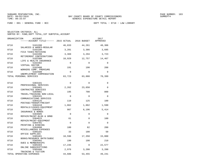FUND − 001 − GENERAL FUND − BCC DEPT TOTAL − 0718 − LAW LIBRARY

| ORGANIZATION             | <b>ACCOUNT</b>                                                 |             |             | 2017<br>APPROVED |
|--------------------------|----------------------------------------------------------------|-------------|-------------|------------------|
| 0718                     | 5101200                                                        | 46,033      | 44,261      | 48,306           |
| 0718                     | SALARIES & WAGES-REGULAR<br>5102100                            | 3,201       | 3,386       | 3,695            |
| 0718                     | FICA TAXES-MATCHING<br>5102200                                 | 3,369       | 3,294       | 3,723            |
| 0718                     | RETIREMENT CONTRIBUTIONS<br>5102300                            | 10,929      | 12,757      | 14,467           |
| 0718                     | LIFE & HEALTH INSURANCE<br>5102302                             | $\Omega$    | $\Omega$    | $\Omega$         |
| 0718                     | VIRTUAL DOCTOR<br>5102400                                      | 191         | 190         | 208              |
| 0718                     | WORKERS COMP. PREMIUMS<br>5102500<br>UNEMPLOYMENT COMPENSATION | $\Omega$    | $\Omega$    | $\mathbf{0}$     |
| TOTAL PERSONAL SERVICES  |                                                                | 63,723      | 63,888      | 70,399           |
| 0718                     | 5303101                                                        | $\mathbf 0$ | $\Omega$    | $\mathbf 0$      |
| 0718                     | PROFESSIONAL SERVICES<br>5303401                               | 2,262       | 23,650      | $\Omega$         |
| 0718                     | CONTRACTED SERVICES<br>5304001                                 | 195         | 700         | 800              |
| 0718                     | TRAVEL/TRAINING NON-LOCAL<br>5304101                           | $\Omega$    | $\Omega$    | $\Omega$         |
| 0718                     | COMMUNICATIONS SERVICES<br>5304125<br>POSTAGE/TRANSP/FREIGHT   | 110         | 125         | 100              |
| 0718                     | 5304410                                                        | 1,862       | 1,862       | 1,590            |
| 0718                     | RENTALS/LEASES-EOUIPMENT<br>5304501<br>INSURANCE & BONDS       | 987         | 6,196       | 5,414            |
| 0718                     | 5304605<br>REPAIR/MAINT-BLDG & GRND                            | $\Omega$    | $\Omega$    | $\Omega$         |
| 0718                     | 5304615<br>REPAIR/MAINT-EQUIPMENT                              | 61          | $\mathbf 0$ | 100              |
| 0718                     | 5304701<br>PRINTING & BINDING                                  | $\Omega$    | $\Omega$    | $\Omega$         |
| 0718                     | 5304990<br>MISCELLANEOUS EXPENSES                              | 180         | 82          | 200              |
| 0718                     | 5305101<br>OFFICE SUPPLIES                                     | 33          | 100         | 50               |
| 0718                     | 5305401                                                        | 18,596      | 17,350      | 15,000           |
| 0718                     | BOOKS/RESOURCE MATR/SUBSC<br>5305402                           | 190         | 190         | 210              |
| 0718                     | DUES & MEMBERSHIPS<br>5305403                                  | 17,235      | 0           | 22,577           |
| 0718                     | ONLINE SUBSCRIPTIONS<br>5305406                                | 2,976       | 3,200       | 3,200            |
| TOTAL OPERATING EXPENSES | TRAINING & TUITION                                             | 44,686      | 53,455      | 49,241           |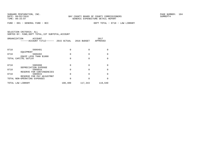FUND − 001 − GENERAL FUND − BCC DEPT TOTAL − 0718 − LAW LIBRARY

| ORGANIZATION      | <b>ACCOUNT</b><br>-----ACCOUNT TITLE------                |         | 2015 ACTUAL 2016 BUDGET | 2017<br>APPROVED |
|-------------------|-----------------------------------------------------------|---------|-------------------------|------------------|
| 0718              | 5606401<br>EOUIPMENT                                      | 0       | $\Omega$                |                  |
| 0718              | 5606402                                                   | 0       | $\Omega$                | 0                |
|                   | EOUIP LESS THAN \$1000<br>TOTAL CAPITAL OUTLAY            | 0       | $\Omega$                | <sup>0</sup>     |
| 0718              | 5905998<br>DEPRECIATION EXPENSE                           | 0       | $\Omega$                | O                |
| 0718              | 5909910                                                   | 0       | $\Omega$                | 0                |
| 0718              | RESERVE FOR CONTINGENCIES<br>5909915                      | O       | $\Omega$                | $\Omega$         |
|                   | RESERVE FOR PAY ADJUSTMNT<br>TOTAL NON-OPERATING EXPENSES | 0       | $\Omega$                | $\Omega$         |
| TOTAL LAW LIBRARY |                                                           | 108,409 | 117,343                 | 119,640          |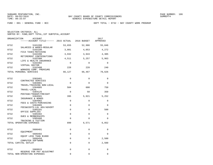FUND − 001 − GENERAL FUND − BCC DEPT TOTAL − 0732 − BAY COUNTY WORK PROGRAM

| ORGANIZATION<br><b>ACCOUNT</b><br>-----ACCOUNT TITLE------ 2015 ACTUAL 2016 BUDGET |          |          | 2017<br>APPROVED |
|------------------------------------------------------------------------------------|----------|----------|------------------|
| 0732<br>5101200                                                                    | 53,655   | 52,986   | 55,846           |
| SALARIES & WAGES-REGULAR<br>0732<br>5102100                                        | 3,801    | 4,053    | 4,272            |
| FICA TAXES-MATCHING<br>0732<br>5102200                                             | 3,932    | 3,943    | 4,305            |
| RETIREMENT CONTRIBUTIONS<br>0732<br>5102300                                        | 4,511    | 5,257    | 5,963            |
| LIFE & HEALTH INSURANCE<br>0732<br>5102302                                         | $\Omega$ | $\Omega$ | $\Omega$         |
| VIRTUAL DOCTOR<br>5102400<br>0732                                                  | 228      | 228      | 240              |
| WORKERS COMP. PREMIUMS<br>TOTAL PERSONAL SERVICES                                  | 66,127   | 66,467   | 70,626           |
| 0732<br>5303401                                                                    | $\Omega$ | $\Omega$ | $\Omega$         |
| CONTRACTED SERVICES<br>0732<br>5304001                                             | $\Omega$ | $\Omega$ | $\Omega$         |
| TRAVEL/TRAINING NON-LOCAL<br>0732<br>5304005                                       | 504      | 600      | 750              |
| TRAVEL-LOCAL<br>0732<br>5304125                                                    | 0        | 50       | 350              |
| POSTAGE/TRANSP/FREIGHT<br>0732<br>5304501                                          | 395      | 5,921    | 5,252            |
| INSURANCE & BONDS<br>0732<br>5304902                                               | 0        | 0        | 0                |
| FEES & COSTS-PURCHASING<br>0732<br>5304905                                         | 0        | $\Omega$ | $\Omega$         |
| FEES&COSTS-LGL ADV/ADVERT<br>0732<br>5305101                                       | $\Omega$ | $\Omega$ | 500              |
| OFFICE SUPPLIES<br>0732<br>5305402                                                 | 0        | $\Omega$ | $\Omega$         |
| <b>DUES &amp; MEMBERSHIPS</b><br>0732<br>5305406                                   | 0        | $\Omega$ | $\Omega$         |
| TRAINING & TUITION<br>TOTAL OPERATING EXPENSES                                     | 899      | 6,571    | 6,852            |
|                                                                                    |          |          |                  |
| 0732<br>5606401<br>EOUIPMENT                                                       | 0        | $\Omega$ | $\Omega$         |
| 0732<br>5606402<br>EQUIP LESS THAN \$1000                                          | 0        | $\Omega$ | $\Omega$         |
| 0732<br>5606450<br>COMPUTER SOFTWARE                                               | 0        | $\Omega$ | 2,500            |
| TOTAL CAPITAL OUTLAY                                                               | $\Omega$ | $\Omega$ | 2,500            |
| 0732<br>5909915                                                                    | 0        | $\Omega$ | 0                |
| RESERVE FOR PAY ADJUSTMNT<br>TOTAL NON-OPERATING EXPENSES                          | 0        | 0        | 0                |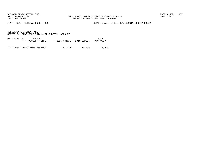FUND − 001 − GENERAL FUND − BCC DEPT TOTAL − 0732 − BAY COUNTY WORK PROGRAM

SELECTION CRITERIA: ALLSORTED BY: FUND,DEPT TOTAL,1ST SUBTOTAL,ACCOUNT

ORGANIZATION ACCOUNT 2017−−−−−−ACCOUNT TITLE−−−−−− 2015 ACTUAL 2016 BUDGET APPROVED

TOTAL BAY COUNTY WORK PROGRAM 67,027 73,038 79,978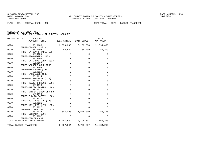FUND − 001 − GENERAL FUND − BCC DEPT TOTAL − 0970 − BUDGET TRANSFERS

| ORGANIZATION | ACCOUNT                                           |             |                               | 2017         |
|--------------|---------------------------------------------------|-------------|-------------------------------|--------------|
|              | ------ACCOUNT TITLE------ 2015 ACTUAL 2016 BUDGET |             |                               | APPROVED     |
| 0970         | 5819103                                           |             | 3,650,000 3,169,038           | 12,594,496   |
| 0970         | TRNSF-TRANSP. (101)<br>5819104                    |             | 92,544 84,299 84,299          |              |
| 0970         | TRNSF-INTGOV'T RADIO-133<br>5819105               | 0           | $\mathbf 0$                   | 0            |
| 0970         | TRNSF-STORMWATER (115)<br>5819106                 | $\mathbf 0$ | $\mathbf 0$                   | $\mathbf 0$  |
| 0970         | TRNSF-INTERNAL SERV (501)<br>5819107              | $\mathbf 0$ | $\mathbf 0$                   | $\mathbf 0$  |
| 0970         | TRNSF-WORKERS COMP (505)<br>5819109               | $\mathbf 0$ | $\mathbf 0$                   | $\mathbf 0$  |
|              | TRNSF-MSBU FUND (167)                             |             |                               |              |
| 0970         | 5819110<br>TRNSF-INSURANCE (506)                  | $\mathbf 0$ | $\mathbf 0$                   | $\mathbf 0$  |
| 0970         | 5819114<br>TRNSF-JT VENT/AWT (412)                | $\mathbf 0$ | $\mathbf 0$                   | $\mathbf 0$  |
| 0970         | 5819115                                           | $\mathbf 0$ | $\Omega$                      | $\mathbf 0$  |
| 0970         | TRNSF-ROADS & BRDGS (105)<br>5819116              | $\Omega$    | $\Omega$                      | $\mathbf 0$  |
| 0970         | TRNFS-PARTIC PAVING (110)<br>5819117              | $\mathbf 0$ | $\mathbf 0$                   | $\mathbf 0$  |
| 0970         | TRNSF-WTR SYS 2000 BND PJ<br>5819118              | $\mathbf 0$ | $\Omega$                      | $\mathbf 0$  |
| 0970         | TRNSF-PUBLIC SAFETY (130)<br>5819120              | $\mathbf 0$ | $\Omega$                      | $\mathbf 0$  |
| 0970         | TRNSF-BUILDERS SVC (440)<br>5819121               | $\Omega$    | $\Omega$                      | $\Omega$     |
|              | TRNSF-UTIL REG AUTH (195)                         |             |                               |              |
| 0970         | 5819122<br>TRNSF-RD IMPACT-P C (113)              | $\Omega$    | $\Omega$                      | $\Omega$     |
| 0970         | 5819124<br>TRNSF-LIBRARY (120)                    |             | 1,545,000 1,545,000 1,785,418 |              |
| 0970         | 5819132                                           | $\Omega$    | $\Omega$                      | $\Omega$     |
|              | TRNSF-CED GRV CRA<br>TOTAL NON-OPERATING EXPENSES |             | 5,287,544 4,798,337           | 14, 464, 213 |
|              | TOTAL BUDGET TRANSFERS                            |             | 5, 287, 544 4, 798, 337       | 14,464,213   |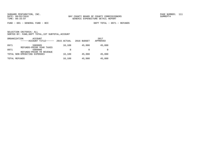FUND − 001 − GENERAL FUND − BCC DEPT TOTAL − 0971 − REFUNDS

|      | ORGANIZATION<br>ACCOUNT<br>------ACCOUNT TITLE------ | 2015 ACTUAL | 2016 BUDGET | 2017<br>APPROVED |
|------|------------------------------------------------------|-------------|-------------|------------------|
| 0971 | 5909905<br>REFUNDS-PRIOR YEAR TAXES                  | 10,109      | 45,000      | 45,000           |
| 0971 | 5909906<br>REFUNDS-PRIOR YR REVENUE                  | 0           |             |                  |
|      | TOTAL NON-OPERATING EXPENSES                         | 10,109      | 45,000      | 45,000           |
|      | TOTAL REFUNDS                                        | 10,109      | 45,000      | 45,000           |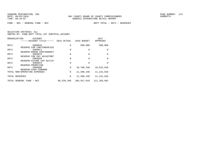FUND − 001 − GENERAL FUND − BCC DEPT TOTAL − 0972 − RESERVES

|      | ORGANIZATION<br>ACCOUNT<br>------ACCOUNT TITLE------ | 2015 ACTUAL | 2016 BUDGET | 2017<br>APPROVED |
|------|------------------------------------------------------|-------------|-------------|------------------|
| 0972 | 5909910                                              | 0           | 500,000     | 500,000          |
| 0972 | RESERVE FOR CONTINGENCIES<br>5909911                 | 0           | $\Omega$    | 0                |
| 0972 | RESERVE-EMERG CONTINGENCY<br>5909915                 | 0           | $\Omega$    | $\Omega$         |
| 0972 | RESERVE FOR PAY ADJUSTMNT<br>5909920                 | $\Omega$    | $\Omega$    | 0                |
| 0972 | RESERVE-FUTURE CAP OUTLAY<br>5909924                 | 0           | $\Omega$    | $\Omega$         |
| 0972 | RESERVE-PROMOTION<br>5909999                         | $\mathbf 0$ | 10,700,438  | 10,632,626       |
|      | RESERVE-CASH FORWARD<br>TOTAL NON-OPERATING EXPENSES | $\mathbf 0$ | 11,200,438  | 11, 132, 626     |
|      | TOTAL RESERVES                                       | 0           | 11,200,438  | 11, 132, 626     |
|      | TOTAL GENERAL FUND - BCC                             | 96,520,289  | 106,557,010 | 111,330,991      |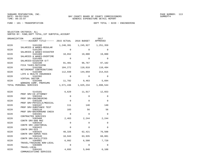FUND − 101 − TRANSPORTATION DEPT TOTAL − 0220 − ENGINEERING

| ORGANIZATION<br><b>ACCOUNT</b><br>------ACCOUNT TITLE------  |             | 2015 ACTUAL 2016 BUDGET | 2017<br>APPROVED |
|--------------------------------------------------------------|-------------|-------------------------|------------------|
| 0220<br>5101200<br>SALARIES & WAGES-REGULAR                  | 1,240,391   | 1,245,927               | 1,251,359        |
| 0220<br>5101205                                              | $\Omega$    | $\Omega$                | $\Omega$         |
| SALARIES & WAGES-DISASTER<br>0220<br>5101400                 | 10,652      | 19,000                  | 19,000           |
| SALARIES & WAGES-OVERTIME<br>0220<br>5101405                 | $\Omega$    | $\Omega$                | $\Omega$         |
| SALARIES-DISASTER O/T<br>0220<br>5102100                     | 91,401      | 96,767                  | 97,182           |
| FICA TAXES-MATCHING<br>0220<br>5102200                       | 104,272     | 110,018                 | 110,494          |
| RETIREMENT CONTRIBUTIONS<br>0220<br>5102300                  | 112,939     | 144,059                 | 214,815          |
| LIFE & HEALTH INSURANCE<br>0220<br>5102302<br>VIRTUAL DOCTOR | $\Omega$    | $\Omega$                | 0                |
| 0220<br>5102400<br>WORKERS COMP. PREMIUMS                    | 11,782      | 9,463                   | 5,694            |
| TOTAL PERSONAL SERVICES                                      | 1,571,436   | 1,625,234               | 1,698,544        |
| 0220<br>5143101                                              | 6,629       | 11,917                  | 12,653           |
| PROF SRV-CO ATTORNEY<br>0220<br>5303104                      | $\Omega$    | $\Omega$                | 0                |
| PROF SRV-ENGINEERING<br>0220<br>5303106                      | $\Omega$    | $\Omega$                | 0                |
| PROF SRV-PHYSICLS/MEDICAL<br>0220<br>5303107                 | 111         | 140                     | 140              |
| PROF SRV-SUBSTANCE TEST<br>0220<br>5303110                   | 103         | 56                      | 56               |
| PROF SRV-BACKGROUND CHECK<br>0220<br>5303401                 | $\mathbf 0$ | $\Omega$                | $\mathbf 0$      |
| CONTRACTED SERVICES<br>0220<br>5303408<br>CONTR SRV-800 MHZ  | 2,463       | 2,244                   | 2,244            |
| 0220<br>5303410<br>CONTR SRV-JANITORIAL                      | $\Omega$    | $\mathbf 0$             | 0                |
| 0220<br>5303422<br>CONTR SRV-GIS                             | $\Omega$    | $\Omega$                | 0                |
| 0220<br>5303425<br>CONTR SRV-ADMIN FEES                      | 48,326      | 62,421                  | 76,508           |
| 0220<br>5303446<br>CONTR SRV-FACILITIES                      | 10,943      | 63,935                  | 68,881           |
| 0220<br>5304001<br>TRAVEL/TRAINING NON-LOCAL                 | 6,992       | 6,500                   | 7,720            |
| 0220<br>5304005<br>TRAVEL-LOCAL                              | $\mathbf 0$ | $\Omega$                | $\Omega$         |
| 0220<br>5304101<br>COMMUNICATIONS SERVICES                   | 4,693       | 5,040                   | 6,108            |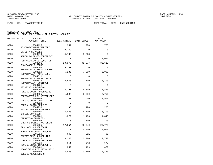FUND − 101 − TRANSPORTATION DEPT TOTAL − 0220 − ENGINEERING

| ORGANIZATION | <b>ACCOUNT</b>                                    |                |          | 2017        |
|--------------|---------------------------------------------------|----------------|----------|-------------|
|              | ------ACCOUNT TITLE------ 2015 ACTUAL 2016 BUDGET |                |          | APPROVED    |
| 0220         | 5304125                                           | 957            | 770      | 770         |
|              | POSTAGE/TRANSP/FREIGHT                            |                |          |             |
| 0220         | 5304301                                           | 30,369         | $\Omega$ | $\Omega$    |
| 0220         | UTILITY SERVICES<br>5304410                       | 4,739          | 8,828    | $\Omega$    |
|              | RENTALS/LEASES-EOUIPMENT                          |                |          |             |
| 0220         | 5304414                                           | $\Omega$       | $\Omega$ | 11,015      |
| 0220         | RENTALS/LEASES-EQUIP(IT)<br>5304501               | 20,972         | 41,677   |             |
|              | INSURANCE & BONDS                                 |                |          | 32,619      |
| 0220         | 5304605                                           | 15,187         | $\Omega$ | $\mathbf 0$ |
|              | REPAIR/MAINT-BLDG & GRND                          |                |          |             |
| 0220         | 5304610                                           | 6,135          | 7,000    | 6,000       |
| 0220         | REPAIR/MAINT-AUTO EQUIP<br>5304611                | $\Omega$       | $\Omega$ | $\mathbf 0$ |
|              | REPAIR/MAINT-FLEET MAINT                          |                |          |             |
| 0220         | 5304615                                           | 2,555          | 1,700    | 3,700       |
|              | REPAIR/MAINT-EQUIPMENT                            |                |          |             |
| 0220         | 5304701                                           | $\Omega$       | $\Omega$ | $\Omega$    |
| 0220         | PRINTING & BINDING<br>5304902                     | 5,791          | 4,509    | 1,873       |
|              | FEES & COSTS-PURCHASING                           |                |          |             |
| 0220         | 5304905                                           | 1,996          | 2,750    | 2,750       |
|              | FEES&COSTS-LGL ADV/ADVERT                         |                |          |             |
| 0220         | 5304909                                           | 1,202          | 1,500    | 1,500       |
| 0220         | FEES & COSTS-COURT FILING<br>5304922              | $\Omega$       | $\Omega$ | 0           |
|              | FEES & COSTS-PERMITS                              |                |          |             |
| 0220         | 5304990                                           | 95             | 120      | 200         |
|              | MISCELLANEOUS EXPENSES                            |                |          |             |
| 0220         | 5305101                                           | 6,430          | 6,100    | 6,100       |
| 0220         | OFFICE SUPPLIES<br>5305201                        | 1,279          | 1,406    | 1,840       |
|              | OPERATING SUPPLIES                                |                |          |             |
| 0220         | 5305202                                           | $\overline{0}$ | 100      | 100         |
|              | OPER SUPPLIES-JANITORIAL                          |                |          |             |
| 0220         | 5305205<br>GAS, OIL & LUBRICANTS                  | 17,554         | 26,040   | 26,775      |
| 0220         | 5305209                                           | $\mathbf 0$    | 4,000    | 4,000       |
|              | ADOPT A HIGHWAY PROGRAM                           |                |          |             |
| 0220         | 5305210                                           | 648            | 981      | 496         |
|              | SAFETY GEAR & SUPPLIES                            |                |          |             |
| 0220         | 5305215<br>CLOTHING & WEARING APPRL               | 3,248          | 3,780    | 3,730       |
| 0220         | 5305220                                           | 551            | 642      | 579         |
|              | TOOL & SMALL IMPLEMENTS                           |                |          |             |
| 0220         | 5305401                                           | 259            | 469      | 469         |
| 0220         | BOOKS/RESOURCE MATR/SUBSC                         | 4,468          |          |             |
|              | 5305402<br>DUES & MEMBERSHIPS                     |                | 3,140    | 4,440       |
|              |                                                   |                |          |             |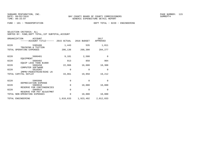| SELECTION CRITERIA: ALL |  |  |                                                    |  |
|-------------------------|--|--|----------------------------------------------------|--|
|                         |  |  | SORTED BY: FUND, DEPT TOTAL, 1ST SUBTOTAL, ACCOUNT |  |

| ORGANIZATION<br>ACCOUNT<br>------ACCOUNT TITLE------ 2015 ACTUAL |           | 2016 BUDGET | 2017<br>APPROVED |
|------------------------------------------------------------------|-----------|-------------|------------------|
| 0220<br>5305406<br>TRAINING & TUITION                            | 1,443     | 535         | 1,011            |
| TOTAL OPERATING EXPENSES                                         | 206,136   | 268,300     | 284,277          |
| 0220<br>5606401<br>EOUIPMENT                                     | 9,181     | 2,500       | $\Omega$         |
| 0220<br>5606402<br>EOUIP LESS THAN \$1000                        | 913       | 850         | 904              |
| 0220<br>5606450<br>COMPUTER SOFTWARE                             | 22,966    | 16,608      | 18,308           |
| 0220<br>5616302                                                  | 0         | $\Omega$    | $\Omega$         |
| IMPRV-PEDESTRIAN/BIKE LN<br>TOTAL CAPITAL OUTLAY                 | 33,061    | 19,958      | 19,212           |
| 0220<br>5905998                                                  | 0         | $\Omega$    | $\Omega$         |
| DEPRECIATION EXPENSE<br>0220<br>5909910                          | $\Omega$  | 10,000      | 10,000           |
| RESERVE FOR CONTINGENCIES<br>0220<br>5909915                     | 0         | $\Omega$    | $\Omega$         |
| RESERVE FOR PAY ADJUSTMNT<br>TOTAL NON-OPERATING EXPENSES        | 0         | 10,000      | 10,000           |
| TOTAL ENGINEERING                                                | 1,810,633 | 1,923,492   | 2,012,033        |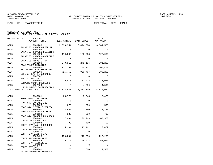FUND − 101 − TRANSPORTATION DEPT TOTAL − 0225 − ROADS

SELECTION CRITERIA: ALLSORTED BY: FUND,DEPT TOTAL,1ST SUBTOTAL,ACCOUNT

| ORGANIZATION | <b>ACCOUNT</b><br>------ACCOUNT TITLE------ 2015 ACTUAL 2016 BUDGET |           |           | 2017<br>APPROVED |
|--------------|---------------------------------------------------------------------|-----------|-----------|------------------|
| 0225         | 5101200                                                             | 3,390,954 | 3,474,094 | 3,684,566        |
| 0225         | SALARIES & WAGES-REGULAR<br>5101205                                 | $\Omega$  | $\Omega$  | $\Omega$         |
| 0225         | SALARIES & WAGES-DISASTER<br>5101400                                | 119,099   | 122,063   | 122,063          |
| 0225         | SALARIES & WAGES-OVERTIME<br>5101405                                | $\Omega$  | $\Omega$  | 0                |
| 0225         | SALARIES-DISASTER O/T<br>5102100<br>FICA TAXES-MATCHING             | 249,816   | 275,106   | 291,207          |
| 0225         | 5102200<br>RETIREMENT CONTRIBUTIONS                                 | 277,189   | 284,157   | 305,450          |
| 0225         | 5102300<br>LIFE & HEALTH INSURANCE                                  | 715,762   | 950,767   | 989,205          |
| 0225         | 5102302<br>VIRTUAL DOCTOR                                           | $\Omega$  | $\Omega$  | $\Omega$         |
| 0225         | 5102400<br>WORKERS COMP. PREMIUMS                                   | 70,616    | 167,212   | 177,046          |
| 0225         | 5102500<br>UNEMPLOYMENT COMPENSATION                                | $\Omega$  | 4,500     | 4,500            |
|              | TOTAL PERSONAL SERVICES                                             | 4,823,437 | 5,277,899 | 5,574,037        |
| 0225         | 5143101<br>PROF SRV-CO ATTORNEY                                     | 23,778    | 7,945     | 8,435            |
| 0225         | 5303104<br>PROF SRV-ENGINEERING                                     | $\Omega$  | $\Omega$  | 0                |
| 0225         | 5303106<br>PROF SRV-PHYSICLS/MEDICAL                                | 675       | 500       | 500              |
| 0225         | 5303107<br>PROF SRV-SUBSTANCE TEST                                  | 2,902     | 2,750     | 2,750            |
| 0225         | 5303110<br>PROF SRV-BACKGROUND CHECK                                | 832       | 300       | 700              |
| 0225         | 5303401<br>CONTRACTED SERVICES                                      | 37,494    | 100,963   | 100,963          |
| 0225         | 5303403<br>CONTR SRV-BANK CHRG POOL                                 | 798       | 400       | 400              |
| 0225         | 5303408<br>CONTR SRV-800 MHZ                                        | 15,204    | 13,462    | 13,462           |
| 0225         | 5303410<br>CONTR SRV-JANITORIAL                                     | 0         | 0         | $\mathbf 0$      |
| 0225         | 5303425<br>CONTR SRV-ADMIN FEES                                     | 159,204   | 216,690   | 222,255          |
| 0225         | 5303446<br>CONTR SRV-FACILITIES                                     | 20,716    | 48,923    | 62,077           |
| 0225         | 5303464<br>CONTR SRV-LAB                                            | $\Omega$  | 0         | 0                |
| 0225         | 5304001<br><b>TONIT / TITIO DITAIO DI CONTE CONTING</b>             | 1,276     | 1,500     | 1,500            |

TRAVEL/TRAINING NON−LOCAL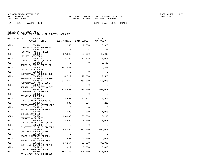FUND − 101 − TRANSPORTATION DEPT TOTAL − 0225 − ROADS

| ORGANIZATION | ACCOUNT                                           |          |          | 2017        |
|--------------|---------------------------------------------------|----------|----------|-------------|
|              | ------ACCOUNT TITLE------ 2015 ACTUAL 2016 BUDGET |          |          | APPROVED    |
| 0225         | 5304101                                           | 11,345   | 9,608    | 13,320      |
| 0225         | COMMUNICATIONS SERVICES<br>5304125                | 55       | 75       | 75          |
|              | POSTAGE/TRANSP/FREIGHT                            |          |          |             |
| 0225         | 5304301<br>UTILITY SERVICES                       | 57,940   | 68,000   | 68,000      |
| 0225         | 5304410                                           | 14,734   | 22,455   | 20,079      |
| 0225         | RENTALS/LEASES-EQUIPMENT<br>5304414               | $\Omega$ | $\Omega$ | 6,586       |
| 0225         | RENTALS/LEASES-EQUIP(IT)<br>5304501               | 142,440  | 164,552  | 126,367     |
|              | INSURANCE & BONDS                                 |          |          |             |
| 0225         | 5304604                                           | $\Omega$ | $\Omega$ | $\Omega$    |
| 0225         | REPAIR/MAINT-BLD&GRD DEPT<br>5304605              | 14,712   | 27,050   | 12,526      |
|              | REPAIR/MAINT-BLDG & GRND                          |          |          |             |
| 0225         | 5304610<br>REPAIR/MAINT-AUTO EQUIP                | 325,664  | 350,000  | 350,000     |
| 0225         | 5304611                                           | $\Omega$ | $\Omega$ | $\mathbf 0$ |
| 0225         | REPAIR/MAINT-FLEET MAINT<br>5304615               | 332,663  | 300,000  | 300,000     |
| 0225         | REPAIR/MAINT-EQUIPMENT<br>5304701                 | $\Omega$ | $\Omega$ | $\Omega$    |
| 0225         | PRINTING & BINDING<br>5304902                     | 34,992   | 31,152   | 24,978      |
|              | FEES & COSTS-PURCHASING                           |          |          |             |
| 0225         | 5304905<br>FEES&COSTS-LGL ADV/ADVERT              | 638      | 225      | 225         |
| 0225         | 5304990                                           | $\Omega$ | $\Omega$ | $\mathbf 0$ |
| 0225         | MISCELLANEOUS EXPENSES<br>5305101                 | 6,023    | 7,000    | 7,000       |
|              | OFFICE SUPPLIES                                   |          |          |             |
| 0225         | 5305201<br>OPERATING SUPPLIES                     | 30,880   | 23,200   | 23,200      |
| 0225         | 5305202                                           | 4,664    | 5,000    | 5,000       |
| 0225         | OPER SUPPLIES-JANITORIAL<br>5305203               | $\Omega$ | 0        | $\mathbf 0$ |
| 0225         | INSECTISIDES & PESTICIDES<br>5305205              | 583,006  | 805,000  | 805,000     |
|              | GAS, OIL & LUBRICANTS                             |          |          |             |
| 0225         | 5305209                                           | $\Omega$ | $\Omega$ | $\Omega$    |
| 0225         | ADOPT A HIGHWAY PROGRAM<br>5305210                | 7,892    | 6,000    | 6,000       |
| 0225         | SAFETY GEAR & SUPPLIES<br>5305215                 | 37,264   | 35,000   | 35,000      |
|              | CLOTHING & WEARING APPRL                          |          |          |             |
| 0225         | 5305220<br>TOOL & SMALL IMPLEMENTS                | 11,412   | 5,000    | 5,000       |
| 0225         | 5305301<br>MATERIALS-ROAD & BRIDGES               | 753,132  | 545,000  | 545,000     |
|              |                                                   |          |          |             |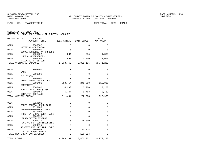FUND − 101 − TRANSPORTATION DEPT TOTAL − 0225 − ROADS

| ORGANIZATION<br>ACCOUNT<br>------ACCOUNT TITLE------ 2015 ACTUAL |             | 2016 BUDGET         | 2017<br>APPROVED |
|------------------------------------------------------------------|-------------|---------------------|------------------|
| 0225<br>5305302                                                  | $\Omega$    | $\Omega$            | $\Omega$         |
| MATERIALS-DREDGING<br>0225<br>5305401                            | $\Omega$    | $\Omega$            | $\Omega$         |
| BOOKS/RESOURCE MATR/SUBSC<br>0225<br>5305402                     | 234         | 385                 | 1,885            |
| DUES & MEMBERSHIPS<br>0225<br>5305406                            | 893         | 3,000               | 3,000            |
| TRAINING & TUITION<br>TOTAL OPERATING EXPENSES                   | 2,633,462   | 2,801,135 2,771,283 |                  |
| 0225<br>5606101<br>LAND                                          | $\Omega$    | $\Omega$            | $\Omega$         |
| 0225<br>5606201                                                  | 0           | $\Omega$            | $\Omega$         |
| <b>BUILDINGS</b><br>0225<br>5606301                              | $\Omega$    | $\Omega$            | 0                |
| IMPRV OTHER THAN BLDGS<br>0225<br>5606401                        | 600,454     | 240,000             | 615,000          |
| EOUIPMENT<br>0225<br>5606402                                     | 4,263       | 3,200               | 3,200            |
| EQUIP LESS THAN \$1000<br>0225<br>5606450                        | 6,747       | 9,763               | 9,763            |
| COMPUTER SOFTWARE<br>TOTAL CAPITAL OUTLAY                        | 611,464     | 252,963             | 627,963          |
| 0225<br>5819101                                                  | $\Omega$    | $\Omega$            | $\Omega$         |
| TRNFS-GENERAL FUND (001)<br>0225<br>5819105                      | $\Omega$    | $\Omega$            | $\Omega$         |
| TRNSF-STORMWATER (115)<br>0225<br>5819106                        | $\Omega$    | $\Omega$            | $\Omega$         |
| TRNSF-INTERNAL SERV (501)<br>0225<br>5905998                     | $\Omega$    | $\Omega$            | 0                |
| DEPRECIATION EXPENSE<br>0225<br>5909910                          | $\mathbf 0$ | 25,000              | 0                |
| RESERVE FOR CONTINGENCIES<br>0225<br>5909915                     | $\Omega$    | $\Omega$            | $\Omega$         |
| RESERVE FOR PAY ADJUSTMNT<br>0225<br>5909999                     | $\mathbf 0$ | 105,324             | 0                |
| RESERVE-CASH FORWARD<br>TOTAL NON-OPERATING EXPENSES             | 0           | 130,324             | 0                |
| TOTAL ROADS                                                      | 8,068,362   | 8,462,321           | 8,973,283        |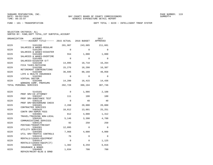FUND − 101 − TRANSPORTATION DEPT TOTAL − 0229 − INTELLIGENT TRNSP SYSTEM

| ORGANIZATION<br><b>ACCOUNT</b><br>------ACCOUNT TITLE------ 2015 ACTUAL |             | 2016 BUDGET | 2017<br>APPROVED |
|-------------------------------------------------------------------------|-------------|-------------|------------------|
| 0229<br>5101200                                                         | 201,907     | 243,685     | 211,601          |
| SALARIES & WAGES-REGULAR<br>0229<br>5101205                             | $\Omega$    | $\Omega$    | $\Omega$         |
| SALARIES & WAGES-DISASTER<br>0229<br>5101400                            | 554         | 1,000       | 1,000            |
| SALARIES & WAGES-OVERTIME<br>0229<br>5101405<br>SALARIES-DISASTER O/T   | $\Omega$    | $\Omega$    | $\Omega$         |
| 0229<br>5102100<br>FICA TAXES-MATCHING                                  | 14,095      | 18,718      | 16,264           |
| 0229<br>5102200<br>RETIREMENT CONTRIBUTIONS                             | 15,276      | 18,208      | 16,387           |
| 0229<br>5102300<br>LIFE & HEALTH INSURANCE                              | 36,695      | 88,168      | 48,058           |
| 0229<br>5102302<br>VIRTUAL DOCTOR                                       | $\Omega$    | $\Omega$    | $\Omega$         |
| 0229<br>5102400<br>WORKERS COMP. PREMIUMS                               | 14,200      | 16,415      | 14,436           |
| TOTAL PERSONAL SERVICES                                                 | 282,728     | 386,194     | 307,746          |
| 0229<br>5143101                                                         | $\Omega$    | 1,986       | 2,108            |
| PROF SRV-CO ATTORNEY<br>0229<br>5303107                                 | 111         | 100         | 100              |
| PROF SRV-SUBSTANCE TEST<br>0229<br>5303110                              | $\Omega$    | 40          | 40               |
| PROF SRV-BACKGROUND CHECK<br>0229<br>5303401                            | 2,260       | 20,000      | 20,000           |
| CONTRACTED SERVICES<br>0229<br>5303425                                  | 10,812      | 13,601      | 25,251           |
| CONTR SRV-ADMIN FEES<br>0229<br>5304001                                 | 812         | 4,000       | 1,312            |
| TRAVEL/TRAINING NON-LOCAL<br>0229<br>5304101                            | 5,146       | 3,390       | 4,788            |
| COMMUNICATIONS SERVICES<br>0229<br>5304125                              | 92          | 250         | 250              |
| POSTAGE/TRANSP/FREIGHT<br>0229<br>5304301                               | 12,095      | $\Omega$    | $\Omega$         |
| UTILITY SERVICES<br>0229<br>5304305                                     | 7,968       | 4,000       | 4,000            |
| UTIL SRV-TRAFFIC CONTROLS<br>0229<br>5304410                            | 76          | $\Omega$    | $\Omega$         |
| RENTALS/LEASES-EQUIPMENT<br>5304414<br>0229                             | $\mathbf 0$ | $\Omega$    | 1,125            |
| RENTALS/LEASES-EQUIP(IT)<br>0229<br>5304501                             | 1,382       | 8,259       | 6,816            |
| INSURANCE & BONDS<br>0229<br>5304605<br>REPAIR/MAINT-BLDG & GRND        | 1,834       | 700         | 700              |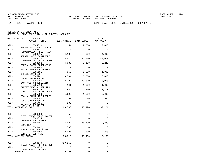FUND − 101 − TRANSPORTATION DEPT TOTAL − 0229 − INTELLIGENT TRNSP SYSTEM

| ORGANIZATION         | ACCOUNT<br>------ACCOUNT TITLE------ 2015 ACTUAL |          | 2016 BUDGET | 2017<br>APPROVED |
|----------------------|--------------------------------------------------|----------|-------------|------------------|
| 0229                 | 5304610                                          | 1,154    | 2,000       | 2,000            |
| 0229                 | REPAIR/MAINT-AUTO EQUIP<br>5304611               | $\Omega$ | $\Omega$    | $\Omega$         |
| 0229                 | REPAIR/MAINT-FLEET MAINT<br>5304615              | 4,108    | 4,000       | 4,000            |
| 0229                 | REPAIR/MAINT-EQUIPMENT<br>5304620                | 23,474   | 25,000      | 40,000           |
| 0229                 | REPAIR/MAINT-CNTRL DEVICE<br>5304902             | 4,088    | 8,198       | 6,245            |
| 0229                 | FEES & COSTS-PURCHASING<br>5304990               | $\Omega$ | $\Omega$    | $\Omega$         |
| 0229                 | MISCELLANEOUS EXPENSES<br>5305101                | 968      | 1,000       | 1,000            |
| 0229                 | OFFICE SUPPLIES<br>5305201                       | 3,784    | 3,000       | 3,000            |
| 0229                 | OPERATING SUPPLIES<br>5305205                    | 8,392    | 13,810      | 10,000           |
| 0229                 | GAS, OIL & LUBRICANTS<br>5305210                 | 141      | 1,000       | 1,000            |
| 0229                 | SAFETY GEAR & SUPPLIES<br>5305215                | 529      | 1,700       | 1,800            |
| 0229                 | CLOTHING & WEARING APPRL<br>5305220              | 1,090    | 1,500       | 3,000            |
| 0229                 | TOOL & SMALL IMPLEMENTS<br>5305402               | 150      | 586         | 586              |
| 0229                 | DUES & MEMBERSHIPS<br>5305406                    | 100      | $\mathbf 0$ | $\Omega$         |
|                      | TRAINING & TUITION<br>TOTAL OPERATING EXPENSES   | 90,568   | 118,120     | 139,121          |
|                      |                                                  |          |             |                  |
| 0229                 | 5606304<br>INTELLIGENT TRNSP SYSTEM              | 56       | $\mathbf 0$ | 0                |
| 0229                 | 5606314<br>IMPRV-NETWORK CONNECT                 | 0        | $\Omega$    | $\Omega$         |
| 0229                 | 5606401<br>EQUIPMENT                             | 34,434   | 15,190      | 2,833            |
| 0229                 | 5606402<br>EQUIP LESS THAN \$1000                | 1,798    | $\mathbf 0$ | $\mathbf 0$      |
| 0229                 | 5606450<br>COMPUTER SOFTWARE                     | 22,027   | 300         | 300              |
| TOTAL CAPITAL OUTLAY |                                                  | 58,315   | 15,490      | 3,133            |
| 0229                 | 5808149                                          | 419,168  | 0           | 0                |
| 0229                 | GRANT-ADAPT TRF SGNL SYS<br>5808150              | 0        | $\Omega$    | $\Omega$         |
| TOTAL GRANTS & AIDS  | GRANT-ADAPT TRF PHS II                           | 419,168  | $\mathbf 0$ | 0                |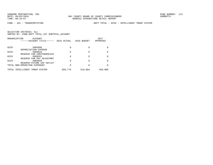FUND − 101 − TRANSPORTATION DEPT TOTAL − 0229 − INTELLIGENT TRNSP SYSTEM

|      | ORGANIZATION<br>ACCOUNT<br>------ACCOUNT TITLE------      | 2015 ACTUAL | 2016 BUDGET | 2017<br>APPROVED |
|------|-----------------------------------------------------------|-------------|-------------|------------------|
|      |                                                           |             |             |                  |
| 0229 | 5905998                                                   |             |             |                  |
| 0229 | DEPRECIATION EXPENSE<br>5909910                           |             |             |                  |
| 0229 | RESERVE FOR CONTINGENCIES<br>5909915                      |             |             |                  |
| 0229 | RESERVE FOR PAY ADJUSTMNT<br>5909920                      |             |             |                  |
|      | RESERVE-FUTURE CAP OUTLAY<br>TOTAL NON-OPERATING EXPENSES |             |             |                  |
|      |                                                           |             |             |                  |
|      | TOTAL INTELLIGENT TRNSP SYSTEM                            | 850,779     | 519,804     | 450,000          |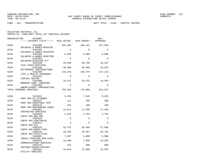FUND − 101 − TRANSPORTATION DEPT TOTAL − 0230 − TRAFFIC CONTROL

| ORGANIZATION | ACCOUNT<br>------ACCOUNT TITLE------ 2015 ACTUAL 2016 BUDGET |             |          | 2017<br>APPROVED |
|--------------|--------------------------------------------------------------|-------------|----------|------------------|
| 0230         | 5101200                                                      | 492,486     | 499,161  | 557,848          |
| 0230         | SALARIES & WAGES-REGULAR<br>5101205                          | $\Omega$    | $\Omega$ | $\Omega$         |
| 0230         | SALARIES & WAGES-DISASTER<br>5101400                         | 6,969       | 8,000    | 8,000            |
| 0230         | SALARIES & WAGES-OVERTIME<br>5101405                         | $\Omega$    | $\Omega$ | $\Omega$         |
| 0230         | SALARIES-DISASTER O/T<br>5102100<br>FICA TAXES-MATCHING      | 34,599      | 38,798   | 43,287           |
| 0230         | 5102200<br>RETIREMENT CONTRIBUTIONS                          | 36,900      | 39,300   | 43,616           |
| 0230         | 5102300<br>LIFE & HEALTH INSURANCE                           | 116,443     | 139,474  | 137,213          |
| 0230         | 5102302<br>VIRTUAL DOCTOR                                    | $\Omega$    | $\Omega$ | $\Omega$         |
| 0230         | 5102400<br>WORKERS COMP. PREMIUMS                            | 18,197      | 18,233   | 24,593           |
| 0230         | 5102500<br>UNEMPLOYMENT COMPENSATION                         | $\mathbf 0$ | $\Omega$ | $\Omega$         |
|              | TOTAL PERSONAL SERVICES                                      | 705,594     | 742,966  | 814,557          |
| 0230         | 5143101                                                      | 4,434       | 7,945    | 8,435            |
| 0230         | PROF SRV-CO ATTORNEY<br>5303107                              | 111         | 200      | 300              |
| 0230         | PROF SRV-SUBSTANCE TEST<br>5303110                           | 195         | 100      | 100              |
| 0230         | PROF SRV-BACKGROUND CHECK<br>5303401<br>CONTRACTED SERVICES  | 13,812      | 17,200   | 17,200           |
| 0230         | 5303408<br>CONTR SRV-800 MHZ                                 | 1,935       | 1,763    | 1,763            |
| 0230         | 5303410<br>CONTR SRV-JANITORIAL                              | $\mathbf 0$ | $\Omega$ | $\mathbf 0$      |
| 0230         | 5303422<br>CONTR SRV-GIS                                     | $\Omega$    | $\Omega$ | $\Omega$         |
| 0230         | 5303425<br>CONTR SRV-ADMIN FEES                              | 32,375      | 39,466   | 57,688           |
| 0230         | 5303446<br>CONTR SRV-FACILITIES                              | 10,425      | 49,397   | 48,701           |
| 0230         | 5304001<br>TRAVEL/TRAINING NON-LOCAL                         | 7,597       | 5,000    | 5,000            |
| 0230         | 5304101<br>COMMUNICATIONS SERVICES                           | 16,400      | 7,860    | 19,284           |
| 0230         | 5304125<br>POSTAGE/TRANSP/FREIGHT                            | 323         | 600      | 600              |
| 0230         | 5304301<br>UTILITY SERVICES                                  | 19,844      | 12,000   | 18,829           |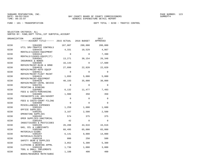FUND − 101 − TRANSPORTATION DEPT TOTAL − 0230 − TRAFFIC CONTROL

| ORGANIZATION | ACCOUNT<br>------ACCOUNT TITLE------ 2015 ACTUAL 2016 BUDGET |             |          | 2017<br>APPROVED |
|--------------|--------------------------------------------------------------|-------------|----------|------------------|
|              |                                                              |             |          |                  |
| 0230         | 5304305<br>UTIL SRV-TRAFFIC CONTROLS                         | 167,007     | 200,000  | 200,000          |
| 0230         | 5304410<br>RENTALS/LEASES-EOUIPMENT                          | 4,331       | 10,529   | 4,867            |
| 0230         | 5304414<br>RENTALS/LEASES-EQUIP(IT)                          | $\Omega$    | $\Omega$ | 7,390            |
| 0230         | 5304501                                                      | 13,271      | 30,154   | 26,348           |
| 0230         | INSURANCE & BONDS<br>5304605                                 | 16,143      | $\Omega$ | 17,600           |
| 0230         | REPAIR/MAINT-BLDG & GRND<br>5304610                          | 27,899      | 22,820   | 22,820           |
| 0230         | REPAIR/MAINT-AUTO EOUIP<br>5304611                           | $\Omega$    | $\Omega$ | $\Omega$         |
| 0230         | REPAIR/MAINT-FLEET MAINT<br>5304615                          | 1,893       | 5,000    | 5,000            |
| 0230         | REPAIR/MAINT-EQUIPMENT<br>5304620                            | 40,193      | 35,000   | 30,000           |
| 0230         | REPAIR/MAINT-CNTRL DEVICE<br>5304701                         | $\mathbf 0$ | $\Omega$ | $\mathbf 0$      |
| 0230         | PRINTING & BINDING<br>5304902                                | 6,132       | 11,477   | 7,493            |
| 0230         | FEES & COSTS-PURCHASING<br>5304905                           | 1,980       | 350      | 350              |
| 0230         | FEES&COSTS-LGL ADV/ADVERT<br>5304909                         | $\mathbf 0$ | $\Omega$ | $\Omega$         |
| 0230         | FEES & COSTS-COURT FILING<br>5304990                         | $\Omega$    | $\Omega$ | $\Omega$         |
| 0230         | MISCELLANEOUS EXPENSES<br>5305101                            | 1,259       | 1,600    | 1,600            |
| 0230         | OFFICE SUPPLIES<br>5305201                                   | 3,167       | 2,500    | 2,500            |
| 0230         | OPERATING SUPPLIES<br>5305202                                | 574         | 375      | 375              |
| 0230         | OPER SUPPLIES-JANITORIAL<br>5305203                          | 42          | $\Omega$ | 0                |
| 0230         | INSECTISIDES & PESTICIDES<br>5305205                         | 26,288      | 44,616   | 44,616           |
| 0230         | GAS, OIL & LUBRICANTS<br>5305206                             | 68,495      | 65,000   | 65,000           |
| 0230         | MATERIALS-SIGNS<br>5305207                                   | 6,141       | 9,000    | 14,000           |
| 0230         | MATERIALS-PAINTS<br>5305210                                  | 800         | 250      | 500              |
| 0230         | SAFETY GEAR & SUPPLIES<br>5305215                            | 3,852       | 5,300    | 5,300            |
| 0230         | CLOTHING & WEARING APPRL<br>5305220                          | 1,736       | 1,000    | 3,000            |
| 0230         | TOOL & SMALL IMPLEMENTS                                      |             |          |                  |
|              | 5305401<br>BOOKS/RESOURCE MATR/SUBSC                         | 1,188       | 400      | 400              |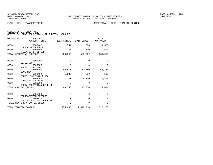| SELECTION CRITERIA: ALL |  |                                                    |  |
|-------------------------|--|----------------------------------------------------|--|
|                         |  | SORTED BY: FUND, DEPT TOTAL, 1ST SUBTOTAL, ACCOUNT |  |

|      | ORGANIZATION<br><b>ACCOUNT</b><br>------ACCOUNT TITLE------ 2015 ACTUAL 2016 BUDGET |           |              | 2017<br>APPROVED    |
|------|-------------------------------------------------------------------------------------|-----------|--------------|---------------------|
| 0230 | 5305402                                                                             | 554       | 1,500        | 1,500               |
| 0230 | <b>DUES &amp; MEMBERSHIPS</b><br>5305406                                            | 150       | 500          | 500                 |
|      | TRAINING & TUITION<br>TOTAL OPERATING EXPENSES                                      | 500,546   | 588,902      | 639,059             |
| 0230 | 5606201                                                                             | 0         | $\Omega$     | $\Omega$            |
| 0230 | <b>BUILDINGS</b><br>5606303                                                         | $\Omega$  | $\Omega$     | $\Omega$            |
| 0230 | STREET LIGHTING<br>5606401                                                          | 46,518    | 37,750       | 67,334              |
| 0230 | EQUIPMENT<br>5606402                                                                | 1,806     | 500          | 500                 |
| 0230 | EOUIP LESS THAN \$1000<br>5606450                                                   | 1,231     | 6,800        | 6,800               |
| 0230 | COMPUTER SOFTWARE<br>5616302                                                        | 0         | $\mathbf{0}$ | $\mathbf 0$         |
|      | IMPRV-PEDESTRIAN/BIKE LN<br>TOTAL CAPITAL OUTLAY                                    | 49,555    | 45,050       | 74,634              |
|      |                                                                                     |           |              |                     |
| 0230 | 5905998<br>DEPRECIATION EXPENSE                                                     | 0         | $\Omega$     | $\mathbf 0$         |
| 0230 | 5909915                                                                             | 0         | $\Omega$     | 0                   |
|      | RESERVE FOR PAY ADJUSTMNT<br>TOTAL NON-OPERATING EXPENSES                           | 0         | $\Omega$     | $\Omega$            |
|      | TOTAL TRAFFIC CONTROL                                                               | 1,255,695 |              | 1,376,918 1,528,250 |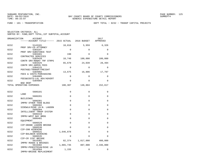FUND − 101 − TRANSPORTATION DEPT TOTAL − 0232 − TRANSP CAPITAL PROJECTS

|  | SELECTION CRITERIA: ALL |                                                    |
|--|-------------------------|----------------------------------------------------|
|  |                         | SORTED BY: FUND, DEPT TOTAL, 1ST SUBTOTAL, ACCOUNT |

| ORGANIZATION | ACCOUNT<br>------ACCOUNT TITLE------ 2015 ACTUAL 2016 BUDGET    |             |             | 2017<br>APPROVED |
|--------------|-----------------------------------------------------------------|-------------|-------------|------------------|
| 0232         | 5143101<br>PROF SRV-CO ATTORNEY                                 | 10,016      | 5,959       | 6,326            |
| 0232         | 5303107                                                         | $\Omega$    | $\Omega$    | $\Omega$         |
| 0232         | PROF SRV-SUBSTANCE TEST<br>5303401                              | 198         | $\Omega$    | 0                |
| 0232         | CONTRACTED SERVICES<br>5303420                                  | 10,748      | 100,000     | 100,000          |
| 0232         | CONTR SRV-RDWAY TRF STRPG<br>5303425                            | 65,670      | 24,039      | 28,494           |
| 0232         | CONTR SRV-ADMIN FEES<br>5304125                                 | $\Omega$    | $\Omega$    | $\Omega$         |
| 0232         | POSTAGE/TRANSP/FREIGHT<br>5304902                               | 13,675      | 16,806      | 17,797           |
| 0232         | FEES & COSTS-PURCHASING<br>5304905<br>FEES&COSTS-LGL ADV/ADVERT | $\Omega$    | $\mathbf 0$ | $\mathbf 0$      |
| 0232         | 5304984<br><b>BAD DEBT</b>                                      | $\Omega$    | $\Omega$    | $\Omega$         |
|              | TOTAL OPERATING EXPENSES                                        | 100,307     | 146,804     | 152,617          |
| 0232         | 5606101                                                         | $\Omega$    | $\Omega$    | 0                |
| 0232         | LAND<br>5606201                                                 | $\Omega$    | $\Omega$    | $\Omega$         |
| 0232         | <b>BUILDINGS</b><br>5606301                                     | $\Omega$    | $\Omega$    | 0                |
| 0232         | IMPRV OTHER THAN BLDGS<br>5606302                               | $\Omega$    | 0           | 0                |
| 0232         | SIDEWLK/BIKE LN-N. LAGOON<br>5606304                            | $\Omega$    | 0           | 0                |
| 0232         | INTELLIGENT TRNSP SYSTEM<br>5606319                             | $\Omega$    | 0           | 0                |
| 0232         | IMPRV-WEST BAY BRDG<br>5606401                                  | $\Omega$    | 0           | 0                |
| 0232         | EOUIPMENT<br>5606529                                            | $\mathbf 0$ | 0           | 0                |
| 0232         | CIP-GRAND LAGOON BRIDGE<br>5606530<br>CIP-390 WIDENING          | $\Omega$    | $\Omega$    | $\Omega$         |
| 0232         | 5606531                                                         | 1,646,878   | $\Omega$    | $\Omega$         |
| 0232         | CIP-BALDWIN WIDENING<br>5606535<br>CIP-CR 2297 BRIDGE           | $\Omega$    | $\Omega$    | $\Omega$         |
| 0232         | 5616301                                                         | 82,374      | 1,817,000   | 400,000          |
| 0232         | IMPRV ROADS & BRIDGES<br>5616302                                | 1,865,735   | 807,000     | 2,336,000        |
| 0232         | IMPRV-PEDESTRIAN/BIKE LN<br>5616304<br>IMPRV-BRIDGE REPLACEMENT | 1,155       | 0           | 0                |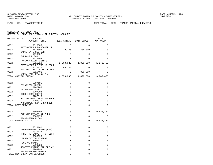FUND − 101 − TRANSPORTATION DEPT TOTAL − 0232 − TRANSP CAPITAL PROJECTS

| ORGANIZATION       | <b>ACCOUNT</b><br>------ACCOUNT TITLE------ 2015 ACTUAL |             | 2016 BUDGET             | 2017<br>APPROVED |
|--------------------|---------------------------------------------------------|-------------|-------------------------|------------------|
| 0232               | 5616305                                                 | 0           | 0                       | 0                |
| 0232               | PAVING/RESURF-CROOKED LN<br>5616306                     | 19,780      | 406,000                 | $\Omega$         |
|                    | IMPRV-INTERSECTION                                      |             |                         |                  |
| 0232               | 5616307<br>IMPRV-S R 388                                | $\Omega$    | $\Omega$                | $\Omega$         |
| 0232               | 5616309<br>PAVING/RESURF-11TH ST.                       | $\mathbf 0$ | $\Omega$                | $\Omega$         |
| 0232               | 5616310                                                 | 2,363,023   | 1,360,000               | 1,173,458        |
| 0232               | PAVING/RESURF-TOP 12 PROJ<br>5616312                    | 580,348     | 0                       | 0                |
| 0232               | PAVING/DIRT COLLECTOR RDS<br>5616401                    | $\Omega$    | 300,000                 | $\Omega$         |
|                    | IMPRV-PART PAVING PRJ                                   |             |                         |                  |
|                    | TOTAL CAPITAL OUTLAY                                    |             | $6,559,293$ $4,690,000$ | 3,909,458        |
| 0232               | 5707105                                                 | 0           | 0                       | 0                |
| 0232               | PRINCIPAL-LOANS<br>5707205                              | $\Omega$    | $\Omega$                | $\Omega$         |
|                    | INTEREST-LOANS                                          |             |                         |                  |
| 0232               | 5707303<br><b>BOND ISSUE COSTS</b>                      | $\mathbf 0$ | $\Omega$                | $\Omega$         |
| 0232               | 5707316<br>PAYING AGENT/TRUSTEE-FEES                    | 0           | $\Omega$                | 0                |
| 0232               | 5707370                                                 | 0           | $\mathbf 0$             | 0                |
| TOTAL DEBT SERVICE | ARBITRAGE REBATE EXPENSE                                | 0           | $\Omega$                | 0                |
|                    |                                                         |             |                         |                  |
| 0232               | 5808108                                                 | 0           | $\mathbf 0$             | 9,425,457        |
| 0232               | AID-CRA PANAMA CITY BCH<br>5808179                      | 0           | $\Omega$                | $\Omega$         |
|                    | GRANT-FEMA FLOOD<br>TOTAL GRANTS & AIDS                 | $\Omega$    | $\Omega$                | 9,425,457        |
|                    |                                                         |             |                         |                  |
| 0232               | 5819101                                                 | $\Omega$    | $\Omega$                | $\Omega$         |
| 0232               | TRNFS-GENERAL FUND (001)<br>5819122                     | $\Omega$    | $\Omega$                | 0                |
| 0232               | TRNSF-RD IMPACT-P C (113)<br>5905998                    | 0           | $\Omega$                | 0                |
|                    | DEPRECIATION EXPENSE                                    |             |                         |                  |
| 0232               | 5909917<br>RESERVE-BONDS                                | $\Omega$    | $\Omega$                | $\Omega$         |
| 0232               | 5909920<br>RESERVE-FUTURE CAP OUTLAY                    | 0           | $\mathbf{0}$            | 0                |
| 0232               | 5909999                                                 | $\Omega$    | $\Omega$                | $\Omega$         |
|                    | RESERVE-CASH FORWARD<br>TOTAL NON-OPERATING EXPENSES    | 0           | $\Omega$                | 0                |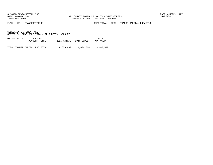FUND − 101 − TRANSPORTATION DEPT TOTAL − 0232 − TRANSP CAPITAL PROJECTS

SELECTION CRITERIA: ALLSORTED BY: FUND,DEPT TOTAL,1ST SUBTOTAL,ACCOUNT

ORGANIZATION ACCOUNT 2017−−−−−−ACCOUNT TITLE−−−−−− 2015 ACTUAL 2016 BUDGET APPROVED

TOTAL TRANSP CAPITAL PROJECTS 6,659,600 4,836,804 13,487,532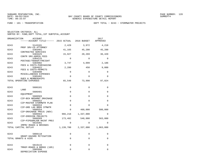FUND − 101 − TRANSPORTATION DEPT TOTAL − 0243 − STORMWATER PROJECTS

| ORGANIZATION | ACCOUNT<br>------ACCOUNT TITLE------ 2015 ACTUAL             |             | 2016 BUDGET | 2017<br>APPROVED |
|--------------|--------------------------------------------------------------|-------------|-------------|------------------|
| 0243         | 5143101                                                      | 2,429       | 3,972       | 4,218            |
| 0243         | PROF SRV-CO ATTORNEY<br>5303401                              | 41,165      | 45,200      | 45,200           |
| 0243         | CONTRACTED SERVICES<br>5303425                               | 15,927      | 20,269      | 36,420           |
| 0243         | CONTR SRV-ADMIN FEES<br>5304125                              | $\mathbf 0$ | $\Omega$    | $\Omega$         |
| 0243         | POSTAGE/TRANSP/FREIGHT<br>5304902                            | 3,747       | 4,099       | 2,186            |
| 0243         | FEES & COSTS-PURCHASING<br>5304922                           | 2,280       | 450         | 9,000            |
| 0243         | FEES & COSTS-PERMITS<br>5304990                              | 0           | 0           | 0                |
| 0243         | MISCELLANEOUS EXPENSES<br>5305402                            | $\Omega$    | $\Omega$    | $\Omega$         |
|              | DUES & MEMBERSHIPS<br>TOTAL OPERATING EXPENSES               | 65,548      | 73,990      | 97,024           |
| 0243         | 5606101<br>LAND                                              | 0           | $\Omega$    | 0                |
| 0243         | 5606401                                                      | $\Omega$    | 0           | $\Omega$         |
| 0243         | EOUIPMENT<br>5606503                                         | 0           | $\Omega$    | 0                |
| 0243         | CIP-BCH NRSHMNT DRAINAGE<br>5606552                          | $\Omega$    | $\Omega$    | $\Omega$         |
| 0243         | CIP-MASTER STORMWTR PLAN<br>5606553                          | 0           | $\Omega$    | 0                |
| 0243         | CIP-GRD LAG BRDG STMWTR<br>5606554                           | $\Omega$    | 460,000     | 500,000          |
| 0243         | CIP-DRAINAGE PROJS (NOV)<br>5606563                          | 966,218     | 1,337,000   | 0                |
| 0243         | CIP-EROSION PROJECTS<br>5606569                              | 173,482     | 540,000     | 563,000          |
| 0243         | CIP-PIPE&MAJOR MAINT PROJ<br>5616301                         | $\Omega$    | $\Omega$    | $\Omega$         |
|              | IMPRV ROADS & BRIDGES<br>TOTAL CAPITAL OUTLAY                | 1,139,700   | 2,337,000   | 1,063,000        |
| 0243         | 5808118                                                      | 0           | 0           | 0                |
|              | GRANT-HAZARD MITIGATION<br>TOTAL GRANTS & AIDS               | 0           | $\Omega$    | 0                |
| 0243         | 5819115                                                      | 0           | $\Omega$    | $\Omega$         |
| 0243         | TRNSF-ROADS & BRDGS (105)<br>5905998<br>DEPRECIATION EXPENSE | 0           | 0           | 0                |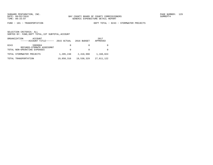FUND − 101 − TRANSPORTATION DEPT TOTAL − 0243 − STORMWATER PROJECTS

|      | ORGANIZATION<br>ACCOUNT<br>------ACCOUNT TITLE------ | 2015 ACTUAL | 2016 BUDGET | 2017<br>APPROVED |
|------|------------------------------------------------------|-------------|-------------|------------------|
| 0243 | 5909904<br>REFUNDS-STRMWTR ASSESSMNT                 | 0           |             |                  |
|      | TOTAL NON-OPERATING EXPENSES                         | 0           |             |                  |
|      | TOTAL STORMWATER PROJECTS                            | 1,205,248   | 2,410,990   | 1,160,024        |
|      | TOTAL TRANSPORTATION                                 | 19,850,316  | 19,530,329  | 27,611,122       |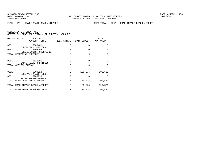FUND − 111 − ROAD IMPACT−BEACH/AIRPORT DEPT TOTAL − 0251 − ROAD IMPACT−BEACH/AIRPORT

| ORGANIZATION<br>ACCOUNT<br>------ACCOUNT TITLE------ 2015 ACTUAL |          | 2016 BUDGET | 2017<br>APPROVED |
|------------------------------------------------------------------|----------|-------------|------------------|
| 0251<br>5303401                                                  | 0        | 0           | 0                |
| CONTRACTED SERVICES<br>0251<br>5304902                           | $\Omega$ | $\Omega$    | 0                |
| FEES & COSTS-PURCHASING<br>TOTAL OPERATING EXPENSES              | $\Omega$ | $\Omega$    | 0                |
| 0251<br>5616301                                                  | $\Omega$ | $\Omega$    | 0                |
| IMPRV ROADS & BRIDGES<br>TOTAL CAPITAL OUTLAY                    | $\Omega$ | $\Omega$    | $\Omega$         |
| 0251<br>5909913                                                  | $\Omega$ | 189,075     | 190,521          |
| RESERVE-IMPACT FEES<br>0251<br>5909999<br>RESERVE-CASH FORWARD   | $\Omega$ | $\Omega$    | O                |
| TOTAL NON-OPERATING EXPENSES                                     | 0        | 189,075     | 190,521          |
| TOTAL ROAD IMPACT-BEACH/AIRPORT                                  | 0        | 189,075     | 190,521          |
| TOTAL ROAD IMPACT-BEACH/AIRPORT                                  | 0        | 189,075     | 190,521          |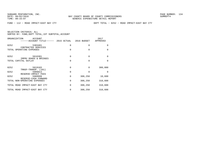FUND − 112 − ROAD IMPACT−EAST BAY CTY DEPT TOTAL − 0252 − ROAD IMPACT−EAST BAY CTY

| ORGANIZATION<br>ACCOUNT<br>------ACCOUNT TITLE------ 2015 ACTUAL |   | 2016 BUDGET | 2017<br>APPROVED |
|------------------------------------------------------------------|---|-------------|------------------|
| 0252<br>5303401                                                  | 0 | 0           | 0                |
| CONTRACTED SERVICES<br>TOTAL OPERATING EXPENSES                  | 0 | $\Omega$    | 0                |
| 0252<br>5616301<br>IMPRV ROADS & BRIDGES                         | 0 | $\Omega$    | 0                |
| TOTAL CAPITAL OUTLAY                                             | 0 | $\Omega$    | 0                |
| 0252<br>5819103<br>TRNSF-TRANSP. (101)                           | 0 | $\Omega$    | 300,000          |
| 0252<br>5909913                                                  | 0 | $\Omega$    | O                |
| RESERVE-IMPACT FEES<br>0252<br>5909999<br>RESERVE-CASH FORWARD   | 0 | 308,250     | 10,608           |
| TOTAL NON-OPERATING EXPENSES                                     | 0 | 308,250     | 310,608          |
| TOTAL ROAD IMPACT-EAST BAY CTY                                   | 0 | 308,250     | 310,608          |
| TOTAL ROAD IMPACT-EAST BAY CTY                                   | 0 | 308,250     | 310,608          |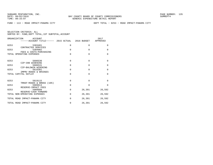| ORGANIZATION<br>ACCOUNT<br>------ACCOUNT TITLE------ 2015 ACTUAL 2016 BUDGET |          |          | 2017<br>APPROVED |
|------------------------------------------------------------------------------|----------|----------|------------------|
| 0253<br>5303401                                                              | $\Omega$ | 0        | 0                |
| CONTRACTED SERVICES<br>0253<br>5304902                                       | $\Omega$ | $\Omega$ | $\mathbf 0$      |
| FEES & COSTS-PURCHASING<br>TOTAL OPERATING EXPENSES                          | $\Omega$ | $\Omega$ | $\Omega$         |
| 0253<br>5606530<br>CIP-390 WIDENING                                          | $\Omega$ | $\Omega$ | $\Omega$         |
| 0253<br>5606531<br>CIP-BALDWIN WIDENING                                      | $\Omega$ | $\Omega$ | $\mathbf 0$      |
| 0253<br>5616301<br>IMPRV ROADS & BRIDGES                                     | $\Omega$ | $\Omega$ | $\mathbf 0$      |
| TOTAL CAPITAL OUTLAY                                                         | $\Omega$ | $\Omega$ | 0                |
| 0253<br>5819115<br>TRNSF-ROADS & BRDGS (105)                                 | $\Omega$ | $\Omega$ | $\Omega$         |
| 0253<br>5909913<br>RESERVE-IMPACT FEES                                       | $\Omega$ | $\Omega$ | $\Omega$         |
| 0253<br>5909999                                                              | $\Omega$ | 26,391   | 26,592           |
| RESERVE-CASH FORWARD<br>TOTAL NON-OPERATING EXPENSES                         | $\Omega$ | 26,391   | 26,592           |
| TOTAL ROAD IMPACT-PANAMA CITY                                                | $\Omega$ | 26,391   | 26,592           |
| TOTAL ROAD IMPACT-PANAMA CITY                                                | $\Omega$ | 26,391   | 26,592           |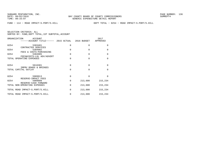FUND − 114 − ROAD IMPACT−S.PORT/S.HILL DEPT TOTAL − 0254 − ROAD IMPACT−S.PORT/S.HILL

| ORGANIZATION<br>ACCOUNT<br>------ACCOUNT TITLE------ 2015 ACTUAL 2016 BUDGET |                      |                      | 2017<br>APPROVED     |
|------------------------------------------------------------------------------|----------------------|----------------------|----------------------|
| 0254<br>5303401<br>CONTRACTED SERVICES                                       | 0                    | $\Omega$             | $\Omega$             |
| 0254<br>5304902<br>FEES & COSTS-PURCHASING                                   | $\Omega$             | $\Omega$             | $\Omega$             |
| 0254<br>5304905<br>FEES&COSTS-LGL ADV/ADVERT                                 | $\Omega$             | $\Omega$             | $\Omega$             |
| TOTAL OPERATING EXPENSES                                                     | $\Omega$             | $\Omega$             | $\Omega$             |
| 0254<br>5616301<br>IMPRV ROADS & BRIDGES<br>TOTAL CAPITAL OUTLAY             | $\Omega$<br>$\Omega$ | $\Omega$<br>$\Omega$ | $\Omega$<br>$\Omega$ |
| 0254<br>5909913                                                              | 0                    | $\Omega$             | $\Omega$             |
| RESERVE-IMPACT FEES<br>0254<br>5909999                                       | $\Omega$             | 213,600              | 215,234              |
| RESERVE-CASH FORWARD<br>TOTAL NON-OPERATING EXPENSES                         | $\Omega$             | 213,600              | 215,234              |
| TOTAL ROAD IMPACT-S.PORT/S.HILL                                              | $\Omega$             | 213,600              | 215,234              |
| TOTAL ROAD IMPACT-S.PORT/S.HILL                                              | 0                    | 213,600              | 215,234              |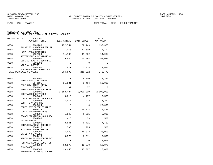FUND − 118 − TRANSIT DEPT TOTAL − 0258 − FIXED TRANSIT

|  | SELECTION CRITERIA: ALL                            |  |  |
|--|----------------------------------------------------|--|--|
|  | SORTED BY: FUND, DEPT TOTAL, 1ST SUBTOTAL, ACCOUNT |  |  |

| ORGANIZATION | ACCOUNT<br>------ACCOUNT TITLE------ 2015 ACTUAL 2016 BUDGET |               |                               | 2017<br>APPROVED |
|--------------|--------------------------------------------------------------|---------------|-------------------------------|------------------|
| 0258         | 5101200                                                      | 152,754       | 152,149                       | 193,365          |
| 0258         | SALARIES & WAGES-REGULAR<br>5102100<br>FICA TAXES-MATCHING   | 11,073        | 11,639                        | 14,792           |
| 0258         | 5102200<br>RETIREMENT CONTRIBUTIONS                          | 11,199        | 11,322                        | 14,904           |
| 0258         | 5102300<br>LIFE & HEALTH INSURANCE                           | 29,444        | 40,494                        | 51,037           |
| 0258         | 5102302<br>VIRTUAL DOCTOR                                    | $\Omega$      | $\Omega$                      | $\Omega$         |
| 0258         | 5102400<br>WORKERS COMP. PREMIUMS                            | 421           | 2,418                         | 2,681            |
|              | TOTAL PERSONAL SERVICES                                      | 204,892       | 218,022                       | 276,779          |
| 0258         | 5143101                                                      | $\Omega$      | 8,030                         | 2,347            |
| 0258         | PROF SRV-CO ATTORNEY<br>5143105                              | 31,531        | 8,416                         | 50,000           |
| 0258         | PROF SRV-OTHER ATTNY<br>5303107<br>PROF SRV-SUBSTANCE TEST   | 37            | 37                            | $\Omega$         |
| 0258         | 5303401<br>CONTRACTED SERVICES                               |               | 2,588,434 2,000,000 2,600,000 |                  |
| 0258         | 5303403<br>CONTR SRV-BANK CHRG POOL                          | 6,010         | 4,187                         | 6,565            |
| 0258         | 5303408<br>CONTR SRV-800 MHZ                                 | 7,917         | 7,212                         | 7,212            |
| 0258         | 5303424<br>CONTR SRV-CLERK FINANCE                           | $\mathbf 0$   | $\Omega$                      | 25,000           |
| 0258         | 5303425<br>CONTR SRV-ADMIN FEES                              | $\mathbf 0$   | 54,074                        | 27,450           |
| 0258         | 5304001<br>TRAVEL/TRAINING NON-LOCAL                         | 5,542         | 1,331                         | 5,000            |
| 0258         | 5304005<br>TRAVEL-LOCAL                                      | 626           | 33                            | 500              |
| 0258         | 5304101<br>COMMUNICATIONS SERVICES                           | 8,541         | 6,411                         | 7,752            |
| 0258<br>0258 | 5304125<br>POSTAGE/TRANSP/FREIGHT<br>5304301                 | 506<br>27,948 | 285<br>15,872                 | 500<br>28,000    |
| 0258         | UTILITY SERVICES<br>5304410                                  | 8,570         | 6,211                         | 6,500            |
| 0258         | RENTALS/LEASES-EOUIPMENT<br>5304414                          | $\Omega$      | $\Omega$                      | 2,000            |
| 0258         | RENTALS/LEASES-EQUIP(IT)<br>5304500                          | 12,070        | 12,070                        | 12,070           |
| 0258         | INSURANCE<br>5304605<br>REPAIR/MAINT-BLDG & GRND             | 28,056        | 15,827                        | 25,000           |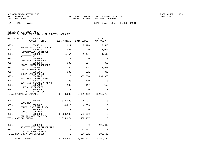FUND − 118 − TRANSIT DEPT TOTAL − 0258 − FIXED TRANSIT

| ORGANIZATION<br>ACCOUNT<br>------ACCOUNT TITLE------ 2015 ACTUAL |             | 2016 BUDGET | 2017<br>APPROVED        |
|------------------------------------------------------------------|-------------|-------------|-------------------------|
| 0258<br>5304610                                                  | 12,221      | 7,126       | 7,500                   |
| REPAIR/MAINT-AUTO EQUIP<br>0258<br>5304615                       | 935         | 900         | 1,000                   |
| REPAIR/MAINT-EOUIPMENT<br>0258<br>5304801                        | 1,454       | 1,454       | 1,500                   |
| ADVERTISING<br>0258<br>5304989                                   | 0           | $\Omega$    | $\Omega$                |
| FARE BOX OVER/UNDER<br>0258<br>5304990                           | 385         | 314         | 350                     |
| MISCELLANEOUS EXPENSES<br>0258<br>5305101                        | 1,705       | 1,124       | 1,650                   |
| OFFICE SUPPLIES<br>0258<br>5305201                               | 332         | 291         | 300                     |
| OPERATING SUPPLIES<br>0258<br>5305205                            | 0           | 300,000     | 294,373                 |
| GAS, OIL & LUBRICANTS<br>0258<br>5305215                         | 100         | 100         | $\Omega$                |
| CLOTHING & WEARING APPRL                                         |             |             |                         |
| 0258<br>5305402<br><b>DUES &amp; MEMBERSHIPS</b>                 | 162         | 117         | 150                     |
| 0258<br>5305406<br>TRAINING & TUITION                            | $\mathbf 0$ | $\mathbf 0$ | $\mathbf 0$             |
| TOTAL OPERATING EXPENSES                                         | 2,743,080   |             | 2, 451, 422 3, 112, 719 |
| 0258<br>5606401                                                  | 1,028,098   | 4,931       | 0                       |
| EQUIPMENT<br>0258<br>5606402                                     | 4,612       | 4,506       | 0                       |
| EOUIP LESS THAN \$1000<br>0258<br>5606450                        | 0           | $\Omega$    | $\mathbf 0$             |
| COMPUTER SOFTWARE<br>0258<br>5606533                             | 2,603,163   | 500,000     | $\mathbf 0$             |
| CIP-TRANSIT FACILITY<br>TOTAL CAPITAL OUTLAY                     | 3,635,874   | 509,437     | $\Omega$                |
|                                                                  |             |             |                         |
| 0258<br>5909910<br>RESERVE FOR CONTINGENCIES                     | $\Omega$    | 0           | 196,636                 |
| 0258<br>5909999<br>RESERVE-CASH FORWARD                          | $\mathbf 0$ | 134,881     | 0                       |
| TOTAL NON-OPERATING EXPENSES                                     | $\mathbf 0$ | 134,881     | 196,636                 |
| TOTAL FIXED TRANSIT                                              | 6,583,845   | 3, 313, 762 | 3,586,134               |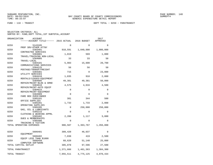FUND − 118 − TRANSIT DEPT TOTAL − 0259 − PARATRANSIT

|      | ORGANIZATION<br><b>ACCOUNT</b>                 |             |             | 2017                |
|------|------------------------------------------------|-------------|-------------|---------------------|
|      | -----ACCOUNT TITLE------ 2015 ACTUAL           |             | 2016 BUDGET | APPROVED            |
| 0259 | 5143105                                        | $\Omega$    | $\Omega$    | $\Omega$            |
| 0259 | PROF SRV-OTHER ATTNY<br>5303401                | 918,591     | 1,040,000   | 1,000,000           |
| 0259 | CONTRACTED SERVICES<br>5304001                 | 1,019       | 569         | 1,000               |
| 0259 | TRAVEL/TRAINING NON-LOCAL<br>5304005           | 33          | 33          | 50                  |
| 0259 | TRAVEL-LOCAL<br>5304101                        | 5,983       | 15,600      | 20,700              |
| 0259 | COMMUNICATIONS SERVICES<br>5304125             | 56          | 56          | 50                  |
| 0259 | POSTAGE/TRANSP/FREIGHT<br>5304301              | 715         | $\Omega$    | 23,000              |
| 0259 | UTILITY SERVICES<br>5304410                    | 1,835       | 918         | 2,000               |
| 0259 | RENTALS/LEASES-EQUIPMENT<br>5304605            | 49,381      | 49,381      | 50,000              |
| 0259 | REPAIR/MAINT-BLDG & GRND<br>5304610            | 4,575       | 4,016       | 4,500               |
| 0259 | REPAIR/MAINT-AUTO EQUIP<br>5304615             | $\mathbf 0$ | $\Omega$    | $\Omega$            |
| 0259 | REPAIR/MAINT-EOUIPMENT<br>5304989              | $\Omega$    | $\Omega$    | $\Omega$            |
| 0259 | FARE BOX OVER/UNDER<br>5305101                 | 381         | 344         | 500                 |
| 0259 | OFFICE SUPPLIES<br>5305201                     | 1,733       | 1,733       | 2,000               |
| 0259 | OPERATING SUPPLIES<br>5305205                  | 0           | 250,000     | 250,000             |
| 0259 | GAS, OIL & LUBRICANTS<br>5305215               | $\Omega$    | $\Omega$    | $\Omega$            |
| 0259 | CLOTHING & WEARING APPRL<br>5305402            | 2,286       | 1,117       | 3,000               |
| 0259 | <b>DUES &amp; MEMBERSHIPS</b><br>5305406       | $\Omega$    | $\Omega$    | $\Omega$            |
|      | TRAINING & TUITION<br>TOTAL OPERATING EXPENSES | 986,587     | 1,363,767   | 1,356,800           |
| 0259 | 5606401                                        | 309,420     | 46,037      | $\Omega$            |
| 0259 | EQUIPMENT<br>5606402                           | 7,038       | 419         | 2,500               |
| 0259 | EQUIP LESS THAN \$1000<br>5606450              | 68,620      | 51,140      | 25,000              |
|      | COMPUTER SOFTWARE<br>TOTAL CAPITAL OUTLAY      | 385,078     | 97,596      | 27,500              |
|      | TOTAL PARATRANSIT                              | 1,371,666   |             | 1,461,363 1,384,300 |
|      | TOTAL TRANSIT                                  | 7,955,511   | 4,775,125   | 4,970,434           |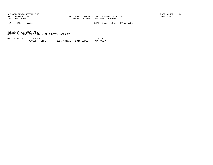FUND − 118 − TRANSIT DEPT TOTAL − 0259 − PARATRANSIT

SELECTION CRITERIA: ALLSORTED BY: FUND,DEPT TOTAL,1ST SUBTOTAL,ACCOUNT

ORGANIZATION ACCOUNT 2017−−−−−−ACCOUNT TITLE−−−−−− 2015 ACTUAL 2016 BUDGET APPROVED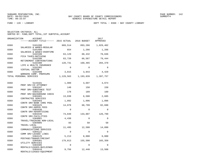FUND − 120 − LIBRARY DEPT TOTAL − 0360 − BAY COUNTY LIBRARY

| SELECTION CRITERIA: ALL                            |  |  |
|----------------------------------------------------|--|--|
| SORTED BY: FUND, DEPT TOTAL, 1ST SUBTOTAL, ACCOUNT |  |  |

| ORGANIZATION | ACCOUNT<br>------ACCOUNT TITLE------ 2015 ACTUAL 2016 BUDGET |           |                           | 2017<br>APPROVED        |
|--------------|--------------------------------------------------------------|-----------|---------------------------|-------------------------|
| 0360         | 5101200<br>SALARIES & WAGES-REGULAR                          |           | 869,514 893,266 1,029,402 |                         |
| 0360         | 5101400<br>SALARIES & WAGES-OVERTIME                         | 654       | 1,266                     | 1,266                   |
| 0360         | 5102100<br>FICA TAXES-MATCHING                               | 63,129    | 68,432                    | 78,846                  |
| 0360         | 5102200<br>RETIREMENT CONTRIBUTIONS                          | 63,720    | 66,567                    | 79,444                  |
| 0360         | 5102300<br>LIFE & HEALTH INSURANCE                           | 128,731   | 160,465                   | 204,370                 |
| 0360         | 5102302<br>VIRTUAL DOCTOR                                    | $\Omega$  | $\Omega$                  | $\Omega$                |
| 0360         | 5102400<br>WORKERS COMP. PREMIUMS                            | 3,815     | 3,843                     | 4,429                   |
|              | TOTAL PERSONAL SERVICES                                      | 1,129,563 |                           | 1, 193, 839 1, 397, 757 |
| 0360         | 5143101                                                      | 1,909     | 3,697                     | 3,074                   |
| 0360         | PROF SRV-CO ATTORNEY<br>5303107                              | 148       | 150                       | 150                     |
| 0360         | PROF SRV-SUBSTANCE TEST<br>5303110                           | 178       | 189                       | 189                     |
| 0360         | PROF SRV-BACKGROUND CHECK<br>5303401<br>CONTRACTED SERVICES  | 13,038    | 6,500                     | 2,685                   |
| 0360         | 5303403<br>CONTR SRV-BANK CHRG POOL                          | 1,092     | 1,096                     | 1,096                   |
| 0360         | 5303425<br>CONTR SRV-ADMIN FEES                              | 14,078    | 68,799                    | 82,698                  |
| 0360         | 5303430<br>CONTR SRV-ADVERTISING                             | $\Omega$  | $\Omega$                  | $\Omega$                |
| 0360         | 5303446<br>CONTR SRV-FACILITIES                              | 73,849    | 133,007                   | 126,799                 |
| 0360         | 5304001<br>TRAVEL/TRAINING NON-LOCAL                         | 4,438     | $\Omega$                  | $\Omega$                |
| 0360         | 5304005<br>TRAVEL-LOCAL                                      | 83        | 50                        | 50                      |
| 0360         | 5304101<br>COMMUNICATIONS SERVICES                           | 11,495    | 12,580                    | 14,890                  |
| 0360         | 5304122<br>COMM SRV-LEASED LINES                             | 0         | $\Omega$                  | $\Omega$                |
| 0360         | 5304125<br>POSTAGE/TRANSP/FREIGHT                            | 5,213     | 8,000                     | 6,000                   |
| 0360         | 5304301<br>UTILITY SERVICES                                  | 179,813   | 155,500                   | 165,350                 |
| 0360         | 5304405<br>RENTALS/LEASES-BUILDINGS                          | $\Omega$  | $\Omega$                  | $\Omega$                |
| 0360         | 5304410<br>RENTALS/LEASES-EOUIPMENT                          | 9,756     | 12,448                    | 13,508                  |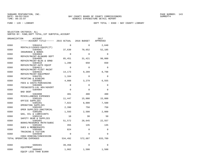| SELECTION CRITERIA: ALL |                                                    |  |
|-------------------------|----------------------------------------------------|--|
|                         | SORTED BY: FUND. DEPT TOTAL. 1ST SUBTOTAL. ACCOUNT |  |

| ORGANIZATION | ACCOUNT<br>------ACCOUNT TITLE------ 2015 ACTUAL 2016 BUDGET |                   |                   | 2017<br>APPROVED  |
|--------------|--------------------------------------------------------------|-------------------|-------------------|-------------------|
| 0360         | 5304414                                                      | $\Omega$          | $\Omega$          | 2,640             |
| 0360         | RENTALS/LEASES-EQUIP(IT)<br>5304501<br>INSURANCE & BONDS     | 37,630            | 70,652            | 52,185            |
| 0360         | 5304604<br>REPAIR/MAINT-BLD&GRD DEPT                         | $\mathbf 0$       | $\Omega$          | $\mathbf 0$       |
| 0360         | 5304605<br>REPAIR/MAINT-BLDG & GRND                          | 85,451            | 31,421            | 98,000            |
| 0360         | 5304610<br>REPAIR/MAINT-AUTO EQUIP                           | 1,280             | 650               | 650               |
| 0360         | 5304611<br>REPAIR/MAINT-FLEET MAINT                          | $\Omega$          | $\Omega$          | $\Omega$          |
| 0360         | 5304615<br>REPAIR/MAINT-EOUIPMENT                            | 14,173            | 9,209             | 8,798             |
| 0360         | 5304701<br>PRINTING & BINDING                                | 1,164             | $\Omega$          | $\Omega$          |
| 0360         | 5304902<br>FEES & COSTS-PURCHASING                           | 4,088<br>$\Omega$ | 3,279<br>$\Omega$ | 6,555<br>$\Omega$ |
| 0360<br>0360 | 5304905<br>FEES&COSTS-LGL ADV/ADVERT<br>5304984              | $\Omega$          | $\Omega$          | $\Omega$          |
| 0360         | BAD DEBT<br>5304990                                          | 401               | 400               | 400               |
| 0360         | MISCELLANEOUS EXPENSES<br>5305101                            | 11,447            | 15,000            | 15,000            |
| 0360         | OFFICE SUPPLIES<br>5305201                                   | 7,022             | 8,000             | 7,500             |
| 0360         | OPERATING SUPPLIES<br>5305202                                | 2,390             | 750               | 750               |
| 0360         | OPER SUPPLIES-JANITORIAL<br>5305205                          | 1,593             | 2,500             | 2,000             |
| 0360         | GAS, OIL & LUBRICANTS<br>5305210<br>SAFETY GEAR & SUPPLIES   | 10                | 30                | 50                |
| 0360         | 5305401<br>BOOKS/RESOURCE MATR/SUBSC                         | 51,572            | 28,645            | 22,557            |
| 0360         | 5305402<br>DUES & MEMBERSHIPS                                | 355               | 135               | 135               |
| 0360         | 5305406<br>TRAINING & TUITION                                | 824               | $\Omega$          | $\Omega$          |
| 0360         | 5394940<br>COGS-VENDING/CONCESSION                           | $\Omega$          | $\Omega$          | $\Omega$          |
|              | TOTAL OPERATING EXPENSES                                     | 534,492           | 572,687           | 633,709           |
| 0360         | 5606401<br>EOUIPMENT                                         | 39,456            | $\Omega$          | $\Omega$          |
| 0360         | 5606402<br>EQUIP LESS THAN \$1000                            | 1,062             | 1,500             | 1,500             |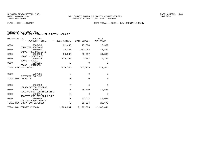| SELECTION CRITERIA: ALL |  |  |                                                    |  |
|-------------------------|--|--|----------------------------------------------------|--|
|                         |  |  | SORTED BY: FUND, DEPT TOTAL, 1ST SUBTOTAL, ACCOUNT |  |

| ORGANIZATION | <b>ACCOUNT</b><br>------ACCOUNT TITLE------ 2015 ACTUAL 2016 BUDGET |             |                     | 2017<br>APPROVED |
|--------------|---------------------------------------------------------------------|-------------|---------------------|------------------|
| 0360         | 5606450                                                             | 21,438      | 15,394              | 13,399           |
| 0360         | COMPUTER SOFTWARE<br>5606601                                        | 32,187      | 282,982             | 46,861           |
| 0360         | IMPACT FEE PROJECTS<br>5606620                                      | 50,335      | 60,997              | 61,899           |
| 0360         | BOOKS - STATE AID<br>5606623                                        | 175,268     | 2,082               | 6,246            |
| 0360         | BOOKS - LOCAL<br>5606625                                            | $\Omega$    | $\Omega$            | $\Omega$         |
|              | BOOKS - FRIENDS<br>TOTAL CAPITAL OUTLAY                             | 319,746     | 362,955             | 129,905          |
| 0360         | 5707201<br>INTEREST EXPENSE                                         | $\Omega$    | $\Omega$            | $\Omega$         |
|              | TOTAL DEBT SERVICE                                                  | $\Omega$    | $\Omega$            | $\Omega$         |
| 0360         | 5905998<br>DEPRECIATION EXPENSE                                     | $\mathbf 0$ | $\mathbf 0$         | $\Omega$         |
| 0360         | 5909910                                                             | 0           | 25,000              | 10,580           |
| 0360         | RESERVE FOR CONTINGENCIES<br>5909915                                | $\mathbf 0$ | $\Omega$            | $\Omega$         |
| 0360         | RESERVE FOR PAY ADJUSTMNT<br>5909999                                | $\mathbf 0$ | 43,524              | 10,090           |
|              | RESERVE-CASH FORWARD<br>TOTAL NON-OPERATING EXPENSES                | 0           | 68,524              | 20,670           |
|              | TOTAL BAY COUNTY LIBRARY                                            | 1,983,801   | 2,198,005 2,182,041 |                  |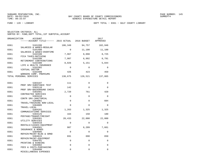| SELECTION CRITERIA: ALL |                                                 |  |
|-------------------------|-------------------------------------------------|--|
|                         | SORTED BY: FUND.DEPT TOTAL.1ST SUBTOTAL.ACCOUNT |  |

| ORGANIZATION | <b>ACCOUNT</b><br>------ACCOUNT TITLE------ 2015 ACTUAL 2016 BUDGET |             |             | 2017<br>APPROVED |
|--------------|---------------------------------------------------------------------|-------------|-------------|------------------|
| 0361         | 5101200<br>SALARIES & WAGES-REGULAR                                 | 106,349     | 94,757      | 102,946          |
| 0361         | 5101400                                                             | $\Omega$    | 11,100      | 11,100           |
| 0361         | SALARIES & WAGES-OVERTIME<br>5102100                                | 7,967       | 8,098       | 8,725            |
| 0361         | FICA TAXES-MATCHING<br>5102200<br>RETIREMENT CONTRIBUTIONS          | 7,907       | 6,992       | 8,791            |
| 0361         | 5102300<br>LIFE & HEALTH INSURANCE                                  | 8,026       | 5,151       | 5,844            |
| 0361         | 5102302<br>VIRTUAL DOCTOR                                           | $\Omega$    | $\Omega$    | $\Omega$         |
| 0361         | 5102400<br>WORKERS COMP. PREMIUMS                                   | 426         | 423         | 459              |
|              | TOTAL PERSONAL SERVICES                                             | 130,675     | 126,521     | 137,865          |
| 0361         | 5303107                                                             | 111         | $\mathbf 0$ | 0                |
| 0361         | PROF SRV-SUBSTANCE TEST<br>5303110                                  | 142         | $\Omega$    | $\Omega$         |
| 0361         | PROF SRV-BACKGROUND CHECK<br>5303401                                | 2,720       | 761         | 420              |
| 0361         | CONTRACTED SERVICES<br>5303410                                      | 0           | $\Omega$    | $\Omega$         |
| 0361         | CONTR SRV-JANITORIAL<br>5304001<br>TRAVEL/TRAINING NON-LOCAL        | $\mathbf 0$ | $\Omega$    | 684              |
| 0361         | 5304005<br>TRAVEL-LOCAL                                             | $\Omega$    | $\Omega$    | $\Omega$         |
| 0361         | 5304101<br>COMMUNICATIONS SERVICES                                  | 1,263       | 1,325       | 1,325            |
| 0361         | 5304125<br>POSTAGE/TRANSP/FREIGHT                                   | 164         | 150         | 180              |
| 0361         | 5304301<br>UTILITY SERVICES                                         | 20,433      | 22,000      | 22,000           |
| 0361         | 5304410<br>RENTALS/LEASES-EOUIPMENT                                 | $\Omega$    | $\Omega$    | $\Omega$         |
| 0361         | 5304501<br>INSURANCE & BONDS                                        | 987         | 6,209       | 7,661            |
| 0361         | 5304605<br>REPAIR/MAINT-BLDG & GRND                                 | $\mathbf 0$ | $\mathbf 0$ | 0                |
| 0361         | 5304615<br>REPAIR/MAINT-EQUIPMENT                                   | 691         | 690         | 650              |
| 0361         | 5304701<br>PRINTING & BINDING                                       | $\mathbf 0$ | 0           | $\mathbf 0$      |
| 0361         | 5304902<br>FEES & COSTS-PURCHASING                                  | $\mathbf 0$ | $\mathbf 0$ | $\mathbf 0$      |
| 0361         | 5304990<br>MISCELLANEOUS EXPENSES                                   | 0           | $\mathbf 0$ | $\Omega$         |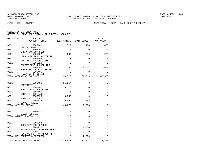|  | SELECTION CRITERIA: ALL                            |  |  |
|--|----------------------------------------------------|--|--|
|  | SORTED BY: FUND, DEPT TOTAL, 1ST SUBTOTAL, ACCOUNT |  |  |

|      | ORGANIZATION<br>ACCOUNT<br>$----ACCOUNT$ TITLE $--- 2015$ ACTUAL 2016 BUDGET |             |              | 2017<br>APPROVED |
|------|------------------------------------------------------------------------------|-------------|--------------|------------------|
| 0361 | 5305101                                                                      | 2,522       | 400          | 450              |
| 0361 | OFFICE SUPPLIES<br>5305201                                                   | 0           | $\Omega$     | $\Omega$         |
| 0361 | OPERATING SUPPLIES<br>5305202                                                | 387         | 250          | 275              |
| 0361 | OPER SUPPLIES-JANITORIAL<br>5305205                                          | $\mathbf 0$ | $\mathbf 0$  | 0                |
| 0361 | GAS, OIL & LUBRICANTS<br>5305210                                             | $\Omega$    | $\Omega$     | $\Omega$         |
| 0361 | SAFETY GEAR & SUPPLIES<br>5305401                                            | 7,106       | 6,534        | 6,660            |
| 0361 | BOOKS/RESOURCE MATR/SUBSC<br>5305406                                         | $\mathbf 0$ | 0            | $\mathbf 0$      |
|      | TRAINING & TUITION<br>TOTAL OPERATING EXPENSES                               | 36,526      | 38,319       | 40,305           |
| 0361 | 5606401                                                                      | 11,254      | 0            | 0                |
| 0361 | EOUIPMENT<br>5606402                                                         | 9,128       | $\Omega$     | 0                |
| 0361 | EOUIP LESS THAN \$1000<br>5606450                                            | 256         | $\mathbf{0}$ | 0                |
| 0361 | COMPUTER SOFTWARE<br>5606620                                                 | 8,350       | $\Omega$     | $\Omega$         |
| 0361 | BOOKS - STATE AID<br>5606623                                                 | 20,684      | 3,683        | 0                |
|      | BOOKS - LOCAL<br>TOTAL CAPITAL OUTLAY                                        | 49,672      | 3,683        | $\mathbf 0$      |
| 0361 | 5808121                                                                      | 0           | 0            | 0                |
|      | GRANT-FEDERAL<br>TOTAL GRANTS & AIDS                                         | $\Omega$    | $\mathbf{0}$ | 0                |
| 0361 | 5905998<br>DEPRECIATION EXPENSE                                              | $\Omega$    | $\Omega$     | 0                |
| 0361 | 5909910                                                                      | $\mathbf 0$ | 2,000        | 0                |
| 0361 | RESERVE FOR CONTINGENCIES<br>5909915                                         | $\mathbf 0$ | $\mathbf{0}$ | 0                |
|      | RESERVE FOR PAY ADJUSTMNT<br>TOTAL NON-OPERATING EXPENSES                    | $\Omega$    | 2,000        | $\Omega$         |
|      | TOTAL GULF COUNTY LIBRARY                                                    | 216,873     | 170,523      | 178,170          |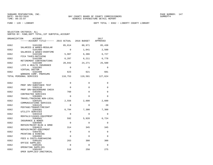FUND − 120 − LIBRARY DEPT TOTAL − 0362 − LIBERTY COUNTY LIBRARY

| SELECTION CRITERIA: ALL                            |
|----------------------------------------------------|
| SORTED BY: FUND, DEPT TOTAL, 1ST SUBTOTAL, ACCOUNT |

| ORGANIZATION<br><b>ACCOUNT</b><br>------ACCOUNT TITLE------ 2015 ACTUAL 2016 BUDGET |             |             | 2017<br>APPROVED |
|-------------------------------------------------------------------------------------|-------------|-------------|------------------|
| 0362<br>5101200                                                                     | 85,814      | 80,971      | 85,438           |
| SALARIES & WAGES-REGULAR<br>0362<br>5101400                                         | $\mathbf 0$ | 1,041       | 2,500            |
| SALARIES & WAGES-OVERTIME<br>0362<br>5102100                                        | 5,987       | 6,386       | 6,727            |
| FICA TAXES-MATCHING<br>0362<br>5102200                                              | 6,287       | 6,211       | 6,778            |
| RETIREMENT CONTRIBUTIONS<br>0362<br>5102300                                         | 20,042      | 24,271      | 25,500           |
| LIFE & HEALTH INSURANCE<br>0362<br>5102302                                          | $\Omega$    | $\Omega$    | $\Omega$         |
| VIRTUAL DOCTOR<br>0362<br>5102400                                                   | 623         | 621         | 681              |
| WORKERS COMP. PREMIUMS<br>TOTAL PERSONAL SERVICES                                   | 118,753     | 119,501     | 127,624          |
| 0362<br>5303107                                                                     | 0           | $\Omega$    | $\Omega$         |
| PROF SRV-SUBSTANCE TEST<br>0362<br>5303110                                          | $\Omega$    | $\Omega$    | $\Omega$         |
| PROF SRV-BACKGROUND CHECK<br>0362<br>5303401                                        | 760         | $\mathbf 0$ | $\mathbf 0$      |
| CONTRACTED SERVICES<br>0362<br>5304001                                              | $\Omega$    | $\Omega$    | $\Omega$         |
| TRAVEL/TRAINING NON-LOCAL<br>0362<br>5304101                                        | 2,556       | 2,600       | 2,600            |
| COMMUNICATIONS SERVICES<br>0362<br>5304125                                          | $\Omega$    | $\Omega$    | 20               |
| POSTAGE/TRANSP/FREIGHT<br>0362<br>5304301                                           | 6,794       | 7,300       | 7,300            |
| UTILITY SERVICES<br>0362<br>5304410                                                 | $\Omega$    | $\Omega$    | $\Omega$         |
| RENTALS/LEASES-EQUIPMENT<br>0362<br>5304501                                         | 592         | 5,928       | 6,724            |
| INSURANCE & BONDS<br>0362<br>5304605                                                | $\Omega$    | $\Omega$    | $\mathbf 0$      |
| REPAIR/MAINT-BLDG & GRND<br>0362<br>5304615                                         | 314         | 345         | 345              |
| REPAIR/MAINT-EOUIPMENT<br>0362<br>5304701                                           | $\mathbf 0$ | $\mathbf 0$ | 0                |
| PRINTING & BINDING<br>0362<br>5304902                                               | 0           | $\Omega$    | $\Omega$         |
| FEES & COSTS-PURCHASING<br>0362<br>5305101                                          | 263         | 300         | 300              |
| OFFICE SUPPLIES<br>0362<br>5305201                                                  | $\Omega$    | $\Omega$    | $\Omega$         |
| OPERATING SUPPLIES<br>0362<br>5305202                                               | 518         | 250         | 275              |
| OPER SUPPLIES-JANITORIAL                                                            |             |             |                  |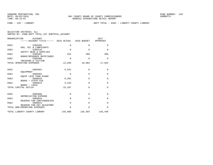FUND − 120 − LIBRARY DEPT TOTAL − 0362 − LIBERTY COUNTY LIBRARY

| SELECTION CRITERIA: ALL |  |  |                                                    |  |
|-------------------------|--|--|----------------------------------------------------|--|
|                         |  |  | SORTED BY: FUND, DEPT TOTAL, 1ST SUBTOTAL, ACCOUNT |  |

|      | ORGANIZATION<br>ACCOUNT<br>------ACCOUNT TITLE------ 2015 ACTUAL 2016 BUDGET |             |             | 2017<br>APPROVED |
|------|------------------------------------------------------------------------------|-------------|-------------|------------------|
| 0362 | 5305205<br>GAS, OIL & LUBRICANTS                                             | $\mathbf 0$ | $\Omega$    | $\Omega$         |
| 0362 | 5305210                                                                      | $\Omega$    | $\Omega$    | $\Omega$         |
| 0362 | SAFETY GEAR & SUPPLIES<br>5305401                                            | 252         | 260         | 260              |
| 0362 | BOOKS/RESOURCE MATR/SUBSC<br>5305406                                         | $\Omega$    | $\Omega$    | $\Omega$         |
|      | TRAINING & TUITION<br>TOTAL OPERATING EXPENSES                               | 12,048      | 16,983      | 17,824           |
| 0362 | 5606401                                                                      | 5,542       | $\mathbf 0$ | $\mathbf 0$      |
|      | EOUIPMENT                                                                    |             |             |                  |
| 0362 | 5606402<br>EOUIP LESS THAN \$1000                                            | $\Omega$    | $\Omega$    | $\Omega$         |
| 0362 | 5606620                                                                      | 6,202       | $\Omega$    | $\Omega$         |
| 0362 | BOOKS - STATE AID<br>5606623                                                 | 3,443       | $\mathbf 0$ | $\mathbf 0$      |
|      | BOOKS - LOCAL<br>TOTAL CAPITAL OUTLAY                                        | 15,187      | $\Omega$    | $\Omega$         |
|      |                                                                              |             |             |                  |
| 0362 | 5905998<br>DEPRECIATION EXPENSE                                              | $\mathbf 0$ | $\mathbf 0$ | $\mathbf 0$      |
| 0362 | 5909910                                                                      | $\Omega$    | $\Omega$    | $\Omega$         |
| 0362 | RESERVE FOR CONTINGENCIES<br>5909915                                         | $\Omega$    | $\Omega$    | $\Omega$         |
|      | RESERVE FOR PAY ADJUSTMNT<br>TOTAL NON-OPERATING EXPENSES                    | $\Omega$    | $\Omega$    | $\Omega$         |
|      | TOTAL LIBERTY COUNTY LIBRARY                                                 | 145,988     | 136,484     | 145,448          |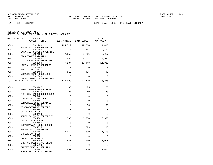| SELECTION CRITERIA: ALL                            |  |
|----------------------------------------------------|--|
| SORTED BY: FUND, DEPT TOTAL, 1ST SUBTOTAL, ACCOUNT |  |

| ORGANIZATION | ACCOUNT<br>------ACCOUNT TITLE------ 2015 ACTUAL 2016 BUDGET   |             |             | 2017<br>APPROVED |
|--------------|----------------------------------------------------------------|-------------|-------------|------------------|
| 0363         | 5101200<br>SALARIES & WAGES-REGULAR                            | 105,522     | 112,360     | 114,406          |
| 0363         | 5101400<br>SALARIES & WAGES-OVERTIME                           | $\Omega$    | 2,157       | 2,157            |
| 0363         | 5102100<br>FICA TAXES-MATCHING                                 | 7,850       | 8,761       | 8,917            |
| 0363         | 5102200<br>RETIREMENT CONTRIBUTIONS                            | 7,435       | 8,522       | 8,985            |
| 0363         | 5102300<br>LIFE & HEALTH INSURANCE                             | 7,104       | 10,443      | 11,926           |
| 0363         | 5102302<br>VIRTUAL DOCTOR                                      | $\Omega$    | $\Omega$    | $\Omega$         |
| 0363         | 5102400<br>WORKERS COMP. PREMIUMS                              | 512         | 486         | 495              |
| 0363         | 5102500<br>UNEMPLOYMENT COMPENSATION                           | $\Omega$    | $\Omega$    | $\Omega$         |
|              | TOTAL PERSONAL SERVICES                                        | 128,423     | 142,729     | 146,886          |
| 0363         | 5303107                                                        | 185         | 75          | 75               |
| 0363         | PROF SRV-SUBSTANCE TEST<br>5303110                             | 187         | 40          | 40               |
| 0363         | PROF SRV-BACKGROUND CHECK<br>5303401                           | $\Omega$    | $\Omega$    | $\Omega$         |
| 0363         | CONTRACTED SERVICES<br>5304101                                 | $\Omega$    | $\Omega$    | $\Omega$         |
| 0363         | COMMUNICATIONS SERVICES<br>5304125                             | 0           | 35          | 35               |
| 0363         | POSTAGE/TRANSP/FREIGHT<br>5304301                              | 0           | $\Omega$    | $\Omega$         |
| 0363         | UTILITY SERVICES<br>5304410                                    | $\Omega$    | $\Omega$    | $\Omega$         |
| 0363         | RENTALS/LEASES-EQUIPMENT<br>5304501                            | 790         | 6,250       | 6,955            |
| 0363         | INSURANCE & BONDS<br>5304605                                   | $\mathbf 0$ | $\mathbf 0$ | 0                |
| 0363         | REPAIR/MAINT-BLDG & GRND<br>5304615                            | 13          | 1,399       | 200              |
| 0363         | REPAIR/MAINT-EOUIPMENT<br>5305101                              | 3,952       | 1,500       | 1,500            |
| 0363         | OFFICE SUPPLIES<br>5305201                                     | $\Omega$    | $\Omega$    | $\Omega$         |
| 0363         | OPERATING SUPPLIES<br>5305202                                  | 683         | 1,000       | 1,000            |
| 0363         | OPER SUPPLIES-JANITORIAL<br>5305210                            | $\Omega$    | $\Omega$    | $\Omega$         |
| 0363         | SAFETY GEAR & SUPPLIES<br>5305401<br>BOOKS/RESOURCE MATR/SUBSC | 1,481       | 1,400       | 1,463            |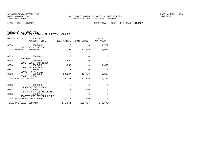| SELECTION CRITERIA: ALL |  |                                                    |  |
|-------------------------|--|----------------------------------------------------|--|
|                         |  | SORTED BY: FUND, DEPT TOTAL, 1ST SUBTOTAL, ACCOUNT |  |

| ORGANIZATION<br>ACCOUNT<br>------ACCOUNT TITLE------ 2015 ACTUAL 2016 BUDGET |          |             | 2017<br>APPROVED |
|------------------------------------------------------------------------------|----------|-------------|------------------|
| 0363<br>5305406                                                              | 0        | $\mathbf 0$ | 1,782            |
| TRAINING & TUITION<br>TOTAL OPERATING EXPENSES                               | 7,290    | 11,699      | 13,050           |
| 0363<br>5606401                                                              | $\Omega$ | $\Omega$    | $\Omega$         |
| EOUIPMENT<br>0363<br>5606402<br>EQUIP LESS THAN \$1000                       | 4,594    | $\Omega$    | $\Omega$         |
| 0363<br>5606450                                                              | 1,399    | $\Omega$    | 1,399            |
| COMPUTER SOFTWARE<br>0363<br>5606620<br>BOOKS - STATE AID                    | $\Omega$ | $\Omega$    | $\Omega$         |
| 0363<br>5606623                                                              | 30,244   | 12,279      | 9,338            |
| BOOKS - LOCAL<br>TOTAL CAPITAL OUTLAY                                        | 36,237   | 12,279      | 10,737           |
| 0363<br>5905998                                                              | 0        | $\Omega$    | $\Omega$         |
| DEPRECIATION EXPENSE                                                         |          |             |                  |
| 0363<br>5909910<br>RESERVE FOR CONTINGENCIES                                 | 0        | 2,000       | $\Omega$         |
| 0363<br>5909915<br>RESERVE FOR PAY ADJUSTMNT                                 | 0        | $\mathbf 0$ | $\Omega$         |
| TOTAL NON-OPERATING EXPENSES                                                 | 0        | 2,000       | $\Omega$         |
| TOTAL P C BEACH LIBRARY                                                      | 171,951  | 168,707     | 170,673          |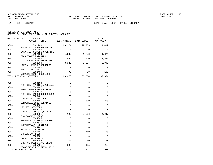FUND − 120 − LIBRARY DEPT TOTAL − 0364 − PARKER LIBRARY

| SELECTION CRITERIA: ALL |  |  |                                                    |  |
|-------------------------|--|--|----------------------------------------------------|--|
|                         |  |  | SORTED BY: FUND, DEPT TOTAL, 1ST SUBTOTAL, ACCOUNT |  |

| ORGANIZATION             | <b>ACCOUNT</b><br>------ACCOUNT TITLE------ 2015 ACTUAL 2016 BUDGET |             |             | 2017<br>APPROVED |
|--------------------------|---------------------------------------------------------------------|-------------|-------------|------------------|
| 0364                     | 5101200                                                             | 23,174      | 22,983      | 24,492           |
| 0364                     | SALARIES & WAGES-REGULAR<br>5101400                                 | $\Omega$    | $\Omega$    | $\Omega$         |
| 0364                     | SALARIES & WAGES-OVERTIME<br>5102100                                | 1,687       | 1,758       | 1,874            |
| 0364                     | FICA TAXES-MATCHING<br>5102200                                      | 1,694       | 1,710       | 1,888            |
| 0364                     | RETIREMENT CONTRIBUTIONS<br>5102300                                 | 3,022       | 3,504       | 3,995            |
| 0364                     | LIFE & HEALTH INSURANCE<br>5102302                                  | $\Omega$    | $\Omega$    | $\Omega$         |
| 0364                     | VIRTUAL DOCTOR<br>5102400<br>WORKERS COMP. PREMIUMS                 | 99          | 99          | 105              |
| TOTAL PERSONAL SERVICES  |                                                                     | 29,676      | 30,054      | 32,354           |
| 0364                     | 5303106                                                             | $\mathbf 0$ | $\mathbf 0$ | $\mathbf 0$      |
| 0364                     | PROF SRV-PHYSICLS/MEDICAL<br>5303107                                | $\mathbf 0$ | $\mathbf 0$ | 0                |
| 0364                     | PROF SRV-SUBSTANCE TEST<br>5303110                                  | $\Omega$    | $\Omega$    | $\Omega$         |
| 0364                     | PROF SRV-BACKGROUND CHECK<br>5303401                                | 175         | $\Omega$    | $\Omega$         |
| 0364                     | CONTRACTED SERVICES<br>5304101                                      | 250         | 300         | 300              |
| 0364                     | COMMUNICATIONS SERVICES<br>5304301                                  | $\Omega$    | $\Omega$    | $\Omega$         |
| 0364                     | UTILITY SERVICES<br>5304410<br>RENTALS/LEASES-EOUIPMENT             | $\Omega$    | $\Omega$    | $\Omega$         |
| 0364                     | 5304501<br>INSURANCE & BONDS                                        | 197         | 5,506       | 4,947            |
| 0364                     | 5304605<br>REPAIR/MAINT-BLDG & GRND                                 | $\mathbf 0$ | 0           | 0                |
| 0364                     | 5304615<br>REPAIR/MAINT-EQUIPMENT                                   | $\Omega$    | $\Omega$    | $\Omega$         |
| 0364                     | 5304701<br>PRINTING & BINDING                                       | $\Omega$    | $\Omega$    | $\Omega$         |
| 0364                     | 5305101<br>OFFICE SUPPLIES                                          | 167         | 150         | 150              |
| 0364                     | 5305201<br>OPERATING SUPPLIES                                       | $\mathbf 0$ | 0           | 0                |
| 0364                     | 5305202<br>OPER SUPPLIES-JANITORIAL                                 | 32          | 30          | 30               |
| 0364                     | 5305401<br>BOOKS/RESOURCE MATR/SUBSC                                | 208         | 195         | 215              |
| TOTAL OPERATING EXPENSES |                                                                     | 1,029       | 6,181       | 5,642            |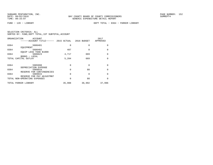FUND − 120 − LIBRARY DEPT TOTAL − 0364 − PARKER LIBRARY

| ORGANIZATION | <b>ACCOUNT</b>                                            |          |          | 2017<br>APPROVED |
|--------------|-----------------------------------------------------------|----------|----------|------------------|
| 0364         | 5606401                                                   | $\Omega$ | $\Omega$ | $\Omega$         |
| 0364         | EOUIPMENT<br>5606402<br>EOUIP LESS THAN \$1000            | 487      | $\Omega$ | $\Omega$         |
| 0364         | 5606623<br>BOOKS - LOCAL                                  | 4,717    | 669      | $\Omega$         |
|              | TOTAL CAPITAL OUTLAY                                      | 5,204    | 669      | $\Omega$         |
|              |                                                           |          |          |                  |
| 0364         | 5905998<br>DEPRECIATION EXPENSE                           | 0        | $\Omega$ | $\Omega$         |
| 0364         | 5909910                                                   | $\Omega$ | 88       | $\Omega$         |
| 0364         | RESERVE FOR CONTINGENCIES<br>5909915                      | $\Omega$ | $\Omega$ | $\Omega$         |
|              | RESERVE FOR PAY ADJUSTMNT<br>TOTAL NON-OPERATING EXPENSES | $\Omega$ | 88       | $\Omega$         |
|              | TOTAL PARKER LIBRARY                                      | 35,908   | 36,992   | 37,996           |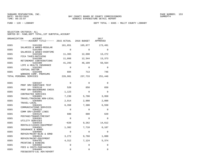FUND − 120 − LIBRARY DEPT TOTAL − 0365 − MULIT COUNTY LIBRARY

| SELECTION CRITERIA: ALL |                                                    |
|-------------------------|----------------------------------------------------|
|                         | SORTED BY: FUND, DEPT TOTAL, 1ST SUBTOTAL, ACCOUNT |

| ORGANIZATION | <b>ACCOUNT</b><br>------ACCOUNT TITLE------ 2015 ACTUAL 2016 BUDGET |             |             | 2017<br>APPROVED |
|--------------|---------------------------------------------------------------------|-------------|-------------|------------------|
| 0365         | 5101200<br>SALARIES & WAGES-REGULAR                                 | 161,851     | 165,877     | 173,491          |
| 0365         | 5101400<br>SALARIES & WAGES-OVERTIME                                | $\Omega$    | $\Omega$    | $\Omega$         |
| 0365         | 5102100<br>FICA TAXES-MATCHING                                      | 11,365      | 12,690      | 13,272           |
| 0365         | 5102200<br>RETIREMENT CONTRIBUTIONS                                 | 11,868      | 12,344      | 13,373           |
| 0365         | 5102300<br>LIFE & HEALTH INSURANCE                                  | 41,293      | 46,109      | 50,564           |
| 0365         | 5102302<br>VIRTUAL DOCTOR                                           | $\Omega$    | $\Omega$    | $\Omega$         |
| 0365         | 5102400<br>WORKERS COMP. PREMIUMS                                   | 604         | 713         | 746              |
|              | TOTAL PERSONAL SERVICES                                             | 226,981     | 237,733     | 251,446          |
| 0365         | 5303107                                                             | $\Omega$    | $\Omega$    | 0                |
| 0365         | PROF SRV-SUBSTANCE TEST<br>5303110                                  | 520         | 650         | 650              |
| 0365         | PROF SRV-BACKGROUND CHECK<br>5303401                                | 1,123       | $\Omega$    | $\Omega$         |
| 0365         | CONTRACTED SERVICES<br>5304001<br>TRAVEL/TRAINING NON-LOCAL         | 7,230       | 5,700       | 3,950            |
| 0365         | 5304005<br>TRAVEL-LOCAL                                             | 2,914       | 2,000       | 2,000            |
| 0365         | 5304101<br>COMMUNICATIONS SERVICES                                  | 6,350       | 7,300       | 6,550            |
| 0365         | 5304122<br>COMM SRV-LEASED LINES                                    | $\Omega$    | $\Omega$    | $\Omega$         |
| 0365         | 5304125<br>POSTAGE/TRANSP/FREIGHT                                   | 600         | 600         | 620              |
| 0365         | 5304301<br>UTILITY SERVICES                                         | $\Omega$    | $\Omega$    | $\Omega$         |
| 0365         | 5304410<br>RENTALS/LEASES-EOUIPMENT                                 | $-628$      | 9,262       | 14,612           |
| 0365         | 5304501<br>INSURANCE & BONDS                                        | 1,382       | 7,710       | 6,187            |
| 0365         | 5304605<br>REPAIR/MAINT-BLDG & GRND                                 | $\Omega$    | $\Omega$    | $\Omega$         |
| 0365         | 5304615<br>REPAIR/MAINT-EQUIPMENT                                   | 3,272       | 9,768       | 1,000            |
| 0365         | 5304701<br>PRINTING & BINDING                                       | 4,312       | 7,124       | 5,374            |
| 0365         | 5304902<br>FEES & COSTS-PURCHASING                                  | $\mathbf 0$ | 0           | $\Omega$         |
| 0365         | 5304905<br>FEES&COSTS-LGL ADV/ADVERT                                | 0           | $\mathbf 0$ | 0                |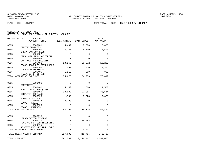| SELECTION CRITERIA: ALL |  |                                                    |  |
|-------------------------|--|----------------------------------------------------|--|
|                         |  | SORTED BY: FUND, DEPT TOTAL, 1ST SUBTOTAL, ACCOUNT |  |

|      | ORGANIZATION<br><b>ACCOUNT</b><br>------ACCOUNT TITLE------ 2015 ACTUAL |             | 2016 BUDGET | 2017<br>APPROVED |
|------|-------------------------------------------------------------------------|-------------|-------------|------------------|
| 0365 | 5305101                                                                 | 5,489       | 7,000       | 7,000            |
| 0365 | OFFICE SUPPLIES<br>5305201                                              | 3,180       | 4,500       | 4,500            |
| 0365 | OPERATING SUPPLIES<br>5305202                                           | 0           | $\Omega$    | 0                |
| 0365 | OPER SUPPLIES-JANITORIAL<br>5305205                                     | $\Omega$    | $\Omega$    | $\Omega$         |
| 0365 | GAS, OIL & LUBRICANTS<br>5305401                                        | 18,263      | 20,972      | 19,202           |
| 0365 | BOOKS/RESOURCE MATR/SUBSC<br>5305402                                    | 559         | 870         | 4,374            |
| 0365 | DUES & MEMBERSHIPS<br>5305406                                           | 1,110       | 800         | 800              |
|      | TRAINING & TUITION<br>TOTAL OPERATING EXPENSES                          | 55,676      | 84,256      | 76,819           |
|      |                                                                         |             |             |                  |
| 0365 | 5606401<br>EQUIPMENT                                                    | $\mathbf 0$ | $\Omega$    | $\Omega$         |
| 0365 | 5606402<br>EQUIP LESS THAN \$1000                                       | 5,340       | 1,500       | 1,500            |
| 0365 | 5606450                                                                 | 28,902      | 27,887      | 38,644           |
| 0365 | COMPUTER SOFTWARE<br>5606620                                            | 1,782       | 9,928       | 10,328           |
| 0365 | BOOKS - STATE AID<br>5606623                                            | 8,328       | 0           | 0                |
| 0365 | BOOKS - LOCAL<br>5606625                                                | 0           | $\Omega$    | 0                |
|      | BOOKS - FRIENDS<br>TOTAL CAPITAL OUTLAY                                 | 44,352      | 39,315      | 50,472           |
|      |                                                                         |             |             |                  |
| 0365 | 5905998<br>DEPRECIATION EXPENSE                                         | 0           | $\Omega$    | 0                |
| 0365 | 5909910<br>RESERVE FOR CONTINGENCIES                                    | 0           | 54,452      | 0                |
| 0365 | 5909915                                                                 | 0           | 0           | 0                |
|      | RESERVE FOR PAY ADJUSTMNT<br>TOTAL NON-OPERATING EXPENSES               | 0           | 54,452      | 0                |
|      | TOTAL MULIT COUNTY LIBRARY                                              | 327,009     | 415,756     | 378,737          |
|      | TOTAL LIBRARY                                                           | 2,881,530   | 3,126,467   | 3,093,065        |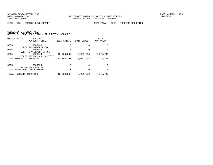FUND − 125 − TOURIST DEVELOPMENT DEPT TOTAL − 0265 − TOURISM PROMOTION

| ORGANIZATION |                         | ACCOUNT<br>-----ACCOUNT TITLE-                        | 2015 ACTUAL | 2016 BUDGET | 2017<br>APPROVED |
|--------------|-------------------------|-------------------------------------------------------|-------------|-------------|------------------|
| 0265         |                         | 5303430                                               | $\Omega$    | 0           | <sup>0</sup>     |
| 0265         |                         | CONTR SRV-ADVERTISING<br>5303443                      | 0           | 0           | <sup>0</sup>     |
| 0265         |                         | CONTR SRV-BEACH PATROL<br>5303444                     | 12,788,267  | 8,081,558   | 7,275,740        |
|              |                         | CONTR SRV-PCB CNV & VISIT<br>TOTAL OPERATING EXPENSES | 12,788,267  | 8,081,558   | 7,275,740        |
|              |                         |                                                       |             |             |                  |
| 0265         |                         | 5909924                                               | $\Omega$    | $\Omega$    | $\Omega$         |
|              |                         | RESERVE-PROMOTION<br>TOTAL NON-OPERATING EXPENSES     | $\Omega$    | $\Omega$    | <sup>0</sup>     |
|              | TOTAL TOURISM PROMOTION |                                                       | 12,788,267  | 8,081,558   | 7,275,740        |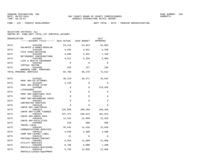FUND − 125 − TOURIST DEVELOPMENT DEPT TOTAL − 0275 − TOURISM ADMINISTRATION

| ORGANIZATION | ACCOUNT<br>------ACCOUNT TITLE------ 2015 ACTUAL 2016 BUDGET |             |             | 2017<br>APPROVED |
|--------------|--------------------------------------------------------------|-------------|-------------|------------------|
| 0275         | 5101200<br>SALARIES & WAGES-REGULAR                          | 53,216      | 52,823      | 54,903           |
| 0275         | 5102100<br>FICA TAXES-MATCHING                               | 3,935       | 4,041       | 4,200            |
| 0275         | 5102200<br>RETIREMENT CONTRIBUTIONS                          | 3,899       | 3,931       | 7,310            |
| 0275         | 5102300<br>LIFE & HEALTH INSURANCE                           | 4,511       | 5,256       | 5,963            |
| 0275         | 5102302<br>VIRTUAL DOCTOR                                    | $\mathbf 0$ | $\mathbf 0$ | $\mathbf 0$      |
| 0275         | 5102400<br>WORKERS COMP. PREMIUMS                            | 228         | 227         | 236              |
|              | TOTAL PERSONAL SERVICES                                      | 65,788      | 66,278      | 72,612           |
| 0275         | 5143101                                                      | 30,119      | 29,371      | 34,643           |
| 0275         | PROF SRV-CO ATTORNEY<br>5143105<br>PROF SRV-OTHER ATTNY      | 1,150       | $\Omega$    | $\Omega$         |
| 0275         | 5292005<br>LIFEGUARDS                                        | $\mathbf 0$ | $\mathbf 0$ | 276,263          |
| 0275         | 5303107<br>PROF SRV-SUBSTANCE TEST                           | $\mathbf 0$ | $\Omega$    | 0                |
| 0275         | 5303110<br>PROF SRV-BACKGROUND CHECK                         | $\Omega$    | $\Omega$    | $\Omega$         |
| 0275         | 5303401<br>CONTRACTED SERVICES                               | 0           | $\Omega$    | 0                |
| 0275         | 5303410<br>CONTR SRV-JANITORIAL                              | $\Omega$    | $\Omega$    | $\Omega$         |
| 0275         | 5303424<br>CONTR SRV-CLERK FINANCE                           | 225,698     | 299,250     | 299,250          |
| 0275         | 5303425<br>CONTR SRV-ADMIN FEES                              | 197,472     | 189,613     | 181,913          |
| 0275         | 5303446<br>CONTR SRV-FACILITIES                              | 12,542      | 22,699      | 22,529           |
| 0275         | 5304005<br>TRAVEL-LOCAL                                      | 226         | 500         | 500              |
| 0275         | 5304101<br>COMMUNICATIONS SERVICES                           | 26,541      | 12,535      | 13,620           |
| 0275         | 5304122<br>COMM SRV-LEASED LINES                             | 4,538       | 4,400       | 4,500            |
| 0275         | 5304125<br>POSTAGE/TRANSP/FREIGHT                            | 21          | $\Omega$    | $\Omega$         |
| 0275         | 5304301<br>UTILITY SERVICES                                  | 9,364       | 11,000      | 11,000           |
| 0275         | 5304405<br>RENTALS/LEASES-BUILDINGS                          | 8,790       | 6,000       | 7,200            |
| 0275         | 5304410<br>RENTALS/LEASES-EQUIPMENT                          | 5,793       | 12,856      | 12,856           |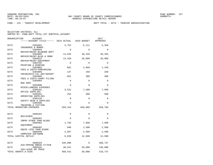FUND − 125 − TOURIST DEVELOPMENT DEPT TOTAL − 0275 − TOURISM ADMINISTRATION

| ORGANIZATION | <b>ACCOUNT</b><br>------ACCOUNT TITLE------ 2015 ACTUAL |             | 2016 BUDGET  | 2017<br>APPROVED |
|--------------|---------------------------------------------------------|-------------|--------------|------------------|
| 0275         | 5304501                                                 | 3,752       | 6,111        | 5,358            |
| 0275         | INSURANCE & BONDS<br>5304604                            | $\Omega$    | $\Omega$     | $\Omega$         |
| 0275         | REPAIR/MAINT-BLD&GRD DEPT<br>5304605                    | 14,645      | 30,335       | 40,335           |
| 0275         | REPAIR/MAINT-BLDG & GRND<br>5304615                     | 13,439      | 20,000       | 20,000           |
| 0275         | REPAIR/MAINT-EOUIPMENT<br>5304701                       | $\Omega$    | $\Omega$     | $\Omega$         |
| 0275         | PRINTING & BINDING<br>5304902                           | 681         | 2,869        | 1,249            |
| 0275         | FEES & COSTS-PURCHASING<br>5304905                      | 137         | 250          | 250              |
| 0275         | FEES&COSTS-LGL ADV/ADVERT<br>5304909                    | 651         | 300          | 300              |
| 0275         | FEES & COSTS-COURT FILING<br>5304984                    | $\mathbf 0$ | $\Omega$     | $\Omega$         |
| 0275         | BAD DEBT<br>5304990                                     | $\mathbf 0$ | $\mathbf{0}$ | $\mathbf 0$      |
| 0275         | MISCELLANEOUS EXPENSES<br>5305101                       | 3,531       | 7,500        | 7,500            |
| 0275         | OFFICE SUPPLIES<br>5305201                              | 254         | 500          | 500              |
| 0275         | OPERATING SUPPLIES<br>5305210                           | 0           | 0            | 0                |
| 0275         | SAFETY GEAR & SUPPLIES<br>5305406                       | 0           | $\mathbf{0}$ | $\Omega$         |
|              | TRAINING & TUITION<br>TOTAL OPERATING EXPENSES          | 559,344     | 656,089      | 939,766          |
|              |                                                         |             |              |                  |
| 0275         | 5606201<br><b>BUILDINGS</b>                             | 0           | $\mathbf 0$  | 0                |
| 0275         | 5606301<br>IMPRV OTHER THAN BLDGS                       | 0           | $\Omega$     | $\Omega$         |
| 0275         | 5606401<br>EOUIPMENT                                    | 1,793       | 7,500        | 7,500            |
| 0275         | 5606402<br>EQUIP LESS THAN \$1000                       | 848         | 2,500        | 2,500            |
| 0275         | 5606450<br>COMPUTER SOFTWARE                            | 3,997       | 2,500        | 2,500            |
|              | TOTAL CAPITAL OUTLAY                                    | 6,639       | 12,500       | 12,500           |
| 0275         | 5808103                                                 | 420,000     | 0            | 388,737          |
| 0275         | AID-SPRING BREAK CT/PCB<br>5808192                      | 40,541      | 50,000       | 130,000          |
|              | AID-LEAVE NO TRACE<br>TOTAL GRANTS & AIDS               | 460,541     | 50,000       | 518,737          |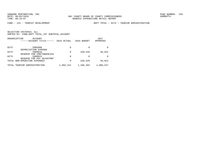FUND − 125 − TOURIST DEVELOPMENT DEPT TOTAL − 0275 − TOURISM ADMINISTRATION

|      | ORGANIZATION<br>ACCOUNT<br>---ACCOUNT TITLE------ | 2015 ACTUAL | 2016 BUDGET | 2017<br>APPROVED |
|------|---------------------------------------------------|-------------|-------------|------------------|
| 0275 | 5905998                                           | 0           | 0           |                  |
| 0275 | DEPRECIATION EXPENSE<br>5909910                   | 0           | 320,526     | 56,922           |
|      | RESERVE FOR CONTINGENCIES                         |             |             |                  |
| 0275 | 5909915<br>RESERVE FOR PAY ADJUSTMNT              | 0           | 0           | <sup>0</sup>     |
|      | TOTAL NON-OPERATING EXPENSES                      | 0           | 320,526     | 56,922           |
|      | TOTAL TOURISM ADMINISTRATION                      | 1,092,312   | 1,105,393   | 1,600,537        |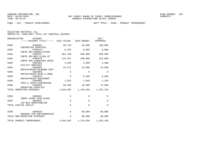FUND − 125 − TOURIST DEVELOPMENT DEPT TOTAL − 0280 − PRODUCT IMPROVEMENT

| SELECTION CRITERIA: ALL                            |  |
|----------------------------------------------------|--|
| SORTED BY: FUND, DEPT TOTAL, 1ST SUBTOTAL, ACCOUNT |  |

|      | ORGANIZATION<br><b>ACCOUNT</b><br>------ACCOUNT TITLE------ 2015 ACTUAL |             | 2016 BUDGET  | 2017<br>APPROVED        |
|------|-------------------------------------------------------------------------|-------------|--------------|-------------------------|
| 0280 | 5303401                                                                 | 80,728      | 48,000       | 100,000                 |
| 0280 | CONTRACTED SERVICES<br>5303434                                          | 6,435       | 8,000        | 8,000                   |
| 0280 | CONTR SRV-CONSULTATION<br>5303437<br>CONTR SRV-BCH CLEAN UP             | 681,199     | 850,000      | 850,000                 |
| 0280 | 5303479<br>CONTR SRV-LANDSCAPE MAINT                                    | 143,467     | 200,000      | 225,000                 |
| 0280 | 5304301<br>UTILITY SERVICES                                             | 3,485       | 3,500        | 3,500                   |
| 0280 | 5304604<br>REPAIR/MAINT-BLD&GRD DEPT                                    | 44,272      | 25,000       | 25,000                  |
| 0280 | 5304605<br>REPAIR/MAINT-BLDG & GRND                                     | 0           | $\mathbf 0$  | $\mathbf 0$             |
| 0280 | 5304615<br>REPAIR/MAINT-EOUIPMENT                                       | 0           | 6,500        | 6,500                   |
| 0280 | 5304902<br>FEES & COSTS-PURCHASING                                      | 1,022       | 2,049        | 1,249                   |
| 0280 | 5305201<br>OPERATING SUPPLIES                                           | 66,386      | 10,000       | 75,000                  |
|      | TOTAL OPERATING EXPENSES                                                | 1,026,992   |              | 1, 153, 049 1, 294, 249 |
| 0280 | 5606301                                                                 | 0           | $\mathbf 0$  | 0                       |
| 0280 | IMPRV OTHER THAN BLDGS<br>5606532                                       | $\mathbf 0$ | $\mathbf{0}$ | $\mathbf 0$             |
|      | CIP-BCH AMPHITHEATER<br>TOTAL CAPITAL OUTLAY                            | 0           | $\Omega$     | 0                       |
| 0280 | 5909910                                                                 | $\mathbf 0$ | 60,000       | 60,000                  |
|      | RESERVE FOR CONTINGENCIES<br>TOTAL NON-OPERATING EXPENSES               | 0           | 60,000       | 60,000                  |
|      | TOTAL PRODUCT IMPROVEMENT                                               | 1,026,992   | 1,213,049    | 1,354,249               |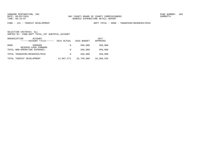FUND − 125 − TOURIST DEVELOPMENT DEPT TOTAL − 0980 − TRANSFERS/RESERVES/MISC

| ORGANIZATION | ACCOUNT<br>------ACCOUNT TITLE------ | 2015 ACTUAL | 2016 BUDGET | 2017<br>APPROVED |
|--------------|--------------------------------------|-------------|-------------|------------------|
| 0980         | 5909999<br>RESERVE-CASH FORWARD      | $\Omega$    | 350,000     | 350,000          |
|              | TOTAL NON-OPERATING EXPENSES         | 0           | 350,000     | 350,000          |
|              | TOTAL TRANSFERS/RESERVES/MISC        | 0           | 350,000     | 350,000          |
|              | TOTAL TOURIST DEVELOPMENT            | 14,907,571  | 10,750,000  | 10,580,526       |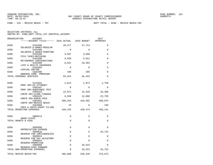FUND − 126 − MEXICO BEACH − TDT DEPT TOTAL − 0286 − MEXICO BEACH−TDC

| ORGANIZATION | ACCOUNT                                              |             |             | 2017     |
|--------------|------------------------------------------------------|-------------|-------------|----------|
|              | -----ACCOUNT TITLE------ 2015 ACTUAL 2016 BUDGET     |             |             | APPROVED |
| 0286         | 5101200<br>SALARIES & WAGES-REGULAR                  | 49,377      | 47,714      | $\Omega$ |
| 0286         | 5101400                                              | $\mathbf 0$ | $\Omega$    | 0        |
| 0286         | SALARIES & WAGES-OVERTIME<br>5102100                 | 3,507       | 3,650       | $\Omega$ |
| 0286         | FICA TAXES-MATCHING<br>5102200                       | 3,620       | 3,551       | $\Omega$ |
| 0286         | RETIREMENT CONTRIBUTIONS<br>5102300                  | 8,821       | 10,303      | 0        |
| 0286         | LIFE & HEALTH INSURANCE<br>5102302                   | 0           | $\Omega$    | $\Omega$ |
| 0286         | VIRTUAL DOCTOR<br>5102400                            | 199         | 205         | $\Omega$ |
|              | WORKERS COMP. PREMIUMS<br>TOTAL PERSONAL SERVICES    | 65,524      | 65,423      | $\Omega$ |
| 0286         | 5143101                                              | 1,814       | 1,873       | 1,769    |
|              | PROF SRV-CO ATTORNEY                                 |             |             |          |
| 0286         | 5303107<br>PROF SRV-SUBSTANCE TEST                   | $\mathbf 0$ | $\mathbf 0$ | 0        |
| 0286         | 5303424<br>CONTR SRV-CLERK FINANCE                   | 12,071      | 15,339      | 16,388   |
| 0286         | 5303425<br>CONTR SRV-ADMIN FEES                      | 9,948       | 12,860      | 22,759   |
| 0286         | 5303461<br>CONTR SRV-MEXICO BEACH                    | 396,252     | 416,402     | 509,075  |
| 0286         | 5304909<br>FEES & COSTS-COURT FILING                 | 70          | $\Omega$    | 150      |
|              | TOTAL OPERATING EXPENSES                             | 420,155     | 446,474     | 550,141  |
| 0286         | 5808113                                              | $\Omega$    | $\Omega$    | $\Omega$ |
|              | GRANT-STATE<br>TOTAL GRANTS & AIDS                   | 0           | $\mathbf 0$ | 0        |
|              |                                                      |             |             |          |
| 0286         | 5905998<br>DEPRECIATION EXPENSE                      | 0           | 0           | 0        |
| 0286         | 5909910<br>RESERVE FOR CONTINGENCIES                 | 0           | $\Omega$    | 25,732   |
| 0286         | 5909915                                              | $\mathbf 0$ | $\Omega$    | 0        |
| 0286         | RESERVE FOR PAY ADJUSTMNT<br>5909924                 | 0           | $\Omega$    | 0        |
| 0286         | RESERVE-PROMOTION<br>5909999                         | 0           | 26,523      | $\Omega$ |
|              | RESERVE-CASH FORWARD<br>TOTAL NON-OPERATING EXPENSES | 0           | 26,523      | 25,732   |
|              | TOTAL MEXICO BEACH-TDC                               | 485,680     | 538,420     | 575,873  |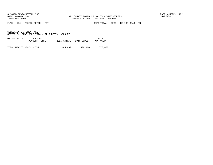FUND − 126 − MEXICO BEACH − TDT DEPT TOTAL − 0286 − MEXICO BEACH−TDC

SELECTION CRITERIA: ALLSORTED BY: FUND,DEPT TOTAL,1ST SUBTOTAL,ACCOUNT

ORGANIZATION ACCOUNT 2017−−−−−−ACCOUNT TITLE−−−−−− 2015 ACTUAL 2016 BUDGET APPROVED

TOTAL MEXICO BEACH − TDT 485,680 538,420 575,873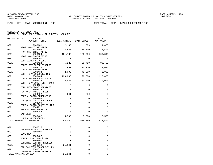FUND − 127 − BEACH NOURISHMENT − TDC DEPT TOTAL − 0291 − BEACH NOURISHMENT−TDC

| ORGANIZATION | <b>ACCOUNT</b><br>------ACCOUNT TITLE------ 2015 ACTUAL         |             | 2016 BUDGET | 2017<br>APPROVED |
|--------------|-----------------------------------------------------------------|-------------|-------------|------------------|
| 0291         | 5143101                                                         | 2,185       | 1,589       | 1,855            |
| 0291         | PROF SRV-CO ATTORNEY<br>5143105                                 | 14,585      | 16,500      | 16,500           |
| 0291         | PROF SRV-OTHER ATTNY<br>5303104<br>PROF SRV-ENGINEERING         | 121,763     | 160,000     | 200,895          |
| 0291         | 5303401<br>CONTRACTED SERVICES                                  | $\Omega$    | $\mathbf 0$ | $\Omega$         |
| 0291         | 5303424                                                         | 75,225      | 99,750      | 99,750           |
| 0291         | CONTR SRV-CLERK FINANCE<br>5303425                              | 11,982      | 10,210      | 22,091           |
| 0291         | CONTR SRV-ADMIN FEES<br>5303434                                 | 42,000      | 42,000      | 42,000           |
| 0291         | CONTR SRV-CONSULTATION<br>5303444<br>CONTR SRV-PCB CNV & VISIT  | 120,000     | 120,000     | 120,000          |
| 0291         | 5303478<br>CONTR SRV-BCH. TUR. TRACK                            | 72,443      | 80,000      | 110,000          |
| 0291         | 5304101<br>COMMUNICATIONS SERVICES                              | 0           | $\mathbf 0$ | 0                |
| 0291         | 5304125<br>POSTAGE/TRANSP/FREIGHT                               | $\Omega$    | $\Omega$    | $\Omega$         |
| 0291         | 5304902<br>FEES & COSTS-PURCHASING                              | 341         | 820         | $\Omega$         |
| 0291         | 5304905<br>FEES&COSTS-LGL ADV/ADVERT                            | 0           | 0           | 0                |
| 0291         | 5304909<br>FEES & COSTS-COURT FILING                            | $\mathbf 0$ | $\Omega$    | 0                |
| 0291         | 5304922<br>FEES & COSTS-PERMITS                                 | $\mathbf 0$ | $\Omega$    | $\Omega$         |
| 0291         | 5304984<br><b>BAD DEBT</b>                                      | $\Omega$    | $\Omega$    | $\Omega$         |
| 0291         | 5305402<br>DUES & MEMBERSHIPS                                   | 5,500       | 5,500       | 5,500            |
|              | TOTAL OPERATING EXPENSES                                        | 466,024     | 536,369     | 618,591          |
| 0291         | 5606315                                                         | 0           | $\mathbf 0$ | 0                |
| 0291         | IMPRV-BCH LANDSCAPE/BEAUT<br>5606401                            | $\mathbf 0$ | $\Omega$    | $\Omega$         |
| 0291         | EOUIPMENT<br>5606402                                            | $\mathbf 0$ | $\mathbf 0$ | 0                |
| 0291         | EQUIP LESS THAN \$1000<br>5606501                               | 0           | $\mathbf 0$ | 0                |
| 0291         | CONSTRUCTION IN PROGRESS<br>5606512                             | 21,141      | $\Omega$    | 0                |
| 0291         | CIP-BCH TILL/SCARPMNT LEV<br>5606513<br>CIP-BERM & DUNE RESTRTN | 0           | $\mathbf 0$ | $\Omega$         |
|              | TOTAL CAPITAL OUTLAY                                            | 21,141      | $\mathbf 0$ | 0                |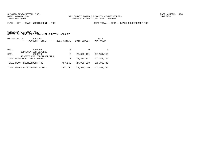FUND − 127 − BEACH NOURISHMENT − TDC DEPT TOTAL − 0291 − BEACH NOURISHMENT−TDC

|      | ORGANIZATION<br>ACCOUNT<br>------ACCOUNT TITLE------      | 2015 ACTUAL | 2016 BUDGET  | 2017<br>APPROVED |
|------|-----------------------------------------------------------|-------------|--------------|------------------|
| 0291 | 5905998                                                   | $\Omega$    | 0            |                  |
| 0291 | DEPRECIATION EXPENSE<br>5909910                           | 0           | 27,370,131   | 32, 181, 155     |
|      | RESERVE FOR CONTINGENCIES<br>TOTAL NON-OPERATING EXPENSES | 0           | 27, 370, 131 | 32, 181, 155     |
|      | TOTAL BEACH NOURISHMENT-TDC                               | 487,165     | 27,906,500   | 32,799,746       |
|      | TOTAL BEACH NOURISHMENT - TDC                             | 487,165     | 27,906,500   | 32,799,746       |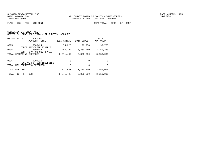FUND − 128 − TDC − 5TH CENT DEPT TOTAL − 0295 − 5TH CENT

| SELECTION CRITERIA: ALL                            |  |
|----------------------------------------------------|--|
| SORTED BY: FUND, DEPT TOTAL, 1ST SUBTOTAL, ACCOUNT |  |

| ORGANIZATION<br>ACCOUNT<br>------ACCOUNT TITLE------      | 2015 ACTUAL | 2016 BUDGET | 2017<br>APPROVED |
|-----------------------------------------------------------|-------------|-------------|------------------|
| 0295<br>5303424<br>CONTR SRV-CLERK FINANCE                | 75,225      | 99,750      | 99,750           |
| 0295<br>5303444<br>CONTR SRV-PCB CNV & VISIT              | 3,496,222   | 3,250,250   | 3,250,250        |
| TOTAL OPERATING EXPENSES                                  | 3,571,447   | 3,350,000   | 3,350,000        |
| 0295<br>5909910                                           | $\Omega$    | 0           | $\Omega$         |
| RESERVE FOR CONTINGENCIES<br>TOTAL NON-OPERATING EXPENSES | 0           | 0           | $\Omega$         |
| TOTAL 5TH CENT                                            | 3,571,447   | 3,350,000   | 3,350,000        |
| TOTAL TDC - 5TH CENT                                      | 3,571,447   | 3,350,000   | 3,350,000        |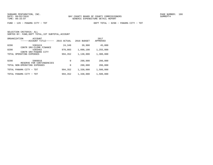FUND − 129 − PANAMA CITY − TDT DEPT TOTAL − 0298 − PANAMA CITY − TDT

| ORGANIZATION<br>ACCOUNT<br>------ACCOUNT TITLE------ | 2015 ACTUAL | 2016 BUDGET | 2017<br>APPROVED |
|------------------------------------------------------|-------------|-------------|------------------|
| 0298<br>5303424<br>SRV-CLERK FINANCE<br>CONTR        | 24,349      | 39,900      | 45,000           |
| 0298<br>5303462<br>SRV-PANAMA CITY<br>CONTR          | 970,003     | 1,090,100   | 1,255,000        |
| TOTAL OPERATING<br>EXPENSES                          | 994,352     | 1,130,000   | 1,300,000        |
| 0298<br>5909910                                      | 0           | 200,000     | 200,000          |
| FOR CONTINGENCIES<br>RESERVE                         |             |             |                  |
| TOTAL NON-OPERATING EXPENSES                         | $\mathbf 0$ | 200,000     | 200,000          |
| TOTAL PANAMA<br>CITY - TDT                           | 994,352     | 1,330,000   | 1,500,000        |
| PANAMA<br>CITY - TDT<br>TOTAL                        | 994,352     | 1,330,000   | 1,500,000        |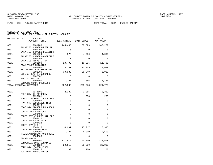FUND − 130 − PUBLIC SAFETY E911 DEPT TOTAL − 0301 − PUBLIC SAFETY

| ORGANIZATION | ACCOUNT<br>------ACCOUNT TITLE------ 2015 ACTUAL 2016 BUDGET |             |             | 2017<br>APPROVED |
|--------------|--------------------------------------------------------------|-------------|-------------|------------------|
| 0301         | 5101200<br>SALARIES & WAGES-REGULAR                          | 145,445     | 137,629     | 146,279          |
| 0301         | 5101205<br>SALARIES & WAGES-DISASTER                         | $\Omega$    | $\Omega$    | $\Omega$         |
| 0301         | 5101400<br>SALARIES & WAGES-OVERTIME                         | 975         | 4,000       | 4,000            |
| 0301         | 5101405<br>SALARIES-DISASTER O/T                             | $\Omega$    | $\Omega$    | $\Omega$         |
| 0301         | 5102100<br>FICA TAXES-MATCHING                               | 10,499      | 10,835      | 11,496           |
| 0301         | 5102200<br>RETIREMENT CONTRIBUTIONS                          | 13,137      | 13,309      | 14,629           |
| 0301         | 5102300<br>LIFE & HEALTH INSURANCE                           | 30,982      | 38,249      | 43,920           |
| 0301         | 5102302<br>VIRTUAL DOCTOR                                    | $\Omega$    | $\Omega$    | $\Omega$         |
| 0301         | 5102400<br>WORKERS COMP. PREMIUMS                            | 1,327       | 1,356       | 1,454            |
|              | TOTAL PERSONAL SERVICES                                      | 202,366     | 205,378     | 221,778          |
| 0301         | 5143101                                                      | 2,282       | 2,055       | 2,323            |
| 0301         | PROF SRV-CO ATTORNEY<br>5193101                              | $\Omega$    | 250         | 250              |
| 0301         | EDUCATION/PUBLIC RELATION<br>5303107                         | $\mathbf 0$ | $\mathbf 0$ | $\mathbf 0$      |
| 0301         | PROF SRV-SUBSTANCE TEST<br>5303110                           | $\Omega$    | $\Omega$    | $\Omega$         |
| 0301         | PROF SRV-BACKGROUND CHECK<br>5303401                         | $\Omega$    | $\Omega$    | $\Omega$         |
| 0301         | CONTRACTED SERVICES<br>5303406<br>CONTR SRV-WIRLESS DIP FEE  | $\mathbf 0$ | $\Omega$    | $\Omega$         |
| 0301         | 5303410<br>CONTR SRV-JANITORIAL                              | $\mathbf 0$ | $\Omega$    | $\Omega$         |
| 0301         | 5303422<br>CONTR SRV-GIS                                     | $\Omega$    | $\Omega$    | $\Omega$         |
| 0301         | 5303425<br>CONTR SRV-ADMIN FEES                              | 14,961      | 15,217      | 26,915           |
| 0301         | 5304001<br>TRAVEL/TRAINING NON-LOCAL                         | 1,707       | 5,000       | 9,500            |
| 0301         | 5304005<br>TRAVEL-LOCAL                                      | $\Omega$    | $\Omega$    | $\Omega$         |
| 0301         | 5304101<br>COMMUNICATIONS SERVICES                           | 131,476     | 140,000     | 135,508          |
| 0301         | 5304122<br>COMM SRV-LEASED LINES                             | 20,612      | 20,000      | 20,000           |
| 0301         | 5304125<br>POSTAGE/TRANSP/FREIGHT                            | 30          | 100         | 100              |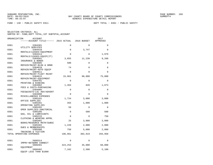FUND − 130 − PUBLIC SAFETY E911 DEPT TOTAL − 0301 − PUBLIC SAFETY

| ORGANIZATION | ACCOUNT                                        |             |             | 2017        |
|--------------|------------------------------------------------|-------------|-------------|-------------|
|              | -----ACCOUNT TITLE------ 2015 ACTUAL           |             | 2016 BUDGET | APPROVED    |
| 0301         | 5304301                                        | 0           | $\mathbf 0$ | $\Omega$    |
| 0301         | UTILITY SERVICES<br>5304410                    | $\mathbf 0$ | 3,747       | $\Omega$    |
| 0301         | RENTALS/LEASES-EQUIPMENT<br>5304414            | 0           | $\Omega$    | 1,979       |
| 0301         | RENTALS/LEASES-EQUIP(IT)<br>5304501            | 3,855       | 11,230      | 9,260       |
| 0301         | INSURANCE & BONDS<br>5304605                   | 500         | $\Omega$    | 0           |
| 0301         | REPAIR/MAINT-BLDG & GRND<br>5304610            | 74          | $\Omega$    | $\Omega$    |
| 0301         | REPAIR/MAINT-AUTO EOUIP<br>5304611             | $\Omega$    | $\Omega$    | $\Omega$    |
| 0301         | REPAIR/MAINT-FLEET MAINT<br>5304615            | 15,961      | 90,000      | 75,000      |
| 0301         | REPAIR/MAINT-EQUIPMENT<br>5304701              | $\mathbf 0$ | $\Omega$    | 0           |
| 0301         | PRINTING & BINDING<br>5304902                  | 1,363       | 820         | 1,873       |
| 0301         | FEES & COSTS-PURCHASING<br>5304905             | $\mathbf 0$ | $\mathbf 0$ | $\mathbf 0$ |
| 0301         | FEES&COSTS-LGL ADV/ADVERT<br>5304990           | $\Omega$    | $\Omega$    | $\Omega$    |
| 0301         | MISCELLANEOUS EXPENSES<br>5305101              | 1,724       | 3,000       | 3,000       |
| 0301         | OFFICE SUPPLIES<br>5305201                     | 355         | 1,000       | 1,000       |
| 0301         | OPERATING SUPPLIES<br>5305202                  | 59          | $\Omega$    | 0           |
| 0301         | OPER SUPPLIES-JANITORIAL<br>5305205            | $\mathbf 0$ | 500         | 500         |
| 0301         | GAS, OIL & LUBRICANTS<br>5305215               | $\Omega$    | $\Omega$    | 750         |
| 0301         | CLOTHING & WEARING APPRL<br>5305401            | 25          | 3,000       | 3,000       |
| 0301         | BOOKS/RESOURCE MATR/SUBSC<br>5305402           | 1,228       | 2,000       | 2,000       |
| 0301         | DUES & MEMBERSHIPS<br>5305406                  | 750         | 5,000       | 2,000       |
|              | TRAINING & TUITION<br>TOTAL OPERATING EXPENSES | 196,961     | 302,919     | 294,958     |
| 0301         | 5606314                                        | $\Omega$    | $\Omega$    | $\Omega$    |
| 0301         | IMPRV-NETWORK CONNECT<br>5606401               | 424,253     |             | 60,000      |
|              | EOUIPMENT                                      |             | 35,000      |             |
| 0301         | 5606402<br>EQUIP LESS THAN \$1000              | 7,162       | 2,500       | 5,100       |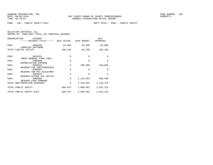SELECTION CRITERIA: ALL

SORTED BY: FUND,DEPT TOTAL,1ST SUBTOTAL,ACCOUNT

| ORGANIZATION | ACCOUNT<br>------ACCOUNT TITLE-                                   | 2015 ACTUAL | 2016 BUDGET | 2017<br>APPROVED |
|--------------|-------------------------------------------------------------------|-------------|-------------|------------------|
| 0301         | 5606450<br>COMPUTER SOFTWARE                                      | 64,904      | 26,200      | 85,000           |
|              | TOTAL CAPITAL OUTLAY                                              | 496,319     | 63,700      | 150,100          |
| 0301         | 5819101<br>TRNFS-GENERAL FUND (001)                               | 0           | $\Omega$    | 0                |
| 0301         | 5905998                                                           | 0           | $\Omega$    | 0                |
| 0301         | DEPRECIATION EXPENSE<br>5909910<br>RESERVE FOR CONTINGENCIES      | 0           | 100,000     | 148,893          |
| 0301         | 5909915                                                           | 0           | $\Omega$    | 0                |
| 0301         | RESERVE FOR PAY ADJUSTMNT<br>5909920<br>RESERVE-FUTURE CAP OUTLAY | 0           | 0           | 0                |
| 0301         | 5909999                                                           | $\Omega$    | 1,218,055   | 999,486          |
|              | RESERVE-CASH FORWARD<br>TOTAL NON-OPERATING EXPENSES              | 0           | 1,318,055   | 1,148,379        |
|              | TOTAL PUBLIC SAFETY                                               | 895,647     | 1,890,052   | 1,815,215        |
|              | TOTAL PUBLIC SAFETY E911                                          | 895,647     | 1,890,052   | 1,815,215        |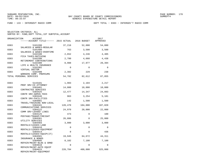FUND − 133 − INTERGOVT RADIO COMM DEPT TOTAL − 0303 − INTERGOV'T RADIO COMM

| ORGANIZATION | <b>ACCOUNT</b><br>------ACCOUNT TITLE------ 2015 ACTUAL |          | 2016 BUDGET | 2017<br>APPROVED |
|--------------|---------------------------------------------------------|----------|-------------|------------------|
| 0303         | 5101200<br>SALARIES & WAGES-REGULAR                     | 37,216   | 52,000      | 54,080           |
| 0303         | 5101400<br>SALARIES & WAGES-OVERTIME                    | 763      | 3,500       | 3,500            |
| 0303         | 5102100<br>FICA TAXES-MATCHING                          | 2,652    | 4,246       | 4,405            |
| 0303         | 5102200<br>RETIREMENT CONTRIBUTIONS                     | 2,780    | 4,660       | 4,438            |
| 0303         | 5102300<br>LIFE & HEALTH INSURANCE                      | 8,988    | 17,977      | 20,394           |
| 0303         | 5102302<br>VIRTUAL DOCTOR                               | $\Omega$ | $\Omega$    | $\Omega$         |
| 0303         | 5102400<br>WORKERS COMP. PREMIUMS                       | 2,382    | 229         | 238              |
|              | TOTAL PERSONAL SERVICES                                 | 54,782   | 82,612      | 87,055           |
| 0303         | 5143101                                                 | 1,903    | 2,104       | 2,217            |
| 0303         | PROF SRV-CO ATTORNEY<br>5303401<br>CONTRACTED SERVICES  | 14,000   | 10,000      | 10,000           |
| 0303         | 5303425<br>CONTR SRV-ADMIN FEES                         | 12,477   | 14,347      | 24,893           |
| 0303         | 5303446<br>CONTR SRV-FACILITIES                         | 963      | 3,254       | 5,181            |
| 0303         | 5304001<br>TRAVEL/TRAINING NON-LOCAL                    | 142      | 1,500       | 1,500            |
| 0303         | 5304101<br>COMMUNICATIONS SERVICES                      | 120,470  | 104,000     | 107,828          |
| 0303         | 5304122<br>COMM SRV-LEASED LINES                        | 24,970   | 20,000      | 22,000           |
| 0303         | 5304125<br>POSTAGE/TRANSP/FREIGHT                       | 473      | $\Omega$    | 100              |
| 0303         | 5304301<br>UTILITY SERVICES                             | 26,886   | $\Omega$    | 25,000           |
| 0303         | 5304403<br>RENTALS/LEASES-LAND                          | 3,000    | 3,000       | 3,000            |
| 0303         | 5304410<br>RENTALS/LEASES-EQUIPMENT                     | 0        | $\Omega$    | $\Omega$         |
| 0303         | 5304414<br>RENTALS/LEASES-EOUIP(IT)                     | 0        | $\Omega$    | 436              |
| 0303         | 5304501<br>INSURANCE & BONDS                            | 19,945   | 64,672      | 44,311           |
| 0303         | 5304605<br>REPAIR/MAINT-BLDG & GRND                     | 8,102    | 7,100       | 7,100            |
| 0303         | 5304610<br>REPAIR/MAINT-AUTO EQUIP                      | 0        | $\Omega$    | $\Omega$         |
| 0303         | 5304615<br>REPAIR/MAINT-EQUIPMENT                       | 228,784  | 400,000     | 325,000          |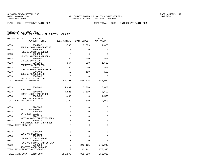FUND − 133 − INTERGOVT RADIO COMM DEPT TOTAL − 0303 − INTERGOV'T RADIO COMM

| ORGANIZATION<br><b>ACCOUNT</b><br>------ACCOUNT TITLE------ 2015 ACTUAL |             | 2016 BUDGET | 2017<br>APPROVED |
|-------------------------------------------------------------------------|-------------|-------------|------------------|
| 0303<br>5304902                                                         | 1,703       | 3,689       | 1,873            |
| FEES & COSTS-PURCHASING<br>0303<br>5304908                              | 0           | 0           | 0                |
| FEES & COSTS-LICENSES<br>0303<br>5304990                                | $\Omega$    | $\Omega$    | $\Omega$         |
| MISCELLANEOUS EXPENSES<br>0303<br>5305101                               | 234         | 500         | 500              |
| OFFICE SUPPLIES                                                         | 964         |             |                  |
| 0303<br>5305201<br>OPERATING SUPPLIES                                   |             | 500         | 1,500            |
| 0303<br>5305220<br>TOOL & SMALL IMPLEMENTS                              | 306         | 500         | 500              |
| 0303<br>5305402<br>DUES & MEMBERSHIPS                                   | 69          | 150         | 150              |
| 0303<br>5305406<br>TRAINING & TUITION                                   | $\mathbf 0$ | 0           | 0                |
| TOTAL OPERATING EXPENSES                                                | 465,391     | 635,316     | 583,089          |
| 0303<br>5606401                                                         | 25,437      | 5,000       | 5,000            |
| EOUIPMENT<br>0303<br>5606402                                            | 4,825       | 2,500       |                  |
| EOUIP LESS THAN \$1000                                                  |             |             | 2,500            |
| 0303<br>5606450<br>COMPUTER SOFTWARE                                    | 1,440       | $\Omega$    | 1,500            |
| TOTAL CAPITAL OUTLAY                                                    | 31,702      | 7,500       | 9,000            |
| 0303<br>5707105                                                         | $\mathbf 0$ | 0           | 0                |
| PRINCIPAL-LOANS<br>0303<br>5707205                                      | $\mathbf 0$ | $\Omega$    | 0                |
| INTEREST-LOANS<br>0303<br>5707316                                       | $\mathbf 0$ | $\Omega$    | $\Omega$         |
| PAYING AGENT/TRUSTEE-FEES<br>0303<br>5707370                            | $\mathbf 0$ | $\Omega$    | 0                |
| ARBITRAGE REBATE EXPENSE                                                | $\mathbf 0$ |             |                  |
| TOTAL DEBT SERVICE                                                      |             | 0           | 0                |
| 0303<br>5905908                                                         | $\mathbf 0$ | 0           | $\mathbf 0$      |
| LOSS ON DISPOSAL<br>0303<br>5905998                                     | 0           | $\Omega$    | $\Omega$         |
| DEPRECIATION EXPENSE<br>0303<br>5909920                                 | $\mathbf 0$ | 0           | 0                |
| RESERVE-FUTURE CAP OUTLAY<br>0303<br>5909999                            | $\Omega$    | 243,161     | 270,945          |
| RESERVE-CASH FORWARD<br>TOTAL NON-OPERATING EXPENSES                    | $\Omega$    | 243,161     | 270,945          |
|                                                                         |             |             |                  |
| TOTAL INTERGOV'T RADIO COMM                                             | 551,875     | 968,589     | 950,089          |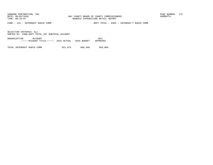FUND − 133 − INTERGOVT RADIO COMM DEPT TOTAL − 0303 − INTERGOV'T RADIO COMM

SELECTION CRITERIA: ALLSORTED BY: FUND,DEPT TOTAL,1ST SUBTOTAL,ACCOUNT

ORGANIZATION ACCOUNT 2017−−−−−−ACCOUNT TITLE−−−−−− 2015 ACTUAL 2016 BUDGET APPROVED

TOTAL INTERGOVT RADIO COMM 551,875 968,589 950,089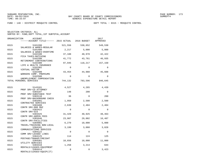FUND − 140 − DISTRICT MOSQUITO CONTROL DEPT TOTAL − 0315 − MOSQUITO CONTROL

| ORGANIZATION | <b>ACCOUNT</b><br>------ACCOUNT TITLE------ 2015 ACTUAL 2016 BUDGET |             |             | 2017<br>APPROVED |
|--------------|---------------------------------------------------------------------|-------------|-------------|------------------|
| 0315         | 5101200<br>SALARIES & WAGES-REGULAR                                 | 521,556     | 530,652     | 549,530          |
| 0315         | 5101400                                                             | 2,217       | 5,000       | 5,000            |
| 0315         | SALARIES & WAGES-OVERTIME<br>5102100<br>FICA TAXES-MATCHING         | 37,188      | 40,978      | 42,422           |
| 0315         | 5102200<br>RETIREMENT CONTRIBUTIONS                                 | 41,772      | 43,761      | 46,935           |
| 0315         | 5102300<br>LIFE & HEALTH INSURANCE                                  | 97,945      | 118,217     | 157,150          |
| 0315         | 5102302<br>VIRTUAL DOCTOR                                           | $\mathbf 0$ | $\Omega$    | $\Omega$         |
| 0315         | 5102400<br>WORKERS COMP. PREMIUMS                                   | 43,454      | 44,988      | 45,608           |
| 0315         | 5102500<br>UNEMPLOYMENT COMPENSATION                                | $\Omega$    | $\Omega$    | $\Omega$         |
|              | TOTAL PERSONAL SERVICES                                             | 744,132     | 783,596     | 846,645          |
| 0315         | 5143101                                                             | 4,527       | 4,265       | 4,439            |
| 0315         | PROF SRV-CO ATTORNEY<br>5303107                                     | 148         | 200         | $\mathbf 0$      |
| 0315         | PROF SRV-SUBSTANCE TEST<br>5303110                                  | 36          | $\Omega$    | 200              |
| 0315         | PROF SRV-BACKGROUND CHECK<br>5303401                                | 1,950       | 2,500       | 2,500            |
| 0315         | CONTRACTED SERVICES<br>5303408                                      | 2,639       | 2,404       | 2,404            |
| 0315         | CONTR SRV-800 MHZ<br>5303422                                        | $\mathbf 0$ | $\mathbf 0$ | $\mathbf 0$      |
| 0315         | CONTR SRV-GIS<br>5303425                                            | 31,429      | 40,925      | 48,463           |
| 0315         | CONTR SRV-ADMIN FEES<br>5303446                                     | 23,987      | 29,002      | 16,487           |
| 0315         | CONTR SRV-FACILITIES<br>5304001                                     | 6,270       | 10,000      | 5,000            |
| 0315         | TRAVEL/TRAINING NON-LOCAL<br>5304101                                | 3,199       | 3,060       | 3,828            |
| 0315         | COMMUNICATIONS SERVICES<br>5304122<br>COMM SRV-LEASED LINES         | $\mathbf 0$ | $\mathbf 0$ | $\mathbf 0$      |
| 0315         | 5304125<br>POSTAGE/TRANSP/FREIGHT                                   | 114         | 124         | 125              |
| 0315         | 5304301<br>UTILITY SERVICES                                         | 10,656      | 10,000      | 11,000           |
| 0315         | 5304410<br>RENTALS/LEASES-EQUIPMENT                                 | 1,258       | 3,214       | 644              |
| 0315         | 5304414<br>RENTALS/LEASES-EOUIP(IT)                                 | 0           | $\mathbf 0$ | 3,423            |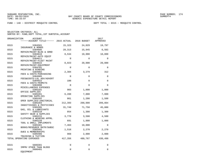FUND − 140 − DISTRICT MOSQUITO CONTROL DEPT TOTAL − 0315 − MOSQUITO CONTROL

SELECTION CRITERIA: ALL

SORTED BY: FUND,DEPT TOTAL,1ST SUBTOTAL,ACCOUNT

| ORGANIZATION | ACCOUNT                                                        |          |             | 2017        |
|--------------|----------------------------------------------------------------|----------|-------------|-------------|
|              | ------ACCOUNT TITLE------ 2015 ACTUAL 2016 BUDGET              |          |             | APPROVED    |
| 0315         | 5304501                                                        | 15,323   | 24,029      | 19,797      |
| 0315         | INSURANCE & BONDS<br>5304605                                   | 29,313   | 15,945      | 6,502       |
| 0315         | REPAIR/MAINT-BLDG & GRND<br>5304610<br>REPAIR/MAINT-AUTO EQUIP | 8,534    | 10,000      | 10,000      |
| 0315         | 5304611<br>REPAIR/MAINT-FLEET MAINT                            | $\Omega$ | $\Omega$    | $\Omega$    |
| 0315         | 5304615<br>REPAIR/MAINT-EOUIPMENT                              | 8,023    | 20,000      | 20,000      |
| 0315         | 5304701<br>PRINTING & BINDING                                  | $\Omega$ | $\Omega$    | $\Omega$    |
| 0315         | 5304902<br>FEES & COSTS-PURCHASING                             | 2,384    | 3,279       | 312         |
| 0315         | 5304905<br>FEES&COSTS-LGL ADV/ADVERT                           | $\Omega$ | $\Omega$    | $\Omega$    |
| 0315         | 5304922<br>FEES & COSTS-PERMITS                                | 100      | $\mathbf 0$ | $\Omega$    |
| 0315         | 5304990<br>MISCELLANEOUS EXPENSES                              | $\Omega$ | $\Omega$    | $\Omega$    |
| 0315         | 5305101<br>OFFICE SUPPLIES                                     | 903      | 1,800       | 1,800       |
| 0315         | 5305201<br>OPERATING SUPPLIES                                  | 6,288    | 7,000       | 7,000       |
| 0315         | 5305202<br>OPER SUPPLIES-JANITORIAL                            | 861      | 1,200       | 1,500       |
| 0315         | 5305203<br>INSECTISIDES & PESTICIDES                           | 212,393  | 200,000     | 209,004     |
| 0315         | 5305205<br>GAS, OIL & LUBRICANTS                               | 31,749   | 71,750      | 45,000      |
| 0315         | 5305210<br>SAFETY GEAR & SUPPLIES                              | 854      | 1,300       | 1,300       |
| 0315         | 5305215<br>CLOTHING & WEARING APPRL                            | 3,778    | 3,500       | 4,500       |
| 0315         | 5305220<br>TOOL & SMALL IMPLEMENTS                             | 691      | 1,000       | 1,000       |
| 0315         | 5305401<br>BOOKS/RESOURCE MATR/SUBSC                           | 7,463    | 10,000      | 0           |
| 0315         | 5305402<br>DUES & MEMBERSHIPS                                  | 1,518    | 2,270       | 2,270       |
| 0315         | 5305406<br>TRAINING & TUITION                                  | 969      | 2,000       | 2,000       |
|              | TOTAL OPERATING EXPENSES                                       | 417,356  | 480,767     | 430,498     |
| 0315         | 5606301                                                        | 0        | $\Omega$    | $\Omega$    |
| 0315         | IMPRV OTHER THAN BLDGS<br>5606401<br>EQUIPMENT                 | 0        | $\mathbf 0$ | $\mathbf 0$ |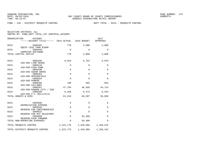FUND − 140 − DISTRICT MOSQUITO CONTROL DEPT TOTAL − 0315 − MOSQUITO CONTROL

| SELECTION CRITERIA: ALL |  |                                                    |  |
|-------------------------|--|----------------------------------------------------|--|
|                         |  | SORTED BY: FUND. DEPT TOTAL. 1ST SUBTOTAL. ACCOUNT |  |

| ORGANIZATION<br>ACCOUNT<br>------ACCOUNT TITLE------ 2015 ACTUAL 2016 BUDGET |             |              | 2017<br>APPROVED |
|------------------------------------------------------------------------------|-------------|--------------|------------------|
| 0315<br>5606402<br>EQUIP LESS THAN \$1000                                    | 778         | 2,000        | 2,000            |
| 0315<br>5606450<br>COMPUTER SOFTWARE                                         | $\mathbf 0$ | $\mathbf 0$  | $\mathbf 0$      |
| TOTAL CAPITAL OUTLAY                                                         | 778         | 2,000        | 2,000            |
| 0315<br>5808109                                                              | 6,818       | 6,763        | 6,878            |
| AID-CRA LYNN HAVEN<br>0315<br>5808110                                        | $\mathbf 0$ | $\mathbf{0}$ | $\mathbf 0$      |
| AID-CRA PIER PARK<br>0315<br>5808190                                         | $\mathbf 0$ | $\mathbf 0$  | $\mathbf 0$      |
| AID-CRA CEDAR GROVE<br>0315<br>5808202                                       | $\mathbf 0$ | $\Omega$     | $\mathbf 0$      |
| AID-CRA SPRINGFIELD<br>0315<br>5808204                                       | $\mathbf 0$ | $\mathbf 0$  | $\mathbf 0$      |
| AID-CRA PARKER<br>0315<br>5808206                                            | 708         | 594          | 953              |
| AID-CRA CALLAWAY<br>0315<br>5808207                                          | 47,704      | 46,566       | 44,724           |
| AID-CRA PANAMA CITY / DIB<br>0315<br>5808208                                 | 6,280       | 6,474        | 6,544            |
| AID-CRA P.C./MILLVILLE<br>TOTAL GRANTS & AIDS                                | 61,510      | 60,397       | 59,099           |
| 0315<br>5905998                                                              | $\mathbf 0$ | $\mathbf 0$  | $\mathbf 0$      |
| DEPRECIATION EXPENSE<br>0315<br>5909910                                      | $\Omega$    | $\Omega$     | $\Omega$         |
| RESERVE FOR CONTINGENCIES<br>0315<br>5909915                                 | $\mathbf 0$ | $\mathbf{0}$ | $\mathbf 0$      |
| RESERVE FOR PAY ADJUSTMNT<br>0315<br>5909999                                 | $\mathbf 0$ | 93,306       | $\mathbf 0$      |
| RESERVE-CASH FORWARD<br>TOTAL NON-OPERATING EXPENSES                         | $\mathbf 0$ | 93,306       | $\mathbf 0$      |
| TOTAL MOSOUITO CONTROL                                                       | 1,223,776   | 1,420,066    | 1,338,242        |
| TOTAL DISTRICT MOSQUITO CONTROL                                              | 1,223,776   | 1,420,066    | 1,338,242        |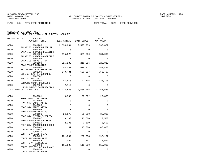FUND − 145 − MSTU−FIRE PROTECTION DEPT TOTAL − 0320 − FIRE SERVICES

| ORGANIZATION<br><b>ACCOUNT</b><br>------ACCOUNT TITLE------ 2015 ACTUAL 2016 BUDGET |             |           | 2017<br>APPROVED |
|-------------------------------------------------------------------------------------|-------------|-----------|------------------|
| 0320<br>5101200<br>SALARIES & WAGES-REGULAR                                         | 2,594,084   | 2,525,939 | 2,633,867        |
| 0320<br>5101205                                                                     | $\Omega$    | $\Omega$  | $\Omega$         |
| SALARIES & WAGES-DISASTER<br>0320<br>5101400                                        | 415,520     | 331,000   | 331,000          |
| SALARIES & WAGES-OVERTIME<br>0320<br>5101405                                        | $\Omega$    | $\Omega$  | $\Omega$         |
| SALARIES-DISASTER O/T<br>0320<br>5102100                                            | 215,186     | 218,556   | 226,812          |
| FICA TAXES-MATCHING<br>0320<br>5102200                                              | 604,530     | 628,317   | 681,428          |
| RETIREMENT CONTRIBUTIONS<br>0320<br>5102300<br>LIFE & HEALTH INSURANCE              | 549,431     | 683,327   | 756,467          |
| 0320<br>5102302<br>VIRTUAL DOCTOR                                                   | $\Omega$    | $\Omega$  | $\Omega$         |
| 0320<br>5102400<br>WORKERS COMP. PREMIUMS                                           | 47,676      | 121,106   | 126,106          |
| 0320<br>5102500<br>UNEMPLOYMENT COMPENSATION                                        | 2,117       | $\Omega$  | $\Omega$         |
| TOTAL PERSONAL SERVICES                                                             | 4,428,545   | 4,508,245 | 4,755,680        |
| 0320<br>5143101                                                                     | 19,909      | 23,602    | 25,858           |
| PROF SRV-CO ATTORNEY                                                                |             |           |                  |
| 0320<br>5143103                                                                     | $\mathbf 0$ | $\Omega$  | 0                |
| PROF SRV-LABOR ATTNY<br>0320<br>5143105                                             | $\Omega$    | $\Omega$  | $\Omega$         |
| PROF SRV-OTHER ATTNY                                                                |             |           |                  |
| 0320<br>5303104                                                                     | $\Omega$    | $\Omega$  | $\Omega$         |
| PROF SRV-ENGINEERING<br>0320<br>5303106                                             | 26,576      | 35,000    | 35,000           |
| PROF SRV-PHYSICLS/MEDICAL                                                           |             |           |                  |
| 0320<br>5303107                                                                     | 9,303       | 13,500    | 13,500           |
| PROF SRV-SUBSTANCE TEST<br>0320<br>5303110                                          | 2,205       | 3,500     | 3,500            |
| PROF SRV-BACKGROUND CHECK                                                           |             |           |                  |
| 0320<br>5303401<br>CONTRACTED SERVICES                                              | 141         | 45,000    | 45,000           |
| 0320<br>5303410                                                                     | $\Omega$    | $\Omega$  | $\Omega$         |
| CONTR SRV-JANITORIAL<br>0320<br>5303425                                             | 131,307     | 200,998   | 197,167          |
| CONTR SRV-ADMIN FEES<br>0320<br>5303446                                             | 1,009       | 1,747     | 1,611            |
| CONTR SRV-FACILITIES<br>0320<br>5303458                                             | 115,003     | 115,000   | 115,000          |
| CONTR SRV-CTY OF CALLAWAY                                                           |             | $\Omega$  |                  |
| 0320<br>5303459<br>CONTR SRV-LYNN HAVEN                                             | $\Omega$    |           | 0                |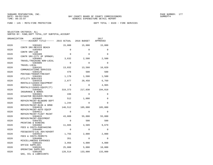FUND − 145 − MSTU−FIRE PROTECTION DEPT TOTAL − 0320 − FIRE SERVICES

| ORGANIZATION | ACCOUNT                                                        |             |             | 2017        |
|--------------|----------------------------------------------------------------|-------------|-------------|-------------|
|              | ------ACCOUNT TITLE------ 2015 ACTUAL 2016 BUDGET              |             |             | APPROVED    |
| 0320         | 5303461                                                        | 15,000      | 15,000      | 15,000      |
| 0320         | CONTR SRV-MEXICO BEACH<br>5303464                              | $\mathbf 0$ | $\mathbf 0$ | $\mathbf 0$ |
| 0320         | CONTR SRV-LAB<br>5303489                                       | $\Omega$    | $\Omega$    | $\Omega$    |
| 0320         | CONTR SRV-CITY OF SPRNGFL<br>5304001                           | 3,632       | 2,500       | 2,500       |
| 0320         | TRAVEL/TRAINING NON-LOCAL<br>5304005                           | $\Omega$    | $\Omega$    | $\Omega$    |
| 0320         | TRAVEL-LOCAL<br>5304101                                        | 13,032      | 13,560      | 16,020      |
| 0320         | COMMUNICATIONS SERVICES<br>5304125                             | 478         | 500         | 500         |
| 0320         | POSTAGE/TRANSP/FREIGHT<br>5304301                              | 1,178       | 1,500       | 1,500       |
| 0320         | UTILITY SERVICES<br>5304410                                    | 2,877       | 20,458      | 6,769       |
| 0320         | RENTALS/LEASES-EQUIPMENT<br>5304414                            | $\Omega$    | $\Omega$    | 4,965       |
| 0320         | RENTALS/LEASES-EQUIP(IT)<br>5304501                            | 319, 373    | 217,030     | 194,018     |
| 0320         | INSURANCE & BONDS<br>5304601                                   | 436         | $\Omega$    | $\Omega$    |
| 0320         | DISASTER RECOVERY/RESTOR<br>5304604                            | 512         | 1,000       | $\Omega$    |
| 0320         | REPAIR/MAINT-BLD&GRD DEPT<br>5304605                           | 1,244       | $\Omega$    | $\Omega$    |
| 0320         | REPAIR/MAINT-BLDG & GRND<br>5304610<br>REPAIR/MAINT-AUTO EQUIP | 140,512     | 105,000     | 105,000     |
| 0320         | 5304611<br>REPAIR/MAINT-FLEET MAINT                            | $\Omega$    | $\Omega$    | $\Omega$    |
| 0320         | 5304615<br>REPAIR/MAINT-EOUIPMENT                              | 43,889      | 55,000      | 55,000      |
| 0320         | 5304701<br>PRINTING & BINDING                                  | $\Omega$    | 500         | 500         |
| 0320         | 5304902<br>FEES & COSTS-PURCHASING                             | 11,665      | 4,509       | 9,679       |
| 0320         | 5304905<br>FEES&COSTS-LGL ADV/ADVERT                           | $\Omega$    | $\Omega$    | $\mathbf 0$ |
| 0320         | 5304922<br>FEES & COSTS-PERMITS                                | 1,755       | 2,000       | 2,000       |
| 0320         | 5304990<br>MISCELLANEOUS EXPENSES                              | 351         | $\Omega$    | $\Omega$    |
| 0320         | 5305101<br>OFFICE SUPPLIES                                     | 3,956       | 4,000       | 4,000       |
| 0320         | 5305201<br>OPERATING SUPPLIES                                  | 25,088      | 5,000       | 10,000      |
| 0320         | 5305205<br>GAS, OIL & LUBRICANTS                               | 128,514     | 133,000     | 133,000     |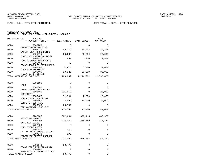FUND − 145 − MSTU−FIRE PROTECTION DEPT TOTAL − 0320 − FIRE SERVICES

| ORGANIZATION<br><b>ACCOUNT</b><br>------ACCOUNT TITLE------ 2015 ACTUAL |             | 2016 BUDGET  | 2017<br>APPROVED |
|-------------------------------------------------------------------------|-------------|--------------|------------------|
| 0320<br>5305208                                                         | 0           | $\Omega$     | $\Omega$         |
| OPERATING/PROMO EXPS<br>0320<br>5305210                                 | 40,374      | 39,298       | 39,298           |
| SAFETY GEAR & SUPPLIES<br>0320<br>5305215                               | 28,086      | 22,000       | 28,000           |
| CLOTHING & WEARING APPRL<br>0320<br>5305220                             | 453         | 1,000        | 1,500            |
| TOOL & SMALL IMPLEMENTS<br>0320<br>5305401                              | $\mathbf 0$ | $\Omega$     | 0                |
| BOOKS/RESOURCE MATR/SUBSC<br>0320<br>5305402                            | 1,926       | 3,000        | 3,000            |
| DUES & MEMBERSHIPS<br>0320<br>5305406                                   | 10,220      | 30,000       | 30,000           |
| TRAINING & TUITION<br>TOTAL OPERATING EXPENSES                          | 1,100,002   | 1,114,202    | 1,098,885        |
|                                                                         |             |              |                  |
| 0320<br>5606101                                                         | 0           | $\mathbf 0$  | 0                |
| LAND<br>0320<br>5606301                                                 | $\mathbf 0$ | $\mathbf 0$  | 0                |
| IMPRV OTHER THAN BLDGS<br>0320<br>5606401                               | 211,550     | $\Omega$     | 22,000           |
| EOUIPMENT<br>0320<br>5606402                                            | 71,944      | 2,000        | 15,000           |
| EQUIP LESS THAN \$1000<br>0320<br>5606450                               | 14,938      | 15,000       | 20,000           |
| COMPUTER SOFTWARE<br>0320<br>5606545                                    | 25,737      | $\Omega$     | 0                |
| CIP-WASTEWTR LINE EXT<br>TOTAL CAPITAL OUTLAY                           | 324,169     | 17,000       | 57,000           |
|                                                                         |             |              |                  |
| 0320<br>5707105<br>PRINCIPAL-LOANS                                      | 302,644     | 390,415      | 403,935          |
| 0320<br>5707205<br>INTEREST-LOANS                                       | 274,034     | 258,669      | 244,851          |
| 0320<br>5707303<br><b>BOND ISSUE COSTS</b>                              | $\Omega$    | $\Omega$     | 0                |
| 5707316<br>0320<br>PAYING AGENT/TRUSTEE-FEES                            | 124         | 0            | 0                |
| 0320<br>5707370                                                         | 293         | $\mathbf{0}$ | 0                |
| ARBITRAGE REBATE EXPENSE<br>TOTAL DEBT SERVICE                          | 577,095     | 649,084      | 648,786          |
|                                                                         |             |              |                  |
| 0320<br>5808173<br>GRANT-FIRE EMT/PARAMEDIC                             | 50,472      | $\Omega$     | 0                |
| 0320<br>5808201<br>AID-PRIVATE ORGANIZATIONS                            | 0           | $\Omega$     | 0                |
| TOTAL GRANTS & AIDS                                                     | 50,472      | 0            | 0                |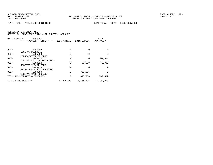FUND − 145 − MSTU−FIRE PROTECTION DEPT TOTAL − 0320 − FIRE SERVICES

| APPROVED  |
|-----------|
|           |
|           |
|           |
| $\Omega$  |
|           |
| $\Omega$  |
|           |
| 702,562   |
|           |
| 60,000    |
|           |
| $\Omega$  |
|           |
| $\Omega$  |
|           |
| 762,562   |
| 7,322,913 |
|           |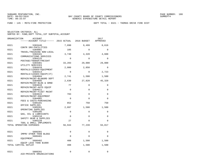FUND − 145 − MSTU−FIRE PROTECTION DEPT TOTAL − 0321 − THOMAS DRIVE FIRE DIST

| ORGANIZATION | ACCOUNT                              |             |             | 2017<br>APPROVED |
|--------------|--------------------------------------|-------------|-------------|------------------|
|              |                                      |             |             |                  |
| 0321         | 5303446<br>CONTR SRV-FACILITIES      | 7,890       | 9,499       | 8,616            |
| 0321         | 5304001                              | 105         | $\Omega$    | $\Omega$         |
| 0321         | TRAVEL/TRAINING NON-LOCAL<br>5304101 | 3,740       | 4,320       | 4,608            |
| 0321         | COMMUNICATIONS SERVICES<br>5304125   | $\Omega$    | $\Omega$    | $\Omega$         |
| 0321         | POSTAGE/TRANSP/FREIGHT<br>5304301    | 33,203      | 29,000      | 29,000           |
| 0321         | UTILITY SERVICES<br>5304410          | 2,000       | 2,850       | $\Omega$         |
|              | RENTALS/LEASES-EQUIPMENT             |             |             |                  |
| 0321         | 5304414<br>RENTALS/LEASES-EQUIP(IT)  | $\Omega$    | $\Omega$    | 2,723            |
| 0321         | 5304604<br>REPAIR/MAINT-BLD&GRD DEPT | 2,741       | 1,500       | 1,500            |
| 0321         | 5304605<br>REPAIR/MAINT-BLDG & GRND  | 2,630       | 27,820      | 45,320           |
| 0321         | 5304610                              | 77          | $\Omega$    | $\Omega$         |
| 0321         | REPAIR/MAINT-AUTO EQUIP<br>5304611   | $\Omega$    | $\Omega$    | 0                |
| 0321         | REPAIR/MAINT-FLEET MAINT<br>5304615  | 783         | $\Omega$    | $\Omega$         |
| 0321         | REPAIR/MAINT-EQUIPMENT<br>5304902    | $\Omega$    | $\Omega$    | $\Omega$         |
| 0321         | FEES & COSTS-PURCHASING<br>5305101   | 852         | 750         | 750              |
| 0321         | OFFICE SUPPLIES<br>5305201           | 2,897       | 1,500       | 1,500            |
|              | OPERATING SUPPLIES                   |             |             |                  |
| 0321         | 5305205<br>GAS, OIL & LUBRICANTS     | $\mathbf 0$ | 0           | 0                |
| 0321         | 5305210<br>SAFETY GEAR & SUPPLIES    | $\Omega$    | $\Omega$    | $\Omega$         |
| 0321         | 5305220<br>TOOL & SMALL IMPLEMENTS   | 27          | $\mathbf 0$ | 0                |
|              | TOTAL OPERATING EXPENSES             | 56,944      | 77,239      | 94,017           |
| 0321         | 5606301                              | $\mathbf 0$ | $\mathbf 0$ | 0                |
| 0321         | IMPRV OTHER THAN BLDGS<br>5606401    | $\Omega$    | $\Omega$    | $\Omega$         |
|              | EOUIPMENT                            |             |             |                  |
| 0321         | 5606402<br>EQUIP LESS THAN \$1000    | 408         | 1,500       | 1,500            |
|              | TOTAL CAPITAL OUTLAY                 | 408         | 1,500       | 1,500            |
| 0321         | 5808201<br>AID-PRIVATE ORGANIZATIONS | 0           | 0           | 0                |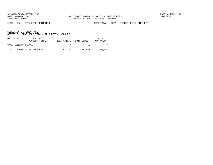FUND − 145 − MSTU−FIRE PROTECTION DEPT TOTAL − 0321 − THOMAS DRIVE FIRE DIST

| ORGANIZATION<br>ACCOUNT<br>$---ACCO$ UNT TITLE $---2015$ ACTUAL 2016 BUDGET |        |        | 2017<br>APPROVED |
|-----------------------------------------------------------------------------|--------|--------|------------------|
| TOTAL GRANTS & AIDS                                                         |        |        |                  |
| TOTAL THOMAS DRIVE FIRE DIST                                                | 57,352 | 78.739 | 95,517           |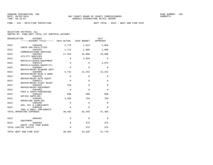FUND − 145 − MSTU−FIRE PROTECTION DEPT TOTAL − 0322 − WEST END FIRE DIST

| SELECTION CRITERIA: ALL                            |
|----------------------------------------------------|
| SORTED BY: FUND, DEPT TOTAL, 1ST SUBTOTAL, ACCOUNT |

| ORGANIZATION | <b>ACCOUNT</b><br>------ACCOUNT TITLE------ 2015 ACTUAL |             | 2016 BUDGET | 2017<br>APPROVED |
|--------------|---------------------------------------------------------|-------------|-------------|------------------|
| 0322         | 5303446<br>CONTR SRV-FACILITIES                         | 2,779       | 1,623       | 5,068            |
| 0322         | 5304101<br>COMMUNICATIONS SERVICES                      | 1,713       | 1,680       | 1,860            |
| 0322         | 5304301<br>UTILITY SERVICES                             | 17,593      | 34,000      | 34,000           |
| 0322         | 5304410<br>RENTALS/LEASES-EQUIPMENT                     | $\mathbf 0$ | 2,650       | $\Omega$         |
| 0322         | 5304414<br>RENTALS/LEASES-EQUIP(IT)                     | $\mathbf 0$ | $\mathbf 0$ | 2,975            |
| 0322         | 5304604<br>REPAIR/MAINT-BLD&GRD DEPT                    | $\mathbf 0$ | $\Omega$    | $\Omega$         |
| 0322         | 5304605<br>REPAIR/MAINT-BLDG & GRND                     | 5,732       | 12,242      | 12,242           |
| 0322         | 5304610<br>REPAIR/MAINT-AUTO EQUIP                      | $\mathbf 0$ | $\Omega$    | $\Omega$         |
| 0322         | 5304611<br>REPAIR/MAINT-FLEET MAINT                     | $\mathbf 0$ | $\mathbf 0$ | $\mathbf 0$      |
| 0322         | 5304615<br>REPAIR/MAINT-EQUIPMENT                       | 159         | $\Omega$    | $\Omega$         |
| 0322         | 5304902<br>FEES & COSTS-PURCHASING                      | $\mathbf 0$ | $\mathbf 0$ | $\mathbf 0$      |
| 0322         | 5305101<br>OFFICE SUPPLIES                              | 988         | 500         | 500              |
| 0322         | 5305201<br>OPERATING SUPPLIES                           | 1,438       | 750         | 750              |
| 0322         | 5305205<br>GAS, OIL & LUBRICANTS                        | $\mathbf 0$ | $\mathbf 0$ | $\mathbf 0$      |
| 0322         | 5305220<br>TOOL & SMALL IMPLEMENTS                      | $\Omega$    | $\Omega$    | $\Omega$         |
|              | TOTAL OPERATING EXPENSES                                | 30,402      | 53,445      | 57,395           |
| 0322         | 5606401                                                 | $\mathbf 0$ | $\Omega$    | $\Omega$         |
| 0322         | EOUIPMENT<br>5606402                                    | $\mathsf 0$ | 375         | 375              |
|              | EQUIP LESS THAN \$1000<br>TOTAL CAPITAL OUTLAY          | $\Omega$    | 375         | 375              |
|              | TOTAL WEST END FIRE DIST                                | 30,402      | 53,820      | 57,770           |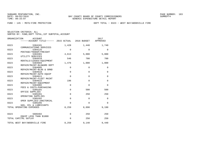FUND − 145 − MSTU−FIRE PROTECTION DEPT TOTAL − 0323 − WEST BAY/WOODVILLE FIRE

| ORGANIZATION<br>ACCOUNT |                          |                                                   |             | 2017         |             |
|-------------------------|--------------------------|---------------------------------------------------|-------------|--------------|-------------|
|                         |                          | ------ACCOUNT TITLE------ 2015 ACTUAL 2016 BUDGET |             |              | APPROVED    |
|                         |                          |                                                   |             |              |             |
| 0323                    |                          | 5304101                                           | 1,428       | 1,440        | 1,740       |
|                         |                          | COMMUNICATIONS SERVICES                           |             |              |             |
| 0323                    |                          | 5304125                                           | $\Omega$    | $\Omega$     | $\Omega$    |
|                         |                          | POSTAGE/TRANSP/FREIGHT                            |             |              |             |
| 0323                    |                          | 5304301                                           | 4,613       | 5,000        | 5,000       |
|                         |                          | UTILITY SERVICES                                  |             |              |             |
| 0323                    |                          | 5304410                                           | 546         | 700          | 700         |
|                         |                          | RENTALS/LEASES-EQUIPMENT                          |             |              |             |
| 0323                    |                          | 5304604                                           | 1,476       | 1,000        | 1,000       |
| 0323                    |                          | REPAIR/MAINT-BLD&GRD DEPT<br>5304605              | $\mathbf 0$ | $\mathbf{0}$ | $\mathbf 0$ |
|                         |                          | REPAIR/MAINT-BLDG & GRND                          |             |              |             |
| 0323                    |                          | 5304610                                           | $\mathbf 0$ | $\mathbf 0$  | $\mathbf 0$ |
|                         |                          | REPAIR/MAINT-AUTO EOUIP                           |             |              |             |
| 0323                    |                          | 5304611                                           | $\mathbf 0$ | $\mathbf 0$  | $\mathbf 0$ |
|                         |                          | REPAIR/MAINT-FLEET MAINT                          |             |              |             |
| 0323                    |                          | 5304615                                           | 196         | $\mathbf 0$  | $\mathbf 0$ |
|                         |                          | REPAIR/MAINT-EQUIPMENT                            |             |              |             |
| 0323                    |                          | 5304902                                           | $\mathbf 0$ | $\Omega$     | $\Omega$    |
|                         |                          | FEES & COSTS-PURCHASING                           |             |              |             |
| 0323                    |                          | 5305101                                           | $\mathbf 0$ | 500          | 500         |
|                         |                          | OFFICE SUPPLIES                                   |             |              |             |
| 0323                    |                          | 5305201                                           | $\Omega$    | 250          | 250         |
|                         |                          | OPERATING SUPPLIES                                |             |              |             |
| 0323                    |                          | 5305202                                           | $\mathbf 0$ | $\mathbf 0$  | $\Omega$    |
|                         |                          | OPER SUPPLIES-JANITORIAL                          |             |              |             |
| 0323                    |                          | 5305205                                           | $\Omega$    | $\Omega$     | $\Omega$    |
|                         |                          | GAS, OIL & LUBRICANTS                             |             |              |             |
|                         | TOTAL OPERATING EXPENSES |                                                   | 8,259       | 8,890        | 9,190       |
|                         |                          |                                                   |             |              |             |
|                         |                          |                                                   |             |              |             |
| 0323                    |                          | 5606402                                           | $\mathbf 0$ | 250          | 250         |
|                         |                          | EOUIP LESS THAN \$1000                            | $\mathbf 0$ |              |             |
|                         | TOTAL CAPITAL OUTLAY     |                                                   |             | 250          | 250         |
|                         |                          | TOTAL WEST BAY/WOODVILLE FIRE                     | 8,259       | 9,140        | 9,440       |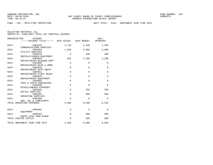FUND − 145 − MSTU−FIRE PROTECTION DEPT TOTAL − 0324 − NORTHWEST SIDE FIRE DIST

|      | ORGANIZATION<br><b>ACCOUNT</b><br>------ACCOUNT TITLE------ 2015 ACTUAL |                | 2016 BUDGET  | 2017<br>APPROVED |
|------|-------------------------------------------------------------------------|----------------|--------------|------------------|
| 0324 | 5304101<br>COMMUNICATIONS SERVICES                                      | 1,710          | 1,440        | 1,284            |
| 0324 | 5304301<br>UTILITY SERVICES                                             | 1,393          | 5,000        | 5,000            |
| 0324 | 5304410                                                                 | $\mathbf 0$    | 100          | 100              |
| 0324 | RENTALS/LEASES-EOUIPMENT<br>5304604                                     | 202            | 1,200        | 1,200            |
| 0324 | REPAIR/MAINT-BLD&GRD DEPT<br>5304605                                    | $\mathbf 0$    | $\mathbf{0}$ | $\mathbf 0$      |
| 0324 | REPAIR/MAINT-BLDG & GRND<br>5304610                                     | $\overline{0}$ | $\Omega$     | $\mathbf 0$      |
| 0324 | REPAIR/MAINT-AUTO EOUIP<br>5304611                                      | $\mathsf 0$    | $\Omega$     | $\mathbf 0$      |
| 0324 | REPAIR/MAINT-FLEET MAINT<br>5304615                                     | $\mathbf 0$    | $\Omega$     | $\mathbf 0$      |
| 0324 | REPAIR/MAINT-EQUIPMENT<br>5304902                                       | $\mathbf 0$    | $\mathbf{0}$ | $\mathbf 0$      |
| 0324 | FEES & COSTS-PURCHASING<br>5304990                                      | $\mathbf 0$    | $\Omega$     | $\Omega$         |
| 0324 | MISCELLANEOUS EXPENSES<br>5305101                                       | $\mathbf 0$    | 350          | 350              |
| 0324 | OFFICE SUPPLIES<br>5305201                                              | $\mathbf 0$    | 500          | 500              |
| 0324 | OPERATING SUPPLIES<br>5305205                                           | $\mathbf 0$    | $\Omega$     | $\Omega$         |
|      | GAS, OIL & LUBRICANTS<br>TOTAL OPERATING EXPENSES                       | 3,305          | 8,590        | 8,434            |
|      |                                                                         |                |              |                  |
| 0324 | 5606401<br>EOUIPMENT                                                    | 0              | $\Omega$     | $\Omega$         |
| 0324 | 5606402<br>EOUIP LESS THAN \$1000                                       | $\mathbf 0$    | 500          | 500              |
|      | TOTAL CAPITAL OUTLAY                                                    | $\mathbf 0$    | 500          | 500              |
|      | TOTAL NORTHWEST SIDE FIRE DIST                                          | 3,305          | 9,090        | 8,934            |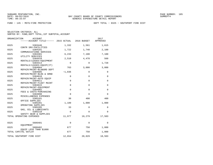FUND − 145 − MSTU−FIRE PROTECTION DEPT TOTAL − 0325 − SOUTHPORT FIRE DIST

| SELECTION CRITERIA: ALL                            |  |  |  |  |
|----------------------------------------------------|--|--|--|--|
| SORTED BY: FUND, DEPT TOTAL, 1ST SUBTOTAL, ACCOUNT |  |  |  |  |

|      | ORGANIZATION<br><b>ACCOUNT</b><br>------ACCOUNT TITLE------ 2015 ACTUAL |             | 2016 BUDGET  | 2017<br>APPROVED |
|------|-------------------------------------------------------------------------|-------------|--------------|------------------|
| 0325 | 5303446                                                                 | 1,332       | 1,561        | 1,615            |
| 0325 | CONTR SRV-FACILITIES<br>5304101                                         | 1,722       | 1,740        | 2,100            |
| 0325 | COMMUNICATIONS SERVICES<br>5304301                                      | 6,233       | 7,100        | 7,100            |
| 0325 | UTILITY SERVICES<br>5304410                                             | 2,510       | 4,478        | 560              |
| 0325 | RENTALS/LEASES-EQUIPMENT<br>5304414                                     | $\mathbf 0$ | $\Omega$     | 1,728            |
| 0325 | RENTALS/LEASES-EQUIP(IT)<br>5304604                                     | 763         | 3,000        | 3,000            |
| 0325 | REPAIR/MAINT-BLD&GRD DEPT<br>5304605                                    | $-1,836$    | 0            | 0                |
| 0325 | REPAIR/MAINT-BLDG & GRND<br>5304610                                     | $\mathbf 0$ | $\mathbf{0}$ | 0                |
| 0325 | REPAIR/MAINT-AUTO EOUIP<br>5304611                                      | $\mathbf 0$ | $\Omega$     | $\Omega$         |
| 0325 | REPAIR/MAINT-FLEET MAINT<br>5304615                                     | $\mathbf 0$ | $\mathbf{0}$ | 0                |
| 0325 | REPAIR/MAINT-EQUIPMENT<br>5304902                                       | $\mathbf 0$ | $\Omega$     | $\mathbf 0$      |
| 0325 | FEES & COSTS-PURCHASING<br>5304990                                      | $\mathbf 0$ | $\Omega$     | $\Omega$         |
| 0325 | MISCELLANEOUS EXPENSES<br>5305101<br>OFFICE SUPPLIES                    | 30          | 400          | 400              |
| 0325 | 5305201<br>OPERATING SUPPLIES                                           | 1,189       | 1,000        | 1,000            |
| 0325 | 5305205<br>GAS, OIL & LUBRICANTS                                        | 33          | 0            | 0                |
| 0325 | 5305210<br>SAFETY GEAR & SUPPLIES                                       | $\Omega$    | $\Omega$     | $\Omega$         |
|      | TOTAL OPERATING EXPENSES                                                | 11,977      | 19,279       | 17,503           |
| 0325 | 5606401                                                                 | 0           | 0            | 0                |
| 0325 | EQUIPMENT<br>5606402                                                    | 677         | 750          | 1,000            |
|      | EQUIP LESS THAN \$1000<br>TOTAL CAPITAL OUTLAY                          | 677         | 750          | 1,000            |
|      | TOTAL SOUTHPORT FIRE DIST                                               | 12,654      | 20,029       | 18,503           |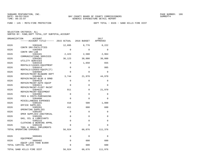FUND − 145 − MSTU−FIRE PROTECTION DEPT TOTAL − 0326 − SAND HILLS FIRE DIST

| ORGANIZATION | ACCOUNT<br>------ACCOUNT TITLE------ 2015 ACTUAL          |                            | 2016 BUDGET                | 2017<br>APPROVED     |
|--------------|-----------------------------------------------------------|----------------------------|----------------------------|----------------------|
| 0326         | 5303446                                                   | 12,895                     | 8,776                      | 8,222                |
| 0326         | CONTR SRV-FACILITIES<br>5303464                           | $\Omega$                   | $\Omega$                   | $\Omega$             |
| 0326         | CONTR SRV-LAB<br>5304101<br>COMMUNICATIONS SERVICES       | 2,423                      | 2,580                      | 2,964                |
| 0326         | 5304301<br>UTILITY SERVICES                               | 36,123                     | 30,000                     | 30,000               |
| 0326         | 5304410<br>RENTALS/LEASES-EOUIPMENT                       | $\mathbf 0$                | 1,650                      | 655                  |
| 0326         | 5304414<br>RENTALS/LEASES-EQUIP(IT)                       | $\mathbf 0$                | 0                          | 995                  |
| 0326         | 5304604<br>REPAIR/MAINT-BLD&GRD DEPT                      | $\mathbf 0$                | $\mathbf 0$                | 0                    |
| 0326         | 5304605<br>REPAIR/MAINT-BLDG & GRND                       | 3,744                      | 21,970                     | 44,970               |
| 0326         | 5304610<br>REPAIR/MAINT-AUTO EOUIP                        | $\mathbf 0$<br>$\mathbf 0$ | $\mathbf 0$<br>$\mathbf 0$ | $\Omega$<br>$\Omega$ |
| 0326<br>0326 | 5304611<br>REPAIR/MAINT-FLEET MAINT<br>5304615            | 911                        | $\Omega$                   | 21,970               |
| 0326         | REPAIR/MAINT-EQUIPMENT<br>5304902                         | $\Omega$                   | $\Omega$                   | $\Omega$             |
| 0326         | FEES & COSTS-PURCHASING<br>5304990                        | $\mathbf 0$                | $\Omega$                   | $\Omega$             |
| 0326         | MISCELLANEOUS EXPENSES<br>5305101                         | 418                        | 500                        | 1,000                |
| 0326         | OFFICE SUPPLIES<br>5305201                                | 411                        | 600                        | 600                  |
| 0326         | OPERATING SUPPLIES<br>5305202<br>OPER SUPPLIES-JANITORIAL | $\mathbf 0$                | 0                          | 0                    |
| 0326         | 5305205<br>GAS, OIL & LUBRICANTS                          | $\Omega$                   | $\Omega$                   | $\Omega$             |
| 0326         | 5305215<br>CLOTHING & WEARING APPRL                       | $\mathbf 0$                | $\Omega$                   | $\Omega$             |
| 0326         | 5305220<br>TOOL & SMALL IMPLEMENTS                        | $\mathbf 0$                | $\Omega$                   | $\Omega$             |
|              | TOTAL OPERATING EXPENSES                                  | 56,924                     | 66,076                     | 111,376              |
| 0326         | 5606401                                                   | 0                          | 0                          | $\Omega$             |
| 0326         | EOUIPMENT<br>5606402<br>EQUIP LESS THAN \$1000            | $\mathbf 0$                | 600                        | 600                  |
|              | TOTAL CAPITAL OUTLAY                                      | $\mathbf 0$                | 600                        | 600                  |
|              | TOTAL SAND HILLS FIRE DIST                                | 56,924                     | 66,676                     | 111,976              |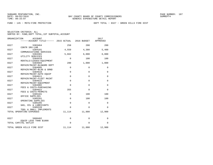FUND − 145 − MSTU−FIRE PROTECTION DEPT TOTAL − 0327 − GREEN HILLS FIRE DIST

| ORGANIZATION | <b>ACCOUNT</b><br>------ACCOUNT TITLE------ 2015 ACTUAL |             | 2016 BUDGET  | 2017<br>APPROVED |
|--------------|---------------------------------------------------------|-------------|--------------|------------------|
| 0327         | 5303464                                                 | 258         | 200          | 200              |
| 0327         | CONTR SRV-LAB<br>5304101                                | 4,559       | 4,380        | 5,400            |
| 0327         | COMMUNICATIONS SERVICES<br>5304301                      | 5,662       | 6,000        | 6,000            |
| 0327         | UTILITY SERVICES<br>5304410                             | $\Omega$    | 100          | 100              |
|              | RENTALS/LEASES-EQUIPMENT                                | 280         |              |                  |
| 0327         | 5304604<br>REPAIR/MAINT-BLD&GRD DEPT                    |             | 1,000        | 1,000            |
| 0327         | 5304605<br>REPAIR/MAINT-BLDG & GRND                     | $\mathbf 0$ | 0            | $\mathbf 0$      |
| 0327         | 5304610<br>REPAIR/MAINT-AUTO EOUIP                      | $\Omega$    | $\Omega$     | $\Omega$         |
| 0327         | 5304611                                                 | $\mathbf 0$ | $\mathbf 0$  | $\mathbf 0$      |
| 0327         | REPAIR/MAINT-FLEET MAINT<br>5304615                     | $\Omega$    | $\Omega$     | $\Omega$         |
| 0327         | REPAIR/MAINT-EQUIPMENT<br>5304902                       | $\Omega$    | $\mathbf 0$  | $\mathbf 0$      |
| 0327         | FEES & COSTS-PURCHASING<br>5304922                      | 355         | $\Omega$     | $\Omega$         |
| 0327         | FEES & COSTS-PERMITS<br>5305101                         | $\mathbf 0$ | 100          | 100              |
|              | OFFICE SUPPLIES                                         |             |              |                  |
| 0327         | 5305201<br>OPERATING SUPPLIES                           | $\mathbf 0$ | 100          | 100              |
| 0327         | 5305205<br>GAS, OIL & LUBRICANTS                        | $\mathbf 0$ | $\Omega$     | $\mathbf 0$      |
| 0327         | 5305220<br>TOOL & SMALL IMPLEMENTS                      | $\Omega$    | $\Omega$     | $\Omega$         |
|              | TOTAL OPERATING EXPENSES                                | 11,114      | 11,880       | 12,900           |
| 0327         | 5606402                                                 | $\mathbf 0$ | $\mathbf{0}$ | $\mathbf 0$      |
|              | EOUIP LESS THAN \$1000                                  |             |              |                  |
|              | TOTAL CAPITAL OUTLAY                                    | $\Omega$    | $\Omega$     | $\Omega$         |
|              | TOTAL GREEN HILLS FIRE DIST                             | 11,114      | 11,880       | 12,900           |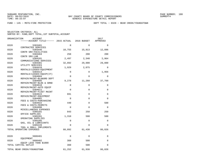FUND − 145 − MSTU−FIRE PROTECTION DEPT TOTAL − 0328 − BEAR CREEK/YOUNGSTOWN

| SELECTION CRITERIA: ALL |  |                                                    |  |
|-------------------------|--|----------------------------------------------------|--|
|                         |  | SORTED BY: FUND. DEPT TOTAL. 1ST SUBTOTAL. ACCOUNT |  |

|              | ORGANIZATION<br>ACCOUNT<br>------ACCOUNT TITLE------ 2015 ACTUAL 2016 BUDGET |              |              | 2017<br>APPROVED |
|--------------|------------------------------------------------------------------------------|--------------|--------------|------------------|
| 0328         | 5303401                                                                      | $\Omega$     | $\Omega$     | $\Omega$         |
| 0328         | CONTRACTED SERVICES<br>5303446                                               | 10,755       | 15,813       | 12,896           |
| 0328         | CONTR SRV-FACILITIES<br>5303464                                              | 258          | 200          | 200              |
| 0328         | CONTR SRV-LAB<br>5304101                                                     | 2,497        | 2,340        | 2,964            |
| 0328         | COMMUNICATIONS SERVICES<br>5304301<br>UTILITY SERVICES                       | 32,892       | 29,000       | 29,000           |
| 0328         | 5304410<br>RENTALS/LEASES-EQUIPMENT                                          | 1,929        | 2,075        | 0                |
| 0328         | 5304414<br>RENTALS/LEASES-EOUIP(IT)                                          | $\mathbf 0$  | 0            | 1,956            |
| 0328         | 5304604<br>REPAIR/MAINT-BLD&GRD DEPT                                         | $\mathbf 0$  | $\Omega$     | 0                |
| 0328         | 5304605<br>REPAIR/MAINT-BLDG & GRND                                          | 9,278        | 11,260       | 37,760           |
| 0328         | 5304610<br>REPAIR/MAINT-AUTO EQUIP                                           | $\mathbf 0$  | 0            | 0                |
| 0328         | 5304611<br>REPAIR/MAINT-FLEET MAINT                                          | $\Omega$     | 0            | 0                |
| 0328         | 5304615<br>REPAIR/MAINT-EQUIPMENT                                            | 691          | $\mathbf{0}$ | 0                |
| 0328         | 5304902<br>FEES & COSTS-PURCHASING                                           | $\Omega$     | $\Omega$     | $\Omega$         |
| 0328         | 5304922<br>FEES & COSTS-PERMITS                                              | 440          | $\mathbf 0$  | 500              |
| 0328         | 5304990<br>MISCELLANEOUS EXPENSES                                            | 0            | $\Omega$     | 0                |
| 0328<br>0328 | 5305101<br>OFFICE SUPPLIES<br>5305201                                        | 843<br>1,310 | 250<br>500   | 250<br>500       |
| 0328         | OPERATING SUPPLIES<br>5305205                                                | 0            | $\mathbf 0$  | 0                |
| 0328         | GAS, OIL & LUBRICANTS<br>5305220                                             | 0            | 0            | 0                |
|              | TOOL & SMALL IMPLEMENTS<br>TOTAL OPERATING EXPENSES                          | 60,892       | 61,438       | 86,026           |
|              |                                                                              |              |              |                  |
| 0328         | 5606401<br>EOUIPMENT                                                         | 0            | 0            | 0                |
| 0328         | 5606402<br>EQUIP LESS THAN \$1000                                            | 360          | 500          | 0                |
|              | TOTAL CAPITAL OUTLAY                                                         | 360          | 500          | $\Omega$         |
|              | TOTAL BEAR CREEK/YOUNGSTOWN                                                  | 61,252       | 61,938       | 86,026           |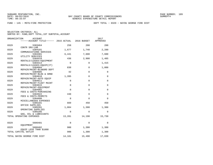FUND − 145 − MSTU−FIRE PROTECTION DEPT TOTAL − 0329 − BAYOU GEORGE FIRE DIST

| ORGANIZATION | ACCOUNT<br>------ACCOUNT TITLE------ 2015 ACTUAL       |                | 2016 BUDGET | 2017<br>APPROVED |
|--------------|--------------------------------------------------------|----------------|-------------|------------------|
| 0329         | 5303464                                                | 258            | 200         | 200              |
| 0329         | CONTR SRV-LAB<br>5304101                               | 1,677          | 1,740       | 2,280            |
| 0329         | COMMUNICATIONS SERVICES<br>5304301<br>UTILITY SERVICES | 6,441          | 7,600       | 7,600            |
| 0329         | 5304410<br>RENTALS/LEASES-EQUIPMENT                    | 436            | 2,900       | 1,485            |
| 0329         | 5304414<br>RENTALS/LEASES-EQUIP(IT)                    | $\mathbf 0$    | 0           | 1,415            |
| 0329         | 5304604<br>REPAIR/MAINT-BLD&GRD DEPT                   | 838            | 0           | 1,000            |
| 0329         | 5304605<br>REPAIR/MAINT-BLDG & GRND                    | 42             | $\Omega$    | $\Omega$         |
| 0329         | 5304610<br>REPAIR/MAINT-AUTO EOUIP                     | 1,395          | $\Omega$    | $\Omega$         |
| 0329         | 5304611<br>REPAIR/MAINT-FLEET MAINT                    | $\mathbf 0$    | $\Omega$    | $\Omega$         |
| 0329         | 5304615<br>REPAIR/MAINT-EQUIPMENT                      | $\overline{0}$ | $\Omega$    | $\mathbf 0$      |
| 0329         | 5304902<br>FEES & COSTS-PURCHASING                     | $\mathbf 0$    | $\mathbf 0$ | 0                |
| 0329         | 5304922<br>FEES & COSTS-PERMITS                        | 440            | $\mathbf 0$ | 0                |
| 0329         | 5304990<br>MISCELLANEOUS EXPENSES                      | $\mathbf 0$    | $\mathbf 0$ | $\Omega$         |
| 0329         | 5305101<br>OFFICE SUPPLIES                             | 669            | 450         | 450              |
| 0329         | 5305201<br>OPERATING SUPPLIES                          | 1,084          | 1,300       | 1,300            |
| 0329         | 5305205<br>GAS, OIL & LUBRICANTS                       | $\Omega$       | $\Omega$    | $\Omega$         |
|              | TOTAL OPERATING EXPENSES                               | 13,281         | 14,190      | 15,730           |
| 0329         | 5606401<br>EOUIPMENT                                   | 0              | $\Omega$    | $\Omega$         |
| 0329         | 5606402<br>EOUIP LESS THAN \$1000                      | 900            | 1,300       | 1,300            |
|              | TOTAL CAPITAL OUTLAY                                   | 900            | 1,300       | 1,300            |
|              | TOTAL BAYOU GEORGE FIRE DIST                           | 14,181         | 15,490      | 17,030           |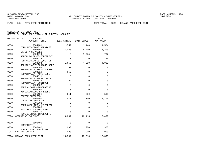FUND − 145 − MSTU−FIRE PROTECTION DEPT TOTAL − 0330 − HILAND PARK FIRE DIST

| ORGANIZATION<br><b>ACCOUNT</b><br>------ACCOUNT TITLE------ 2015 ACTUAL |             | 2016 BUDGET  | 2017<br>APPROVED |
|-------------------------------------------------------------------------|-------------|--------------|------------------|
| 0330<br>5304101                                                         | 1,552       | 1,440        | 1,524            |
| COMMUNICATIONS SERVICES<br>0330<br>5304301                              | 7,033       | 8,200        | 8,200            |
| UTILITY SERVICES<br>0330<br>5304410                                     | $\mathbf 0$ | 1,075        | 787              |
| RENTALS/LEASES-EOUIPMENT<br>0330<br>5304414                             | $\mathbf 0$ | $\mathbf 0$  | 288              |
| RENTALS/LEASES-EQUIP(IT)<br>0330<br>5304604                             | 1,659       | 4,000        | 4,000            |
| REPAIR/MAINT-BLD&GRD DEPT<br>0330<br>5304605                            | 190         | $\mathbf 0$  | $\mathbf 0$      |
| REPAIR/MAINT-BLDG & GRND<br>0330<br>5304610<br>REPAIR/MAINT-AUTO EOUIP  | 560         | $\mathbf{0}$ | 0                |
| 0330<br>5304611<br>REPAIR/MAINT-FLEET MAINT                             | $\Omega$    | $\Omega$     | $\Omega$         |
| 0330<br>5304615<br>REPAIR/MAINT-EQUIPMENT                               | 122         | $\mathbf 0$  | $\Omega$         |
| 0330<br>5304902<br>FEES & COSTS-PURCHASING                              | $\Omega$    | $\Omega$     | $\Omega$         |
| 0330<br>5304990<br>MISCELLANEOUS EXPENSES                               | $\Omega$    | $\Omega$     | $\Omega$         |
| 0330<br>5305101<br>OFFICE SUPPLIES                                      | 511         | 500          | 500              |
| 0330<br>5305201<br>OPERATING SUPPLIES                                   | 1,420       | 1,200        | 1,200            |
| 0330<br>5305202<br>OPER SUPPLIES-JANITORIAL                             | $\mathbf 0$ | $\mathbf{0}$ | $\Omega$         |
| 0330<br>5305205<br>GAS, OIL & LUBRICANTS                                | $\mathbf 0$ | $\mathbf 0$  | $\Omega$         |
| 0330<br>5305220<br>TOOL & SMALL IMPLEMENTS                              | $\Omega$    | $\Omega$     | $\Omega$         |
| TOTAL OPERATING EXPENSES                                                | 13,047      | 16,415       | 16,499           |
| 0330<br>5606401<br>EOUIPMENT                                            | 0           | $\mathbf 0$  | $\Omega$         |
| 0330<br>5606402<br>EQUIP LESS THAN \$1000                               | 900         | 900          | 900              |
| TOTAL CAPITAL OUTLAY                                                    | 900         | 900          | 900              |
| TOTAL HILAND PARK FIRE DIST                                             | 13,947      | 17,315       | 17,399           |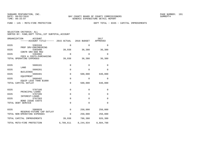FUND − 145 − MSTU−FIRE PROTECTION DEPT TOTAL − 0335 − CAPITAL IMPROVEMENTS

|  | SELECTION CRITERIA: ALL |                                                    |
|--|-------------------------|----------------------------------------------------|
|  |                         | SORTED BY: FUND, DEPT TOTAL, 1ST SUBTOTAL, ACCOUNT |

| ORGANIZATION |                                                           | <b>ACCOUNT</b><br>-----ACCOUNT TITLE------ 2015 ACTUAL |             | 2016 BUDGET  | 2017<br>APPROVED |
|--------------|-----------------------------------------------------------|--------------------------------------------------------|-------------|--------------|------------------|
| 0335         |                                                           | 5303104<br>PROF SRV-ENGINEERING                        | $\mathbf 0$ | $\mathbf{0}$ | $\mathbf 0$      |
| 0335         |                                                           | 5303408<br>CONTR SRV-800 MHZ                           | 39,938      | 36,380       | 36,380           |
| 0335         |                                                           | 5304902<br>FEES & COSTS-PURCHASING                     | $\mathbf 0$ | $\mathbf 0$  | $\mathbf 0$      |
|              | TOTAL OPERATING EXPENSES                                  |                                                        | 39,938      | 36,380       | 36,380           |
| 0335         | LAND                                                      | 5606101                                                | $\mathbf 0$ | $\mathbf{0}$ | 0                |
| 0335         | <b>BUILDINGS</b>                                          | 5606201                                                | $\mathbf 0$ | $\mathbf 0$  | $\mathbf 0$      |
| 0335         | EOUIPMENT                                                 | 5606401                                                | $\mathbf 0$ | 500,000      | 640,000          |
| 0335         |                                                           | 5606402<br>EQUIP LESS THAN \$1000                      | $\mathbf 0$ | $\Omega$     | $\Omega$         |
|              | TOTAL CAPITAL OUTLAY                                      |                                                        | $\mathbf 0$ | 500,000      | 640,000          |
| 0335         |                                                           | 5707105<br>PRINCIPAL-LOANS                             | $\mathbf 0$ | $\mathbf{0}$ | $\mathbf 0$      |
| 0335         |                                                           | 5707205                                                | $\mathbf 0$ | $\mathbf 0$  | $\mathbf 0$      |
| 0335         |                                                           | INTEREST-LOANS<br>5707303                              | 0           | $\mathbf 0$  | 0                |
|              | <b>BOND ISSUE COSTS</b><br>TOTAL DEBT SERVICE             | $\mathbf 0$                                            | $\Omega$    | $\Omega$     |                  |
| 0335         |                                                           | 5909920                                                | $\mathbf 0$ | 250,000      | 250,000          |
|              | RESERVE-FUTURE CAP OUTLAY<br>TOTAL NON-OPERATING EXPENSES | $\mathbf 0$                                            | 250,000     | 250,000      |                  |
|              | TOTAL CAPITAL IMPROVEMENTS                                |                                                        | 39,938      | 786,380      | 926,380          |
|              | TOTAL MSTU-FIRE PROTECTION                                |                                                        | 6,789,611   | 8,244,934    | 8,684,788        |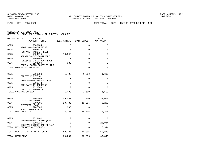FUND − 167 − MSBU FUND DEPT TOTAL − 0375 − MUNICP SRVC BENEFIT UNIT

| ORGANIZATION<br>ACCOUNT<br>------ACCOUNT TITLE------ 2015 ACTUAL |             | 2016 BUDGET | 2017<br>APPROVED |
|------------------------------------------------------------------|-------------|-------------|------------------|
| 0375<br>5303104                                                  | $\Omega$    | $\Omega$    | $\Omega$         |
| PROF SRV-ENGINEERING<br>0375<br>5304125                          | 0           | 0           | 0                |
| POSTAGE/TRANSP/FREIGHT<br>0375<br>5304615                        | 10,945      | $\Omega$    | 0                |
| REPAIR/MAINT-EOUIPMENT<br>0375<br>5304905                        | 0           | $\Omega$    | 0                |
| FEES&COSTS-LGL ADV/ADVERT<br>0375<br>5304909                     | 380         | $\mathbf 0$ | $\Omega$         |
| FEES & COSTS-COURT FILING<br>TOTAL OPERATING EXPENSES            | 11,325      | $\Omega$    | $\Omega$         |
| 0375<br>5606303                                                  | 1,498       | 1,500       | 1,600            |
| STREET LIGHTING<br>0375<br>5606306                               | 0           | 0           | 0                |
| IMPRV-PEDESTRIAN ACCESS<br>0375<br>5606574                       | $\mathbf 0$ | $\Omega$    | 0                |
| CIP-BAYSIDE DREDGING<br>0375<br>5616303                          | 0           | 0           | $\Omega$         |
| DREDGING PROJECTS<br>TOTAL CAPITAL OUTLAY                        | 1,498       | 1,500       | 1,600            |
| 0375<br>5707105<br>PRINCIPAL-LOANS                               | 55,000      | 57,000      | 33,000           |
| 0375<br>5707205                                                  | 20,485      | 18,396      | 9,296            |
| INTEREST-LOANS<br>0375<br>5707303                                | 900         | $\Omega$    | $\Omega$         |
| BOND ISSUE COSTS<br>TOTAL DEBT SERVICE                           | 76,385      | 75,396      | 42,296           |
| 0375<br>5819101<br>TRNFS-GENERAL FUND (001)                      | 0           | 0           | 0                |
| 0375<br>5909920                                                  | $\mathbf 0$ | $\mathbf 0$ | 25,944           |
| RESERVE-FUTURE CAP OUTLAY<br>TOTAL NON-OPERATING EXPENSES        | $\Omega$    | $\Omega$    | 25,944           |
| TOTAL MUNICP SRVC BENEFIT UNIT                                   | 89,207      | 76,896      | 69,840           |
| TOTAL MSBU FUND                                                  | 89,207      | 76,896      | 69,840           |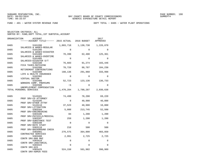FUND − 401 − WATER SYSTEM REVENUE FUND DEPT TOTAL − 0405 − WATER PLANT OPERATIONS

SELECTION CRITERIA: ALL

SORTED BY: FUND,DEPT TOTAL,1ST SUBTOTAL,ACCOUNT

| ORGANIZATION | ACCOUNT<br>-----ACCOUNT TITLE------ 2015 ACTUAL                   |                | 2016 BUDGET    | 2017<br>APPROVED |
|--------------|-------------------------------------------------------------------|----------------|----------------|------------------|
| 0405         | 5101200                                                           | 1,003,710      | 1,130,730      | 1,226,870        |
| 0405         | SALARIES & WAGES-REGULAR<br>5101205                               | $\Omega$       | $\Omega$       | $\Omega$         |
| 0405         | SALARIES & WAGES-DISASTER<br>5101400<br>SALARIES & WAGES-OVERTIME | 70,390         | 62,400         | 125,361          |
| 0405         | 5101405<br>SALARIES-DISASTER O/T                                  | $\Omega$       | $\Omega$       | $\Omega$         |
| 0405         | 5102100<br>FICA TAXES-MATCHING                                    | 76,603         | 91,274         | 103,446          |
| 0405         | 5102200<br>RETIREMENT CONTRIBUTIONS                               | 78,728         | 88,787         | 104,230          |
| 0405         | 5102300<br>LIFE & HEALTH INSURANCE                                | 188,136        | 291,960        | 333,998          |
| 0405         | 5102302<br>VIRTUAL DOCTOR                                         | $\Omega$       | $\Omega$       | 0                |
| 0405         | 5102400<br>WORKERS COMP. PREMIUMS                                 | 52,723         | 123,136        | 136,733          |
| 0405         | 5102500<br>UNEMPLOYMENT COMPENSATION                              | $-5$           | $\Omega$       | $\Omega$         |
|              | TOTAL PERSONAL SERVICES                                           | 1,470,284      | 1,788,287      | 2,030,638        |
| 0405         | 5143101<br>PROF SRV-CO ATTORNEY                                   | 74,498         | 78,200         | 69,220           |
| 0405         | 5143105<br>PROF SRV-OTHER ATTNY                                   | $\Omega$       | 40,000         | 40,000           |
| 0405         | 5143110<br>PROF SRV-LITIGATION                                    | 37,523         | 40,000         | 10,000           |
| 0405         | 5303104<br>PROF SRV-ENGINEERING                                   | 5,088          | 213,745        | 52,500           |
| 0405         | 5303106<br>PROF SRV-PHYSICLS/MEDICAL                              | 84             | 1,200          | 1,200            |
| 0405         | 5303107<br>PROF SRV-SUBSTANCE TEST                                | 259            | 1,200          | 1,200            |
| 0405         | 5303108<br>PROF SRV-RATE STUDY                                    | $\Omega$       | $\Omega$       | $\Omega$         |
| 0405<br>0405 | 5303110<br>PROF SRV-BACKGROUND CHECK<br>5303401                   | 216<br>276,575 | 500<br>364,000 | 500<br>403,850   |
| 0405         | CONTRACTED SERVICES<br>5303408                                    | 2,991          | 2,725          | 2,725            |
| 0405         | CONTR SRV-800 MHZ<br>5303410                                      | 0              | $\mathbf 0$    | $\Omega$         |
| 0405         | CONTR SRV-JANITORIAL<br>5303422                                   | $\Omega$       | $\Omega$       | $\Omega$         |
| 0405         | CONTR SRV-GIS<br>5303425                                          | 524,158        | 561,982        | 398,989          |
|              | CONTR SRV-ADMIN FEES                                              |                |                |                  |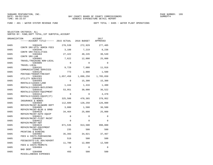FUND − 401 − WATER SYSTEM REVENUE FUND DEPT TOTAL − 0405 − WATER PLANT OPERATIONS

SELECTION CRITERIA: ALL

SORTED BY: FUND,DEPT TOTAL,1ST SUBTOTAL,ACCOUNT

| ORGANIZATION | ACCOUNT                                              |             |             | 2017      |
|--------------|------------------------------------------------------|-------------|-------------|-----------|
|              | -----ACCOUNT TITLE------ 2015 ACTUAL                 |             | 2016 BUDGET | APPROVED  |
| 0405         | 5303426                                              | 278,539     | 272,929     | 277,405   |
| 0405         | CONTR SRV-UTIL ADMIN FEES<br>5303446                 | 3,188       | 7,219       | 8,236     |
| 0405         | CONTR SRV-FACILITIES<br>5303464                      | 27,422      | 48,245      | 30,549    |
| 0405         | CONTR SRV-LAB<br>5304001                             | 7,622       | 12,000      | 25,000    |
| 0405         | TRAVEL/TRAINING NON-LOCAL<br>5304005<br>TRAVEL-LOCAL | $\Omega$    | $\Omega$    | $\Omega$  |
| 0405         | 5304101<br>COMMUNICATIONS SERVICES                   | 9,729       | 7,080       | 11,916    |
| 0405         | 5304125<br>POSTAGE/TRANSP/FREIGHT                    | 773         | 2,000       | 1,500     |
| 0405         | 5304301<br>UTILITY SERVICES                          | 1,657,458   | 1,896,250   | 1,785,650 |
| 0405         | 5304403<br>RENTALS/LEASES-LAND                       | $\Omega$    | 15,300      | 15,300    |
| 0405         | 5304405<br>RENTALS/LEASES-BUILDINGS                  | 1,444       | 1,416       | 1,400     |
| 0405         | 5304410<br>RENTALS/LEASES-EQUIPMENT                  | 53,951      | 30,000      | 36,522    |
| 0405         | 5304414<br>RENTALS/LEASES-EOUIP(IT)                  | $\Omega$    | $\Omega$    | 4,478     |
| 0405         | 5304501<br>INSURANCE & BONDS                         | 325,508     | 470,365     | 378,952   |
| 0405         | 5304604<br>REPAIR/MAINT-BLD&GRD DEPT                 | 112,609     | 128,250     | 126,000   |
| 0405         | 5304605<br>REPAIR/MAINT-BLDG & GRND                  | 3,800       | 1,500       | 36,500    |
| 0405         | 5304610<br>REPAIR/MAINT-AUTO EOUIP                   | 34,464      | 25,000      | 25,000    |
| 0405         | 5304611<br>REPAIR/MAINT-FLEET MAINT                  | $\mathbf 0$ | 0           | 0         |
| 0405         | 5304612<br>REPAIR/MAINT-AWT                          | $\Omega$    | $\Omega$    | 0         |
| 0405         | 5304615<br>REPAIR/MAINT-EQUIPMENT                    | 871,535     | 913,500     | 990,000   |
| 0405         | 5304701<br>PRINTING & BINDING                        | 235         | 500         | 500       |
| 0405         | 5304902<br>FEES & COSTS-PURCHASING                   | 35,393      | 34,021      | 37,467    |
| 0405         | 5304905<br>FEES&COSTS-LGL ADV/ADVERT                 | 519         | 500         | 500       |
| 0405         | 5304922<br>FEES & COSTS-PERMITS                      | 11,700      | 12,000      | 12,500    |
| 0405         | 5304984<br><b>BAD DEBT</b>                           | $\Omega$    | $\Omega$    | $\Omega$  |
| 0405         | 5304990<br>MISCELLANEOUS EXPENSES                    | 493         | 500         | 500       |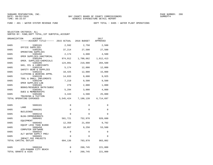FUND − 401 − WATER SYSTEM REVENUE FUND DEPT TOTAL − 0405 − WATER PLANT OPERATIONS

| ORGANIZATION<br><b>ACCOUNT</b><br>------ACCOUNT TITLE------ 2015 ACTUAL 2016 BUDGET |             |           | 2017<br>APPROVED |
|-------------------------------------------------------------------------------------|-------------|-----------|------------------|
| 0405<br>5305101                                                                     | 2,592       | 2,750     | 2,500            |
| OFFICE SUPPLIES                                                                     |             |           |                  |
| 0405<br>5305201<br>OPERATING SUPPLIES                                               | 37,214      | 27,500    | 27,500           |
| 0405<br>5305202                                                                     | 2,174       | 4,600     | 4,500            |
| OPER SUPPLIES-JANITORIAL<br>0405<br>5305204                                         | 974,912     | 1,700,662 | 1,612,413        |
| OPER. SUPPLIES-CHEMICALS<br>0405<br>5305205                                         | 124,091     | 219,900   | 204,500          |
| GAS, OIL & LUBRICANTS<br>0405<br>5305210                                            | 5,174       | 12,000    | 12,000           |
| SAFETY GEAR & SUPPLIES<br>0405<br>5305215                                           | 10,425      | 12,000    | 15,000           |
| CLOTHING & WEARING APPRL<br>0405<br>5305220                                         | 14,833      | 9,600     | 9,925            |
| TOOL & SMALL IMPLEMENTS                                                             |             |           |                  |
| 0405<br>5305240<br>OPER SUPPLIES-LAB                                                | 7,219       | 9,500     | 9,500            |
| 0405<br>5305401                                                                     | 279         | 2,000     | 1,800            |
| BOOKS/RESOURCE MATR/SUBSC<br>0405<br>5305402                                        | 5,294       | 3,000     | 4,000            |
| DUES & MEMBERSHIPS<br>0405<br>5305406                                               | 3,443       | 4,500     | 25,000           |
| TRAINING & TUITION<br>TOTAL OPERATING EXPENSES                                      | 5, 545, 424 | 7,190,139 | 6,714,697        |
|                                                                                     |             |           |                  |
| 0405<br>5606101                                                                     | $\Omega$    | $\Omega$  | $\Omega$         |
| LAND<br>0405<br>5606201                                                             | 0           | $\Omega$  | $\Omega$         |
| <b>BUILDINGS</b><br>0405<br>5606216                                                 | $\Omega$    | $\Omega$  | 0                |
| BLDG-IMPROVEMENTS                                                                   |             |           |                  |
| 0405<br>5606401<br>EQUIPMENT                                                        | 581,721     | 752,970   | 920,600          |
| 0405<br>5606402<br>EQUIP LESS THAN \$1000                                           | 12,358      | 21,650    | 9,702            |
| 0405<br>5606450<br>COMPUTER SOFTWARE                                                | 10,057      | 9,250     | 53,500           |
| 0405<br>5606542                                                                     | 0           | $\Omega$  | $\Omega$         |
| ALT WATER SUPPLY PROJ<br>0405<br>5606601                                            | $\Omega$    | $\Omega$  | $\Omega$         |
| IMPACT FEE PROJECTS<br>TOTAL CAPITAL OUTLAY                                         | 604,136     | 783,870   | 983,802          |
|                                                                                     |             |           |                  |
| 0405<br>5808104                                                                     | 0           | 260,745   | 221,000          |
| AID-PANAMA CITY BEACH<br>TOTAL GRANTS & AIDS                                        | 0           | 260,745   | 221,000          |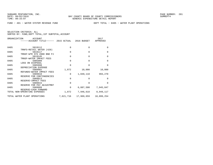FUND − 401 − WATER SYSTEM REVENUE FUND DEPT TOTAL − 0405 − WATER PLANT OPERATIONS

|      | ORGANIZATION<br>ACCOUNT                           |             |             | 2017         |
|------|---------------------------------------------------|-------------|-------------|--------------|
|      | ------ACCOUNT TITLE------ 2015 ACTUAL 2016 BUDGET |             |             | APPROVED     |
|      |                                                   |             |             |              |
| 0405 | 5819112                                           | $\Omega$    | $\Omega$    | <sup>0</sup> |
|      | TRNFS-RETAIL WATER (420)                          |             |             |              |
| 0405 | 5819117                                           | $\mathbf 0$ | $\mathbf 0$ | $\Omega$     |
|      | TRNSF-WTR SYS 2000 BND PJ                         |             |             |              |
| 0405 | 5819145                                           | $\Omega$    | $\Omega$    | $\Omega$     |
|      | TRNSF-WATER IMPACT FEES                           |             |             |              |
| 0405 | 5905908                                           | 0           | $\Omega$    | $\Omega$     |
|      | LOSS ON DISPOSAL                                  |             |             |              |
| 0405 | 5905998                                           | $\Omega$    | $\Omega$    | $\Omega$     |
|      | DEPRECIATION EXPENSE                              |             |             |              |
| 0405 | 5909902                                           | 1,872       | 10,000      | 10,000       |
|      | REFUNDS-WATER IMPACT FEES                         |             |             |              |
| 0405 | 5909910                                           | $\Omega$    | 1,049,118   | 993,270      |
|      | RESERVE FOR CONTINGENCIES                         |             |             |              |
| 0405 | 5909913                                           | $\Omega$    | $\Omega$    | $\Omega$     |
|      | RESERVE-IMPACT FEES                               |             |             |              |
| 0405 | 5909915                                           | $\Omega$    | $\Omega$    | $\Omega$     |
|      | RESERVE FOR PAY ADJUSTMNT                         |             |             |              |
| 0405 | 5909999                                           | $\Omega$    | 6,887,500   | 7,945,847    |
|      | RESERVE-CASH FORWARD                              |             |             |              |
|      | TOTAL NON-OPERATING EXPENSES                      | 1,872       | 7,946,618   | 8,949,117    |
|      | TOTAL WATER PLANT OPERATIONS                      | 7,621,716   | 17,969,659  | 18,899,254   |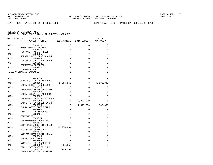FUND − 401 − WATER SYSTEM REVENUE FUND DEPT TOTAL − 0408 − WATER SYS RENEWAL & REPLC

| ORGANIZATION | ACCOUNT<br>------ACCOUNT TITLE------ 2015 ACTUAL |            | 2016 BUDGET  | 2017<br>APPROVED |
|--------------|--------------------------------------------------|------------|--------------|------------------|
| 0408         | 5143110                                          | $\Omega$   | $\Omega$     | $\Omega$         |
| 0408         | PROF SRV-LITIGATION<br>5304125                   | 0          | $\Omega$     | $\Omega$         |
| 0408         | POSTAGE/TRANSP/FREIGHT<br>5304605                | $\Omega$   | $\Omega$     | $\Omega$         |
| 0408         | REPAIR/MAINT-BLDG & GRND<br>5304905              | 0          | 0            | 0                |
| 0408         | FEES&COSTS-LGL ADV/ADVERT<br>5305201             | $\Omega$   | $\Omega$     | $\Omega$         |
| 0408         | OPERATING SUPPLIES<br>5394930                    | $\Omega$   | $\Omega$     | $\Omega$         |
|              | COGS-POSTAGE<br>TOTAL OPERATING EXPENSES         | $\Omega$   | $\Omega$     | $\Omega$         |
|              |                                                  |            |              |                  |
| 0408         | 5606215<br>BLDG-EQUIP BLDG IMPROVE.              | $\Omega$   | $\Omega$     | $\Omega$         |
| 0408         | 5606301                                          | 2,334,558  | 0            | 1,000,000        |
| 0408         | IMPRV OTHER THAN BLDGS<br>5606325                | 0          | $\Omega$     | 0                |
| 0408         | IMPRV-FRANKFORD PUMP STN<br>5606369              | $\Omega$   | $\Omega$     | $\Omega$         |
| 0408         | IMPRV-ELEVATED TANK/231<br>5606382               | $\Omega$   | $\Omega$     | $\Omega$         |
| 0408         | IMPRV-WILLIAMS BAYOU PUMP<br>5606383             | $\Omega$   | 3,000,000    | $\Omega$         |
| 0408         | IMP-STRG RSVR&HIGH SVSPMP<br>5606390             | $\Omega$   | 1,870,000    | 2,000,000        |
| 0408         | IMPRV-WATER FACILITIES<br>5606393                | $\Omega$   | $\mathbf 0$  | 0                |
| 0408         | IMPRV-FILTER TROUGHS<br>5606401                  | $\Omega$   | $\Omega$     | $\Omega$         |
| 0408         | EOUIPMENT<br>5606534                             | $\Omega$   | $\Omega$     | $\Omega$         |
| 0408         | CIP-EMERGENCY REPAIRS<br>5606537                 | $\Omega$   | $\Omega$     | $\Omega$         |
| 0408         | CIP-RPLC/UPGRD LIME SILO<br>5606542              | 19,254,494 | $\Omega$     | $\Omega$         |
| 0408         | ALT WATER SUPPLY PROJ<br>5606546                 | 0          | $\mathbf{0}$ | 0                |
| 0408         | CIP-NW TRANSM MAIN PHS I<br>5606549              | 0          | $\Omega$     | 0                |
| 0408         | CIP-FILTER IMPRV<br>5606556                      | $\Omega$   | $\Omega$     | $\Omega$         |
|              | CIP-WTR TRTMT GENERATOR                          |            |              |                  |
| 0408         | 5606557<br>CIP-N BAY BOOSTER PUMP                | 691,255    | $\Omega$     | $\Omega$         |
| 0408         | 5606558<br>CIP-DEER PT DAM CATHODIC              | 189,794    | $\Omega$     | $\Omega$         |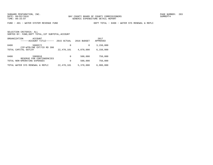FUND − 401 − WATER SYSTEM REVENUE FUND DEPT TOTAL − 0408 − WATER SYS RENEWAL & REPLC

|       | ORGANIZATION<br>ACCOUNT<br>------ACCOUNT TITLE------ | 2015 ACTUAL | 2016 BUDGET | 2017<br>APPROVED |
|-------|------------------------------------------------------|-------------|-------------|------------------|
| 0408  | 5606572<br>CIP-WTRLINE EXT/CO RD 390                 | 0           | $\Omega$    | 3,150,000        |
|       | TOTAL CAPITAL OUTLAY                                 | 22,470,101  | 4,870,000   | 6,150,000        |
| 0408  | 5909910<br>RESERVE FOR CONTINGENCIES                 | 0           | 500,000     | 750,000          |
|       | TOTAL NON-OPERATING EXPENSES                         | 0           | 500,000     | 750,000          |
| TOTAL | WATER SYS RENEWAL & REPLC                            | 22,470,101  | 5,370,000   | 6,900,000        |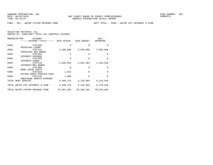FUND − 401 − WATER SYSTEM REVENUE FUND DEPT TOTAL − 0409 − WATER SYS INTEREST & SINK

| 2017<br>APPROVED |
|------------------|
| $\Omega$         |
|                  |
| 2,685,000        |
|                  |
| $\Omega$         |
|                  |
| $\Omega$         |
|                  |
| 2,448,810        |
|                  |
| $\Omega$         |
|                  |
| $\Omega$         |
|                  |
| $\Omega$         |
|                  |
| 5,133,810        |
|                  |
| 5,133,810        |
| 30,933,064       |
|                  |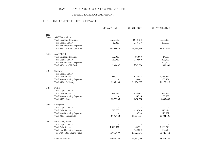## GENERIC EXPENDITURE REPORT

## FUND - 412 - JT VENT- MILITARY PT/AWTF

|      |                                                                     | 2015 ACTUAL | 2016 BUDGET | 2017 TENTATIVE |
|------|---------------------------------------------------------------------|-------------|-------------|----------------|
| Dept |                                                                     |             |             |                |
| 0464 | <b>AWTF</b> Operations                                              |             |             |                |
|      | <b>Total Operating Expenses</b>                                     | 3,562,182   | 3,912,422   | 3,686,090      |
|      | <b>Total Capital Outlay</b>                                         | 32,888      | 253,438     | 285,550        |
|      | <b>Total Non-Operating Expenses</b><br>Total 0464 - AWTF Operations |             |             |                |
|      |                                                                     | \$3,595,070 | \$4,165,860 | \$3,971,640    |
| 0465 | <b>AWTFR&amp;R</b>                                                  |             |             |                |
|      | <b>Total Operating Expenses</b>                                     | 162,915     | 95,000      | 14,500         |
|      | <b>Total Capital Outlay</b>                                         | 125,982     | 250,500     | 326,000        |
|      | <b>Total Non-Operating Expenses</b>                                 |             |             | 300,000        |
|      | Total 0464 - AWTF R&R                                               | \$288,897   | \$345,500   | \$640,500      |
|      |                                                                     |             |             |                |
| 0494 | Callaway<br><b>Total Capital Outlay</b>                             |             |             |                |
|      | <b>Total Debt Service</b>                                           | 985,100     | 1,038,543   | 1,038,462      |
|      | <b>Total Non-Operating Expenses</b>                                 |             | 135,462     | 135,451        |
|      | Total 0494 - Callaway                                               | \$985,100   | \$1,174,005 | \$1,173,913    |
|      |                                                                     |             |             |                |
| 0495 | Parker                                                              |             |             |                |
|      | <b>Total Capital Outlay</b>                                         |             |             |                |
|      | <b>Total Debt Service</b>                                           | 377,238     | 433,904     | 433,856        |
|      | <b>Total Non-Operating Expenses</b>                                 |             | 56,596      | 56,589         |
|      | Total 0495 - Parker                                                 | \$377,238   | \$490,500   | \$490,445      |
| 0496 | Springfield                                                         |             |             |                |
|      | <b>Total Capital Outlay</b>                                         |             |             |                |
|      | <b>Total Debt Service</b>                                           | 795,763     | 915,360     | 915,224        |
|      | <b>Total Non-Operating Expenses</b>                                 |             | 119,394     | 119,377        |
|      | Total 0496 - Springfield                                            | \$795,763   | \$1,034,754 | \$1,034,601    |
|      |                                                                     |             |             |                |
| 0498 | <b>Bay County Retail</b><br><b>Total Capital Outlay</b>             |             |             |                |
|      | <b>Total Debt Service</b>                                           | 1,016,697   | 1,169,321   | 1,169,248      |
|      | <b>Total Non-Operating Expenses</b>                                 |             | 152,520     | 152,510        |
|      | Tota 0498 - Bay County Retail                                       | \$1,016,697 | \$1,321,841 | \$1,321,758    |
|      |                                                                     |             |             |                |
|      | Fund Expenditure                                                    | \$7,058,765 | \$8,532,460 | \$8,632,857    |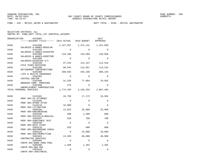FUND − 420 − RETAIL WATER & WASTEWATER DEPT TOTAL − 0430 − RETAIL WASTEWATER

| ORGANIZATION<br><b>ACCOUNT</b><br>------ACCOUNT TITLE------ 2015 ACTUAL 2016 BUDGET |             |             | 2017<br>APPROVED |
|-------------------------------------------------------------------------------------|-------------|-------------|------------------|
| 0430<br>5101200<br>SALARIES & WAGES-REGULAR                                         | 1,227,567   | 1,372,141   | 1,341,030        |
| 0430<br>5101205<br>SALARIES & WAGES-DISASTER                                        | $\Omega$    | $\Omega$    | $\Omega$         |
| 0430<br>5101400<br>SALARIES & WAGES-OVERTIME                                        | 118,106     | 133,699     | 140,958          |
| 0430<br>5101405<br>SALARIES-DISASTER O/T                                            | $\Omega$    | $\Omega$    | $\Omega$         |
| 0430<br>5102100<br>FICA TAXES-MATCHING                                              | 97,323      | 115,197     | 112,518          |
| 0430<br>5102200<br>RETIREMENT CONTRIBUTIONS                                         | 98,943      | 112,057     | 114,232          |
| 0430<br>5102300<br>LIFE & HEALTH INSURANCE                                          | 200,655     | 345,106     | 308,145          |
| 0430<br>5102302<br>VIRTUAL DOCTOR                                                   | $\Omega$    | $\Omega$    | $\Omega$         |
| 0430<br>5102400<br>WORKERS COMP. PREMIUMS                                           | 31,326      | 77,094      | 70,582           |
| 0430<br>5102500<br>UNEMPLOYMENT COMPENSATION                                        | 275         | $\Omega$    | $\Omega$         |
| TOTAL PERSONAL SERVICES                                                             | 1,774,195   | 2,155,294   | 2,087,465        |
| 0430<br>5143101                                                                     | 16,750      | 17,173      | 19,584           |
| PROF SRV-CO ATTORNEY<br>0430<br>5143105                                             | $\Omega$    | $\Omega$    | $\Omega$         |
| PROF SRV-OTHER ATTNY<br>0430<br>5143110                                             | 16,000      | $\Omega$    | $\Omega$         |
| PROF SRV-LITIGATION<br>0430<br>5303104                                              | 12,023      | 25,000      | 25,000           |
| PROF SRV-ENGINEERING<br>0430<br>5303106                                             | 380         | 1,500       | 600              |
| PROF SRV-PHYSICLS/MEDICAL<br>0430<br>5303107                                        | 629         | 700         | 700              |
| PROF SRV-SUBSTANCE TEST<br>0430<br>5303108                                          | $\Omega$    | $\Omega$    | 0                |
| PROF SRV-RATE STUDY<br>0430<br>5303110                                              | 553         | 600         | 600              |
| PROF SRV-BACKGROUND CHECK<br>0430<br>5303125<br>PROF SRV-ENG/PERMITTING             | $\mathbf 0$ | 15,000      | 10,000           |
| 0430<br>5303401<br>CONTRACTED SERVICES                                              | 13,385      | 60,000      | 40,000           |
| 0430<br>5303403<br>CONTR SRV-BANK CHRG POOL                                         | $\Omega$    | $\Omega$    | $\Omega$         |
| 0430<br>5303408<br>CONTR SRV-800 MHZ                                                | 1,408       | 1,282       | 1,282            |
| 5303410<br>0430<br>CONTR SRV-JANITORIAL                                             | $\mathbf 0$ | $\mathbf 0$ | $\mathbf 0$      |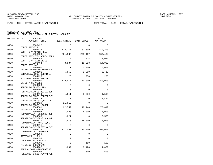FUND − 420 − RETAIL WATER & WASTEWATER DEPT TOTAL − 0430 − RETAIL WASTEWATER

| ORGANIZATION | ACCOUNT<br>------ACCOUNT TITLE------ 2015 ACTUAL |             | 2016 BUDGET  | 2017<br>APPROVED |
|--------------|--------------------------------------------------|-------------|--------------|------------------|
|              |                                                  |             |              |                  |
| 0430         | 5303422<br>CONTR SRV-GIS                         | $\Omega$    | $\Omega$     | $\Omega$         |
| 0430         | 5303425                                          | 112,377     | 137,599      | 149,293          |
|              | CONTR SRV-ADMIN FEES                             |             |              |                  |
| 0430         | 5303426                                          | 301,583     | 298,167      | 333,464          |
| 0430         | CONTR SRV-UTIL ADMIN FEES<br>5303446             | 178         | 1,024        | 1,045            |
|              | CONTR SRV-FACILITIES                             |             |              |                  |
| 0430         | 5303464                                          | 8,584       | 18,353       | 14,000           |
| 0430         | CONTR SRV-LAB<br>5304001                         | 1,777       | 3,000        | 6,000            |
|              | TRAVEL/TRAINING NON-LOCAL                        |             |              |                  |
| 0430         | 5304101                                          | 5,553       | 2,280        | 5,412            |
|              | COMMUNICATIONS SERVICES                          |             |              |                  |
| 0430         | 5304125<br>POSTAGE/TRANSP/FREIGHT                | 126         | 250          | 250              |
| 0430         | 5304301                                          | 170,417     | 170,000      | 150,000          |
|              | UTILITY SERVICES                                 |             |              |                  |
| 0430         | 5304403                                          | $\Omega$    | $\Omega$     | $\Omega$         |
| 0430         | RENTALS/LEASES-LAND<br>5304405                   | $\Omega$    | $\Omega$     | $\Omega$         |
|              | RENTALS/LEASES-BUILDINGS                         |             |              |                  |
| 0430         | 5304410                                          | 1,911       | 3,000        | 1,514            |
|              | RENTALS/LEASES-EQUIPMENT                         |             |              |                  |
| 0430         | 5304414<br>RENTALS/LEASES-EQUIP(IT)              | $\Omega$    | $\Omega$     | 1,486            |
| 0430         | 5304420                                          | $-11,813$   | $\Omega$     | $\Omega$         |
|              | RENTALS/LEASES-LAGOON                            |             |              |                  |
| 0430         | 5304501                                          | 22,552      | 110,148      | 78,619           |
| 0430         | INSURANCE & BONDS<br>5304604                     | 1,408       | 5,000        | 4,000            |
|              | REPAIR/MAINT-BLD&GRD DEPT                        |             |              |                  |
| 0430         | 5304605                                          | 1,221       | $\Omega$     | 6,500            |
| 0430         | REPAIR/MAINT-BLDG & GRND                         |             |              | 14,000           |
|              | 5304610<br>REPAIR/MAINT-AUTO EOUIP               | 11,915      | 15,000       |                  |
| 0430         | 5304611                                          | $\Omega$    | $\Omega$     | $\Omega$         |
|              | REPAIR/MAINT-FLEET MAINT                         |             |              |                  |
| 0430         | 5304615<br>REPAIR/MAINT-EOUIPMENT                | 137,000     | 120,000      | 100,000          |
| 0430         | 5304650                                          | $\Omega$    | $\Omega$     | $\Omega$         |
|              | RIVERCAMP - O & M                                |             |              |                  |
| 0430         | 5304655                                          | $\mathbf 0$ | $\mathbf{0}$ | $\Omega$         |
| 0430         | LAKE MERIAL - O & M<br>5304701                   | $\mathbf 0$ | 150          | 150              |
|              | PRINTING & BINDING                               |             |              |                  |
| 0430         | 5304902                                          | 11,262      | 9,428        | 4,059            |
| 0430         | FEES & COSTS-PURCHASING<br>5304905               | 766         | 500          | 500              |
|              | FEES&COSTS-LGL ADV/ADVERT                        |             |              |                  |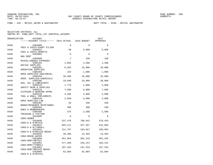FUND − 420 − RETAIL WATER & WASTEWATER DEPT TOTAL − 0430 − RETAIL WASTEWATER

| ORGANIZATION | <b>ACCOUNT</b><br>------ACCOUNT TITLE------ 2015 ACTUAL |          | 2016 BUDGET | 2017<br>APPROVED |
|--------------|---------------------------------------------------------|----------|-------------|------------------|
| 0430         | 5304909                                                 | $\Omega$ | $\Omega$    | $\Omega$         |
| 0430         | FEES & COSTS-COURT FILING<br>5304922                    | 50       | 5,000       | 5,000            |
| 0430         | FEES & COSTS-PERMITS<br>5304984                         | $\Omega$ | $\Omega$    | $\Omega$         |
| 0430         | BAD DEBT<br>5304990                                     | 7        | 150         | 150              |
| 0430         | MISCELLANEOUS EXPENSES<br>5305101                       | 1,084    | 1,500       | 1,400            |
| 0430         | OFFICE SUPPLIES<br>5305201                              | 6,355    | 15,000      | 10,000           |
| 0430         | OPERATING SUPPLIES<br>5305202                           | 224      | 1,800       | 1,000            |
| 0430         | OPER SUPPLIES-JANITORIAL<br>5305204                     | 20,489   | 35,000      | 25,000           |
| 0430         | OPER. SUPPLIES-CHEMICALS<br>5305205                     | 33,848   | 33,000      | 30,000           |
| 0430         | GAS, OIL & LUBRICANTS<br>5305210                        | 1,779    | 1,000       | 2,000            |
| 0430         | SAFETY GEAR & SUPPLIES<br>5305215                       | 7,600    | 6,000       | 7,600            |
| 0430         | CLOTHING & WEARING APPRL<br>5305220                     | 4,485    | 2,000       | 2,000            |
| 0430         | TOOL & SMALL IMPLEMENTS<br>5305240<br>OPER SUPPLIES-LAB | 2,038    | 5,000       | 4,000            |
| 0430         | 5305401<br>BOOKS/RESOURCE MATR/SUBSC                    | 20       | 250         | 250              |
| 0430         | 5305402<br>DUES & MEMBERSHIPS                           | 300      | 300         | 330              |
| 0430         | 5305406<br>TRAINING & TUITION                           | 575      | 2,500       | 2,500            |
| 0430         | 5354905<br>COGS-SEWER                                   | $\Omega$ | $\Omega$    | $\Omega$         |
| 0430         | 5354940<br>COGS-O & M/RETAIL                            | 537,478  | 706,641     | 578,453          |
| 0430         | 5354941<br>COGS-O & M/TYNDALL                           | 503,111  | 327,267     | 542,803          |
| 0430         | 5354942<br>COGS-O & M/MEXICO BEACH                      | 211,797  | 183,027     | 198,992          |
| 0430         | 5354945<br>COGS-REUSE WATER                             | 28,306   | 13,483      | 13,483           |
| 0430         | 5354950<br>COGS-DEBT/RETAIL                             | 451,063  | 501,318     | 501,255          |
| 0430         | 5354951<br>COGS-DEBT/TYNDALL                            | 377,369  | 328,151     | 328,151          |
| 0430         | 5354952<br>COGS-DEBT/MEXICO BEACH                       | 187,333  | 187,333     | 187,333          |
| 0430         | 5354960<br>COGS-R & R/RETAIL                            | 62,884   | 62,884      | 62,884           |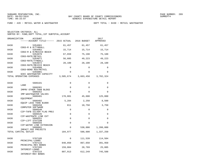FUND − 420 − RETAIL WATER & WASTEWATER DEPT TOTAL − 0430 − RETAIL WASTEWATER

| SELECTION CRITERIA: ALL |  |                                                    |  |
|-------------------------|--|----------------------------------------------------|--|
|                         |  | SORTED BY: FUND, DEPT TOTAL, 1ST SUBTOTAL, ACCOUNT |  |

| ORGANIZATION | ACCOUNT                                           |             |             | 2017      |
|--------------|---------------------------------------------------|-------------|-------------|-----------|
|              | ----ACCOUNT TITLE------ 2015 ACTUAL               |             | 2016 BUDGET | APPROVED  |
| 0430         | 5354961                                           | 61,457      | 61,457      | 61,457    |
| 0430         | COGS-R & R/TYNDALL<br>5354962                     | 15,714      | 15,714      | 15,714    |
| 0430         | COGS-R & R/MEXICO BEACH<br>5354970                | 67,659      | 75,198      | 75,188    |
| 0430         | COGS-RATE/RETAIL<br>5354971<br>COGS-RATE/TYNDALL  | 56,605      | 49,223      | 49,223    |
| 0430         | 5354972<br>COGS-RATE/MEXICO BEACH                 | 28,100      | 28,100      | 28,100    |
| 0430         | 5354980<br>COGS-BOND RSV/RETAIL                   | $\Omega$    | $\Omega$    | $\Omega$  |
| 0430         | 5355001<br>GCEC WASTEWATER CAPACITY               | $\Omega$    | $\Omega$    | $\Omega$  |
|              | TOTAL OPERATING EXPENSES                          | 3,505,674   | 3,663,450   | 3,702,324 |
| 0430         | 5606101                                           | 0           | $\Omega$    | $\Omega$  |
| 0430         | LAND<br>5606301                                   | $\mathbf 0$ | $\Omega$    | 0         |
| 0430         | IMPRV OTHER THAN BLDGS<br>5606352                 | $\Omega$    | $\Omega$    | 0         |
| 0430         | IMP-WASTEWATER VALVES<br>5606401<br>EOUIPMENT     | 178,881     | 45,600      | 125,000   |
| 0430         | 5606402<br>EQUIP LESS THAN \$1000                 | 5,284       | 2,250       | 8,500     |
| 0430         | 5606450<br>COMPUTER SOFTWARE                      | 811         | 10,750      | 3,750     |
| 0430         | 5606540<br>CIP-TAFB SILVER FLAG PROJ              | $\Omega$    | $\Omega$    | 0         |
| 0430         | 5606545<br>CIP-WASTEWTR LINE EXT                  | $\mathbf 0$ | $\Omega$    | $\Omega$  |
| 0430         | 5606551<br>CIP-LIFT STATION                       | $\Omega$    | $\Omega$    | 0         |
| 0430         | 5606555<br>CIP-WATER LINE EXTENSION               | $\mathbf 0$ | $\Omega$    | $\Omega$  |
| 0430         | 5606601<br>IMPACT FEE PROJECTS                    | $\mathbf 0$ | 530,000     | 1,200,000 |
|              | TOTAL CAPITAL OUTLAY                              | 184,977     | 588,600     | 1,337,250 |
| 0430         | 5707105                                           | 0           | 111,539     | 114,504   |
| 0430         | PRINCIPAL-LOANS<br>5707115<br>PRINCIPAL-REV BONDS | 840,850     | 867,650     | 391,950   |
| 0430         | 5707205<br>INTEREST-LOANS                         | 159,084     | 28,769      | 25,805    |
| 0430         | 5707215<br><b>INTEREST-REV BONDS</b>              | 807,913     | 612,249     | 745,588   |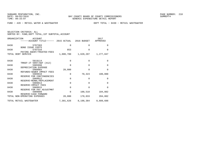FUND − 420 − RETAIL WATER & WASTEWATER DEPT TOTAL − 0430 − RETAIL WASTEWATER

| SELECTION CRITERIA: ALL |  |  |                                                    |  |
|-------------------------|--|--|----------------------------------------------------|--|
|                         |  |  | SORTED BY: FUND, DEPT TOTAL, 1ST SUBTOTAL, ACCOUNT |  |

| ORGANIZATION<br>ACCOUNT<br>-----ACCOUNT TITLE------ 2015 ACTUAL 2016 BUDGET |             |             | 2017<br>APPROVED |
|-----------------------------------------------------------------------------|-------------|-------------|------------------|
| 0430<br>5707303                                                             | $\Omega$    | $\Omega$    | <sup>0</sup>     |
| <b>BOND ISSUE COSTS</b><br>0430<br>5707316                                  | 853         | $\Omega$    | $\Omega$         |
| PAYING AGENT/TRUSTEE-FEES<br>TOTAL DEBT SERVICE                             | 1,808,700   | 1,620,207   | 1,277,847        |
| 0430<br>5819114                                                             | $\Omega$    | $\Omega$    | $\Omega$         |
| TRNSF-JT VENT/AWT (412)<br>0430<br>5905998                                  | $\Omega$    | $\Omega$    | $\Omega$         |
| DEPRECIATION EXPENSE<br>0430<br>5909903                                     | 28,080      | $\Omega$    | $\Omega$         |
| REFUNDS-SEWER IMPACT FEES<br>0430<br>5909910                                | 0           | 70,323      | 100,000          |
| RESERVE FOR CONTINGENCIES<br>0430<br>5909912<br>RESERVE-RENWL/REPLACEMENT   | $\Omega$    | $\mathbf 0$ | $\Omega$         |
| 0430<br>5909913<br>RESERVE-IMPACT FEES                                      | $\Omega$    | $\Omega$    | $\Omega$         |
| 0430<br>5909915<br>RESERVE FOR PAY ADJUSTMNT                                | $\Omega$    | $\Omega$    | $\Omega$         |
| 0430<br>5909999<br>RESERVE-CASH FORWARD                                     | $\mathbf 0$ | 100,510     | 104,802          |
| TOTAL NON-OPERATING EXPENSES                                                | 28,080      | 170,833     | 204,802          |
| TOTAL RETAIL WASTEWATER                                                     | 7,301,626   | 8,198,384   | 8,609,688        |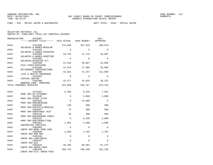FUND − 420 − RETAIL WATER & WASTEWATER DEPT TOTAL − 0445 − RETAIL WATER

| ORGANIZATION<br>ACCOUNT<br>------ACCOUNT TITLE------ 2015 ACTUAL 2016 BUDGET |             |          | 2017<br>APPROVED |
|------------------------------------------------------------------------------|-------------|----------|------------------|
| 0445<br>5101200                                                              | 274,839     | 337,818  | 409,878          |
| SALARIES & WAGES-REGULAR<br>0445<br>5101205<br>SALARIES & WAGES-DISASTER     | $\Omega$    | $\Omega$ | $\Omega$         |
| 0445<br>5101400<br>SALARIES & WAGES-OVERTIME                                 | 19,781      | 37,175   | 45,087           |
| 0445<br>5101405<br>SALARIES-DISASTER O/T                                     | $\Omega$    | $\Omega$ | $\Omega$         |
| 0445<br>5102100<br>FICA TAXES-MATCHING                                       | 21,163      | 28,687   | 34,805           |
| 5102200<br>0445<br>RETIREMENT CONTRIBUTIONS                                  | 21,615      | 27,905   | 35,069           |
| 0445<br>5102300<br>LIFE & HEALTH INSURANCE                                   | 43,922      | 72,157   | 112,058          |
| 0445<br>5102302<br>VIRTUAL DOCTOR                                            | $\Omega$    | $\Omega$ | $\Omega$         |
| 0445<br>5102400<br>WORKERS COMP. PREMIUMS                                    | 42,577      | 42,025   | 38,322           |
| TOTAL PERSONAL SERVICES                                                      | 423,896     | 545,767  | 675,219          |
| 0445<br>5143101                                                              | 5,455       | 9,326    | 7,841            |
| PROF SRV-CO ATTORNEY<br>0445<br>5143105<br>PROF SRV-OTHER ATTNY              | $\mathbf 0$ | 3,000    | 3,000            |
| 0445<br>5303104<br>PROF SRV-ENGINEERING                                      | $\Omega$    | 14,000   | 0                |
| 0445<br>5303106<br>PROF SRV-PHYSICLS/MEDICAL                                 | 130         | 500      | 500              |
| 0445<br>5303107<br>PROF SRV-SUBSTANCE TEST                                   | 74          | 500      | 500              |
| 0445<br>5303110<br>PROF SRV-BACKGROUND CHECK                                 | 36          | 500      | 500              |
| 0445<br>5303125<br>PROF SRV-ENG/PERMITTING                                   | $\Omega$    | 6,250    | 2,000            |
| 5303401<br>0445<br>CONTRACTED SERVICES                                       | 1,081       | 1,500    | 1,500            |
| 0445<br>5303403<br>CONTR SRV-BANK CHRG POOL                                  | $\Omega$    | $\Omega$ | $\Omega$         |
| 0445<br>5303408<br>CONTR SRV-800 MHZ                                         | 1,583       | 1,442    | 1,442            |
| 0445<br>5303410<br>CONTR SRV-JANITORIAL                                      | $\Omega$    | 0        | $\Omega$         |
| 0445<br>5303422<br>CONTR SRV-GIS                                             | $\Omega$    | $\Omega$ | $\Omega$         |
| 0445<br>5303425<br>CONTR SRV-ADMIN FEES                                      | 36,295      | 69,564   | 67,275           |
| 0445<br>5303426<br>CONTR SRV-UTIL ADMIN FEES                                 | 409,732     | 398,106  | 452,128          |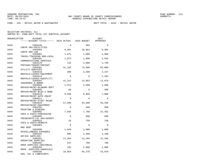FUND − 420 − RETAIL WATER & WASTEWATER DEPT TOTAL − 0445 − RETAIL WATER

| ORGANIZATION | ACCOUNT                                                      |          |             | 2017     |
|--------------|--------------------------------------------------------------|----------|-------------|----------|
|              | ------ACCOUNT TITLE------ 2015 ACTUAL 2016 BUDGET            |          |             | APPROVED |
| 0445         | 5303446                                                      | $\Omega$ | 584         | $\Omega$ |
| 0445         | CONTR SRV-FACILITIES<br>5303464                              | 9,961    | 18,054      | 8,394    |
| 0445         | CONTR SRV-LAB<br>5304001                                     | 1,072    | 1,000       | 2,000    |
| 0445         | TRAVEL/TRAINING NON-LOCAL<br>5304101                         | 1,073    | 1,000       | 2,592    |
| 0445         | COMMUNICATIONS SERVICES<br>5304125                           | 132      | 2,000       | 1,750    |
| 0445         | POSTAGE/TRANSP/FREIGHT<br>5304301                            | 41,195   | 73,000      | 65,000   |
| 0445         | UTILITY SERVICES<br>5304410                                  | 480      | 3,500       | 2,237    |
| 0445         | RENTALS/LEASES-EOUIPMENT<br>5304414                          | $\Omega$ | $\mathbf 0$ | 1,263    |
| 0445         | RENTALS/LEASES-EOUIP(IT)<br>5304501                          | 41,312   | 14,953      | 12,078   |
| 0445         | INSURANCE & BONDS<br>5304604                                 | 1,513    | 2,500       | 1,500    |
| 0445         | REPAIR/MAINT-BLD&GRD DEPT<br>5304605                         | 86       | $\Omega$    | 300      |
| 0445         | REPAIR/MAINT-BLDG & GRND<br>5304610                          | 9,586    | 8,000       | 7,000    |
| 0445         | REPAIR/MAINT-AUTO EOUIP<br>5304611                           | $\Omega$ | $\Omega$    | $\Omega$ |
|              | REPAIR/MAINT-FLEET MAINT                                     |          |             |          |
| 0445         | 5304615<br>REPAIR/MAINT-EOUIPMENT                            | 57,896   | 54,400      | 54,450   |
| 0445         | 5304701<br>PRINTING & BINDING                                | $\Omega$ | 500         | 500      |
| 0445         | 5304902<br>FEES & COSTS-PURCHASING                           | 7,835    | 7,788       | 14,362   |
| 0445         | 5304905<br>FEES&COSTS-LGL ADV/ADVERT                         | $\Omega$ | 500         | 500      |
| 0445         | 5304922<br>FEES & COSTS-PERMITS                              | 25       | 750         | 750      |
| 0445         | 5304984<br>BAD DEBT                                          | $\Omega$ | $\Omega$    | $\Omega$ |
| 0445         | 5304990<br>MISCELLANEOUS EXPENSES                            | 1,049    | 1,000       | 1,000    |
| 0445         | 5305101<br>OFFICE SUPPLIES                                   | 695      | 1,300       | 1,100    |
| 0445         | 5305201<br>OPERATING SUPPLIES                                | 11,364   | 12,265      | 12,165   |
| 0445         | 5305202<br>OPER SUPPLIES-JANITORIAL                          | 547      | 700         | 700      |
| 0445         | 5305204                                                      | 182      | 2,000       | 1,000    |
| 0445         | OPER. SUPPLIES-CHEMICALS<br>5305205<br>GAS, OIL & LUBRICANTS | 18,854   | 46,370      | 43,670   |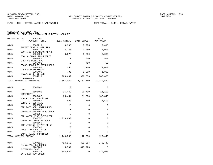FUND − 420 − RETAIL WATER & WASTEWATER DEPT TOTAL − 0445 − RETAIL WATER

| ORGANIZATION | ACCOUNT<br>------ACCOUNT TITLE------ 2015 ACTUAL 2016 BUDGET |             |             | 2017<br>APPROVED    |
|--------------|--------------------------------------------------------------|-------------|-------------|---------------------|
| 0445         | 5305210                                                      | 3,308       | 7,975       | 9,410               |
| 0445         | SAFETY GEAR & SUPPLIES<br>5305215                            | 3,358       | 3,250       | 4,000               |
| 0445         | CLOTHING & WEARING APPRL<br>5305220                          | 6,373       | 5,200       | 6,065               |
| 0445         | TOOL & SMALL IMPLEMENTS<br>5305240                           | 0           | 500         | 500                 |
| 0445         | OPER SUPPLIES-LAB<br>5305401                                 | $\Omega$    | 750         | 750                 |
| 0445         | BOOKS/RESOURCE MATR/SUBSC<br>5305402                         | 594         | 1,200       | 1,000               |
| 0445         | DUES & MEMBERSHIPS<br>5305406                                | 705         | 2,000       | 1,800               |
| 0445         | TRAINING & TUITION<br>5334910                                | 983,482     | 990,053     | 985,000             |
|              | COGS-WATER<br>TOTAL OPERATING EXPENSES                       | 1,657,062   |             | 1,767,780 1,779,522 |
|              |                                                              |             |             |                     |
| 0445         | 5606101<br>LAND                                              | $\Omega$    | $\Omega$    | 0                   |
| 0445         | 5606401<br>EOUIPMENT                                         | 26,443      | 29,700      | 11,100              |
| 0445         | 5606402<br>EQUIP LESS THAN \$1000                            | 85,454      | 81,600      | 107,840             |
| 0445         | 5606450<br>COMPUTER SOFTWARE                                 | 600         | 750         | 1,500               |
| 0445         | 5606539<br>CIP-TAFB AFRL WATER PROJ                          | $\mathbf 0$ | $\mathbf 0$ | $\mathbf 0$         |
| 0445         | 5606540<br>CIP-TAFB SILVER FLAG PROJ                         | $\Omega$    | $\Omega$    | $\Omega$            |
| 0445         | 5606555<br>CIP-WATER LINE EXTENSION                          | 0           | $\Omega$    | 0                   |
| 0445         | 5606557<br>CIP-N BAY BOOSTER PUMP                            | 1,036,883   | $\Omega$    | $\Omega$            |
| 0445         | 5606565<br>CIP-WTRLINE EXT/ST RD 77                          | $\Omega$    | $\Omega$    | $\Omega$            |
| 0445         | 5606601                                                      | 0           | $\Omega$    | $\Omega$            |
| 0445         | IMPACT FEE PROJECTS<br>5616301                               | $\Omega$    | $\Omega$    | $\Omega$            |
|              | IMPRV ROADS & BRIDGES<br>TOTAL CAPITAL OUTLAY                | 1,149,380   | 112,050     | 120,440             |
| 0445         | 5707115                                                      | 414,150     |             | 482,287 249,447     |
| 0445         | PRINCIPAL-REV BONDS<br>5707205                               | 15,592      | 315,726     | $\Omega$            |
| 0445         | INTEREST-LOANS<br>5707215                                    | 305,662     | $\Omega$    | 379,940             |
|              | INTEREST-REV BONDS                                           |             |             |                     |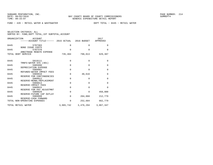FUND − 420 − RETAIL WATER & WASTEWATER DEPT TOTAL − 0445 − RETAIL WATER

|  | SELECTION CRITERIA: ALL                            |  |  |
|--|----------------------------------------------------|--|--|
|  | SORTED BY: FUND, DEPT TOTAL, 1ST SUBTOTAL, ACCOUNT |  |  |

| ORGANIZATION<br>ACCOUNT<br>------ACCOUNT TITLE------ 2015 ACTUAL 2016 BUDGET |           |             | 2017<br>APPROVED |
|------------------------------------------------------------------------------|-----------|-------------|------------------|
| 0445<br>5707303                                                              | $\Omega$  | $\Omega$    | $\Omega$         |
| <b>BOND ISSUE COSTS</b>                                                      |           |             |                  |
| 0445<br>5707370                                                              | $\Omega$  | $\Omega$    | $\Omega$         |
| ARBITRAGE REBATE EXPENSE                                                     |           |             |                  |
| TOTAL DEBT SERVICE                                                           | 735,404   | 798,013     | 629,387          |
|                                                                              |           |             |                  |
| 0445<br>5819111                                                              | $\Omega$  | $\mathbf 0$ | $\Omega$         |
| TRNFS-WATER SYS (401)                                                        |           |             |                  |
| 0445<br>5905998                                                              | $\Omega$  | $\Omega$    | $\Omega$         |
| DEPRECIATION EXPENSE                                                         |           |             |                  |
| 5909902<br>0445                                                              | $\Omega$  | $\Omega$    | $\Omega$         |
| REFUNDS-WATER IMPACT FEES<br>0445<br>5909910                                 | $\Omega$  | 48,616      | $\mathbf{0}$     |
| RESERVE FOR CONTINGENCIES                                                    |           |             |                  |
| 0445<br>5909912                                                              | $\Omega$  | $\mathbf 0$ | $\Omega$         |
| RESERVE-RENWL/REPLACEMENT                                                    |           |             |                  |
| 0445<br>5909913                                                              | $\Omega$  | $\Omega$    | $\Omega$         |
| RESERVE-IMPACT FEES                                                          |           |             |                  |
| 0445<br>5909915                                                              | $\Omega$  | $\Omega$    | $\Omega$         |
| RESERVE FOR PAY ADJUSTMNT                                                    |           |             |                  |
| 5909920<br>0445                                                              | $\Omega$  | $\Omega$    | 450,000          |
| RESERVE-FUTURE CAP OUTLAY                                                    |           |             |                  |
| 0445<br>5909999                                                              | $\Omega$  | 204,068     | 212,779          |
| RESERVE-CASH FORWARD<br>TOTAL NON-OPERATING EXPENSES                         | $\Omega$  | 252,684     | 662,779          |
|                                                                              |           |             |                  |
| TOTAL RETAIL WATER                                                           | 3,965,742 | 3,476,294   | 3,867,347        |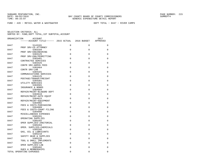FUND − 420 − RETAIL WATER & WASTEWATER DEPT TOTAL − 0447 − RIVER CAMPS

| ORGANIZATION | ACCOUNT                                        |          |             | 2017        |
|--------------|------------------------------------------------|----------|-------------|-------------|
|              | ------ACCOUNT TITLE------ 2015 ACTUAL          |          | 2016 BUDGET | APPROVED    |
| 0447         | 5143101                                        | $\Omega$ | $\Omega$    | $\mathbf 0$ |
| 0447         | PROF SRV-CO ATTORNEY<br>5303104                | $\Omega$ | $\mathbf 0$ | $\mathbf 0$ |
| 0447         | PROF SRV-ENGINEERING<br>5303125                | $\Omega$ | $\Omega$    | $\Omega$    |
| 0447         | PROF SRV-ENG/PERMITTING<br>5303401             | $\Omega$ | $\Omega$    | $\mathbf 0$ |
| 0447         | CONTRACTED SERVICES<br>5303425                 | $\Omega$ | $\Omega$    | 0           |
| 0447         | CONTR SRV-ADMIN FEES<br>5303464                | $\Omega$ | $\Omega$    | $\Omega$    |
| 0447         | CONTR SRV-LAB<br>5304101                       | $\Omega$ | $\Omega$    | $\Omega$    |
| 0447         | COMMUNICATIONS SERVICES<br>5304125             | $\Omega$ | $\Omega$    | $\mathbf 0$ |
| 0447         | POSTAGE/TRANSP/FREIGHT<br>5304301              | $\Omega$ | $\Omega$    | $\Omega$    |
| 0447         | UTILITY SERVICES<br>5304501                    | $\Omega$ | $\Omega$    | $\Omega$    |
| 0447         | INSURANCE & BONDS<br>5304604                   | $\Omega$ | $\Omega$    | $\mathbf 0$ |
| 0447         | REPAIR/MAINT-BLD&GRD DEPT<br>5304610           | $\Omega$ | $\Omega$    | $\Omega$    |
| 0447         | REPAIR/MAINT-AUTO EQUIP<br>5304615             | $\Omega$ | $\Omega$    | $\mathbf 0$ |
| 0447         | REPAIR/MAINT-EQUIPMENT<br>5304902              | $\Omega$ | $\Omega$    | $\mathbf 0$ |
| 0447         | FEES & COSTS-PURCHASING<br>5304909             | $\Omega$ | $\Omega$    | 0           |
| 0447         | FEES & COSTS-COURT FILING<br>5304990           | $\Omega$ | $\Omega$    | $\Omega$    |
| 0447         | MISCELLANEOUS EXPENSES<br>5305201              | $\Omega$ | $\mathbf 0$ | $\mathbf 0$ |
| 0447         | OPERATING SUPPLIES<br>5305202                  | $\Omega$ | $\Omega$    | $\Omega$    |
| 0447         | OPER SUPPLIES-JANITORIAL<br>5305204            | $\Omega$ | $\Omega$    | $\mathbf 0$ |
| 0447         | OPER. SUPPLIES-CHEMICALS<br>5305205            | $\Omega$ | $\Omega$    | $\Omega$    |
| 0447         | GAS, OIL & LUBRICANTS<br>5305210               | $\Omega$ | $\Omega$    | $\Omega$    |
| 0447         | SAFETY GEAR & SUPPLIES<br>5305220              | $\Omega$ | $\Omega$    | 0           |
| 0447         | TOOL & SMALL IMPLEMENTS<br>5305240             | $\Omega$ | $\Omega$    | $\Omega$    |
| 0447         | OPER SUPPLIES-LAB<br>5305402                   | $\Omega$ | $\Omega$    | $\mathbf 0$ |
|              | DUES & MEMBERSHIPS<br>TOTAL OPERATING EXPENSES | $\Omega$ | $\mathbf 0$ | $\mathbf 0$ |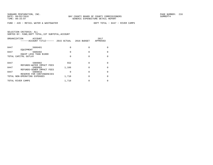FUND − 420 − RETAIL WATER & WASTEWATER DEPT TOTAL − 0447 − RIVER CAMPS

| ORGANIZATION      | ACCOUNT<br>------ACCOUNT TITLE------                      |       | 2015 ACTUAL 2016 BUDGET | 2017<br>APPROVED |
|-------------------|-----------------------------------------------------------|-------|-------------------------|------------------|
| 0447              | 5606401<br>EOUIPMENT                                      | U     | O                       |                  |
| 0447              | 5606402                                                   | 0     | O                       |                  |
|                   | EQUIP LESS THAN \$1000<br>TOTAL CAPITAL OUTLAY            | U     | O                       |                  |
| 0447              | 5909902<br>REFUNDS-WATER IMPACT FEES                      | 552   |                         |                  |
| 0447              | 5909903                                                   | 1,166 |                         |                  |
| 0447              | REFUNDS-SEWER IMPACT FEES<br>5909910                      |       | O                       |                  |
|                   | RESERVE FOR CONTINGENCIES<br>TOTAL NON-OPERATING EXPENSES | 1,718 | O                       |                  |
| TOTAL RIVER CAMPS |                                                           | 1,718 |                         |                  |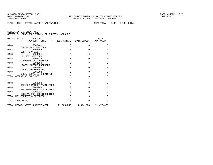FUND − 420 − RETAIL WATER & WASTEWATER DEPT TOTAL − 0448 − LAKE MERIAL

| ORGANIZATION      | ACCOUNT<br>------ACCOUNT TITLE------ 2015 ACTUAL 2016 BUDGET |            |            | 2017<br>APPROVED |
|-------------------|--------------------------------------------------------------|------------|------------|------------------|
| 0448              | 5303401                                                      | $\Omega$   | $\Omega$   | 0                |
| 0448              | CONTRACTED SERVICES<br>5303464                               | $\Omega$   | $\Omega$   | $\Omega$         |
| 0448              | CONTR SRV-LAB<br>5304301                                     | $\Omega$   | $\Omega$   | $\mathbf{0}$     |
| 0448              | UTILITY SERVICES<br>5304615                                  | $\Omega$   | $\Omega$   | $\Omega$         |
| 0448              | REPAIR/MAINT-EOUIPMENT<br>5304990                            | $\Omega$   | $\Omega$   | $\Omega$         |
| 0448              | MISCELLANEOUS EXPENSES<br>5305201                            | $\Omega$   | $\Omega$   | 0                |
| 0448              | OPERATING SUPPLIES<br>5305204                                | $\Omega$   | $\Omega$   | $\Omega$         |
|                   | OPER. SUPPLIES-CHEMICALS<br>TOTAL OPERATING EXPENSES         | $\Omega$   | $\Omega$   | $\Omega$         |
|                   |                                                              |            |            |                  |
| 0448              | 5909902<br>REFUNDS-WATER IMPACT FEES                         | $\Omega$   | $\Omega$   | $\mathbf 0$      |
| 0448              | 5909903<br>REFUNDS-SEWER IMPACT FEES                         | $\Omega$   | $\Omega$   | $\Omega$         |
| 0448              | 5909910                                                      | $\Omega$   | $\Omega$   | $\Omega$         |
|                   | RESERVE FOR CONTINGENCIES<br>TOTAL NON-OPERATING EXPENSES    | $\Omega$   | $\Omega$   | $\Omega$         |
| TOTAL LAKE MERIAL |                                                              | $\Omega$   | $\Omega$   | $\Omega$         |
|                   | TOTAL RETAIL WATER & WASTEWATER                              | 11,269,085 | 11,674,678 | 12,477,035       |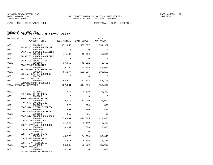FUND − 430 − SOLID WASTE FUND DEPT TOTAL − 0501 − LANDFILL

| ORGANIZATION            | ACCOUNT<br>------ACCOUNT TITLE------ 2015 ACTUAL 2016 BUDGET |          |          | 2017<br>APPROVED |
|-------------------------|--------------------------------------------------------------|----------|----------|------------------|
| 0501                    | 5101200<br>SALARIES & WAGES-REGULAR                          | 471,658  | 507,597  | 531,902          |
| 0501                    | 5101205<br>SALARIES & WAGES-DISASTER                         | $\Omega$ | $\Omega$ | 0                |
| 0501                    | 5101400<br>SALARIES & WAGES-OVERTIME                         | 41,497   | 40,000   | 40,000           |
| 0501                    | 5101405<br>SALARIES-DISASTER O/T                             | $\Omega$ | $\Omega$ | $\Omega$         |
| 0501                    | 5102100<br>FICA TAXES-MATCHING                               | 37,052   | 41,891   | 43,750           |
| 0501                    | 5102200<br>RETIREMENT CONTRIBUTIONS                          | 38,106   | 40,749   | 44,082           |
| 0501                    | 5102300<br>LIFE & HEALTH INSURANCE                           | 85,174   | 131,215  | 133,163          |
| 0501                    | 5102302<br>VIRTUAL DOCTOR                                    | $\Omega$ | $\Omega$ | $\Omega$         |
| 0501                    | 5102400<br>WORKERS COMP. PREMIUMS                            | 53,574   | 52,638   | 57,795           |
| TOTAL PERSONAL SERVICES |                                                              | 727,061  | 814,090  | 850,692          |
| 0501                    | 5143101<br>PROF SRV-CO ATTORNEY                              | 6,677    | 6,639    | 6,353            |
| 0501                    | 5143105<br>PROF SRV-OTHER ATTNY                              | $\Omega$ | $\Omega$ | $\Omega$         |
| 0501                    | 5303104<br>PROF SRV-ENGINEERING                              | 10,010   | 10,000   | 25,000           |
| 0501                    | 5303106<br>PROF SRV-PHYSICLS/MEDICAL                         | 520      | 300      | 300              |
| 0501                    | 5303107<br>PROF SRV-SUBSTANCE TEST                           | 691      | 560      | 560              |
| 0501                    | 5303110<br>PROF SRV-BACKGROUND CHECK                         | 155      | 35       | 35               |
| 0501                    | 5303401<br>CONTRACTED SERVICES                               | 578,691  | 412,825  | 412,825          |
| 0501                    | 5303403<br>CONTR SRV-BANK CHRG POOL                          | 15,940   | 5,160    | 5,160            |
| 0501                    | 5303408<br>CONTR SRV-800 MHZ                                 | 4,047    | 3,686    | 3,686            |
| 0501                    | 5303410<br>CONTR SRV-JANITORIAL                              | $\Omega$ | $\Omega$ | $\Omega$         |
| 0501                    | 5303425<br>CONTR SRV-ADMIN FEES                              | 43,776   | 54,950   | 58,643           |
| 0501                    | 5303446<br>CONTR SRV-FACILITIES                              | 3,413    | 5,236    | 7,353            |
| 0501                    | 5303464<br>CONTR SRV-LAB                                     | 16,866   | 20,000   | 20,000           |
| 0501                    | 5304001<br>TRAVEL/TRAINING NON-LOCAL                         | 4,289    | 0        | 5,000            |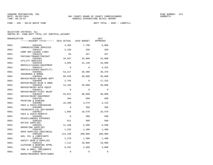FUND − 430 − SOLID WASTE FUND DEPT TOTAL − 0501 − LANDFILL

| ORGANIZATION | <b>ACCOUNT</b>                                                  |             |             | 2017     |
|--------------|-----------------------------------------------------------------|-------------|-------------|----------|
|              |                                                                 |             |             | APPROVED |
| 0501         | 5304101                                                         | 4,484       | 7,790       | 6,888    |
| 0501         | COMMUNICATIONS SERVICES<br>5304122                              | 3,158       | 250         | 250      |
| 0501         | COMM SRV-LEASED LINES<br>5304125                                | 65          | 257         | 257      |
| 0501         | POSTAGE/TRANSP/FREIGHT<br>5304301                               | 18,567      | 25,000      | 25,000   |
| 0501         | UTILITY SERVICES<br>5304410                                     | 4,665       | 31,140      | 28,908   |
| 0501         | RENTALS/LEASES-EOUIPMENT<br>5304414                             | $\mathbf 0$ | $\Omega$    | 4,252    |
| 0501         | RENTALS/LEASES-EQUIP(IT)<br>5304501                             | 53,317      | 39,406      | 30,378   |
| 0501         | INSURANCE & BONDS<br>5304604                                    | 60,520      | 50,000      | 50,000   |
| 0501         | REPAIR/MAINT-BLD&GRD DEPT<br>5304605                            | 2,765       | $\Omega$    | 17,225   |
| 0501         | REPAIR/MAINT-BLDG & GRND<br>5304610                             | 14,183      | 20,000      | 20,000   |
| 0501         | REPAIR/MAINT-AUTO EOUIP<br>5304611                              | $\Omega$    | $\Omega$    | 0        |
| 0501         | REPAIR/MAINT-FLEET MAINT<br>5304615                             | 93,821      | 90,000      | 90,000   |
| 0501         | REPAIR/MAINT-EOUIPMENT<br>5304701                               | 494         | 500         | 500      |
| 0501         | PRINTING & BINDING<br>5304902                                   | 16,490      | 3,279       | 3,123    |
| 0501         | FEES & COSTS-PURCHASING<br>5304905                              | $\Omega$    | 350         | 350      |
| 0501         | FEES&COSTS-LGL ADV/ADVERT<br>5304922                            | 1,065       | 10,570      | 10,570   |
| 0501         | FEES & COSTS-PERMITS<br>5304990                                 | $\Omega$    | 500         | 500      |
| 0501         | MISCELLANEOUS EXPENSES<br>5305101                               | 611         | 500         | 500      |
| 0501         | OFFICE SUPPLIES<br>5305201                                      | 11,188      | 6,500       | 6,500    |
| 0501         | OPERATING SUPPLIES<br>5305202                                   | 1,332       | 1,400       | 1,400    |
| 0501         | OPER SUPPLIES-JANITORIAL<br>5305205                             | 112,239     | 200,000     | 200,000  |
| 0501         | GAS, OIL & LUBRICANTS<br>5305210                                | 1,278       | 1,400       | 1,400    |
| 0501         | SAFETY GEAR & SUPPLIES<br>5305215                               | 7,112       | 10,000      | 10,000   |
| 0501         | CLOTHING & WEARING APPRL<br>5305220                             | 6,451       | 2,500       | 3,000    |
| 0501         | TOOL & SMALL IMPLEMENTS<br>5305401<br>BOOKS/RESOURCE MATR/SUBSC | 0           | $\mathbf 0$ | 0        |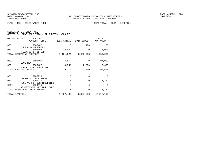FUND − 430 − SOLID WASTE FUND DEPT TOTAL − 0501 − LANDFILL

| SELECTION CRITERIA: ALL |  |  |                                                    |  |
|-------------------------|--|--|----------------------------------------------------|--|
|                         |  |  | SORTED BY: FUND, DEPT TOTAL, 1ST SUBTOTAL, ACCOUNT |  |

|      | ORGANIZATION<br>ACCOUNT<br>-----ACCOUNT TITLE------ 2015 ACTUAL |           | 2016 BUDGET | 2017<br>APPROVED |
|------|-----------------------------------------------------------------|-----------|-------------|------------------|
| 0501 | 5305402<br><b>DUES &amp; MEMBERSHIPS</b>                        | 0         | 170         | 170              |
| 0501 | 5305406<br>TRAINING & TUITION                                   | 2,444     | 0           | 3,000            |
|      | TOTAL OPERATING EXPENSES                                        | 1,101,324 | 1,020,903   | 1,059,086        |
| 0501 | 5606401                                                         | 4,554     | $\Omega$    | 97,000           |
| 0501 | EQUIPMENT<br>5606402<br>EOUIP LESS THAN \$1000                  | 4,558     | 2,600       | 2,600            |
|      | TOTAL CAPITAL OUTLAY                                            | 9,112     | 2,600       | 99,600           |
| 0501 | 5905998<br>DEPRECIATION EXPENSE                                 | 0         | 0           | $\Omega$         |
| 0501 | 5909910<br>RESERVE FOR CONTINGENCIES                            | 0         | 0           | 7,722            |
| 0501 | 5909915<br>RESERVE FOR PAY ADJUSTMNT                            | 0         | $\Omega$    | $\Omega$         |
|      | TOTAL NON-OPERATING EXPENSES                                    | 0         | 0           | 7,722            |
|      | TOTAL LANDFILL                                                  | 1,837,497 | 1,837,593   | 2,017,100        |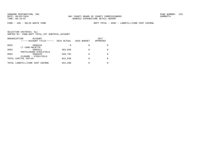FUND − 430 − SOLID WASTE FUND DEPT TOTAL − 0502 − LANDFILL/CARE COST ESCROW

|      | ORGANIZATION<br>ACCOUNT         |             |             | 2017         |
|------|---------------------------------|-------------|-------------|--------------|
|      | ------ACCOUNT TITLE------       | 2015 ACTUAL | 2016 BUDGET | APPROVED     |
| 0502 | 5606310                         | 0           |             |              |
|      | LT CARE-MAJETTE                 |             |             |              |
| 0502 | 5606311                         | 363,038     |             | <sup>0</sup> |
|      | POSTCLOSURE-STEELFIELD          |             |             |              |
| 0502 | 5606320                         | 559,792     |             |              |
|      | CLOSURE - STEELFIELD            |             |             |              |
|      | TOTAL CAPITAL OUTLAY            | 922,830     |             | <sup>0</sup> |
|      | TOTAL LANDFILL/CARE COST ESCROW | 922,830     |             |              |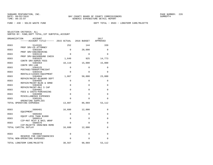FUND − 430 − SOLID WASTE FUND DEPT TOTAL − 0503 − LONGTERM CARE/MAJETTE

|  | SELECTION CRITERIA: ALL                            |  |  |
|--|----------------------------------------------------|--|--|
|  | SORTED BY: FUND, DEPT TOTAL, 1ST SUBTOTAL, ACCOUNT |  |  |

|      | ORGANIZATION<br>ACCOUNT                                   |          |              | 2017     |
|------|-----------------------------------------------------------|----------|--------------|----------|
|      | ------ACCOUNT TITLE------ 2015 ACTUAL                     |          | 2016 BUDGET  | APPROVED |
| 0503 | 5143101                                                   | 252      | 144          | 339      |
| 0503 | PROF SRV-CO ATTORNEY<br>5303104                           | $\Omega$ | 20,000       | $\Omega$ |
| 0503 | PROF SRV-ENGINEERING<br>5303110                           | $\Omega$ | $\Omega$     | $\Omega$ |
| 0503 | PROF SRV-BACKGROUND CHECK<br>5303425                      | 1,649    | 925          | 14,773   |
| 0503 | CONTR SRV-ADMIN FEES<br>5303464                           | 10,119   | 15,000       | 15,000   |
| 0503 | CONTR SRV-LAB<br>5304125                                  | $\Omega$ | $\mathbf 0$  | $\Omega$ |
|      | POSTAGE/TRANSP/FREIGHT                                    |          |              |          |
| 0503 | 5304410<br>RENTALS/LEASES-EQUIPMENT                       | $\Omega$ | 0            | $\Omega$ |
| 0503 | 5304604<br>REPAIR/MAINT-BLD&GRD DEPT                      | 1,867    | 50,000       | 23,000   |
| 0503 | 5304605<br>REPAIR/MAINT-BLDG & GRND                       | 0        | 0            | 0        |
| 0503 | 5304630<br>REPAIR/MAINT-MAJ S CAP                         | 0        | 0            | 0        |
| 0503 | 5304902<br>FEES & COSTS-PURCHASING                        | $\Omega$ | 0            | 0        |
| 0503 | 5304990<br>MISCELLANEOUS EXPENSES                         | 0        | $\mathbf{0}$ | 0        |
| 0503 | 5305201                                                   | 0        | 0            | 0        |
|      | OPERATING SUPPLIES<br>TOTAL OPERATING EXPENSES            | 13,887   | 86,069       | 53,112   |
| 0503 | 5606401                                                   | 16,680   | 12,000       | 0        |
| 0503 | EOUIPMENT<br>5606402                                      | 0        | 0            | 0        |
| 0503 | EQUIP LESS THAN \$1000<br>5606514                         | 0        | 0            | 0        |
|      | CIP-MAT RCVY & BAIL WRAP                                  |          |              |          |
| 0503 | 5606576<br>CIP-MAJETTE IRON/BEN REMD                      | 0        | 0            | 0        |
|      | TOTAL CAPITAL OUTLAY                                      | 16,680   | 12,000       | 0        |
| 0503 | 5909910                                                   | 0        | 0            | 0        |
|      | RESERVE FOR CONTINGENCIES<br>TOTAL NON-OPERATING EXPENSES | 0        | 0            | 0        |
|      | TOTAL LONGTERM CARE/MAJETTE                               | 30,567   | 98,069       | 53,112   |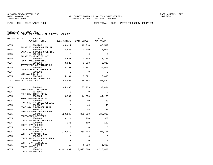FUND − 430 − SOLID WASTE FUND DEPT TOTAL − 0505 − WASTE TO ENERGY OPERATION

| ORGANIZATION | ACCOUNT<br>------ACCOUNT TITLE------ 2015 ACTUAL 2016 BUDGET |             |             | 2017<br>APPROVED    |
|--------------|--------------------------------------------------------------|-------------|-------------|---------------------|
| 0505         | 5101200                                                      | 48,411      | 46,218      | 46,519              |
| 0505         | SALARIES & WAGES-REGULAR<br>5101400                          | 3,848       | 3,000       | 3,000               |
| 0505         | SALARIES & WAGES-OVERTIME<br>5101405                         | $\mathbf 0$ | $\mathbf 0$ | $\mathbf 0$         |
| 0505         | SALARIES-DISASTER O/T<br>5102100                             | 3,941       | 3,765       | 3,788               |
| 0505         | FICA TAXES-MATCHING<br>5102200                               | 3,825       | 3,663       | 3,817               |
| 0505         | RETIREMENT CONTRIBUTIONS<br>5102300                          | 3,181       | 5,187       | 30,607              |
| 0505         | LIFE & HEALTH INSURANCE<br>5102302                           | $\Omega$    | $\Omega$    | $\Omega$            |
| 0505         | VIRTUAL DOCTOR<br>5102400                                    | 5,194       | 3,821       | 3,816               |
|              | WORKERS COMP. PREMIUMS<br>TOTAL PERSONAL SERVICES            | 68,400      | 65,654      | 91,547              |
| 0505         | 5143101                                                      | 45,088      | 35,939      | 37,494              |
| 0505         | PROF SRV-CO ATTORNEY<br>5143105                              | $\Omega$    | $\Omega$    | $\Omega$            |
| 0505         | PROF SRV-OTHER ATTNY<br>5303104                              | 8,907       | 44,200      | 44,200              |
| 0505         | PROF SRV-ENGINEERING<br>5303106                              | 55          | 60          | 60                  |
| 0505         | PROF SRV-PHYSICLS/MEDICAL<br>5303107                         | $\mathbf 0$ | 40          | 40                  |
| 0505         | PROF SRV-SUBSTANCE TEST<br>5303110                           | $\mathbf 0$ | 35          | 35                  |
| 0505         | PROF SRV-BACKGROUND CHECK<br>5303401                         | 329,046     | 335,000     | 335,000             |
| 0505         | CONTRACTED SERVICES<br>5303403                               | 3,214       | 900         | 900                 |
| 0505         | CONTR SRV-BANK CHRG POOL<br>5303408                          | 176         | 160         | 160                 |
| 0505         | CONTR SRV-800 MHZ<br>5303410                                 | $\Omega$    | $\Omega$    | $\Omega$            |
| 0505         | CONTR SRV-JANITORIAL<br>5303425                              | 330,558     | 269,463     | 204,734             |
| 0505         | CONTR SRV-ADMIN FEES<br>5303426                              | $\Omega$    | $\Omega$    | $\Omega$            |
| 0505         | CONTR SRV-UTIL ADMIN FEES<br>5303446                         | $\Omega$    | $\Omega$    | $\Omega$            |
| 0505         | CONTR SRV-FACILITIES<br>5303464                              | 450         | 1,600       | 1,600               |
| 0505         | CONTR SRV-LAB<br>5303470<br>CONTR SRV-EN GEN                 | 4,492,497   |             | 3,625,880 3,625,880 |
|              |                                                              |             |             |                     |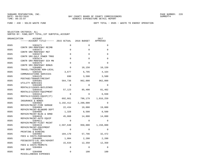FUND − 430 − SOLID WASTE FUND DEPT TOTAL − 0505 − WASTE TO ENERGY OPERATION

| ORGANIZATION | <b>ACCOUNT</b>                        |           |             | 2017      |
|--------------|---------------------------------------|-----------|-------------|-----------|
|              | ------ACCOUNT TITLE------ 2015 ACTUAL |           | 2016 BUDGET | APPROVED  |
| 0505         | 5303471                               | 0         | $\Omega$    | $\Omega$  |
| 0505         | CONTR SRV-MONTENAY REIMB<br>5303472   | 0         | $\mathbf 0$ | $\Omega$  |
| 0505         | CONTR SRV-MONTENAY MGT<br>5303473     | $\Omega$  | $\Omega$    | $\Omega$  |
| 0505         | CONTR SRV-GULF POWER TRNS<br>5303474  | 0         | $\Omega$    | $\Omega$  |
| 0505         | CONTR SRV-MONTENAY SCH MN<br>5303475  | $\Omega$  | $\Omega$    | $\Omega$  |
| 0505         | CONTR SRV-MONTENAY BONUS<br>5304001   | $\Omega$  | 10,150      | 10,150    |
| 0505         | TRAVEL/TRAINING NON-LOCAL<br>5304101  | 3,677     | 6,795       | 4,164     |
| 0505         | COMMUNICATIONS SERVICES<br>5304125    | 690       | 3,500       | 3,500     |
| 0505         | POSTAGE/TRANSP/FREIGHT<br>5304301     | 564,736   | 962,000     | 962,000   |
| 0505         | UTILITY SERVICES<br>5304405           | $\Omega$  | $\Omega$    | $\Omega$  |
| 0505         | RENTALS/LEASES-BUILDINGS<br>5304410   | 57,123    | 85,400      | 81,402    |
| 0505         | RENTALS/LEASES-EOUIPMENT<br>5304414   | $\Omega$  | $\Omega$    | 6,938     |
| 0505         | RENTALS/LEASES-EQUIP(IT)              |           |             |           |
|              | 5304501<br>INSURANCE & BONDS          | 692,661   | 796,179     | 1,016,259 |
| 0505         | 5304602<br>REPAIR/MAINT-FIRE DAMAGE   | 3,192,412 | 2,200,000   | $\Omega$  |
| 0505         | 5304604<br>REPAIR/MAINT-BLD&GRD DEPT  | 22,434    | 19,000      | 19,000    |
| 0505         | 5304605<br>REPAIR/MAINT-BLDG & GRND   | 1,328     | 8,500       | 8,500     |
| 0505         | 5304610<br>REPAIR/MAINT-AUTO EQUIP    | 45,068    | 14,800      | 14,800    |
| 0505         | 5304611<br>REPAIR/MAINT-FLEET MAINT   | 0         | $\Omega$    | $\Omega$  |
| 0505         | 5304615<br>REPAIR/MAINT-EOUIPMENT     | 2,597,640 | 950,000     | 1,150,000 |
| 0505         | 5304701<br>PRINTING & BINDING         | $\Omega$  | $\Omega$    | $\Omega$  |
| 0505         | 5304902<br>FEES & COSTS-PURCHASING    | 104,170   | 57,796      | 32,472    |
| 0505         | 5304905<br>FEES&COSTS-LGL ADV/ADVERT  | 1,004     | 2,200       | 2,200     |
| 0505         | 5304922<br>FEES & COSTS-PERMITS       | 15,634    | 12,350      | 12,350    |
| 0505         | 5304984<br>BAD DEBT                   | 0         | $\Omega$    | $\Omega$  |
| 0505         | 5304990<br>MISCELLANEOUS EXPENSES     | $\Omega$  | 100         | 100       |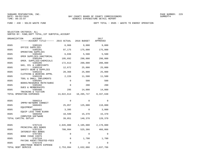FUND − 430 − SOLID WASTE FUND DEPT TOTAL − 0505 − WASTE TO ENERGY OPERATION

| ORGANIZATION       | <b>ACCOUNT</b><br>------ACCOUNT TITLE------ 2015 ACTUAL         |            | 2016 BUDGET | 2017<br>APPROVED |
|--------------------|-----------------------------------------------------------------|------------|-------------|------------------|
| 0505               | 5305101                                                         | 6,966      | 9,000       | 9,000            |
| 0505               | OFFICE SUPPLIES<br>5305201                                      | 97,175     | 175,000     | 175,000          |
| 0505               | OPERATING SUPPLIES<br>5305202                                   | 6,036      | 5,500       | 5,500            |
| 0505               | OPER SUPPLIES-JANITORIAL<br>5305204<br>OPER. SUPPLIES-CHEMICALS | 195,692    | 298,000     | 298,000          |
| 0505               | 5305205<br>GAS, OIL & LUBRICANTS                                | 172,613    | 200,000     | 200,000          |
| 0505               | 5305210<br>SAFETY GEAR & SUPPLIES                               | 12,672     | 25,000      | 25,000           |
| 0505               | 5305215<br>CLOTHING & WEARING APPRL                             | 20,368     | 25,000      | 25,000           |
| 0505               | 5305220<br>TOOL & SMALL IMPLEMENTS                              | 2,226      | 11,500      | 11,500           |
| 0505               | 5305401<br>BOOKS/RESOURCE MATR/SUBSC                            | 0          | 500         | 500              |
| 0505               | 5305402<br>DUES & MEMBERSHIPS                                   | $\Omega$   | 200         | 200              |
| 0505               | 5305406<br>TRAINING & TUITION                                   | 295        | 14,000      | 14,000           |
|                    | TOTAL OPERATING EXPENSES                                        | 13,022,614 | 10,205,747  | 8,337,638        |
| 0505               | 5606314                                                         | 0          | $\Omega$    | 0                |
| 0505               | IMPRV-NETWORK CONNECT<br>5606401                                | 25,057     | 125,000     | 110,000          |
| 0505               | EOUIPMENT<br>5606402                                            | 3,395      | $\Omega$    | 3,000            |
| 0505               | EQUIP LESS THAN \$1000<br>5606450                               | 10,599     | 15,370      | 15,370           |
|                    | COMPUTER SOFTWARE<br>TOTAL CAPITAL OUTLAY                       | 39,051     | 140,370     | 128,370          |
| 0505               | 5707115                                                         | 2,045,000  | 2,105,000   | 2,170,000        |
| 0505               | PRINCIPAL-REV BONDS<br>5707215                                  | 708,994    | 525,366     | 466,066          |
| 0505               | <b>INTEREST-REV BONDS</b><br>5707303                            | 0          | $\Omega$    | 0                |
| 0505               | <b>BOND ISSUE COSTS</b><br>5707316                              | 0          | 1,700       | 1,700            |
| 0505               | PAYING AGENT/TRUSTEE-FEES<br>5707370                            | $\Omega$   | $\Omega$    | $\Omega$         |
| TOTAL DEBT SERVICE | ARBITRAGE REBATE EXPENSE                                        | 2,753,994  | 2,632,066   | 2,637,766        |
|                    |                                                                 |            |             |                  |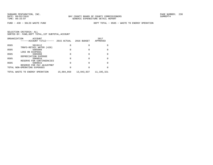FUND − 430 − SOLID WASTE FUND DEPT TOTAL − 0505 − WASTE TO ENERGY OPERATION

|      | ORGANIZATION<br>ACCOUNT<br>------ACCOUNT TITLE------      | 2015 ACTUAL | 2016 BUDGET | 2017<br>APPROVED |
|------|-----------------------------------------------------------|-------------|-------------|------------------|
| 0505 | 5819112                                                   | 0           | 0           |                  |
| 0505 | TRNFS-RETAIL WATER (420)<br>5905908                       | 0           |             |                  |
| 0505 | LOSS ON DISPOSAL<br>5905998                               | 0           |             |                  |
| 0505 | DEPRECIATION EXPENSE<br>5909910                           | 0           | O           |                  |
| 0505 | RESERVE FOR CONTINGENCIES<br>5909915                      | 0           | U           |                  |
|      | RESERVE FOR PAY ADJUSTMNT<br>TOTAL NON-OPERATING EXPENSES | 0           | U           |                  |
|      | TOTAL WASTE TO ENERGY OPERATION                           | 15,884,059  | 13,043,837  | 11,195,321       |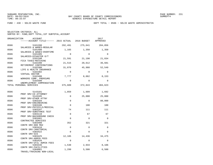FUND − 430 − SOLID WASTE FUND DEPT TOTAL − 0506 − SOLID WASTE ADMINISTRATIN

| ORGANIZATION | <b>ACCOUNT</b><br>------ACCOUNT TITLE------ 2015 ACTUAL       |             | 2016 BUDGET | 2017<br>APPROVED |
|--------------|---------------------------------------------------------------|-------------|-------------|------------------|
| 0506         | 5101200                                                       | 292,491     | 275,641     | 284,056          |
| 0506         | SALARIES & WAGES-REGULAR<br>5101400                           | 1,165       | 1,350       | 1,350            |
| 0506         | SALARIES & WAGES-OVERTIME<br>5101405<br>SALARIES-DISASTER O/T | 0           | $\Omega$    | $\mathbf 0$      |
| 0506         | 5102100<br>FICA TAXES-MATCHING                                | 21,591      | 21,190      | 21,834           |
| 0506         | 5102200<br>RETIREMENT CONTRIBUTIONS                           | 21,515      | 20,612      | 36,681           |
| 0506         | 5102300<br>LIFE & HEALTH INSURANCE                            | 31,070      | 45,988      | 52,549           |
| 0506         | 5102302<br>VIRTUAL DOCTOR                                     | $\Omega$    | $\Omega$    | $\Omega$         |
| 0506         | 5102400<br>WORKERS COMP. PREMIUMS                             | 7,777       | 8,062       | 8,153            |
| 0506         | 5102500<br>UNEMPLOYMENT COMPENSATION                          | $\Omega$    | $\Omega$    | $\Omega$         |
|              | TOTAL PERSONAL SERVICES                                       | 375,609     | 372,843     | 404,623          |
| 0506         | 5143101                                                       | 1,859       | 1,609       | 1,692            |
| 0506         | PROF SRV-CO ATTORNEY<br>5143105                               | $\mathbf 0$ | 25,000      | 25,000           |
| 0506         | PROF SRV-OTHER ATTNY<br>5303104                               | $\Omega$    | $\Omega$    | 80,000           |
| 0506         | PROF SRV-ENGINEERING<br>5303106                               | $\Omega$    | 100         | 100              |
| 0506         | PROF SRV-PHYSICLS/MEDICAL<br>5303107                          | 74          | 111         | 111              |
| 0506         | PROF SRV-SUBSTANCE TEST<br>5303110                            | $\mathbf 0$ | 67          | 67               |
| 0506         | PROF SRV-BACKGROUND CHECK<br>5303401                          | $\Omega$    | $\Omega$    | $\Omega$         |
| 0506         | CONTRACTED SERVICES<br>5303408                                | 352         | 321         | 321              |
| 0506         | CONTR SRV-800 MHZ<br>5303410                                  | $\Omega$    | $\Omega$    | $\Omega$         |
| 0506         | CONTR SRV-JANITORIAL<br>5303422                               | $\Omega$    | $\Omega$    | $\Omega$         |
| 0506         | CONTR SRV-GIS<br>5303425                                      | 12,185      | 14,436      | 34,475           |
| 0506         | CONTR SRV-ADMIN FEES<br>5303426                               | $\Omega$    | $\Omega$    | $\Omega$         |
| 0506         | CONTR SRV-UTIL ADMIN FEES<br>5303446                          | 1,530       | 2,933       | 8,106            |
| 0506         | CONTR SRV-FACILITIES<br>5304001<br>TRAVEL/TRAINING NON-LOCAL  | 1,299       | 5,500       | 6,500            |
|              |                                                               |             |             |                  |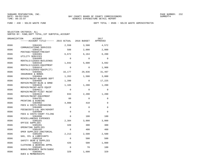FUND − 430 − SOLID WASTE FUND DEPT TOTAL − 0506 − SOLID WASTE ADMINISTRATIN

| ORGANIZATION | <b>ACCOUNT</b><br>------ACCOUNT TITLE------ 2015 ACTUAL |             | 2016 BUDGET | 2017<br>APPROVED |
|--------------|---------------------------------------------------------|-------------|-------------|------------------|
| 0506         | 5304101<br>COMMUNICATIONS SERVICES                      | 2,550       | 3,500       | 4,572            |
| 0506         | 5304125<br>POSTAGE/TRANSP/FREIGHT                       | 588         | 2,000       | 2,000            |
| 0506         | 5304301<br>UTILITY SERVICES                             | 6,672       | 6,164       | 6,200            |
| 0506         | 5304405<br>RENTALS/LEASES-BUILDINGS                     | $\Omega$    | $\Omega$    | $\Omega$         |
| 0506         | 5304410<br>RENTALS/LEASES-EOUIPMENT                     | 1,842       | 5,600       | 3,692            |
| 0506         | 5304414<br>RENTALS/LEASES-EQUIP(IT)                     | $\Omega$    | $\Omega$    | 1,908            |
| 0506         | 5304501<br>INSURANCE & BONDS                            | 16,177      | 29,836      | 31,497           |
| 0506         | 5304604<br>REPAIR/MAINT-BLD&GRD DEPT                    | 1,263       | 1,500       | 3,000            |
| 0506         | 5304605<br>REPAIR/MAINT-BLDG & GRND                     | 1,390       | $\Omega$    | 17,225           |
| 0506         | 5304610<br>REPAIR/MAINT-AUTO EOUIP                      | 1,165       | 1,200       | 1,200            |
| 0506         | 5304611<br>REPAIR/MAINT-FLEET MAINT                     | $\Omega$    | $\Omega$    | $\Omega$         |
| 0506         | 5304615<br>REPAIR/MAINT-EQUIPMENT                       | 833         | 2,200       | 1,200            |
| 0506         | 5304701<br>PRINTING & BINDING                           | 60          | $\Omega$    | $\Omega$         |
| 0506         | 5304902<br>FEES & COSTS-PURCHASING                      | 4,088       | 410         | $\Omega$         |
| 0506         | 5304905<br>FEES&COSTS-LGL ADV/ADVERT                    | $\mathbf 0$ | $\mathbf 0$ | $\Omega$         |
| 0506         | 5304909<br>FEES & COSTS-COURT FILING                    | $\mathbf 0$ | $\Omega$    | $\Omega$         |
| 0506         | 5304990<br>MISCELLANEOUS EXPENSES                       | $\Omega$    | 100         | 100              |
| 0506         | 5305101<br>OFFICE SUPPLIES                              | 2,384       | 3,000       | 3,000            |
| 0506         | 5305201<br>OPERATING SUPPLIES                           | 320         | 300         | 300              |
| 0506         | 5305202<br>OPER SUPPLIES-JANITORIAL                     | 8           | 400         | 400              |
| 0506         | 5305205<br>GAS, OIL & LUBRICANTS                        | 2,213       | 2,500       | 2,500            |
| 0506         | 5305210<br>SAFETY GEAR & SUPPLIES                       | $\Omega$    | 500         | 500              |
| 0506         | 5305215<br>CLOTHING & WEARING APPRL                     | 426         | 500         | 1,000            |
| 0506         | 5305401<br>BOOKS/RESOURCE MATR/SUBSC                    | $\Omega$    | 70          | 100              |
| 0506         | 5305402<br>DUES & MEMBERSHIPS                           | 329         | 1,600       | 329              |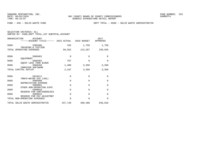FUND − 430 − SOLID WASTE FUND DEPT TOTAL − 0506 − SOLID WASTE ADMINISTRATIN

| ORGANIZATION<br>ACCOUNT<br>------ACCOUNT TITLE------ 2015 ACTUAL 2016 BUDGET |          |          | 2017<br>APPROVED |
|------------------------------------------------------------------------------|----------|----------|------------------|
| 0506<br>5305406<br>TRAINING & TUITION                                        | 345      | 1,750    | 1,750            |
| TOTAL OPERATING EXPENSES                                                     | 59,952   | 113,207  | 238,845          |
| 0506<br>5606401                                                              | $\Omega$ | $\Omega$ | $\Omega$         |
| EOUIPMENT<br>0506<br>5606402<br>EQUIP LESS THAN \$1000                       | 767      | $\Omega$ | $\Omega$         |
| 0506<br>5606450<br>COMPUTER SOFTWARE                                         | 1,400    | 3,350    | 3,350            |
| TOTAL CAPITAL OUTLAY                                                         | 2,167    | 3,350    | 3,350            |
| 0506<br>5819111                                                              | 0        | $\Omega$ | $\Omega$         |
| TRNFS-WATER SYS (401)<br>0506<br>5905998<br>DEPRECIATION EXPENSE             | $\Omega$ | $\Omega$ | $\Omega$         |
| 0506<br>5909901<br>OTHER NON-OPERATING EXPS                                  | $\Omega$ | $\Omega$ | $\Omega$         |
| 0506<br>5909910<br>RESERVE FOR CONTINGENCIES                                 | $\Omega$ | $\Omega$ | $\Omega$         |
| 0506<br>5909915<br>RESERVE FOR PAY ADJUSTMNT                                 | $\Omega$ | $\Omega$ | $\Omega$         |
| TOTAL NON-OPERATING EXPENSES                                                 | $\Omega$ | $\Omega$ | $\Omega$         |
| TOTAL SOLID WASTE ADMINISTRATIN                                              | 437,728  | 489,400  | 646,818          |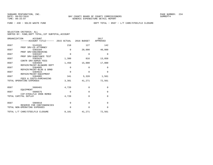FUND − 430 − SOLID WASTE FUND DEPT TOTAL − 0507 − L/T CARE/STEELFLD CLOSURE

| ORGANIZATION         | <b>ACCOUNT</b>                                            |             |             | 2017        |
|----------------------|-----------------------------------------------------------|-------------|-------------|-------------|
|                      | ------ACCOUNT TITLE------ 2015 ACTUAL                     |             | 2016 BUDGET | APPROVED    |
| 0507                 | 5143101                                                   | 210         | 127         | 142         |
| 0507                 | PROF SRV-CO ATTORNEY<br>5303104                           | $\mathbf 0$ | 20,000      | 40,000      |
|                      | PROF SRV-ENGINEERING                                      |             |             |             |
| 0507                 | 5303107                                                   | $\mathbf 0$ | $\Omega$    | $\Omega$    |
| 0507                 | PROF SRV-SUBSTANCE TEST<br>5303425                        | 1,380       | 816         | 13,858      |
|                      | CONTR SRV-ADMIN FEES                                      |             |             |             |
| 0507                 | 5304604<br>REPAIR/MAINT-BLD&GRD DEPT                      | 1,450       | 15,000      | 17,000      |
| 0507                 | 5304605                                                   | 0           | $\Omega$    | 0           |
| 0507                 | REPAIR/MAINT-BLDG & GRND<br>5304615                       | $\mathbf 0$ | $\mathbf 0$ | $\Omega$    |
|                      | REPAIR/MAINT-EQUIPMENT                                    |             |             |             |
| 0507                 | 5304902                                                   | 341         | 5,328       | 1,561       |
|                      | FEES & COSTS-PURCHASING<br>TOTAL OPERATING EXPENSES       | 3,381       | 41,271      | 72,561      |
|                      |                                                           |             |             |             |
| 0507                 | 5606401                                                   | 4,720       | $\Omega$    | $\Omega$    |
|                      | EOUIPMENT                                                 |             |             |             |
| 0507                 | 5606575<br>CIP-STEELFLD IRON REMED                        | $\mathbf 0$ | 0           | $\mathbf 0$ |
| TOTAL CAPITAL OUTLAY |                                                           | 4,720       | $\Omega$    | $\Omega$    |
|                      |                                                           |             |             |             |
| 0507                 | 5909910                                                   | $\mathbf 0$ | $\mathbf 0$ | $\Omega$    |
|                      | RESERVE FOR CONTINGENCIES<br>TOTAL NON-OPERATING EXPENSES | $\Omega$    | $\Omega$    | $\Omega$    |
|                      |                                                           |             |             |             |
|                      | TOTAL L/T CARE/STEELFLD CLOSURE                           | 8,101       | 41,271      | 72,561      |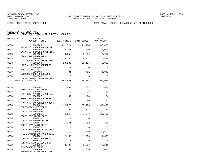FUND − 430 − SOLID WASTE FUND DEPT TOTAL − 0508 − HAZARDOUS WST ENVIRN COMP

SELECTION CRITERIA: ALLSORTED BY: FUND,DEPT TOTAL,1ST SUBTOTAL,ACCOUNT

| ORGANIZATION | <b>ACCOUNT</b><br>------ACCOUNT TITLE------ 2015 ACTUAL    |             | 2016 BUDGET | 2017<br>APPROVED |
|--------------|------------------------------------------------------------|-------------|-------------|------------------|
| 0508         | 5101200<br>SALARIES & WAGES-REGULAR                        | 111,724     | 111,104     | 86,456           |
| 0508         | 5101400                                                    | 2,731       | 2,000       | 2,000            |
| 0508         | SALARIES & WAGES-OVERTIME<br>5102100                       | 8,353       | 8,652       | 6,767            |
| 0508         | FICA TAXES-MATCHING<br>5102200<br>RETIREMENT CONTRIBUTIONS | 8,384       | 8,417       | 6,818            |
| 0508         | 5102300<br>LIFE & HEALTH INSURANCE                         | 23,188      | 28,114      | 5,963            |
| 0508         | 5102302<br>VIRTUAL DOCTOR                                  | $\Omega$    | $\Omega$    | $\Omega$         |
| 0508         | 5102400<br>WORKERS COMP. PREMIUMS                          | 481         | 481         | 1,942            |
| 0508         | 5102500<br>UNEMPLOYMENT COMPENSATION                       | $\Omega$    | $\Omega$    | $\Omega$         |
|              | TOTAL PERSONAL SERVICES                                    | 154,861     | 158,768     | 109,946          |
| 0508         | 5143101                                                    | 964         | 807         | 854              |
| 0508         | PROF SRV-CO ATTORNEY<br>5303106                            | $\Omega$    | 38          | 38               |
| 0508         | PROF SRV-PHYSICLS/MEDICAL<br>5303107                       | 37          | 74          | 74               |
| 0508         | PROF SRV-SUBSTANCE TEST<br>5303110                         | $\Omega$    | 50          | 50               |
| 0508         | PROF SRV-BACKGROUND CHECK<br>5303401                       | 12,225      | 33,400      | 33,400           |
| 0508         | CONTRACTED SERVICES<br>5303408<br>CONTR SRV-800 MHZ        | 352         | 321         | 321              |
| 0508         | 5303425<br>CONTR SRV-ADMIN FEES                            | 6,317       | 7,647       | 20,437           |
| 0508         | 5303430<br>CONTR SRV-ADVERTISING                           | $\mathbf 0$ | $\mathbf 0$ | $\mathbf 0$      |
| 0508         | 5303446<br>CONTR SRV-FACILITIES                            | 241         | 282         | 329              |
| 0508         | 5303476<br>CONTR SRV-WASTE TIRE RMVL                       | $\Omega$    | $\Omega$    | $\Omega$         |
| 0508         | 5304001<br>TRAVEL/TRAINING NON-LOCAL                       | $\mathbf 0$ | 3,500       | 3,500            |
| 0508         | 5304101<br>COMMUNICATIONS SERVICES                         | 2,163       | 1,500       | 1,668            |
| 0508         | 5304410<br>RENTALS/LEASES-EQUIPMENT                        | $\mathbf 0$ | $\mathbf 0$ | $\mathbf 0$      |
| 0508         | 5304501<br>INSURANCE & BONDS                               | 3,793       | 8,687       | 7,541            |
| 0508         | 5304604<br>תתהת תתמים הדת תואד גוא/ תדגתהת                 | 159         | 3,000       | 6,000            |

REPAIR/MAINT−BLD&GRD DEPT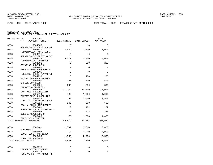FUND − 430 − SOLID WASTE FUND DEPT TOTAL − 0508 − HAZARDOUS WST ENVIRN COMP

| ORGANIZATION         | ACCOUNT<br>------ACCOUNT TITLE------ 2015 ACTUAL               |             | 2016 BUDGET | 2017<br>APPROVED |
|----------------------|----------------------------------------------------------------|-------------|-------------|------------------|
| 0508                 | 5304605                                                        | $\Omega$    | $\Omega$    | $\Omega$         |
| 0508                 | REPAIR/MAINT-BLDG & GRND<br>5304610                            | 4,989       | 2,800       | 5,000            |
| 0508                 | REPAIR/MAINT-AUTO EQUIP<br>5304611                             | $\mathbf 0$ | $\Omega$    | $\Omega$         |
| 0508                 | REPAIR/MAINT-FLEET MAINT<br>5304615                            | 5,010       | 3,000       | 5,000            |
| 0508                 | REPAIR/MAINT-EQUIPMENT<br>5304701                              | 0           | 200         | 200              |
| 0508                 | PRINTING & BINDING<br>5304902                                  | $\mathbf 0$ | $\mathbf 0$ | $\mathbf 0$      |
| 0508                 | FEES & COSTS-PURCHASING<br>5304905                             | $\mathbf 0$ | $\Omega$    | $\Omega$         |
| 0508                 | FEES&COSTS-LGL ADV/ADVERT<br>5304990<br>MISCELLANEOUS EXPENSES | $\mathbf 0$ | 100         | 100              |
| 0508                 | 5305101<br>OFFICE SUPPLIES                                     | 126         | 300         | 500              |
| 0508                 | 5305201<br>OPERATING SUPPLIES                                  | 885         | 300         | 300              |
| 0508                 | 5305205<br>GAS, OIL & LUBRICANTS                               | 11,282      | 10,000      | 12,000           |
| 0508                 | 5305210<br>SAFETY GEAR & SUPPLIES                              | 497         | 1,000       | 1,000            |
| 0508                 | 5305215<br>CLOTHING & WEARING APPRL                            | 353         | 1,500       | 1,500            |
| 0508                 | 5305220<br>TOOL & SMALL IMPLEMENTS                             | 143         | 600         | 600              |
| 0508                 | 5305401<br>BOOKS/RESOURCE MATR/SUBSC                           | $\mathbf 0$ | 172         | 172              |
| 0508                 | 5305402<br>DUES & MEMBERSHIPS                                  | $\mathbf 0$ | 375         | 375              |
| 0508                 | 5305406<br>TRAINING & TUITION                                  | 78          | 1,000       | 1,000            |
|                      | TOTAL OPERATING EXPENSES                                       | 49,614      | 80,653      | 101,959          |
| 0508                 | 5606401                                                        | 2,537       | 3,000       | 3,000            |
| 0508                 | EOUIPMENT<br>5606402<br>EOUIP LESS THAN \$1000                 | $\mathbf 0$ | 2,000       | 2,000            |
| 0508                 | 5606450<br>COMPUTER SOFTWARE                                   | 1,950       | 2,700       | 3,500            |
| TOTAL CAPITAL OUTLAY |                                                                | 4,487       | 7,700       | 8,500            |
| 0508                 | 5905998                                                        | $\mathbf 0$ | $\mathbf 0$ | $\mathbf 0$      |
| 0508                 | DEPRECIATION EXPENSE<br>5909915                                | $\Omega$    | $\Omega$    | $\Omega$         |
|                      | RESERVE FOR PAY ADJUSTMNT                                      |             |             |                  |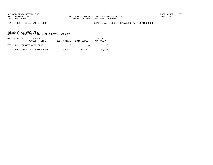FUND − 430 − SOLID WASTE FUND DEPT TOTAL − 0508 − HAZARDOUS WST ENVIRN COMP

| ORGANIZATION<br>ACCOUNT<br>$---ACCOUNT$ TITLE $---2015$ ACTUAL 2016 BUDGET |         |          | 2017<br>APPROVED |
|----------------------------------------------------------------------------|---------|----------|------------------|
| TOTAL NON-OPERATING EXPENSES                                               |         | $\Omega$ |                  |
| TOTAL HAZARDOUS WST ENVIRN COMP                                            | 208,962 | 247.121  | 220,405          |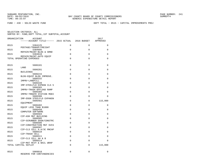FUND − 430 − SOLID WASTE FUND DEPT TOTAL − 0515 − CAPITAL IMPROVEMENTS PROJ

| ORGANIZATION | <b>ACCOUNT</b><br>------ACCOUNT TITLE------ 2015 ACTUAL |          | 2016 BUDGET | 2017<br>APPROVED |
|--------------|---------------------------------------------------------|----------|-------------|------------------|
| 0515         | 5304125                                                 | 0        | $\Omega$    | $\mathbf 0$      |
| 0515         | POSTAGE/TRANSP/FREIGHT<br>5304605                       | $\Omega$ | $\Omega$    | $\Omega$         |
| 0515         | REPAIR/MAINT-BLDG & GRND<br>5304610                     | $\Omega$ | $\Omega$    | $\Omega$         |
|              | REPAIR/MAINT-AUTO EQUIP<br>TOTAL OPERATING EXPENSES     | $\Omega$ | $\Omega$    | $\Omega$         |
|              |                                                         |          |             |                  |
| 0515         | 5606101                                                 | $\Omega$ | $\Omega$    | $\mathbf 0$      |
| 0515         | LAND<br>5606201                                         | $\Omega$ | $\Omega$    | $\Omega$         |
| 0515         | BUILDINGS<br>5606215                                    | $\Omega$ | $\Omega$    | 0                |
|              | BLDG-EOUIP BLDG IMPROVE.                                |          |             |                  |
| 0515         | 5606332<br>IMPRV-LANDFILL                               | $\Omega$ | $\mathbf 0$ | $\mathbf 0$      |
| 0515         | 5606339                                                 | $\Omega$ | $\Omega$    | $\Omega$         |
| 0515         | IMP-STEELFLD EXPNSN CLS 5<br>5606365                    | $\Omega$ | $\Omega$    | $\mathbf 0$      |
| 0515         | IMPRV-TRASH OFFLOAD RAMP<br>5606366                     | $\Omega$ | $\Omega$    | $\Omega$         |
| 0515         | IMPRV-TRNSFR STATION MODI<br>5606380                    | $\Omega$ | $\Omega$    | $\Omega$         |
| 0515         | IMP-DSGN STEELFLD EXPANSN<br>5606401                    | $\Omega$ | $\Omega$    | 115,000          |
|              | EOUIPMENT                                               |          |             |                  |
| 0515         | 5606402<br>EOUIP LESS THAN \$1000                       | $\Omega$ | $\Omega$    | $\mathbf 0$      |
| 0515         | 5606450                                                 | $\Omega$ | $\Omega$    | $\Omega$         |
| 0515         | COMPUTER SOFTWARE<br>5606504                            | $\Omega$ | $\Omega$    | $\mathbf 0$      |
| 0515         | CIP-ASH MGT BUILDING<br>5606505                         | $\Omega$ | $\Omega$    | $\Omega$         |
| 0515         | CIP-SCRUBBER DSGN/CONSTRC<br>5606506                    | $\Omega$ | $\Omega$    | $\Omega$         |
|              | CIP-CONSTRUCTION MGT SVCS                               |          |             |                  |
| 0515         | 5606507<br>CIP-CLS CELL A.A/3C RNCAP                    | $\Omega$ | $\Omega$    | $\Omega$         |
| 0515         | 5606510                                                 | $\Omega$ | $\Omega$    | $\Omega$         |
| 0515         | CIP-TRASH CELL<br>5606511                               | $\Omega$ | $\Omega$    | $\mathbf 0$      |
| 0515         | CIP-CLS CELL AA & B<br>5606514                          | $\Omega$ | $\Omega$    | $\Omega$         |
|              | CIP-MAT RCVY & BAIL WRAP<br>TOTAL CAPITAL OUTLAY        | $\Omega$ | $\mathbf 0$ | 115,000          |
|              |                                                         |          |             |                  |
| 0515         | 5909910<br>RESERVE FOR CONTINGENCIES                    | $\Omega$ | $\Omega$    | $\Omega$         |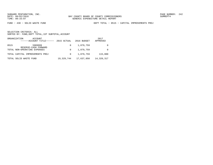FUND − 430 − SOLID WASTE FUND DEPT TOTAL − 0515 − CAPITAL IMPROVEMENTS PROJ

|      | ORGANIZATION<br>ACCOUNT<br>------ACCOUNT TITLE------ | 2015 ACTUAL | 2016 BUDGET | 2017<br>APPROVED |
|------|------------------------------------------------------|-------------|-------------|------------------|
| 0515 | 5909999<br>RESERVE-CASH FORWARD                      | $\Omega$    | 1,879,759   | $\Omega$         |
|      | TOTAL NON-OPERATING EXPENSES                         | $\Omega$    | 1,879,759   |                  |
|      | TOTAL CAPITAL IMPROVEMENTS PROJ                      | $\Omega$    | 1,879,759   | 115,000          |
|      | TOTAL SOLID WASTE FUND                               | 19,329,744  | 17,637,050  | 14,320,317       |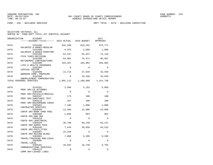| SELECTION CRITERIA: ALL |  |                                                    |  |
|-------------------------|--|----------------------------------------------------|--|
|                         |  | SORTED BY: FUND, DEPT TOTAL, 1ST SUBTOTAL, ACCOUNT |  |

| ORGANIZATION | ACCOUNT<br>------ACCOUNT TITLE------ 2015 ACTUAL 2016 BUDGET |             |             | 2017<br>APPROVED |
|--------------|--------------------------------------------------------------|-------------|-------------|------------------|
| 0470         | 5101200<br>SALARIES & WAGES-REGULAR                          | 834,298     |             | 819,342 979,771  |
| 0470         | 5101400<br>SALARIES & WAGES-OVERTIME                         | 4,975       | 2,060       | 2,060            |
| 0470         | 5102100<br>FICA TAXES-MATCHING                               | 61,537      | 62,837      | 75,110           |
| 0470         | 5102200<br>RETIREMENT CONTRIBUTIONS                          | 64,002      | 76,471      | 86,997           |
| 0470         | 5102300<br>LIFE & HEALTH INSURANCE                           | 104,587     | 165,904     | 203,802          |
| 0470         | 5102302<br>VIRTUAL DOCTOR                                    | $\Omega$    | $\mathbf 0$ | $\Omega$         |
| 0470         | 5102400<br>WORKERS COMP. PREMIUMS                            | 21,713      | 27,926      | 33,440           |
| 0470         | 5102500<br>UNEMPLOYMENT COMPENSATION                         | $\Omega$    | 33,550      | 33,550           |
|              | TOTAL PERSONAL SERVICES                                      | 1,091,112   | 1,188,090   | 1,414,730        |
| 0470         | 5143101<br>PROF SRV-CO ATTORNEY                              | 2,566       | 5,153       | 5,069            |
| 0470         | 5303106<br>PROF SRV-PHYSICLS/MEDICAL                         | $\Omega$    | $\mathbf 0$ | $\mathbf 0$      |
| 0470         | 5303107<br>PROF SRV-SUBSTANCE TEST                           | 173         | 100         | 100              |
| 0470         | 5303110<br>PROF SRV-BACKGROUND CHECK                         | 107         | 100         | 100              |
| 0470         | 5303401<br>CONTRACTED SERVICES                               | 7,186       | 1,000       | 1,000            |
| 0470         | 5303403<br>CONTR SRV-BANK CHRG POOL                          | 12,360      | 15,000      | 15,000           |
| 0470         | 5303408<br>CONTR SRV-800 MHZ                                 | 1,056       | 962         | 962              |
| 0470         | 5303410<br>CONTR SRV-JANITORIAL                              | $\mathbf 0$ | $\mathbf 0$ | $\mathbf 0$      |
| 0470         | 5303425<br>CONTR SRV-ADMIN FEES                              | 36,790      | 68,236      | 65,137           |
| 0470         | 5303446<br>CONTR SRV-FACILITIES                              | 7,544       | 58,658      | 64,515           |
| 0470         | 5303487<br>CONTR SRV-RAZING BLDGS                            | 22,320      | $\Omega$    | $\Omega$         |
| 0470         | 5304001<br>TRAVEL/TRAINING NON-LOCAL                         | 7,068       | 6,288       | 9,280            |
| 0470         | 5304005<br>TRAVEL-LOCAL                                      | $\Omega$    | $\Omega$    | $\Omega$         |
| 0470         | 5304101<br>COMMUNICATIONS SERVICES                           | 10,582      | 10,740      | 9,792            |
| 0470         | 5304122<br>COMM SRV-LEASED LINES                             | $\mathbf 0$ | 0           | 0                |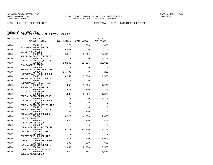| ORGANIZATION | ACCOUNT                                                        |             |          | 2017        |
|--------------|----------------------------------------------------------------|-------------|----------|-------------|
|              | ------ACCOUNT TITLE------ 2015 ACTUAL 2016 BUDGET              |             |          | APPROVED    |
| 0470         | 5304125                                                        | 370         | 600      | 600         |
| 0470         | POSTAGE/TRANSP/FREIGHT<br>5304301                              | 29,951      | $\Omega$ | $\mathbf 0$ |
| 0470         | UTILITY SERVICES<br>5304410                                    | 4,513       | 9,064    | 5,603       |
| 0470         | RENTALS/LEASES-EOUIPMENT<br>5304414                            | $\Omega$    | $\Omega$ | 10,160      |
| 0470         | RENTALS/LEASES-EOUIP(IT)<br>5304501                            | 23,145      | 30,226   | 22,912      |
| 0470         | INSURANCE & BONDS<br>5304604                                   | $\Omega$    | $\Omega$ | $\Omega$    |
| 0470         | REPAIR/MAINT-BLD&GRD DEPT<br>5304605                           | 15,702      | $\Omega$ | 233         |
| 0470         | REPAIR/MAINT-BLDG & GRND<br>5304610                            | 3,952       | 9,500    | 9,500       |
| 0470         | REPAIR/MAINT-AUTO EQUIP<br>5304611                             | $\Omega$    | $\Omega$ | $\Omega$    |
| 0470         | REPAIR/MAINT-FLEET MAINT<br>5304615                            | 258         | 1,200    | 1,200       |
| 0470         | REPAIR/MAINT-EOUIPMENT<br>5304701                              | 478         | 800      | 800         |
| 0470         | PRINTING & BINDING<br>5304902                                  | 1,363       | 2,869    | 1,873       |
| 0470         | FEES & COSTS-PURCHASING<br>5304905                             | $\mathbf 0$ | 600      | 4,750       |
| 0470         | FEES&COSTS-LGL ADV/ADVERT<br>5304909                           | 40          | $\Omega$ | $\Omega$    |
| 0470         | FEES & COSTS-COURT FILING<br>5304919                           | $\Omega$    | $\Omega$ | $\Omega$    |
| 0470         | FEES & COSTS-BLDG TESTS<br>5304990                             | 38          | 100      | 100         |
| 0470         | MISCELLANEOUS EXPENSES<br>5305101                              | 4,322       | 4,000    | 4,000       |
| 0470         | OFFICE SUPPLIES<br>5305201                                     | 542         | 500      | 500         |
| 0470         | OPERATING SUPPLIES<br>5305202                                  | $\Omega$    | $\Omega$ | $\Omega$    |
| 0470         | OPER SUPPLIES-JANITORIAL<br>5305205                            | 16,721      | 25,000   | 18,200      |
| 0470         | GAS, OIL & LUBRICANTS<br>5305210                               | $\Omega$    | $\Omega$ | $\Omega$    |
| 0470         | SAFETY GEAR & SUPPLIES<br>5305215                              | 1,420       | 3,000    | 3,000       |
| 0470         | CLOTHING & WEARING APPRL<br>5305220<br>TOOL & SMALL IMPLEMENTS | 292         | 800      | 800         |
| 0470         | 5305401<br>BOOKS/RESOURCE MATR/SUBSC                           | 2,669       | 2,500    | 2,500       |
| 0470         | 5305402<br>DUES & MEMBERSHIPS                                  | 1,584       | 1,653    | 1,653       |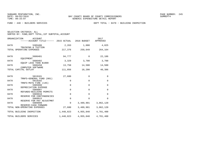SELECTION CRITERIA: ALL

|  |  | SORTED BY: FUND, DEPT TOTAL, 1ST SUBTOTAL, ACCOUNT |  |  |  |
|--|--|----------------------------------------------------|--|--|--|
|--|--|----------------------------------------------------|--|--|--|

| ORGANIZATION<br>ACCOUNT<br>------ACCOUNT TITLE------ 2015 ACTUAL |             | 2016 BUDGET | 2017<br>APPROVED |
|------------------------------------------------------------------|-------------|-------------|------------------|
| 0470<br>5305406<br>TRAINING & TUITION                            | 2,263       | 1,000       | 4,825            |
| TOTAL OPERATING EXPENSES                                         | 217,376     | 259,649     | 264,164          |
| 0470<br>5606401<br>EOUIPMENT                                     | 94,777      | $\Omega$    | 22,186           |
| 0470<br>5606402                                                  | 3,329       | 3,700       | 3,700            |
| EOUIP LESS THAN \$1000<br>0470<br>5606450<br>COMPUTER SOFTWARE   | 13,750      | 14,500      | 14,500           |
| TOTAL CAPITAL OUTLAY                                             | 111,856     | 18,200      | 40,386           |
| 0470<br>5819101                                                  | 27,680      | $\mathbf 0$ | $\mathbf 0$      |
| TRNFS-GENERAL FUND (001)<br>0470<br>5819102                      | 0           | $\mathbf 0$ | $\mathbf 0$      |
| TRNFS-MSTU FIRE (145)<br>0470<br>5905998                         | $\Omega$    | $\Omega$    | $\Omega$         |
| DEPRECIATION EXPENSE<br>0470<br>5909907                          | $\mathbf 0$ | $\mathbf 0$ | $\Omega$         |
| REFUNDS-BUILDING PERMITS<br>0470<br>5909910                      | $\mathbf 0$ | $\Omega$    | $\Omega$         |
| RESERVE FOR CONTINGENCIES<br>0470<br>5909915                     | $\mathbf 0$ | $\Omega$    | $\Omega$         |
| RESERVE FOR PAY ADJUSTMNT<br>0470<br>5909999                     | $\Omega$    | 3,489,901   | 3,062,120        |
| RESERVE-CASH FORWARD<br>TOTAL NON-OPERATING EXPENSES             | 27,680      | 3,489,901   | 3,062,120        |
| TOTAL BUILDING INSPECTION                                        | 1,448,023   | 4,955,840   | 4,781,400        |
| TOTAL BUILDERS SERVICES                                          | 1,448,023   | 4,955,840   | 4,781,400        |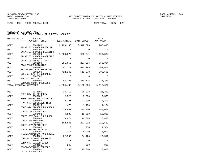FUND − 450 − EMERG MEDICAL SVCS DEPT TOTAL − 0527 − EMS

SELECTION CRITERIA: ALL

SORTED BY: FUND,DEPT TOTAL,1ST SUBTOTAL,ACCOUNT

| ORGANIZATION | ACCOUNT<br>------ACCOUNT TITLE------ 2015 ACTUAL              |           | 2016 BUDGET | 2017<br>APPROVED |
|--------------|---------------------------------------------------------------|-----------|-------------|------------------|
| 0527         | 5101200                                                       | 2,128,166 | 2,542,523   | 2,286,813        |
| 0527         | SALARIES & WAGES-REGULAR<br>5101205                           | $\Omega$  | $\Omega$    | $\Omega$         |
| 0527         | SALARIES & WAGES-DISASTER<br>5101400                          | 1,330,372 | 950,341     | 1,090,884        |
| 0527         | SALARIES & WAGES-OVERTIME<br>5101405<br>SALARIES-DISASTER O/T | $\Omega$  | $\Omega$    | $\Omega$         |
| 0527         | 5102100<br>FICA TAXES-MATCHING                                | 251,656   | 267,204     | 258,394          |
| 0527         | 5102200<br>RETIREMENT CONTRIBUTIONS                           | 647,719   | 630,999     | 689,657          |
| 0527         | 5102300<br>LIFE & HEALTH INSURANCE                            | 412,245   | 512,378     | 580,591          |
| 0527         | 5102302<br>VIRTUAL DOCTOR                                     | $\Omega$  | $\Omega$    | $\Omega$         |
| 0527         | 5102400<br>WORKERS COMP. PREMIUMS                             | 84,305    | 219,115     | 211,283          |
|              | TOTAL PERSONAL SERVICES                                       | 4,854,463 | 5,122,560   | 5, 117, 622      |
| 0527         | 5143101                                                       | 24,719    | 25,033      | 26,329           |
| 0527         | PROF SRV-CO ATTORNEY<br>5303106                               | 2,520     | 3,500       | 3,500            |
| 0527         | PROF SRV-PHYSICLS/MEDICAL<br>5303107                          | 3,301     | 3,300       | 3,300            |
| 0527         | PROF SRV-SUBSTANCE TEST<br>5303110                            | 476       | 1,134       | 1,134            |
| 0527         | PROF SRV-BACKGROUND CHECK<br>5303401                          | 436,507   | 450,000     | 450,000          |
| 0527         | CONTRACTED SERVICES<br>5303403<br>CONTR SRV-BANK CHRG POOL    | 4,692     | 18,000      | 18,000           |
| 0527         | 5303408<br>CONTR SRV-800 MHZ                                  | 18,474    | 16,828      | 16,828           |
| 0527         | 5303425<br>CONTR SRV-ADMIN FEES                               | 162,845   | 227,212     | 219,539          |
| 0527         | 5303446<br>CONTR SRV-FACILITIES                               | $\Omega$  | 738         | 1,564            |
| 0527         | 5304001<br>TRAVEL/TRAINING NON-LOCAL                          | 1,357     | 5,000       | 5,000            |
| 0527         | 5304101<br>COMMUNICATIONS SERVICES                            | 22,985    | 24,420      | 28,512           |
| 0527         | 5304122<br>COMM SRV-LEASED LINES                              | $\Omega$  | 0           | 0                |
| 0527         | 5304125<br>POSTAGE/TRANSP/FREIGHT                             | 249       | 900         | 900              |
| 0527         | 5304301<br>UTILITY SERVICES                                   | 7,330     | 10,000      | 10,000           |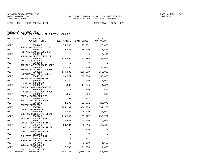FUND − 450 − EMERG MEDICAL SVCS DEPT TOTAL − 0527 − EMS

| ORGANIZATION | ACCOUNT<br>------ACCOUNT TITLE------ 2015 ACTUAL 2016 BUDGET    |              |               | 2017<br>APPROVED |
|--------------|-----------------------------------------------------------------|--------------|---------------|------------------|
| 0527         | 5304405                                                         | 75,748       | 77,752        | 76,000           |
| 0527         | RENTALS/LEASES-BUILDINGS<br>5304410<br>RENTALS/LEASES-EOUIPMENT | 20,968       | 18,000        | 17,534           |
| 0527         | 5304414<br>RENTALS/LEASES-EQUIP(IT)                             | $\Omega$     | $\Omega$      | 6,411            |
| 0527         | 5304501<br>INSURANCE & BONDS                                    | 118,455      | 183,295       | 159,650          |
| 0527         | 5304604<br>REPAIR/MAINT-BLD&GRD DEPT                            | $\mathbf 0$  | $\mathbf 0$   | $\mathbf 0$      |
| 0527         | 5304605<br>REPAIR/MAINT-BLDG & GRND                             | 54,205       | 41,000        | 56,000           |
| 0527         | 5304610<br>REPAIR/MAINT-AUTO EQUIP                              | 174,832      | 156,000       | 156,000          |
| 0527         | 5304615<br>REPAIR/MAINT-EQUIPMENT                               | 30,371       | 50,000        | 50,000           |
| 0527         | 5304701<br>PRINTING & BINDING                                   | 2,352        | 3,000         | 3,000            |
| 0527         | 5304902<br>FEES & COSTS-PURCHASING                              | 1,363        | 14,346        | 4,371            |
| 0527         | 5304905<br>FEES&COSTS-LGL ADV/ADVERT                            | $\mathbf 0$  | 600           | 600              |
| 0527         | 5304922<br>FEES & COSTS-PERMITS                                 | 1,850        | 500           | 500              |
| 0527<br>0527 | 5304990<br>MISCELLANEOUS EXPENSES<br>5305101                    | 160<br>2,203 | 702<br>22,971 | 702<br>22,971    |
| 0527         | OFFICE SUPPLIES<br>5305201                                      | 285,197      | 354,293       | 354,293          |
| 0527         | OPERATING SUPPLIES<br>5305202                                   | 4,933        | 5,000         | 5,000            |
| 0527         | OPER SUPPLIES-JANITORIAL<br>5305205                             | 113,386      | 255,727       | 255,727          |
| 0527         | GAS, OIL & LUBRICANTS<br>5305210                                | 2,547        | 20,000        | 20,000           |
| 0527         | SAFETY GEAR & SUPPLIES<br>5305215                               | 23,164       | 63,618        | 63,618           |
| 0527         | CLOTHING & WEARING APPRL<br>5305220                             | 366          | 750           | 750              |
| 0527         | TOOL & SMALL IMPLEMENTS<br>5305224<br>EMPLOYEE DEVELOPMENT      | $\mathbf 0$  | $\mathbf 0$   | $\Omega$         |
| 0527         | 5305401<br>BOOKS/RESOURCE MATR/SUBSC                            | $\mathbf 0$  | 701           | 701              |
| 0527         | 5305402<br>DUES & MEMBERSHIPS                                   | 45           | 1,600         | 1,600            |
| 0527         | 5305406<br>TRAINING & TUITION                                   | 7,786        | 21,000        | 21,000           |
|              | TOTAL OPERATING EXPENSES                                        | 1,605,387    | 2,076,920     | 2,061,034        |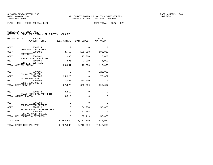FUND − 450 − EMERG MEDICAL SVCS DEPT TOTAL − 0527 − EMS

|           | ORGANIZATION<br><b>ACCOUNT</b><br>-----ACCOUNT TITLE------ 2015 ACTUAL |             | 2016 BUDGET  | 2017<br>APPROVED |
|-----------|------------------------------------------------------------------------|-------------|--------------|------------------|
|           |                                                                        |             |              |                  |
| 0527      | 5606314                                                                | $\mathbf 0$ | $\Omega$     | $\Omega$         |
| 0527      | IMPRV-NETWORK CONNECT<br>5606401                                       | 3,750       | 100,000      | 100,000          |
| 0527      | EOUIPMENT<br>5606402                                                   | 22,005      | 15,000       | 15,000           |
| 0527      | EQUIP LESS THAN \$1000<br>5606450                                      | 896         | 1,000        | 1,000            |
|           | COMPUTER SOFTWARE<br>TOTAL CAPITAL OUTLAY                              | 26,651      | 116,000      | 116,000          |
|           |                                                                        |             |              |                  |
| 0527      | 5707105<br>PRINCIPAL-LOANS                                             | $\mathsf 0$ | 0            | 222,000          |
| 0527      | 5707205<br>INTEREST-LOANS                                              | 35,226      | 0            | 73,657           |
| 0527      | 5707303                                                                | 27,000      | 330,000      | $\Omega$         |
|           | <b>BOND ISSUE COSTS</b><br>TOTAL DEBT SERVICE                          | 62,226      | 330,000      | 295,657          |
|           |                                                                        |             |              |                  |
| 0527      | 5808173<br>GRANT-FIRE EMT/PARAMEDIC                                    | 3,812       | $\Omega$     | 0                |
|           | TOTAL GRANTS & AIDS                                                    | 3,812       | $\Omega$     | $\Omega$         |
| 0527      | 5905998                                                                | 0           | $\mathbf{0}$ | $\Omega$         |
|           | DEPRECIATION EXPENSE                                                   |             |              |                  |
| 0527      | 5909910<br>RESERVE FOR CONTINGENCIES                                   | $\mathbf 0$ | 34,234       | 52,626           |
| 0527      | 5909999<br>RESERVE-CASH FORWARD                                        | $\mathbf 0$ | 32,885       | $\Omega$         |
|           | TOTAL NON-OPERATING EXPENSES                                           | 0           | 67,119       | 52,626           |
| TOTAL EMS |                                                                        | 6,552,539   | 7,712,599    | 7,642,939        |
|           | TOTAL EMERG MEDICAL SVCS                                               | 6,552,539   | 7,712,599    | 7,642,939        |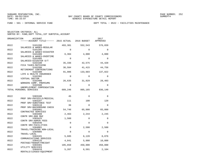FUND − 501 − INTERNAL SERVICE FUND DEPT TOTAL − 0522 − FACILITIES MAINTENANCE

| ORGANIZATION | ACCOUNT<br>------ACCOUNT TITLE------ 2015 ACTUAL 2016 BUDGET |             |          | 2017<br>APPROVED |
|--------------|--------------------------------------------------------------|-------------|----------|------------------|
| 0522         | 5101200                                                      | 493,381     | 552,543  | 576,659          |
| 0522         | SALARIES & WAGES-REGULAR<br>5101205                          | $\Omega$    | $\Omega$ | $\Omega$         |
| 0522         | SALARIES & WAGES-DISASTER<br>5101400                         | 6,304       | 4,000    | 4,000            |
| 0522         | SALARIES & WAGES-OVERTIME<br>5101405                         | $\Omega$    | $\Omega$ | $\Omega$         |
| 0522         | SALARIES-DISASTER O/T<br>5102100<br>FICA TAXES-MATCHING      | 35,336      | 42,575   | 44,420           |
| 0522         | 5102200<br>RETIREMENT CONTRIBUTIONS                          | 36,584      | 41,415   | 44,756           |
| 0522         | 5102300<br>LIFE & HEALTH INSURANCE                           | 91,006      | 133,603  | 137,822          |
| 0522         | 5102302<br>VIRTUAL DOCTOR                                    | $\Omega$    | $\Omega$ | $\Omega$         |
| 0522         | 5102400<br>WORKERS COMP. PREMIUMS                            | 26,635      | 31,029   | 28,483           |
| 0522         | 5102500<br>UNEMPLOYMENT COMPENSATION                         | 0           | $\Omega$ | $\mathbf 0$      |
|              | TOTAL PERSONAL SERVICES                                      | 689,246     | 805,165  | 836,140          |
| 0522         | 5303106                                                      | 45          | $\Omega$ | $\Omega$         |
| 0522         | PROF SRV-PHYSICLS/MEDICAL<br>5303107                         | 111         | 100      | 120              |
| 0522         | PROF SRV-SUBSTANCE TEST<br>5303110                           | 36          | $\Omega$ | $\Omega$         |
| 0522         | PROF SRV-BACKGROUND CHECK<br>5303401                         | 54,746      | 65,000   | 65,000           |
| 0522         | CONTRACTED SERVICES<br>5303408                               | 2,463       | 2,244    | 2,245            |
| 0522         | CONTR SRV-800 MHZ<br>5303425                                 | 1,560       | $\Omega$ | $\Omega$         |
| 0522         | CONTR SRV-ADMIN FEES<br>5303446                              | 0           | $\Omega$ | $\Omega$         |
| 0522         | CONTR SRV-FACILITIES<br>5304001                              | $\mathbf 0$ | 2,500    | 2,500            |
| 0522         | TRAVEL/TRAINING NON-LOCAL<br>5304005                         | 0           | $\Omega$ | $\mathbf 0$      |
| 0522         | TRAVEL-LOCAL<br>5304101                                      | 5,685       | 6,120    | 6,876            |
| 0522         | COMMUNICATIONS SERVICES<br>5304125                           | 4,841       | 5,000    | 10,000           |
| 0522         | POSTAGE/TRANSP/FREIGHT<br>5304301                            | 105,658     | 450,000  | 450,000          |
| 0522         | UTILITY SERVICES<br>5304410<br>RENTALS/LEASES-EOUIPMENT      | 5,267       | 6,591    | 2,104            |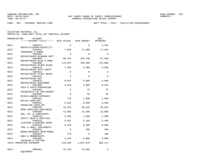FUND − 501 − INTERNAL SERVICE FUND DEPT TOTAL − 0522 − FACILITIES MAINTENANCE

|              | ORGANIZATION             | ACCOUNT<br>------ACCOUNT TITLE------ 2015 ACTUAL 2016 BUDGET   |             |           | 2017<br>APPROVED |
|--------------|--------------------------|----------------------------------------------------------------|-------------|-----------|------------------|
| 0522         |                          | 5304414                                                        | $\Omega$    | $\Omega$  | 4,453            |
| 0522         |                          | RENTALS/LEASES-EOUIP(IT)<br>5304501<br>INSURANCE & BONDS       | 7,504       | 21,000    | 17,943           |
| 0522         |                          | 5304604<br>REPAIR/MAINT-BLD&GRD DEPT                           | $\mathbf 0$ | $\Omega$  | $\Omega$         |
| 0522         |                          | 5304605<br>REPAIR/MAINT-BLDG & GRND                            | 80,135      | 249,730   | 87,500           |
| 0522         |                          | 5304606<br>REPAIR/MAINT-OTHER BLDGS                            | 175,351     | 150,000   | 175,000          |
| 0522         |                          | 5304610<br>REPAIR/MAINT-AUTO EOUIP                             | 7,604       | 6,500     | 6,500            |
| 0522         |                          | 5304611<br>REPAIR/MAINT-FLEET MAINT                            | 0           | $\Omega$  | 0                |
| 0522         |                          | 5304612<br>REPAIR/MAINT-AWT                                    | $\Omega$    | $\Omega$  | $\Omega$         |
| 0522         |                          | 5304615<br>REPAIR/MAINT-EQUIPMENT                              | 8,015       | 5,000     | 5,000            |
| 0522         |                          | 5304902<br>FEES & COSTS-PURCHASING                             | 4,428       | 3,689     | 6,245            |
| 0522<br>0522 |                          | 5304905<br>FEES&COSTS-LGL ADV/ADVERT<br>5304990                | 0<br>0      | 75<br>50  | 75<br>50         |
| 0522         |                          | MISCELLANEOUS EXPENSES<br>5305101                              | 775         | 1,500     | 1,500            |
| 0522         |                          | OFFICE SUPPLIES<br>5305201                                     | 5,925       | 8,500     | 8,500            |
| 0522         |                          | OPERATING SUPPLIES<br>5305202                                  | 16,570      | 20,620    | 20,620           |
| 0522         |                          | OPER SUPPLIES-JANITORIAL<br>5305205                            | 12,003      | 15,400    | 13,000           |
| 0522         |                          | GAS, OIL & LUBRICANTS<br>5305210                               | 2,049       | 1,000     | 1,500            |
| 0522         |                          | SAFETY GEAR & SUPPLIES<br>5305215                              | 5,822       | 5,160     | 5,460            |
| 0522         |                          | CLOTHING & WEARING APPRL<br>5305220<br>TOOL & SMALL IMPLEMENTS | 5,448       | 6,500     | 6,500            |
| 0522         |                          | 5305401<br>BOOKS/RESOURCE MATR/SUBSC                           | $\mathbf 0$ | 400       | 400              |
| 0522         |                          | 5305402<br>DUES & MEMBERSHIPS                                  | 179         | $\Omega$  | 180              |
| 0522         |                          | 5305406<br>TRAINING & TUITION                                  | 3,418       | 5,000     | 5,000            |
|              | TOTAL OPERATING EXPENSES |                                                                | 515,639     | 1,037,679 | 904,271          |
| 0522         | EQUIPMENT                | 5606401                                                        | 41,130      | 45,000    | 0                |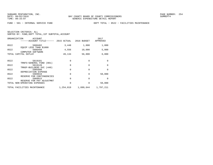FUND − 501 − INTERNAL SERVICE FUND DEPT TOTAL − 0522 − FACILITIES MAINTENANCE

|  | SELECTION CRITERIA: ALL |                                                    |
|--|-------------------------|----------------------------------------------------|
|  |                         | SORTED BY: FUND, DEPT TOTAL, 1ST SUBTOTAL, ACCOUNT |

| ORGANIZATION | ACCOUNT<br>-----ACCOUNT TITLE------       | 2015 ACTUAL | 2016 BUDGET | 2017<br>APPROVED |
|--------------|-------------------------------------------|-------------|-------------|------------------|
| 0522         | 5606402                                   | 3,448       | 1,800       | 1,800            |
| 0522         | EQUIP LESS THAN \$1000<br>5606450         | 4,556       | 10,000      | 5,000            |
|              | COMPUTER SOFTWARE<br>TOTAL CAPITAL OUTLAY | 49,134      | 56,800      | 6,800            |
|              |                                           |             |             |                  |
| 0522         | 5819101                                   | 0           | $\Omega$    | $\Omega$         |
|              | TRNFS-GENERAL FUND (001)                  |             |             |                  |
| 0522         | 5819120                                   | $\mathbf 0$ | $\Omega$    | $\Omega$         |
|              | TRNSF-BUILDERS SVC (440)                  |             |             |                  |
| 0522         | 5905998                                   | 0           | $\Omega$    | $\Omega$         |
| 0522         | DEPRECIATION EXPENSE<br>5909910           | 0           | $\Omega$    | 50,000           |
|              | RESERVE FOR CONTINGENCIES                 |             |             |                  |
| 0522         | 5909915                                   | $\Omega$    | $\Omega$    | $\Omega$         |
|              | RESERVE FOR PAY ADJUSTMNT                 |             |             |                  |
|              | TOTAL NON-OPERATING EXPENSES              | $\Omega$    | $\Omega$    | 50,000           |
|              | TOTAL FACILITIES MAINTENANCE              | 1,254,019   | 1,899,644   | 1,797,211        |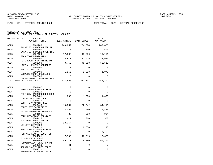FUND − 501 − INTERNAL SERVICE FUND DEPT TOTAL − 0525 − CENTRAL PURCHASING

| ORGANIZATION | <b>ACCOUNT</b><br>------ACCOUNT TITLE------ 2015 ACTUAL      |             | 2016 BUDGET | 2017<br>APPROVED |
|--------------|--------------------------------------------------------------|-------------|-------------|------------------|
| 0525         | 5101200                                                      | 249,059     | 234,874     | 249,836          |
| 0525         | SALARIES & WAGES-REGULAR<br>5101400                          | $\Omega$    | 500         | 500              |
| 0525         | SALARIES & WAGES-OVERTIME<br>5102100                         | 17,593      | 18,006      | 19,151           |
| 0525         | FICA TAXES-MATCHING<br>5102200<br>RETIREMENT CONTRIBUTIONS   | 18,970      | 17,515      | 32,627           |
| 0525         | 5102300<br>LIFE & HEALTH INSURANCE                           | 40,750      | 45,818      | 52,513           |
| 0525         | 5102302<br>VIRTUAL DOCTOR                                    | $\Omega$    | $\Omega$    | $\Omega$         |
| 0525         | 5102400<br>WORKERS COMP. PREMIUMS                            | 1,155       | 1,018       | 1,075            |
| 0525         | 5102500<br>UNEMPLOYMENT COMPENSATION                         | $\Omega$    | $\Omega$    | $\Omega$         |
|              | TOTAL PERSONAL SERVICES                                      | 327,528     | 317,731     | 355,702          |
| 0525         | 5303107                                                      | $\Omega$    | $\Omega$    | $\Omega$         |
| 0525         | PROF SRV-SUBSTANCE TEST<br>5303110                           | $\Omega$    | $\Omega$    | $\Omega$         |
| 0525         | PROF SRV-BACKGROUND CHECK<br>5303401                         | 800         | 1,200       | 1,000            |
| 0525         | CONTRACTED SERVICES<br>5303425                               | $\mathbf 0$ | 0           | $\Omega$         |
| 0525         | CONTR SRV-ADMIN FEES<br>5303446                              | 10,854      | 32,042      | 34,113           |
| 0525         | CONTR SRV-FACILITIES<br>5304001                              | 4,002       | 2,950       | 4,450            |
| 0525         | TRAVEL/TRAINING NON-LOCAL<br>5304101                         | 786         | 900         | 984              |
| 0525         | COMMUNICATIONS SERVICES<br>5304125<br>POSTAGE/TRANSP/FREIGHT | 2,411       | 300         | 300              |
| 0525         | 5304301<br>UTILITY SERVICES                                  | 13,364      | $\Omega$    | $\Omega$         |
| 0525         | 5304410<br>RENTALS/LEASES-EOUIPMENT                          | 2,154       | 2,550       | 213              |
| 0525         | 5304414<br>RENTALS/LEASES-EQUIP(IT)                          | $\Omega$    | $\Omega$    | 3,407            |
| 0525         | 5304501<br>INSURANCE & BONDS                                 | 7,793       | 16,216      | 12,670           |
| 0525         | 5304605<br>REPAIR/MAINT-BLDG & GRND                          | 89,210      | 6,780       | 69,801           |
| 0525         | 5304610<br>REPAIR/MAINT-AUTO EQUIP                           | 41          | 0           | 0                |
| 0525         | 5304611<br>REPAIR/MAINT-FLEET MAINT                          | $\mathbf 0$ | 0           | 0                |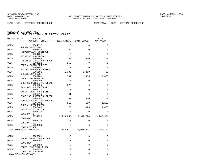FUND − 501 − INTERNAL SERVICE FUND DEPT TOTAL − 0525 − CENTRAL PURCHASING

| ORGANIZATION | ACCOUNT                                   |             |             | 2017      |
|--------------|-------------------------------------------|-------------|-------------|-----------|
|              | -----ACCOUNT TITLE------ 2015 ACTUAL      |             | 2016 BUDGET | APPROVED  |
| 0525         | 5304612                                   | $\mathbf 0$ | $\mathbf 0$ | $\Omega$  |
| 0525         | REPAIR/MAINT-AWT<br>5304615               | 222         | $\Omega$    | $\Omega$  |
| 0525         | REPAIR/MAINT-EQUIPMENT<br>5304701         | $\Omega$    | $\Omega$    | $\Omega$  |
| 0525         | PRINTING & BINDING<br>5304905             | 288         | 250         | 250       |
| 0525         | FEES&COSTS-LGL ADV/ADVERT<br>5304922      | 150         | $\Omega$    | $\Omega$  |
| 0525         | FEES & COSTS-PERMITS<br>5304990           | $\Omega$    | $\Omega$    | $\Omega$  |
| 0525         | MISCELLANEOUS EXPENSES<br>5305101         | 1,306       | 1,150       | 750       |
| 0525         | OFFICE SUPPLIES<br>5305201                | 747         | 1,135       | 2,075     |
| 0525         | OPERATING SUPPLIES<br>5305202             | $\Omega$    | $\Omega$    | $\Omega$  |
| 0525         | OPER SUPPLIES-JANITORIAL<br>5305205       | 975         | $\Omega$    | $\Omega$  |
| 0525         | GAS, OIL & LUBRICANTS<br>5305210          | $\Omega$    | $\Omega$    | $\Omega$  |
| 0525         | SAFETY GEAR & SUPPLIES<br>5305215         | 41          | $\Omega$    | $\Omega$  |
| 0525         | CLOTHING & WEARING APPRL<br>5305401       | 109         | 100         | 100       |
| 0525         | BOOKS/RESOURCE MATR/SUBSC<br>5305402      | 518         | 980         | 1,120     |
| 0525         | DUES & MEMBERSHIPS<br>5305406             | 75          | 425         | 1,020     |
| 0525         | TRAINING & TUITION<br>5394915             | $\Omega$    | $\Omega$    | $\Omega$  |
| 0525         | COGS-PARTS<br>5394920                     | 2,118,068   | 2,942,924   | 2,247,921 |
| 0525         | COGS-GAS<br>5394925                       | $\mathbf 0$ | $\Omega$    | 0         |
| 0525         | COGS-OFFICE<br>5394930                    | $\Omega$    | $\Omega$    | $\Omega$  |
|              | COGS-POSTAGE<br>TOTAL OPERATING EXPENSES  | 2, 253, 915 | 3,009,902   | 2,380,174 |
|              |                                           |             |             |           |
| 0525         | 5606301<br>IMPRV OTHER THAN BLDGS         | 0           | 0           | 0         |
| 0525         | 5606401                                   | $\Omega$    | $\Omega$    | $\Omega$  |
| 0525         | EQUIPMENT<br>5606402                      | $\mathbf 0$ | $\mathbf 0$ | 0         |
| 0525         | EQUIP LESS THAN \$1000<br>5606450         | $\mathbf 0$ | $\Omega$    | $\Omega$  |
|              | COMPUTER SOFTWARE<br>TOTAL CAPITAL OUTLAY | 0           | 0           | $\Omega$  |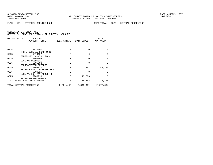FUND − 501 − INTERNAL SERVICE FUND DEPT TOTAL − 0525 − CENTRAL PURCHASING

|      | ORGANIZATION<br>ACCOUNT<br>-----ACCOUNT TITLE------ 2015 ACTUAL |           | 2016 BUDGET  | 2017<br>APPROVED |
|------|-----------------------------------------------------------------|-----------|--------------|------------------|
| 0525 | 5819101                                                         | $\Omega$  | $\Omega$     | $\Omega$         |
|      | TRNFS-GENERAL FUND (001)                                        |           |              |                  |
| 0525 | 5819127                                                         | $\Omega$  | <sup>0</sup> | $\Omega$         |
|      | TRNSF-UTIL ADMIN (510)                                          |           |              |                  |
| 0525 | 5905908                                                         | $\Omega$  | $\cap$       | $\Omega$         |
| 0525 | LOSS ON DISPOSAL<br>5905998                                     | $\Omega$  |              | <sup>0</sup>     |
|      | DEPRECIATION EXPENSE                                            |           |              |                  |
| 0525 | 5909910                                                         | 0         | 2,182        | 41,728           |
|      | RESERVE FOR CONTINGENCIES                                       |           |              |                  |
| 0525 | 5909915                                                         | $\Omega$  |              | $\Omega$         |
| 0525 | RESERVE FOR PAY ADJUSTMNT<br>5909999                            | 0         | 13,586       | $\Omega$         |
|      | RESERVE-CASH FORWARD                                            |           |              |                  |
|      | TOTAL NON-OPERATING EXPENSES                                    | 0         | 15,768       | 41,728           |
|      | TOTAL CENTRAL PURCHASING                                        | 2,581,443 | 3,343,401    | 2,777,604        |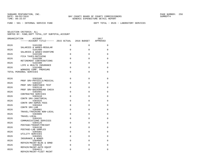FUND − 501 − INTERNAL SERVICE FUND DEPT TOTAL − 0526 − LABORATORY SERVICES

| ORGANIZATION | <b>ACCOUNT</b><br>------ACCOUNT TITLE------ 2015 ACTUAL 2016 BUDGET |          |             | 2017<br>APPROVED |
|--------------|---------------------------------------------------------------------|----------|-------------|------------------|
| 0526         | 5101200                                                             | $\Omega$ | $\Omega$    | 0                |
| 0526         | SALARIES & WAGES-REGULAR<br>5101400                                 | $\Omega$ | $\Omega$    | $\Omega$         |
| 0526         | SALARIES & WAGES-OVERTIME<br>5102100                                | $\Omega$ | 0           | 0                |
| 0526         | FICA TAXES-MATCHING<br>5102200                                      | $\Omega$ | $\Omega$    | $\Omega$         |
| 0526         | RETIREMENT CONTRIBUTIONS<br>5102300                                 | $\Omega$ | $\Omega$    | $\Omega$         |
| 0526         | LIFE & HEALTH INSURANCE<br>5102400                                  | $\Omega$ | $\Omega$    | $\Omega$         |
|              | WORKERS COMP. PREMIUMS                                              |          |             |                  |
|              | TOTAL PERSONAL SERVICES                                             | $\Omega$ | $\Omega$    | 0                |
| 0526         | 5303106                                                             | $\Omega$ | 0           | 0                |
| 0526         | PROF SRV-PHYSICLS/MEDICAL<br>5303107                                | $\Omega$ | $\mathbf 0$ | 0                |
| 0526         | PROF SRV-SUBSTANCE TEST<br>5303110                                  | $\Omega$ | $\Omega$    | $\Omega$         |
| 0526         | PROF SRV-BACKGROUND CHECK<br>5303401                                | $\Omega$ | 0           | 0                |
| 0526         | CONTRACTED SERVICES<br>5303410                                      | $\Omega$ | $\Omega$    | $\Omega$         |
| 0526         | CONTR SRV-JANITORIAL<br>5303425                                     | $\Omega$ | $\Omega$    | $\Omega$         |
| 0526         | CONTR SRV-ADMIN FEES<br>5303464                                     | $\Omega$ | $\Omega$    | $\Omega$         |
| 0526         | CONTR SRV-LAB<br>5304001                                            | $\Omega$ | $\Omega$    | $\Omega$         |
|              | TRAVEL/TRAINING NON-LOCAL                                           |          |             |                  |
| 0526         | 5304005<br>TRAVEL-LOCAL                                             | $\Omega$ | $\Omega$    | 0                |
| 0526         | 5304101<br>COMMUNICATIONS SERVICES                                  | $\Omega$ | $\Omega$    | $\Omega$         |
| 0526         | 5304125<br>POSTAGE/TRANSP/FREIGHT                                   | $\Omega$ | $\Omega$    | 0                |
| 0526         | 5304130<br>POSTAGE-LAB SAMPLES                                      | $\Omega$ | $\Omega$    | $\Omega$         |
| 0526         | 5304301<br>UTILITY SERVICES                                         | $\Omega$ | 0           | 0                |
| 0526         | 5304501<br>INSURANCE & BONDS                                        | $\Omega$ | $\Omega$    | $\Omega$         |
| 0526         | 5304605<br>REPAIR/MAINT-BLDG & GRND                                 | $\Omega$ | $\Omega$    | $\Omega$         |
| 0526         | 5304610<br>REPAIR/MAINT-AUTO EOUIP                                  | $\Omega$ | $\Omega$    | $\Omega$         |
| 0526         | 5304611                                                             | $\Omega$ | 0           | 0                |
|              | REPAIR/MAINT-FLEET MAINT                                            |          |             |                  |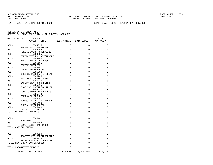FUND − 501 − INTERNAL SERVICE FUND DEPT TOTAL − 0526 − LABORATORY SERVICES

| ORGANIZATION | <b>ACCOUNT</b><br>------ACCOUNT TITLE------ 2015 ACTUAL 2016 BUDGET |             |             | 2017<br>APPROVED |
|--------------|---------------------------------------------------------------------|-------------|-------------|------------------|
| 0526         | 5304615                                                             | $\Omega$    | $\Omega$    | $\Omega$         |
|              | REPAIR/MAINT-EQUIPMENT                                              |             |             |                  |
| 0526         | 5304902<br>FEES & COSTS-PURCHASING                                  | $\Omega$    | 0           | 0                |
| 0526         | 5304905                                                             | $\Omega$    | 0           | $\mathbf 0$      |
| 0526         | FEES&COSTS-LGL ADV/ADVERT<br>5304990                                | $\Omega$    | $\Omega$    | $\mathbf 0$      |
| 0526         | MISCELLANEOUS EXPENSES<br>5305101                                   | $\Omega$    | $\Omega$    | 0                |
|              | OFFICE SUPPLIES                                                     |             |             |                  |
| 0526         | 5305201                                                             | $\Omega$    | 0           | 0                |
| 0526         | OPERATING SUPPLIES<br>5305202                                       | $\Omega$    | $\Omega$    | $\mathbf 0$      |
|              | OPER SUPPLIES-JANITORIAL                                            |             |             |                  |
| 0526         | 5305205                                                             | $\Omega$    | $\Omega$    | $\Omega$         |
| 0526         | GAS, OIL & LUBRICANTS<br>5305210                                    | $\Omega$    | $\Omega$    | 0                |
| 0526         | SAFETY GEAR & SUPPLIES<br>5305215                                   | $\Omega$    | 0           | 0                |
| 0526         | CLOTHING & WEARING APPRL<br>5305220                                 | $\Omega$    | 0           | $\mathbf 0$      |
|              | TOOL & SMALL IMPLEMENTS                                             |             |             |                  |
| 0526         | 5305240<br>OPER SUPPLIES-LAB                                        | $\Omega$    | $\Omega$    | $\Omega$         |
| 0526         | 5305401                                                             | $\Omega$    | $\Omega$    | 0                |
| 0526         | BOOKS/RESOURCE MATR/SUBSC<br>5305402                                | $\Omega$    | $\Omega$    | 0                |
| 0526         | DUES & MEMBERSHIPS<br>5305406                                       | $\Omega$    | $\Omega$    | $\Omega$         |
|              | TRAINING & TUITION                                                  |             |             |                  |
|              | TOTAL OPERATING EXPENSES                                            | $\Omega$    | $\Omega$    | $\mathbf 0$      |
|              |                                                                     |             |             |                  |
| 0526         | 5606401<br>EQUIPMENT                                                | $\Omega$    | $\mathbf 0$ | $\mathbf 0$      |
| 0526         | 5606402                                                             | $\mathbf 0$ | 0           | $\mathbf 0$      |
|              | EQUIP LESS THAN \$1000<br>TOTAL CAPITAL OUTLAY                      | $\Omega$    | 0           | $\Omega$         |
|              |                                                                     |             |             |                  |
| 0526         | 5909910                                                             | $\Omega$    | 0           | 0                |
| 0526         | RESERVE FOR CONTINGENCIES<br>5909915                                | $\Omega$    | $\mathbf 0$ | $\mathbf 0$      |
|              | RESERVE FOR PAY ADJUSTMNT<br>TOTAL NON-OPERATING EXPENSES           | $\Omega$    | $\Omega$    | $\Omega$         |
|              |                                                                     |             |             |                  |
|              | TOTAL LABORATORY SERVICES                                           | $\Omega$    | $\Omega$    | $\Omega$         |
|              | TOTAL INTERNAL SERVICE FUND                                         | 3,835,461   | 5, 243, 045 | 4,574,815        |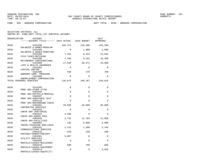FUND − 505 − WORKERS COMPENSATION DEPT TOTAL − 0530 − WORKERS COMPENSATION

| ORGANIZATION | <b>ACCOUNT</b><br>------ACCOUNT TITLE------ 2015 ACTUAL         |             | 2016 BUDGET | 2017<br>APPROVED |
|--------------|-----------------------------------------------------------------|-------------|-------------|------------------|
| 0530         | 5101200<br>SALARIES & WAGES-REGULAR                             | 102,373     | 110,406     | 164,286          |
| 0530         | 5101400                                                         | $\Omega$    | 1,000       | 1,000            |
| 0530         | SALARIES & WAGES-OVERTIME<br>5102100<br>FICA TAXES-MATCHING     | 7,292       | 8,523       | 12,644           |
| 0530         | 5102200<br>RETIREMENT CONTRIBUTIONS                             | 7,440       | 8,291       | 18,389           |
| 0530         | 5102300<br>LIFE & HEALTH INSURANCE                              | 17,530      | 20,571      | 33,588           |
| 0530         | 5102302<br>VIRTUAL DOCTOR                                       | $\Omega$    | $\Omega$    | $\Omega$         |
| 0530         | 5102400<br>WORKERS COMP. PREMIUMS                               | 438         | 476         | 708              |
| 0530         | 5102500<br>UNEMPLOYMENT COMPENSATION                            | $\mathbf 0$ | $\Omega$    | $\Omega$         |
|              | TOTAL PERSONAL SERVICES                                         | 135,074     | 149,267     | 230,615          |
| 0530         | 5143105                                                         | 0           | 0           | $\Omega$         |
| 0530         | PROF SRV-OTHER ATTNY<br>5303106                                 | $\mathbf 0$ | $\mathbf 0$ | $\Omega$         |
| 0530         | PROF SRV-PHYSICLS/MEDICAL<br>5303107                            | $\mathbf 0$ | $\mathbf 0$ | $\Omega$         |
| 0530         | PROF SRV-SUBSTANCE TEST<br>5303110                              | $\Omega$    | $\Omega$    | $\Omega$         |
| 0530         | PROF SRV-BACKGROUND CHECK<br>5303401                            | 29,099      | 40,000      | 40,000           |
| 0530         | CONTRACTED SERVICES<br>5303410                                  | $\mathbf 0$ | $\Omega$    | $\mathbf 0$      |
| 0530         | CONTR SRV-JANITORIAL<br>5303425                                 | 1,560       | $\Omega$    | $\Omega$         |
| 0530         | CONTR SRV-ADMIN FEES<br>5303446                                 | 1,731       | 11,703      | 13,086           |
| 0530         | CONTR SRV-FACILITIES<br>5304001                                 | 145         | 5,000       | 5,000            |
| 0530         | TRAVEL/TRAINING NON-LOCAL<br>5304101                            | 1,122       | 1,200       | 2,184            |
| 0530         | COMMUNICATIONS SERVICES<br>5304125                              | $-103$      | 150         | 200              |
| 0530         | POSTAGE/TRANSP/FREIGHT<br>5304301                               | 5,007       | $\Omega$    | $\Omega$         |
| 0530         | UTILITY SERVICES<br>5304405                                     | $\mathbf 0$ | $\Omega$    | $\Omega$         |
| 0530         | RENTALS/LEASES-BUILDINGS<br>5304410                             | 830         | 760         | 850              |
| 0530         | RENTALS/LEASES-EQUIPMENT<br>5304414<br>RENTALS/LEASES-EQUIP(IT) | $\mathbf 0$ | 0           | 3,833            |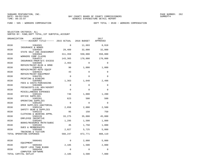FUND − 505 − WORKERS COMPENSATION DEPT TOTAL − 0530 − WORKERS COMPENSATION

| ORGANIZATION             | <b>ACCOUNT</b><br>------ACCOUNT TITLE------ 2015 ACTUAL |             | 2016 BUDGET  | 2017<br>APPROVED |
|--------------------------|---------------------------------------------------------|-------------|--------------|------------------|
| 0530                     | 5304501                                                 | 0           | 11,693       | 8,918            |
| 0530                     | INSURANCE & BONDS<br>5304503                            | 29,409      | 32,000       | 32,000           |
| 0530                     | STATE SELF INS ASSESSMENT<br>5304504                    | 311,359     | 550,000      | 550,000          |
| 0530                     | WORKERS COMP CLAIMS<br>5304512                          | 143,365     | 170,000      | 170,000          |
| 0530                     | INSURANCE-PREM-W/C EXCESS<br>5304605                    | 2,463       | $\Omega$     | $\Omega$         |
| 0530                     | REPAIR/MAINT-BLDG & GRND<br>5304610                     | 90          | 1,000        | 1,000            |
| 0530                     | REPAIR/MAINT-AUTO EQUIP<br>5304615                      | 43          | $\mathbf{0}$ | 0                |
| 0530                     | REPAIR/MAINT-EQUIPMENT<br>5304701                       | $\Omega$    | $\Omega$     | $\Omega$         |
| 0530                     | PRINTING & BINDING<br>5304902                           | 1,363       | 1,640        | 2,498            |
| 0530                     | FEES & COSTS-PURCHASING<br>5304905                      | 0           | $\mathbf{0}$ | $\mathbf 0$      |
| 0530                     | FEES&COSTS-LGL ADV/ADVERT<br>5304990                    | $\Omega$    | $\Omega$     | $\Omega$         |
| 0530                     | MISCELLANEOUS EXPENSES<br>5305101                       | 746         | 1,000        | 1,200            |
| 0530                     | OFFICE SUPPLIES<br>5305201                              | 623         | 500          | 500              |
| 0530                     | OPERATING SUPPLIES<br>5305202                           | $\Omega$    | $\Omega$     | $\Omega$         |
| 0530                     | OPER SUPPLIES-JANITORIAL<br>5305210                     | 2,656       | 2,000        | 2,500            |
| 0530                     | SAFETY GEAR & SUPPLIES<br>5305215                       | 95          | 150          | 750              |
| 0530                     | CLOTHING & WEARING APPRL<br>5305226                     | 33,275      | 35,000       | 45,000           |
| 0530                     | EMPLOYEE INCENTIVE<br>5305401                           | 1,295       | 1,500        | 1,800            |
| 0530                     | BOOKS/RESOURCE MATR/SUBSC<br>5305402                    | 45          | 1,750        | 1,800            |
| 0530                     | DUES & MEMBERSHIPS<br>5305406                           | 2,027       | 5,725        | 5,000            |
| TOTAL OPERATING EXPENSES | TRAINING & TUITION                                      | 568,247     | 872,771      | 888,119          |
| 0530                     | 5606401                                                 | $\mathbf 0$ | 2,000        | 5,000            |
| 0530                     | EOUIPMENT<br>5606402                                    | 2,185       | 1,500        | 2,000            |
| 0530                     | EQUIP LESS THAN \$1000<br>5606450                       | $\mathbf 0$ | $\mathbf{0}$ | $\Omega$         |
| TOTAL CAPITAL OUTLAY     | COMPUTER SOFTWARE                                       | 2,185       | 3,500        | 7,000            |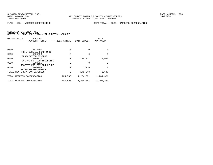FUND − 505 − WORKERS COMPENSATION DEPT TOTAL − 0530 − WORKERS COMPENSATION

|      | ORGANIZATION<br>ACCOUNT<br>------ACCOUNT TITLE------ | 2015 ACTUAL | 2016 BUDGET | 2017<br>APPROVED |
|------|------------------------------------------------------|-------------|-------------|------------------|
| 0530 | 5819101                                              | 0           | $\Omega$    | $\Omega$         |
| 0530 | TRNFS-GENERAL FUND (001)<br>5905998                  | $\mathbf 0$ | $\Omega$    | $\Omega$         |
| 0530 | DEPRECIATION EXPENSE<br>5909910                      | 0           | 176,927     | 78,647           |
|      | RESERVE FOR CONTINGENCIES                            |             |             |                  |
| 0530 | 5909915<br>RESERVE FOR PAY ADJUSTMNT                 | 0           | O           | <sup>0</sup>     |
| 0530 | 5909999<br>RESERVE-CASH FORWARD                      | 0           | 1,916       | $\Omega$         |
|      | TOTAL NON-OPERATING EXPENSES                         | 0           | 178,843     | 78,647           |
|      | TOTAL WORKERS COMPENSATION                           | 705,506     | 1,204,381   | 1,204,381        |
|      | TOTAL WORKERS COMPENSATION                           | 705,506     | 1,204,381   | 1,204,381        |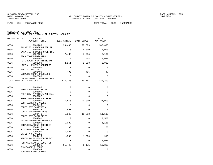FUND − 506 − INSURANCE FUND DEPT TOTAL − 0536 − INSURANCE

| ORGANIZATION | ACCOUNT<br>------ACCOUNT TITLE------ 2015 ACTUAL 2016 BUDGET |             |             | 2017<br>APPROVED |
|--------------|--------------------------------------------------------------|-------------|-------------|------------------|
| 0536         | 5101200<br>SALARIES & WAGES-REGULAR                          | 98,400      | 97,379      | 102,690          |
| 0536         | 5101400                                                      | $\Omega$    | 4,000       | 4,000            |
| 0536         | SALARIES & WAGES-OVERTIME<br>5102100                         | 7,480       | 7,755       | 8,162            |
| 0536         | FICA TAXES-MATCHING<br>5102200<br>RETIREMENT CONTRIBUTIONS   | 7,218       | 7,544       | 14,028           |
| 0536         | 5102300<br>LIFE & HEALTH INSURANCE                           | 2,151       | 2,593       | 2,982            |
| 0536         | 5102302<br>VIRTUAL DOCTOR                                    | $\Omega$    | $\Omega$    | $\Omega$         |
| 0536         | 5102400<br>WORKERS COMP. PREMIUMS                            | 496         | 496         | 447              |
| 0536         | 5102500<br>UNEMPLOYMENT COMPENSATION                         | $\Omega$    | $\Omega$    | $\Omega$         |
|              | TOTAL PERSONAL SERVICES                                      | 115,745     | 119,767     | 132,309          |
| 0536         | 5143105                                                      | $\mathbf 0$ | $\mathbf 0$ | $\Omega$         |
| 0536         | PROF SRV-OTHER ATTNY<br>5303106                              | $\Omega$    | $\Omega$    | $\Omega$         |
| 0536         | PROF SRV-PHYSICLS/MEDICAL<br>5303107                         | $\Omega$    | $\Omega$    | $\Omega$         |
| 0536         | PROF SRV-SUBSTANCE TEST<br>5303401                           | 6,875       | 20,000      | 37,000           |
| 0536         | CONTRACTED SERVICES<br>5303410                               | $\Omega$    | $\Omega$    | $\Omega$         |
| 0536         | CONTR SRV-JANITORIAL<br>5303425                              | 1,560       | $\Omega$    | $\Omega$         |
| 0536         | CONTR SRV-ADMIN FEES<br>5303446                              | 1,368       | 10,853      | 11,515           |
| 0536         | CONTR SRV-FACILITIES<br>5304001                              | $\Omega$    | $\Omega$    | 3,500            |
| 0536         | TRAVEL/TRAINING NON-LOCAL<br>5304101                         | 1,082       | $\Omega$    | 1,116            |
| 0536         | COMMUNICATIONS SERVICES<br>5304125                           | 33          | $\Omega$    | 250              |
| 0536         | POSTAGE/TRANSP/FREIGHT<br>5304301<br>UTILITY SERVICES        | 5,007       | $\Omega$    | $\mathbf 0$      |
| 0536         | 5304410<br>RENTALS/LEASES-EOUIPMENT                          | 1,900       | 1,800       | 915              |
| 0536         | 5304414<br>RENTALS/LEASES-EOUIP(IT)                          | $\mathbf 0$ | $\Omega$    | 1,085            |
| 0536         | 5304501<br>INSURANCE & BONDS                                 | 65,448      | 6,171       | 10,368           |
| 0536         | 5304504<br>WORKERS COMP CLAIMS                               | 0           | $\mathbf 0$ | $\Omega$         |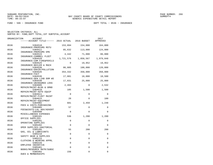FUND − 506 − INSURANCE FUND DEPT TOTAL − 0536 − INSURANCE

| ORGANIZATION | <b>ACCOUNT</b><br>------ACCOUNT TITLE------ 2015 ACTUAL 2016 BUDGET |                 |                   | 2017<br>APPROVED     |
|--------------|---------------------------------------------------------------------|-----------------|-------------------|----------------------|
| 0536         | 5304510<br>INSURANCE-PREMIUMS MSTU                                  | 153,894         | 154,000           | 164,000              |
| 0536         | 5304511<br>INSURANCE-PREMIUMS EMS                                   | 85,632          | 113,000           | 124,000              |
| 0536         | 5304515<br>INSURANCE-COMMRCL FLEET                                  | 4,442           | 71,000            | 86,000               |
| 0536         | 5304520<br>INSURANCE-COM FIRE&PERILS                                | 1,721,576       | 1,858,567         | 1,979,048            |
| 0536         | 5304525<br>INSURANCE-BOILER & MACH                                  | $\Omega$        | 19,952            | 19,952               |
| 0536         | 5304530<br>INSURANCE-ENVIR/POLLUTION                                | 86,805          | 100,000           | 120,000              |
| 0536         | 5304535<br>INSURANCE-FACT                                           | 354,332         | 350,000           | 350,000              |
| 0536         | 5304536<br>INSURANCE-GEN LIAB DOM WS                                | 17,881          | 18,000            | 18,500               |
| 0536         | 5304540<br>INSURANCE-UNINSURED LOSS                                 | 17,031          | 25,000            | 25,000               |
| 0536         | 5304605<br>REPAIR/MAINT-BLDG & GRND                                 | 2,493           | $\Omega$          | 2,532                |
| 0536         | 5304610<br>REPAIR/MAINT-AUTO EOUIP                                  | 105             | 1,500             | 1,500                |
| 0536         | 5304611<br>REPAIR/MAINT-FLEET MAINT                                 | $\Omega$        | $\Omega$          | $\Omega$             |
| 0536         | 5304615<br>REPAIR/MAINT-EOUIPMENT                                   | 28              | $\Omega$          | 100                  |
| 0536         | 5304902<br>FEES & COSTS-PURCHASING                                  | 681             | 2,459             | 1,248                |
| 0536         | 5304905<br>FEES&COSTS-LGL ADV/ADVERT                                | 57              | $\mathbf 0$       | $\mathbf 0$          |
| 0536         | 5304990<br>MISCELLANEOUS EXPENSES                                   | $\Omega$<br>536 | $\Omega$          | $\Omega$             |
| 0536<br>0536 | 5305101<br>OFFICE SUPPLIES<br>5305201                               | 0               | 1,200<br>$\Omega$ | 1,200<br>$\mathbf 0$ |
| 0536         | OPERATING SUPPLIES<br>5305202                                       | $\mathbf 0$     | $\Omega$          | $\Omega$             |
| 0536         | OPER SUPPLIES-JANITORIAL<br>5305205                                 | 55              | 200               | 200                  |
| 0536         | GAS, OIL & LUBRICANTS<br>5305210                                    | $\mathbf 0$     | $\Omega$          | $\Omega$             |
| 0536         | SAFETY GEAR & SUPPLIES<br>5305215                                   | $\mathbf 0$     | $\mathbf 0$       | $\Omega$             |
| 0536         | CLOTHING & WEARING APPRL<br>5305226                                 | $\mathbf 0$     | $\mathbf 0$       | 0                    |
| 0536         | EMPLOYEE INCENTIVE<br>5305401                                       | $\Omega$        | 0                 | 0                    |
| 0536         | BOOKS/RESOURCE MATR/SUBSC<br>5305402<br>DUES & MEMBERSHIPS          | 156             | $\Omega$          | $\Omega$             |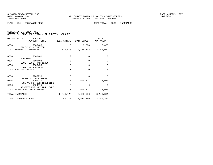FUND − 506 − INSURANCE FUND DEPT TOTAL − 0536 − INSURANCE

| ORGANIZATION | ACCOUNT<br>------ACCOUNT TITLE------                      | 2015 ACTUAL | 2016 BUDGET | 2017<br>APPROVED |
|--------------|-----------------------------------------------------------|-------------|-------------|------------------|
| 0536         | 5305406                                                   | $\Omega$    | 3,000       | 3,000            |
|              | TRAINING & TUITION<br>TOTAL OPERATING EXPENSES            | 2,528,978   | 2,756,702   | 2,962,029        |
| 0536         | 5606401<br>EQUIPMENT                                      | $\Omega$    | $\Omega$    | $\Omega$         |
| 0536         | 5606402<br>EQUIP LESS THAN \$1000                         | $\Omega$    | $\Omega$    | $\mathbf 0$      |
| 0536         | 5606450                                                   | $\Omega$    | $\Omega$    | $\Omega$         |
| TOTAL        | COMPUTER SOFTWARE<br>CAPITAL OUTLAY                       | $\Omega$    | $\Omega$    | $\Omega$         |
| 0536         | 5905998<br>DEPRECIATION EXPENSE                           | $\Omega$    | $\Omega$    | $\Omega$         |
| 0536         | 5909910                                                   | $\Omega$    | 549,517     | 46,043           |
| 0536         | RESERVE FOR CONTINGENCIES<br>5909915                      | $\Omega$    | $\Omega$    | $\Omega$         |
|              | RESERVE FOR PAY ADJUSTMNT<br>TOTAL NON-OPERATING EXPENSES | $\Omega$    | 549,517     | 46,043           |
|              | TOTAL INSURANCE                                           | 2,644,723   | 3,425,986   | 3,140,381        |
|              | TOTAL INSURANCE FUND                                      | 2,644,723   | 3,425,986   | 3,140,381        |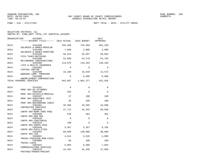FUND − 510 − UTILITIES DEPT TOTAL − 0524 − UTILITY ADMIN

| SELECTION CRITERIA: ALL |  |  |                                                    |  |
|-------------------------|--|--|----------------------------------------------------|--|
|                         |  |  | SORTED BY: FUND, DEPT TOTAL, 1ST SUBTOTAL, ACCOUNT |  |

| ORGANIZATION | <b>ACCOUNT</b><br>------ACCOUNT TITLE------ 2015 ACTUAL 2016 BUDGET |             |             | 2017<br>APPROVED |
|--------------|---------------------------------------------------------------------|-------------|-------------|------------------|
| 0524         | 5101200<br>SALARIES & WAGES-REGULAR                                 | 703,499     | 725,059     | 662,259          |
| 0524         | 5101400<br>SALARIES & WAGES-OVERTIME                                | 7,098       | 3,000       | 3,000            |
| 0524         | 5102100<br>FICA TAXES-MATCHING                                      | 50,523      | 55,697      | 50,892           |
| 0524         | 5102200<br>RETIREMENT CONTRIBUTIONS                                 | 52,080      | 54,179      | 64,792           |
| 0524         | 5102300<br>LIFE & HEALTH INSURANCE                                  | 113,676     | 139,203     | 130,420          |
| 0524         | 5102302<br>VIRTUAL DOCTOR                                           | $\Omega$    | $\Omega$    | $\Omega$         |
| 0524         | 5102400<br>WORKERS COMP. PREMIUMS                                   | 16,190      | 18,639      | 14,572           |
| 0524         | 5102500<br>UNEMPLOYMENT COMPENSATION                                | $\Omega$    | 6,600       | 6,000            |
|              | TOTAL PERSONAL SERVICES                                             | 943,067     | 1,002,377   | 931,935          |
| 0524         | 5143101                                                             | $\Omega$    | $\Omega$    | $\Omega$         |
| 0524         | PROF SRV-CO ATTORNEY<br>5303106                                     | 292         | $\Omega$    | $\Omega$         |
| 0524         | PROF SRV-PHYSICLS/MEDICAL<br>5303107                                | 37          | 100         | 100              |
| 0524         | PROF SRV-SUBSTANCE TEST<br>5303110                                  | 36          | 100         | 100              |
| 0524         | PROF SRV-BACKGROUND CHECK<br>5303401                                | 18,396      | 18,695      | 18,500           |
| 0524         | CONTRACTED SERVICES<br>5303403                                      | 47,712      | 42,255      | 59,650           |
| 0524         | CONTR SRV-BANK CHRG POOL<br>5303408                                 | 528         | 481         | 481              |
| 0524         | CONTR SRV-800 MHZ<br>5303410                                        | $\mathbf 0$ | $\mathbf 0$ | $\mathbf 0$      |
| 0524         | CONTR SRV-JANITORIAL<br>5303425                                     | 780         | $\Omega$    | $\Omega$         |
| 0524         | CONTR SRV-ADMIN FEES<br>5303446                                     | 3,307       | 3,397       | 9,195            |
| 0524         | CONTR SRV-FACILITIES<br>5303464                                     | 69,699      | 130,000     | 90,000           |
| 0524         | CONTR SRV-LAB<br>5304001                                            | 4,614       | 6,635       | 4,800            |
| 0524         | TRAVEL/TRAINING NON-LOCAL<br>5304005                                | 66          | 100         | 100              |
| 0524         | TRAVEL-LOCAL<br>5304101                                             | 5,093       | 6,680       | 7,032            |
| 0524         | COMMUNICATIONS SERVICES<br>5304125                                  | 42,481      | 45,250      | 47,950           |
|              | POSTAGE/TRANSP/FREIGHT                                              |             |             |                  |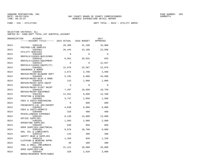FUND − 510 − UTILITIES DEPT TOTAL − 0524 − UTILITY ADMIN

| SELECTION CRITERIA: ALL |  |                                                    |  |
|-------------------------|--|----------------------------------------------------|--|
|                         |  | SORTED BY: FUND, DEPT TOTAL, 1ST SUBTOTAL, ACCOUNT |  |

| ORGANIZATION | ACCOUNT                                           |          |          | 2017        |
|--------------|---------------------------------------------------|----------|----------|-------------|
|              | ------ACCOUNT TITLE------ 2015 ACTUAL 2016 BUDGET |          |          | APPROVED    |
| 0524         | 5304130                                           | 26,309   | 31,100   | 33,000      |
|              | POSTAGE-LAB SAMPLES                               |          |          |             |
| 0524         | 5304301<br>UTILITY SERVICES                       | 26,444   | 23,100   | 23,500      |
| 0524         | 5304405                                           | $\Omega$ | $\Omega$ | 0           |
|              | RENTALS/LEASES-BUILDINGS                          |          |          |             |
| 0524         | 5304410                                           | 8,561    | 10,932   | 843         |
| 0524         | RENTALS/LEASES-EQUIPMENT<br>5304414               | $\Omega$ | $\Omega$ | 12,657      |
|              | RENTALS/LEASES-EOUIP(IT)                          |          |          |             |
| 0524         | 5304501                                           | 12,876   | 25,507   | 22,070      |
|              | INSURANCE & BONDS                                 |          |          |             |
| 0524         | 5304604                                           | 2,672    | 3,700    | 3,500       |
| 0524         | REPAIR/MAINT-BLD&GRD DEPT<br>5304605              |          | 6,000    | 44,500      |
|              | REPAIR/MAINT-BLDG & GRND                          | 5,192    |          |             |
| 0524         | 5304610                                           | 215      | 1,000    | 1,000       |
|              | REPAIR/MAINT-AUTO EOUIP                           |          |          |             |
| 0524         | 5304611                                           | $\Omega$ | $\Omega$ | $\mathbf 0$ |
|              | REPAIR/MAINT-FLEET MAINT                          |          |          |             |
| 0524         | 5304615                                           | 7,497    | 10,650   | 10,750      |
|              | REPAIR/MAINT-EQUIPMENT                            |          |          |             |
| 0524         | 5304701                                           | 11,551   | 9,600    | 12,100      |
| 0524         | PRINTING & BINDING<br>5304902                     | 3,747    | 2,050    | 1,560       |
|              | FEES & COSTS-PURCHASING                           |          |          |             |
| 0524         | 5304905                                           | $\Omega$ | 600      | 600         |
|              | FEES&COSTS-LGL ADV/ADVERT                         |          |          |             |
| 0524         | 5304922                                           | 4,630    | 6,000    | 6,000       |
|              | FEES & COSTS-PERMITS                              |          |          |             |
| 0524         | 5304990                                           | 310      | 400      | 400         |
|              | MISCELLANEOUS EXPENSES                            |          |          |             |
| 0524         | 5305101<br>OFFICE SUPPLIES                        | 8,120    | 13,000   | 13,000      |
| 0524         | 5305201                                           | 1,993    | 2,800    | 2,800       |
|              | OPERATING SUPPLIES                                |          |          |             |
| 0524         | 5305202                                           | 830      | 850      | 850         |
|              | OPER SUPPLIES-JANITORIAL                          |          |          |             |
| 0524         | 5305205                                           | 8,678    | 10,700   | 9,000       |
|              | GAS, OIL & LUBRICANTS                             |          |          |             |
| 0524         | 5305210                                           | 144      | 300      | 300         |
|              | SAFETY GEAR & SUPPLIES                            |          |          |             |
| 0524         | 5305215<br>CLOTHING & WEARING APPRL               | 1,426    | 820      | 1,220       |
| 0524         | 5305220                                           | 48       | 300      | 300         |
|              | TOOL & SMALL IMPLEMENTS                           |          |          |             |
| 0524         | 5305240                                           | 21,121   | 20,000   | 35,000      |
|              | OPER SUPPLIES-LAB                                 |          |          |             |
| 0524         | 5305401                                           | 328      | 2,920    | 3,000       |
|              | BOOKS/RESOURCE MATR/SUBSC                         |          |          |             |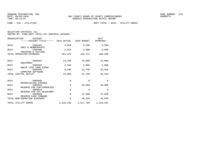|  | SELECTION CRITERIA: ALL |                                                    |  |
|--|-------------------------|----------------------------------------------------|--|
|  |                         | SORTED BY: FUND, DEPT TOTAL, 1ST SUBTOTAL, ACCOUNT |  |

| ORGANIZATION | <b>ACCOUNT</b><br>------ACCOUNT TITLE------ 2015 ACTUAL 2016 BUDGET |           |          | 2017<br>APPROVED    |
|--------------|---------------------------------------------------------------------|-----------|----------|---------------------|
| 0524         | 5305402<br><b>DUES &amp; MEMBERSHIPS</b>                            | 2,828     | 3,550    | 4,380               |
| 0524         | 5305406<br>TRAINING & TUITION                                       | 2,914     | 5,800    | 5,800               |
|              | TOTAL OPERATING EXPENSES                                            | 351,476   | 445,372  | 486,038             |
| 0524         | 5606401                                                             | 13,340    | 18,000   | 15,000              |
| 0524         | EQUIPMENT<br>5606402                                                | 3,349     | 2,000    | 2,000               |
| 0524         | EQUIP LESS THAN \$1000<br>5606450<br>COMPUTER SOFTWARE              | 8,205     | 11,700   | 33,918              |
|              | TOTAL CAPITAL OUTLAY                                                | 24,894    | 31,700   | 50,918              |
| 0524         | 5905998                                                             | 0         | $\Omega$ | $\Omega$            |
| 0524         | DEPRECIATION EXPENSE<br>5909910<br>RESERVE FOR CONTINGENCIES        | 0         | 25,960   | 28,000              |
| 0524         | 5909915<br>RESERVE FOR PAY ADJUSTMNT                                | 0         | $\Omega$ | $\Omega$            |
| 0524         | 5909999<br>RESERVE-CASH FORWARD                                     | 0         | 12,360   | 21,640              |
|              | TOTAL NON-OPERATING EXPENSES                                        | 0         | 38,320   | 49,640              |
|              | TOTAL UTILITY ADMIN                                                 | 1,319,436 |          | 1,517,769 1,518,531 |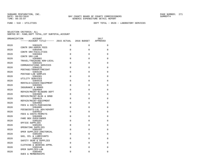FUND − 510 − UTILITIES DEPT TOTAL − 0528 − LABORATORY SERVICES

| ORGANIZATION | <b>ACCOUNT</b>                                    |          |          | 2017        |
|--------------|---------------------------------------------------|----------|----------|-------------|
|              | ------ACCOUNT TITLE------ 2015 ACTUAL 2016 BUDGET |          |          | APPROVED    |
| 0528         | 5303425                                           | $\Omega$ | $\Omega$ | $\mathbf 0$ |
|              | CONTR SRV-ADMIN FEES                              |          |          |             |
| 0528         | 5303446<br>CONTR SRV-FACILITIES                   | $\Omega$ | $\Omega$ | $\mathbf 0$ |
| 0528         | 5303464<br>CONTR SRV-LAB                          | $\Omega$ | $\Omega$ | $\mathbf 0$ |
| 0528         | 5304001                                           | $\Omega$ | $\Omega$ | $\Omega$    |
| 0528         | TRAVEL/TRAINING NON-LOCAL<br>5304101              | $\Omega$ | $\Omega$ | $\Omega$    |
| 0528         | COMMUNICATIONS SERVICES<br>5304125                | $\Omega$ | $\Omega$ | $\Omega$    |
|              | POSTAGE/TRANSP/FREIGHT                            |          |          |             |
| 0528         | 5304130<br>POSTAGE-LAB SAMPLES                    | $\Omega$ | $\Omega$ | $\Omega$    |
| 0528         | 5304301                                           | $\Omega$ | $\Omega$ | $\mathbf 0$ |
| 0528         | UTILITY SERVICES<br>5304410                       | $\Omega$ | $\Omega$ | $\mathbf 0$ |
| 0528         | RENTALS/LEASES-EOUIPMENT<br>5304501               | $\Omega$ | $\Omega$ | 0           |
| 0528         | INSURANCE & BONDS<br>5304604                      | $\Omega$ | $\Omega$ | $\Omega$    |
| 0528         | REPAIR/MAINT-BLD&GRD DEPT<br>5304605              | $\Omega$ | $\Omega$ | $\Omega$    |
|              | REPAIR/MAINT-BLDG & GRND                          |          |          |             |
| 0528         | 5304615<br>REPAIR/MAINT-EQUIPMENT                 | $\Omega$ | $\Omega$ | $\mathbf 0$ |
| 0528         | 5304902<br>FEES & COSTS-PURCHASING                | $\Omega$ | $\Omega$ | $\mathbf 0$ |
| 0528         | 5304905                                           | $\Omega$ | $\Omega$ | $\Omega$    |
| 0528         | FEES&COSTS-LGL ADV/ADVERT<br>5304922              | $\Omega$ | $\Omega$ | $\mathbf 0$ |
| 0528         | FEES & COSTS-PERMITS<br>5304989                   | $\Omega$ | $\Omega$ | 0           |
| 0528         | FARE BOX OVER/UNDER<br>5305101                    | $\Omega$ | $\Omega$ | $\Omega$    |
|              | OFFICE SUPPLIES                                   |          |          |             |
| 0528         | 5305201<br>OPERATING SUPPLIES                     | $\Omega$ | $\Omega$ | $\Omega$    |
| 0528         | 5305202<br>OPER SUPPLIES-JANITORIAL               | $\Omega$ | $\Omega$ | 0           |
| 0528         | 5305205<br>GAS, OIL & LUBRICANTS                  | $\Omega$ | $\Omega$ | $\Omega$    |
| 0528         | 5305210                                           | $\Omega$ | $\Omega$ | $\Omega$    |
| 0528         | SAFETY GEAR & SUPPLIES<br>5305215                 | $\Omega$ | $\Omega$ | $\Omega$    |
| 0528         | CLOTHING & WEARING APPRL<br>5305240               | $\Omega$ | $\Omega$ | $\mathbf 0$ |
|              | OPER SUPPLIES-LAB                                 |          |          |             |
| 0528         | 5305402<br>DUES & MEMBERSHIPS                     | $\Omega$ | $\Omega$ | $\Omega$    |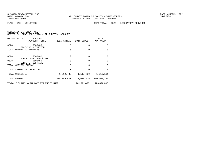FUND − 510 − UTILITIES DEPT TOTAL − 0528 − LABORATORY SERVICES

| SELECTION CRITERIA: ALL |  |  |                                                    |  |
|-------------------------|--|--|----------------------------------------------------|--|
|                         |  |  | SORTED BY: FUND, DEPT TOTAL, 1ST SUBTOTAL, ACCOUNT |  |

| TOTAL COUNTY WITH AWT EXPENDITURES                             | 281.572.075 | 298.638.606 |                  |
|----------------------------------------------------------------|-------------|-------------|------------------|
| TOTAL REPORT                                                   | 238,889,587 | 273,039,615 | 290,005,749      |
| TOTAL UTILITIES                                                | 1,319,436   | 1,517,769   | 1,518,531        |
| TOTAL LABORATORY SERVICES                                      | 0           | 0           | O                |
| TOTAL CAPITAL OUTLAY                                           | $\Omega$    | 0           | $\Omega$         |
| EOUIP LESS THAN \$1000<br>0528<br>5606450<br>COMPUTER SOFTWARE | 0           | 0           | $\Omega$         |
| 0528<br>5606402                                                | 0           | 0           | $\Omega$         |
| TRAINING & TUITION<br>TOTAL OPERATING EXPENSES                 | 0           | 0           | $\Omega$         |
| 0528<br>5305406                                                | $\Omega$    | 0           | 0                |
| ORGANIZATION<br>ACCOUNT<br>------ACCOUNT TITLE------           | 2015 ACTUAL | 2016 BUDGET | 2017<br>APPROVED |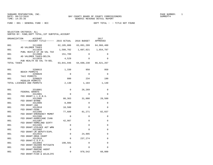FUND − 001 − GENERAL FUND − BCC DEPT TOTAL − − TITLE NOT FOUND

SELECTION CRITERIA: ALL

SORTED BY: FUND,DEPT TOTAL,1ST SUBTOTAL,ACCOUNT

| ORGANIZATION | <b>ACCOUNT</b>                                |             |                       | 2017<br>APPROVED |
|--------------|-----------------------------------------------|-------------|-----------------------|------------------|
| 001          | 3111000                                       |             | 62,105,006 63,091,209 | 64,966,480       |
| 001          | AD VALOREM TAXES<br>3111010                   | 1,580,702   | 1,607,021             | 1,654,787        |
| 001          | PUBL HEATLH UT AD VAL TAX<br>3112000          | 151,709     | $\Omega$              | 0                |
| 001          | AD VALOREM TAXES-DELIN.<br>3112010            | 4,529       | $\Omega$              | $\Omega$         |
| TOTAL TAXES  | PUB HEALTH AD VAL TX-DEL                      | 63,841,946  | 64,698,230            | 66,621,267       |
|              |                                               |             |                       |                  |
| 001          | 3290015<br>BEACH PERMITS                      | 1,330       | 950                   | 950              |
| 001          | 3290020<br>TAXI PERMITS                       | $\Omega$    | $\Omega$              | $\Omega$         |
| 001          | 3290025                                       | 800         | 234                   | 190              |
|              | PEDDLER PERMITS<br>TOTAL LICENSES AND PERMITS | 2,130       | 1,184                 | 1,140            |
|              |                                               |             |                       |                  |
| 001          | 3310001<br>FEDERAL GRANTS                     | 0           | 26,269                | 0                |
| 001          | 3312001<br>FED GRANT-L.L.E.B.G.               | $\mathbf 0$ | $\mathbf 0$           | $\mathbf 0$      |
| 001          | 3312005<br>FED GRANT-BYRNE                    | 80,363      | 31,000                | 28,500           |
| 001          | 3312006<br>FED GRANT-JAG                      | 8,000       | $\Omega$              | 0                |
| 001          | 3312010<br>FED GRANT-FEMA                     | 18,500      | 0                     | 0                |
| 001          | 3312305                                       | 77,689      | 81,271                | 82,037           |
| 001          | FED GRANT-EMERGENCY MGMNT<br>3312306          | $\mathbf 0$ | 0                     | $\mathbf 0$      |
| 001          | FED GRANT-HURRICANE IVAN<br>3312307           | 42,987      | 0                     | 0                |
| 001          | FED GRANT-HOMELAND SCRTY<br>3312401           | $\Omega$    | $\Omega$              | 0                |
| 001          | FED GRANT-VIOLNCE AGT WMN<br>3312402          | $\Omega$    | 0                     | 0                |
| 001          | FED GRANT-JR DEPUTY/EXPL<br>3312915           | $\mathbf 0$ | 24,995                | 0                |
| 001          | FED GRANT-DRUG COURT<br>3312916               | $\Omega$    | 237,274               | 0                |
| 001          | FED GRANT-C.O.P.S.<br>3313903                 | 198,581     | 0                     | $\mathbf 0$      |
|              | FED GRANT-HAZARD MITIGATN                     | $\Omega$    | $\Omega$              | $\Omega$         |
| 001          | 3313905<br>FED GRANT-MARINE AGENT             |             |                       |                  |
| 001          | 3313912<br>FED GRANT-FISH & WILDLIFE          | $\Omega$    | 978,542               | 60,000           |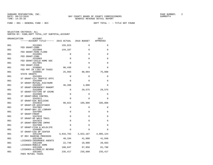FUND − 001 − GENERAL FUND − BCC DEPT TOTAL − − TITLE NOT FOUND

| ORGANIZATION | ACCOUNT                              |             |             | 2017      |
|--------------|--------------------------------------|-------------|-------------|-----------|
|              |                                      |             |             | APPROVED  |
| 001          | 3315001                              | 155,823     | $\Omega$    | $\Omega$  |
| 001          | FED GRANT-CDBG<br>3315009            | 144,187     | $\Omega$    | $\Omega$  |
| 001          | FED GRANT-FEMA FLOOD<br>3316901      | 0           | $\mathbf 0$ | 0         |
| 001          | FED GRANT-CSBG<br>3316903            | $\mathbf 0$ | $\Omega$    | $\Omega$  |
| 001          | FED GRANT-CHILD HOME SOC<br>3317001  | $\Omega$    | $\Omega$    | $\Omega$  |
| 001          | FED GRANT-PIER<br>3330001            | 96,438      | $\Omega$    | $\Omega$  |
| 001          | FED PMT IN LIEU OF TAXES<br>3340001  | 25,993      | 98,094      | 75,000    |
| 001          | STATE GRANTS<br>3341001              | $\mathbf 0$ | $\mathbf 0$ | 0         |
| 001          | ST GRANT-CIV TRAFFIC OFFC<br>3342006 | $\Omega$    | $\Omega$    | $\Omega$  |
| 001          | ST GRANT-MUTUAL AID/HURR<br>3342007  | 36,208      | 4,000       | $\Omega$  |
| 001          | ST GRANT-EMERGENCY MANGMT<br>3342008 | 0           | 29,575      | 29,575    |
| 001          | ST GRANT-VICTIMS OF CRIME<br>3342009 | 0           | $\mathbf 0$ | 0         |
| 001          | ST GRANT-DRUG CONTROL<br>3342011     | 0           | $\Omega$    | $\Omega$  |
| 001          | ST GRANT-EOC BUILDING<br>3342016     | 98,822      | 105,806     | 105,806   |
| 001          | ST GRANT-EM ASSISTANCE<br>3347001    | 0           | $\Omega$    | $\Omega$  |
| 001          | ST GRANT-BAY CO LIBRARY<br>3347005   | $\Omega$    | $\Omega$    | $\Omega$  |
| 001          | ST GRANT-FRDAP<br>3347010            | $\mathbf 0$ | $\Omega$    | $\Omega$  |
|              | ST GRANT-HP WALK TRAIL               |             |             |           |
| 001          | 3347015<br>ST GRANT-BOATING IMPRV    | $\Omega$    | $\Omega$    | $\Omega$  |
| 001          | 3347906<br>ST GRANT-FISH & WILDLIFE  | $\mathbf 0$ | $\mathbf 0$ | $\Omega$  |
| 001          | 3349005<br>ST GRANT-CSS OP CENTER    | $\Omega$    | $\Omega$    | $\Omega$  |
| 001          | 3351200<br>ST REV SHARING PROCEEDS   | 3,916,783   | 3,822,187   | 4,005,124 |
| 001          | 3351300<br>LICENSES-INSURANCE AGENTS | 40,194      | 41,800      | 41,848    |
| 001          | 3351400<br>LICENSES-MOBILE HOME      | 22,748      | 19,000      | 20,663    |
| 001          | 3351500<br>LICENSES-ALCOHOLIC BEVRGE | 100,847     | 97,850      | 81,790    |
| 001          | 3351601<br>PARI MUTUEL TAXES         | 235,417     | 235,600     | 235,417   |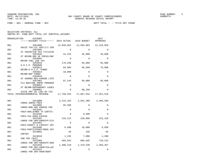FUND − 001 − GENERAL FUND − BCC DEPT TOTAL − − TITLE NOT FOUND

SELECTION CRITERIA: ALL

SORTED BY: FUND,DEPT TOTAL,1ST SUBTOTAL,ACCOUNT

| ORGANIZATION | ACCOUNT<br>------ACCOUNT TITLE------ 2015 ACTUAL 2016 BUDGET      |            |                               | 2017<br>APPROVED |
|--------------|-------------------------------------------------------------------|------------|-------------------------------|------------------|
| 001          | 3351800                                                           |            |                               | 12,510,959       |
| 001          | SALES TAX-LCL GOV/1/2 CEN<br>3351905                              | $\Omega$   | $\Omega$                      | $\Omega$         |
| 001          | ST INCENTIVE PAY TITLEIVD<br>3351920<br>ST REIMB-SRV OF PRCSS/SHF | 41,224     | 35,000                        | 35,000           |
| 001          | 3354902<br>MOTOR FUEL USE TAX                                     | $\Omega$   | $\Omega$                      | 0                |
| 001          | 3355010<br>S.H.I.P. PROGRAM                                       | 170,450    | 65,000                        | 65,000           |
| 001          | 3355012<br>REIMB-S.H.I.P. FUNDS                                   | 83,904     | 66,500                        | 79,800           |
| 001          | 3355014<br>REIMB-NSP FUNDS                                        | 18,000     | $\Omega$                      | 0                |
| 001          | 3356010<br>ST SHARED REV-CHOOSE LIFE                              | $\Omega$   | $\Omega$                      | $\Omega$         |
| 001          | 3357001<br>FLA BOATING IMPRV PROGRAM                              | 97,244     | 95,000                        | 95,000           |
| 001          | 3359001<br>ST REIMB-DEPENDENCY CASES                              | $\Omega$   | $\Omega$                      | $\Omega$         |
| 001          | 3360001<br>STATE PMT IN LIEU OF TXS                               | 0          | 88,250                        | $\Omega$         |
|              | TOTAL INTERGOVERNMENTAL REVENUE                                   | 17,750,263 | 17,687,016                    | 17,551,519       |
| 001          | 3413000                                                           |            | 2,215,102 2,581,360 2,495,938 |                  |
| 001          | CHRGS ADMIN FEES<br>3413005<br>CHRGS-NON ADV ASSESS FEE           | 65,300     | $\Omega$                      | 0                |
| 001          | 3415101<br>FEES-UNCLAIMED TX CERTIF.                              | $\Omega$   | $\Omega$                      | 0                |
| 001          | 3415105<br>FEES-TAX DEED EXCESS                                   | $\Omega$   | 9,500                         | $\Omega$         |
| 001          | 3415201<br>CHRGS FOR SRV/SHERIFF/CIV                              | 216,212    | 228,000                       | 222,159          |
| 001          | 3415401<br>FEES-COUNTY & CIRCUIT CRT                              | $\Omega$   | $\Omega$                      | 0                |
| 001          | 3415406                                                           | 6,588      | 10,000                        | 6,650            |
|              | FEES-PARTICIPANT/DRUG CRT                                         |            |                               |                  |
| 001          | 3419002<br>COPIES                                                 | 20         | 150                           | 95               |
| 001          | 3419010<br><b>VAB FEE (\$15)</b>                                  | 1,245      | 7,000                         | 1,300            |
| 001          | 3421005<br>CHRGS FOR SRV-SHERIFF/SRO                              | 693,842    |                               | 685,045 720,232  |
| 001<br>001   | 3421010<br>CHRGS FOR SRV-SHER/CALLWY<br>3421012                   | 0          | 1,406,219 1,476,530<br>0      | 1,550,357<br>0   |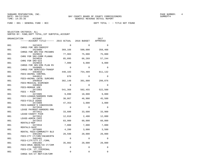SUNGARD PENTAMATION, INC.<br>
BAY COUNTY BOARD OF COUNTY COMMISSIONERS AND SUNREPT4 SUMREPT4

| ORGANIZATION | ACCOUNT<br>------ACCOUNT TITLE------ 2015 ACTUAL 2016 BUDGET |             |             | 2017<br>APPROVED |
|--------------|--------------------------------------------------------------|-------------|-------------|------------------|
| 001          | 3421015                                                      | $\Omega$    | $\Omega$    | $\Omega$         |
| 001          | CHRGS FOR SRV-SHERIFF<br>3423000                             | 369,166     | 500,000     | 358,488          |
| 001          | CHRGS FOR SRV-FED PRISNRS<br>3429015                         | 77,903      | 75,000      | 75,000           |
| 001          | CHRG FOR SRV-COMM PLANNG<br>3429016<br>CHRG FOR SRV-GIS      | 85,095      | 66,269      | 57,244           |
| 001          | 3429018<br>CHRGS FOR SRV-EMG PLAN RV                         | 7,000       | 9,000       | 9,000            |
| 001          | 3449005<br>CHRGS FOR SERVICES-TRANSP                         | $\mathbf 0$ | $\Omega$    | $\Omega$         |
| 001          | 3464010<br>FEES-ANIMAL CONTROL                               | 440,183     | 754,489     | 811,132          |
| 001          | 3464012<br>FEES-ANIMAL CNTRL SURCHRG                         | 670         | 0           | 0                |
| 001          | 3469010<br>FEES-MEDICAL EXAMINER                             | 302,148     | 301,880     | 299,876          |
| 001          | 3469020<br>FEES-MORGUE USE                                   | $\Omega$    | $\Omega$    | $\Omega$         |
| 001          | 3472903<br>FEES - PIER                                       | 541,368     | 502,455     | 522,500          |
| 001          | 3472905<br>FEES-LEAGUE/HARDERS PARK                          | 9,090       | 18,800      | 9,000            |
| 001          | 3472907<br>FEES-FIELD USAGE                                  | 30,867      | 46,900      | 45,500           |
| 001          | 3472909<br>FEES-HARDER'S CONCESSION                          | 47,353      | 3,000       | 3,000            |
| 001          | 3472910<br>LEASE PAYMENT-HARDERS PRK                         | $\mathbf 0$ | $\mathbf 0$ | 0                |
| 001          | 3472911<br>LEASE-COUNTY PIER                                 | 33,600      | 33,600      | 33,900           |
| 001          | 3472912<br>LEASE-ADMIN CAFE                                  | 12,018      | 2,400       | 12,000           |
| 001          | 3472915<br>RENTALS-NSP                                       | 83,900      | 60,000      | 60,000           |
| 001          | 3472916<br>RENTALS-SHIP                                      | 7,800       | 7,800       | 7,800            |
| 001          | 3475905<br>RENTAL FEES-COMMUNITY BLD                         | 4,200       | 3,000       | 3,500            |
| 001          | 3481303<br>FEES-CTY CT/CRM/INCARCRTN                         | 20,598      | 20,000      | 20,000           |
| 001          | 3481401<br>FEES-CJTF/CTY.CT./CRML                            | $\mathbf 0$ | $\mathbf 0$ | 0                |
| 001          | 3481402<br>FEES-DRUG ABUSE/CO CT/CRM                         | 35,882      | 20,000      | 20,000           |
| 001          | 3482201<br>FEES-CIR. CT./CRIMINAL                            | $\Omega$    | $\Omega$    | $\Omega$         |
| 001          | 3482305<br>CHRGS SVC-CT REP/CIR/CRM                          | $\Omega$    | 0           | $\Omega$         |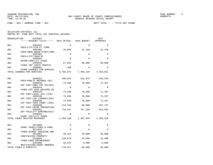FUND − 001 − GENERAL FUND − BCC DEPT TOTAL − − TITLE NOT FOUND

| ORGANIZATION<br><b>ACCOUNT</b><br>------ACCOUNT TITLE------ 2015 ACTUAL |             | 2016 BUDGET | 2017<br>APPROVED |
|-------------------------------------------------------------------------|-------------|-------------|------------------|
| 001<br>3482401                                                          | $\Omega$    | $\Omega$    | $\Omega$         |
| FEES-CJTF/CIR.CT./CRML                                                  |             |             |                  |
| 001<br>3482402<br>FEES-DRUG ABUSE/CIRCT/CRM                             | 15,064      | 12,150      | 12,150           |
| 001<br>3485401                                                          | 0           | $\Omega$    | $\Omega$         |
| FEES-CJTF/TRAFFIC<br>001<br>3486501                                     | $\mathbf 0$ | $\Omega$    | 0                |
| REIMB-CONFLICT CASES                                                    |             |             |                  |
| 001<br>3489315<br>FINES CRT COSTS-TRAFFIC                               | 57,661      | 60,000      | 60,000           |
| 001<br>3490001                                                          | $-420$      | $\Omega$    | 0                |
| OTHER CHARGES FOR SERVICE<br>TOTAL CHARGES FOR SERVICES                 | 6,785,673   | 7,494,328   | 7,416,821        |
|                                                                         |             |             |                  |
| 001<br>3489201                                                          | 340,832     | 332,975     | 345,519          |
| FEES-PUBLIC RECORDS (\$2)<br>001<br>3489310                             | 73,630      | 70,000      | 71,357           |
| CRT COST-INNV CRT PG(25%)<br>001<br>3489314                             | $\Omega$    | $\Omega$    | $\Omega$         |
| FINES CRT COST-DRIVERS ED                                               |             |             |                  |
| 001<br>3489320<br>CRT COST-LEGAL AID (25%)                              | 73,630      | 70,000      | 71,357           |
| 001<br>3489330                                                          | 73,630      | 70,000      | 71,357           |
| CRT COST-LAW LIBRARY (25%)<br>001<br>3489340                            | 73,630      | 70,000      | 71,357           |
| CRT COST-TEEN COURT (25%)                                               |             |             |                  |
| 001<br>3489390<br>CRT COST-CRIME PREVENTION                             | 113,418     | 96,900      | 107,747          |
| 001<br>3489501                                                          | 710,337     | 757,150     | 619,832          |
| CRT FACILITY SURCHRG(\$15)<br>001<br>3489504                            | $\Omega$    | $\Omega$    | $\Omega$         |
| COURT FACILITY FUNDS<br>TOTAL COURT RELATED REVENUES                    | 1,459,109   | 1,467,025   | 1,358,526        |
|                                                                         |             |             |                  |
| 001<br>3511000                                                          | 0           | 0           | 0                |
| COURT CASES-FINES & FORE.                                               |             |             |                  |
| 001<br>3511010<br>FINES-SCHOOL CROSSING GRD                             | $\Omega$    | $\Omega$    | $\Omega$         |
| 001<br>3512001                                                          | 39,327      | 45,000      | 40,000           |
| CONFISCATED PROPERTY<br>001<br>3540005                                  | 120,619     | 10,000      | 10,000           |
| FINES-CODE ENFORCEMENT                                                  |             |             |                  |
| 001<br>3591000<br>RESTITUTION-COURT ORDERED                             | 10,072      | 5,000       | 5,000            |
| TOTAL FINES & FORFEITS                                                  | 170,017     | 60,000      | 55,000           |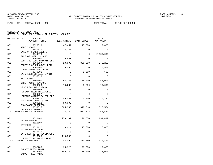| ORGANIZATION | ACCOUNT                                             |             |             | 2017<br>APPROVED  |
|--------------|-----------------------------------------------------|-------------|-------------|-------------------|
| 001          | 3620010                                             | 47,457      | 15,000      | 19,000            |
| 001          | RENT INCOME<br>3640010<br>SALE OF FIXED ASSETS      | 28,343      | $\Omega$    | $\Omega$          |
| 001          | 3649018<br>SALE OF SURPLUS LAND                     | $\mathbf 0$ | $\mathbf 0$ | 2,900,000         |
| 001          | 3660001<br>CONTRIBUTIONS-PRIVATE SRC                | 15,481      | $\Omega$    | $\Omega$          |
| 001          | 3660007<br>CONTRIB-OTHER GOVT UNITS                 | 10,095      | 300,000     | 276,263           |
| 001          | 3660100<br>DONATION-ANIMAL CNTRL                    | 6,594       | 0           | 6,500             |
| 001          | 3670001<br>GAIN/LOSS ON SALE INVSTMT                | $\mathbf 0$ | 1,500       | 500               |
| 001          | 3693010<br><b>SETTLEMENT</b>                        | $\mathbf 0$ | $\Omega$    | 0                 |
| 001          | 3699001<br>OTHER MISC REVENUE                       | 55,758      | 58,000      | 58,000            |
| 001          | 3699003<br>MISC REV-LAW LIBRARY                     | 10,662      | 8,500       | 10,000            |
| 001          | 3699004<br>REFUND PRIOR YR EXPENSE                  | 86          | $\Omega$    | $\Omega$          |
| 001          | 3699007<br>HOUSING AUTHORITY PGM FEE                | $\Omega$    | $\Omega$    | $\Omega$          |
| 001          | 3699010<br>TELEPHONE COMMISSIONS                    | 406,530     | 250,000     | 575,744           |
| 001          | 3699012<br>INSURANCE PROCEEDS                       | 50,000      | $\Omega$    | $\Omega$          |
| 001          | 3699015<br>CHARGES ATTORNEY                         | 305,336     | 319,518     | 322,534           |
|              | TOTAL MISCELLANEOUS REVENUE                         | 936,342     |             | 952,518 4,168,541 |
| 001          | 3611100<br>INTEREST-POOL                            | 259,197     | 198,550     | 294,499           |
| 001          | 3611107<br>INTEREST                                 | $\Omega$    | $\Omega$    | $\Omega$          |
| 001          | 3611112<br>INTEREST-MORTGAGE                        | 28,014      | 15,000      | 25,000            |
| 001          | 3611120<br>INTEREST-NOTES RECEIVABLE                | $\Omega$    | $\Omega$    | $\mathbf 0$       |
| 001          | 3613005<br>UNREALZD GAIN/LOSS INVEST                | 116,883     | $\Omega$    | $\Omega$          |
|              | TOTAL INTEREST EARNINGS                             | 404,094     | 213,550     | 319,499           |
| 001          | 3632705                                             | 35,328      | 29,000      | 29,000            |
| 001          | IMPACT FEES-LIBRARY<br>3632707<br>IMPACT FEES-PARKS | 140,182     | 115,000     | 115,000           |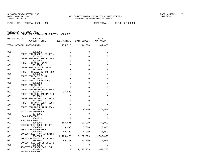FUND − 001 − GENERAL FUND − BCC DEPT TOTAL − − TITLE NOT FOUND

| ORGANIZATION | ACCOUNT<br>------ACCOUNT TITLE------ 2015 ACTUAL 2016 BUDGET |             |                               | 2017<br>APPROVED        |
|--------------|--------------------------------------------------------------|-------------|-------------------------------|-------------------------|
|              | TOTAL SPECIAL ASSESSMENTS                                    | 175,510     |                               | 144,000 144,000         |
| 001          | 3810001<br>TRNSF FRM GENERAL FD(001)                         | 0           | 0                             | $\Omega$                |
| 001          | 3810130                                                      | $\Omega$    | $\Omega$                      | $\Omega$                |
| 001          | TRNSF FRM PUB SAFETY(130)<br>3810167                         | $\mathbf 0$ | 0                             | 0                       |
| 001          | TRNSF FRM MSBU (167)<br>3810303                              | $\mathbf 0$ | $\mathbf{0}$                  | $\mathbf 0$             |
| 001          | TRNSF FRM SALES TX 2002<br>3810304                           | $\mathbf 0$ | $\mathbf{0}$                  | $\mathbf 0$             |
| 001          | TRNSF FRM JAIL 06 BND PRJ<br>3810305                         | $\Omega$    | $\Omega$                      | $\Omega$                |
|              | TRNSF FRM CAP IMP 07                                         |             |                               |                         |
| 001          | 3810380<br>TRNSF FRM C G GEN FUND                            | $\Omega$    | 0                             | $\Omega$                |
| 001          | 3810383<br>TRNSF FRM CG CRA                                  | $\Omega$    | $\Omega$                      | $\Omega$                |
| 001          | 3810430<br>TRNSF FRM SOLID WSTE(430)                         | $\Omega$    | $\Omega$                      | $\Omega$                |
| 001          | 3810440                                                      | 27,680      | 0                             | $\Omega$                |
| 001          | TRNSF FRM BLDG SAFETY-440<br>3810501                         | $\mathbf 0$ | $\mathbf{0}$                  | $\mathbf 0$             |
| 001          | TRNSF FRM INTRNL SVC(501)<br>3810505                         | $\mathbf 0$ | $\mathbf{0}$                  | $\mathbf 0$             |
| 001          | TRNSF FRM WORK COMP (505)<br>3810506                         | $\Omega$    | $\Omega$                      | $\Omega$                |
| 001          | TRNSF FRM INSUR TRST(506)<br>3830001                         | 312         | 6,200                         | 170,900                 |
| 001          | PRINCIPAL-MORTGAGE<br>3840005                                | $\mathbf 0$ | $\mathbf 0$                   | $\Omega$                |
|              | LOAN PROCEEDS                                                |             |                               |                         |
| 001          | 3840010<br><b>BOND PROCEEDS</b>                              | $\Omega$    | $\Omega$                      | $\Omega$                |
| 001          | 3862000<br>EXCESS FEES-CLERK OF CRT                          | 154,631     | 30,000                        | 30,000                  |
| 001          | 3864000<br>EXCESS FEES-SHERIFF                               | 9,998       | 5,000                         | 5,000                   |
| 001          | 3866000<br>EXCESS FEES-PROP APPRAISR                         | 50,223      | 5,000                         | 5,000                   |
| 001          | 3867000                                                      |             | 2,138,476 2,100,000 2,000,000 |                         |
| 001          | EXCESS FEES-TAX COLLECTOR<br>3868000                         |             | 90,730 20,000                 | 20,000                  |
| 001          | EXCESS FEES-SUP OF ELECTN<br>3899995                         | $\mathbf 0$ | $\Omega$                      | $\Omega$                |
| 001          | RESERVE RELEASE-CASH FWD<br>3899996<br>RESERVE RELEASE       | 0           |                               | 1, 172, 959 1, 463, 778 |
|              |                                                              |             |                               |                         |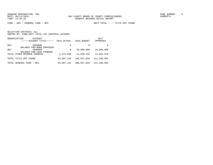FUND − 001 − GENERAL FUND − BCC DEPT TOTAL − − TITLE NOT FOUND

|     | ORGANIZATION<br>ACCOUNT<br>------ACCOUNT TITLE------    | 2015 ACTUAL | 2016 BUDGET | 2017<br>APPROVED |
|-----|---------------------------------------------------------|-------------|-------------|------------------|
| 001 | 3899998                                                 | 0           | 0           | <sup>0</sup>     |
| 001 | BALANCE FWD-BOND PROCEEDS<br>3899999                    | 0           | 10,500,000  | 10,000,000       |
|     | BALANCE FWD-CASH FORWARD<br>TOTAL OTHER REVENUE SOURCES | 2,472,050   | 13,839,159  | 13,694,678       |
|     | TOTAL TITLE NOT FOUND                                   | 93,997,134  | 106,557,010 | 111,330,991      |
|     | TOTAL GENERAL FUND - BCC                                | 93,997,134  | 106,557,010 | 111,330,991      |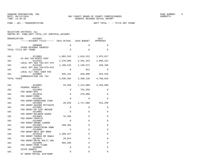| ORGANIZATION | <b>ACCOUNT</b><br>------ACCOUNT TITLE------ 2015 ACTUAL           |             | 2016 BUDGET  | 2017<br>APPROVED |
|--------------|-------------------------------------------------------------------|-------------|--------------|------------------|
| 101          | 3800000                                                           | $\Omega$    | $\Omega$     | $\Omega$         |
|              | OTHER REVENUE SOURCES<br>TOTAL TITLE NOT FOUND                    | 0           | $\Omega$     | $\Omega$         |
| 101          | 3123001<br>CO GAS TAX-NINTH CENT                                  | 1,082,533   | 1,016,313    | 1,076,017        |
| 101          | 3124101                                                           | 2,378,886   | 2,281,343    | 1,898,322        |
| 101          | LOCAL OPT GAS TAX/1ST-4TH<br>3124102<br>LOCAL OPT GAS TAX/5TH-6TH | 1,189,443   | 1,140,672    | 949,160          |
| 101          | 3124201                                                           | 0           | 912          | 0                |
| 101          | LOCAL ALT FUEL USER FEE<br>3150001                                | 945,441     | 929,898      | 844,520          |
| TOTAL TAXES  | COMMUNICATION SVC TAX                                             | 5,596,302   | 5,369,138    | 4,768,019        |
| 101          | 3310001                                                           | 34,948      | 1,213,000    | 2,336,000        |
| 101          | FEDERAL GRANTS<br>3312003                                         | $\Omega$    | 753,350      | 0                |
| 101          | FED GRANT-EPA<br>3312010                                          | $\Omega$    | 270,000      | $\Omega$         |
| 101          | FED GRANT-FEMA<br>3312306                                         | $\mathbf 0$ | $\Omega$     | $\Omega$         |
|              | FED GRANT-HURRICANE IVAN                                          |             |              |                  |
| 101          | 3313903<br>FED GRANT-HAZARD MITIGATN                              | 20,829      | 1,717,000    | 422,250          |
| 101          | 3314901<br>FED GRANT-CR 2297 BRIDGE                               | $\Omega$    | $\Omega$     | 0                |
| 101          | 3314902<br>FED GRANT-BALDWIN WIDEN                                | 0           | $\Omega$     | 0                |
| 101          | 3314903                                                           | 32,402      | $\mathbf 0$  | 0                |
| 101          | FED GRANT-TRAFFIC<br>3314905                                      | $\Omega$    | $\Omega$     | 0                |
| 101          | FED GRANT-GRAND LAGOON<br>3314907                                 | 260,384     | 0            | 0                |
| 101          | FED GRANT-PEDESTRIAN SDWK<br>3314909                              | 0           | $\mathbf 0$  | 0                |
|              | FED GRANT-WEST BAY BRDG                                           |             |              |                  |
| 101          | 3314910<br>FED GRANT-THOMAS DR SDWLK                              | 1,398,327   | $\Omega$     | 0                |
| 101          | 3314911<br>FED GRANT-MG/DL MULTI USE                              | 20,814      | 0            | 0                |
| 101          | 3315009<br>FED GRANT-FEMA FLOOD                                   | 965,595     | $\mathbf 0$  | 0                |
| 101          | 3340001                                                           | 0           | $\mathbf{0}$ | 0                |
| 101          | STATE GRANTS<br>3342006<br>ST GRANT-MUTUAL AID/HURR               | 0           | $\Omega$     | 0                |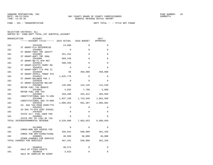FUND − 101 − TRANSPORTATION DEPT TOTAL − − TITLE NOT FOUND

| ORGANIZATION | ACCOUNT<br>------ACCOUNT TITLE------ 2015 ACTUAL 2016 BUDGET  |                  |                               | 2017<br>APPROVED |
|--------------|---------------------------------------------------------------|------------------|-------------------------------|------------------|
| 101          | 3343106                                                       | 14,890           | $\Omega$                      | $\Omega$         |
| 101          | ST GRANT-FLA ENTERPRISE<br>3344902                            | $\Omega$         | $\Omega$                      | $\Omega$         |
| 101          | ST GRANT-FDOT TRF SAFETY<br>3344903<br>ST GRANT-ADPT TRF SGNL | 451,251          | $\mathbf 0$                   | $\Omega$         |
| 101          | 3344908<br>ST GRANT-NW FL WTR MGT                             | 669,248          | $\Omega$                      | $\Omega$         |
| 101          | 3344913<br>ST GRANT-SCOTTS FERRY RD                           | 580,348          | $\Omega$                      | $\Omega$         |
| 101          | 3344918<br>ST GRANT-ADPT T/S PHS II                           | 0                | $\mathbf 0$                   | 0                |
| 101          | 3344920<br>ST GRANT-INTELL TRNSP SYS                          | 56               | 450,000                       | 450,000          |
| 101          | 3344922<br>ST GRANT-BALDWIN PHS 3                             | 1,625,778        | $\Omega$                      | $\Omega$         |
| 101          | 3345020<br>ST GRANT-DISASTER RELIEF                           | $\Omega$         | $\Omega$                      | $\Omega$         |
| 101          | 3354901<br>MOTOR FUEL TAX REBATE                              | 145,865          | 144,145                       | 141,549          |
| 101<br>101   | 3354902<br>MOTOR FUEL USE TAX<br>3354905                      | 4,935<br>459,288 | 7,790<br>433,412              | 5,000<br>465,650 |
| 101          | CONSTITUTIONAL GAS TX-20%<br>3354906                          |                  | 1,837,150 1,733,649 1,862,599 |                  |
| 101          | CONSTITUTIONAL GAS TX-80%<br>3354910                          | 1,006,852        | 961,307                       | 1,005,801        |
| 101          | CO. GAS TAX-POUR OVER/7TH<br>3354915                          | 0                | $\mathbf 0$                   | $\Omega$         |
| 101          | CO GAS TX-9TH CENT DIESEL<br>3354920                          | $\Omega$         | $\Omega$                      | $\Omega$         |
| 101          | STATE ALT. FUEL USER FEE<br>3360001                           | $\Omega$         | $\Omega$                      | $\Omega$         |
|              | STATE PMT IN LIEU OF TXS<br>TOTAL INTERGOVERNMENTAL REVENUE   | 9,528,960        | 7,683,653 6,688,849           |                  |
| 101          | 3413005<br>CHRGS-NON ADV ASSESS FEE                           | $\Omega$         | $\Omega$                      | $\Omega$         |
| 101          | 3449010<br>CHRGS FOR SRV-SIGNS/SIGNL                          | 356,842          | 500,000                       | 461,258          |
| 101          | 3490001<br>OTHER CHARGES FOR SERVICE                          | 40,589           | 50,000                        | 40,000           |
|              | TOTAL CHARGES FOR SERVICES                                    | 397,432          | 550,000                       | 501,258          |
| 101          | 3640010                                                       | 40,574           | $\mathbf 0$                   | 0                |
| 101          | SALE OF FIXED ASSETS<br>3659010<br>SALE OF SURPLUS OR SCRAP   | 3,623            | $\Omega$                      | $\Omega$         |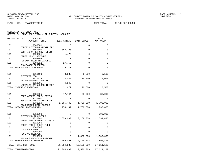|     | ORGANIZATION<br>ACCOUNT<br>------ACCOUNT TITLE------ 2015 ACTUAL |             | 2016 BUDGET | 2017<br>APPROVED    |
|-----|------------------------------------------------------------------|-------------|-------------|---------------------|
| 101 | 3660001                                                          | 0           | 0           | 0                   |
| 101 | CONTRIBUTIONS-PRIVATE SRC<br>3660007                             | 352,700     | $\Omega$    | $\Omega$            |
| 101 | CONTRIB-OTHER GOVT UNITS<br>3699001                              | 1,472       | $\Omega$    | $\Omega$            |
| 101 | OTHER MISC REVENUE<br>3699004                                    | $\mathbf 0$ | 0           | 0                   |
| 101 | REFUND PRIOR YR EXPENSE<br>3699012                               | 17,753      | 0           | 0                   |
|     | INSURANCE PROCEEDS<br>TOTAL MISCELLANEOUS REVENUE                | 416,122     | 0           | 0                   |
| 101 | 3611100                                                          | 8,986       | 6,500       | 6,500               |
| 101 | INTEREST-POOL<br>3611135                                         | 18,042      | 14,000      | 14,000              |
| 101 | INTEREST-PART. PAVING<br>3613005                                 | 4,949       | 0           | 0                   |
|     | UNREALZD GAIN/LOSS INVEST<br>TOTAL INTEREST EARNINGS             | 31,977      | 20,500      | 20,500              |
|     |                                                                  |             |             |                     |
| 101 | 3631005<br>SPEC ASSESS-PART. PAVING                              | 77,744      | 38,000      | 38,000              |
| 101 | 3631007<br>MSBU-ADMINISTRATIVE FEES                              | $\Omega$    | $\Omega$    | $\Omega$            |
| 101 | 3631010<br>STORMWATER UTIL ASSESS                                | 1,696,443   | 1,700,000   | 1,700,000           |
|     | TOTAL SPECIAL ASSESSMENTS                                        | 1,774,187   | 1,738,000   | 1,738,000           |
| 101 | 3810000<br>INTERFUND TRANSFERS                                   | $\Omega$    | 0           | 300,000             |
| 101 | 3810001<br>TRNSF FRM GENERAL FD(001)                             | 3,650,000   | 3,169,038   | 12,594,496          |
| 101 | 3810380<br>TRNSF FRM C G GEN FUND                                | $\Omega$    | $\Omega$    | 0                   |
| 101 | 3840005                                                          | 0           | $\Omega$    | 0                   |
| 101 | <b>LOAN PROCEEDS</b><br>3899996                                  | 0           | $\Omega$    | $\Omega$            |
| 101 | RESERVE RELEASE<br>3899999                                       | $\mathbf 0$ |             | 1,000,000 1,000,000 |
|     | BALANCE FWD-CASH FORWARD<br>TOTAL OTHER REVENUE SOURCES          | 3,650,000   | 4,169,038   | 13,894,496          |
|     | TOTAL TITLE NOT FOUND                                            | 21,394,980  | 19,530,329  | 27,611,122          |
|     | TOTAL TRANSPORTATION                                             | 21,394,980  | 19,530,329  | 27,611,122          |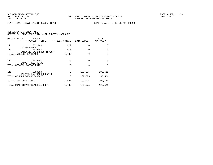FUND − 111 − ROAD IMPACT−BEACH/AIRPORT DEPT TOTAL − − TITLE NOT FOUND

|     | ORGANIZATION<br><b>ACCOUNT</b><br>------ACCOUNT TITLE------ | 2015 ACTUAL | 2016 BUDGET | 2017<br>APPROVED |
|-----|-------------------------------------------------------------|-------------|-------------|------------------|
| 111 | 3611100<br>INTEREST-POOL                                    | 922         | $\Omega$    | $\Omega$         |
| 111 | 3613005<br>UNREALZD GAIN/LOSS INVEST                        | 515         | $\Omega$    | $\Omega$         |
|     | TOTAL INTEREST EARNINGS                                     | 1,437       | $\Omega$    | $\Omega$         |
| 111 | 3632401<br>IMPACT FEES-ROADS                                | 0           | $\Omega$    | $\Omega$         |
|     | TOTAL SPECIAL ASSESSMENTS                                   | $\Omega$    | $\Omega$    | $\Omega$         |
| 111 | 3899999<br>BALANCE FWD-CASH FORWARD                         | 0           | 189,075     | 190,521          |
|     | TOTAL OTHER REVENUE SOURCES                                 | $\mathbf 0$ | 189,075     | 190,521          |
|     | TOTAL TITLE NOT FOUND                                       | 1,437       | 189,075     | 190,521          |
|     | TOTAL ROAD IMPACT-BEACH/AIRPORT                             | 1,437       | 189,075     | 190,521          |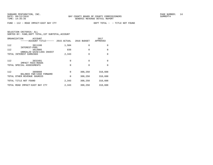FUND − 112 − ROAD IMPACT−EAST BAY CTY DEPT TOTAL − − TITLE NOT FOUND

| ORGANIZATION                   | ACCOUNT<br>------ACCOUNT TITLE------ | 2015 ACTUAL | 2016 BUDGET | 2017<br>APPROVED |
|--------------------------------|--------------------------------------|-------------|-------------|------------------|
| 112<br>INTEREST-POOL           | 3611100                              | 1,504       | $\Omega$    | $\Omega$         |
| 112                            | 3613005<br>UNREALZD GAIN/LOSS INVEST | 839         | $\Omega$    | $\Omega$         |
| TOTAL INTEREST EARNINGS        |                                      | 2,343       | $\Omega$    | $\Omega$         |
| 112<br>IMPACT FEES-ROADS       | 3632401                              | 0           | $\Omega$    | $\Omega$         |
| TOTAL SPECIAL ASSESSMENTS      |                                      | $\Omega$    | 0           | $\Omega$         |
| 112                            | 3899999<br>BALANCE FWD-CASH FORWARD  | 0           | 308,250     | 310,608          |
| TOTAL OTHER REVENUE SOURCES    |                                      | 0           | 308,250     | 310,608          |
| TOTAL TITLE NOT FOUND          |                                      | 2,343       | 308,250     | 310,608          |
| TOTAL ROAD IMPACT-EAST BAY CTY |                                      | 2,343       | 308,250     | 310,608          |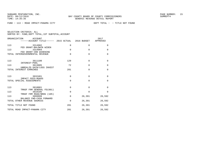FUND − 113 − ROAD IMPACT−PANAMA CITY DEPT TOTAL − − TITLE NOT FOUND

| ORGANIZATION<br>ACCOUNT<br>------ACCOUNT TITLE------ 2015 ACTUAL 2016 BUDGET |             |          | 2017<br>APPROVED |
|------------------------------------------------------------------------------|-------------|----------|------------------|
| 113<br>3314902                                                               | 0           | 0        | $\Omega$         |
| FED GRANT-BALDWIN WIDEN<br>113<br>3314904                                    | $\Omega$    | $\Omega$ | $\Omega$         |
| FED GRANT-390 WIDENING<br>TOTAL INTERGOVERNMENTAL REVENUE                    | $\Omega$    | $\Omega$ | $\Omega$         |
|                                                                              |             |          |                  |
| 113<br>3611100<br>INTEREST-POOL                                              | 129         | $\Omega$ | $\Omega$         |
| 113<br>3613005                                                               | 72          | $\Omega$ | $\Omega$         |
| UNREALZD GAIN/LOSS INVEST<br>TOTAL INTEREST EARNINGS                         | 201         | $\Omega$ | $\Omega$         |
| 113<br>3632401                                                               | $\mathbf 0$ | $\Omega$ | $\Omega$         |
| IMPACT FEES-ROADS<br>TOTAL SPECIAL ASSESSMENTS                               | $\Omega$    | $\Omega$ | $\Omega$         |
| 113<br>3810001                                                               | 0           | $\Omega$ | $\Omega$         |
| TRNSF FRM GENERAL FD(001)<br>113<br>3810105<br>TRNSF FRM ROAD/BRDG (105)     | $\Omega$    | $\Omega$ | $\Omega$         |
| 113<br>3899999                                                               | $\Omega$    | 26,391   | 26,592           |
| BALANCE FWD-CASH FORWARD<br>TOTAL OTHER REVENUE SOURCES                      | $\Omega$    | 26,391   | 26,592           |
| TOTAL TITLE NOT FOUND                                                        | 201         | 26,391   | 26,592           |
| TOTAL ROAD IMPACT-PANAMA CITY                                                | 201         | 26,391   | 26,592           |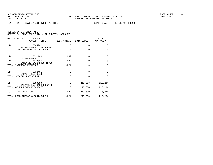FUND − 114 − ROAD IMPACT−S.PORT/S.HILL DEPT TOTAL − − TITLE NOT FOUND

| SELECTION CRITERIA: ALL |  |  |                                                    |  |
|-------------------------|--|--|----------------------------------------------------|--|
|                         |  |  | SORTED BY: FUND, DEPT TOTAL, 1ST SUBTOTAL, ACCOUNT |  |

| ORGANIZATION<br>ACCOUNT<br>------ACCOUNT TITLE------ 2015 ACTUAL 2016 BUDGET |          |              | 2017<br>APPROVED |
|------------------------------------------------------------------------------|----------|--------------|------------------|
| 114<br>3344902<br>ST GRANT-FDOT TRF SAFETY                                   | 0        | 0            | 0                |
| TOTAL INTERGOVERNMENTAL REVENUE                                              | $\Omega$ | $\Omega$     | $\Omega$         |
| 114<br>3611100<br>INTEREST-POOL                                              | 1,042    | $\mathbf{0}$ | $\mathbf 0$      |
| 114<br>3613005<br>UNREALZD GAIN/LOSS INVEST                                  | 582      | $\Omega$     | $\mathbf 0$      |
| TOTAL INTEREST EARNINGS                                                      | 1,624    | $\Omega$     | $\Omega$         |
| 114<br>3632401                                                               | $\Omega$ | $\Omega$     | $\Omega$         |
| IMPACT FEES-ROADS<br>TOTAL SPECIAL ASSESSMENTS                               | $\Omega$ | $\Omega$     | $\Omega$         |
| 114<br>3899999                                                               | $\Omega$ | 213,600      | 215,234          |
| BALANCE FWD-CASH FORWARD<br>TOTAL OTHER REVENUE SOURCES                      | $\Omega$ | 213,600      | 215,234          |
| TOTAL TITLE NOT FOUND                                                        | 1,624    | 213,600      | 215,234          |
| TOTAL ROAD IMPACT-S.PORT/S.HILL                                              | 1,624    | 213,600      | 215,234          |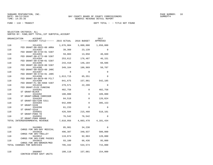FUND − 118 − TRANSIT DEPT TOTAL − − TITLE NOT FOUND

| ORGANIZATION | <b>ACCOUNT</b>                                    |           |           | 2017                |
|--------------|---------------------------------------------------|-----------|-----------|---------------------|
|              | ------ACCOUNT TITLE------ 2015 ACTUAL 2016 BUDGET |           |           | APPROVED            |
| 118          | 3314201<br>FED GRANT-96-X022-00 ARRA              | 1,676,904 | 3,000,000 | 1,650,000           |
| 118          | 3314202                                           | 39,360    | 23,139    | $\Omega$            |
| 118          | FED GRANT-90-X744-01 5307<br>3314203              | 59,003    | 13,058    | 40,669              |
| 118          | FED GRANT-90-X772-00 5307<br>3314204              | 253,612   | 176,487   | 46,151              |
| 118          | FED GRANT-90-X796-01 5307<br>3314205              | 243,418   | 146,184   | 60,686              |
| 118          | FED GRANT-90-X829-00 5307<br>3314206              | 349,164   | 186,969   | 50,707              |
| 118          | FED GRANT-90-X823-00 JARC<br>3314207              | $\Omega$  | $\Omega$  | 0                   |
| 118          | FED GRANT-90-X743-01 JARC<br>3314208              | 1,013,715 | 65,351    | $\Omega$            |
| 118          | FED GRANT-04-0078-00 FCLT<br>3314209              | 841,675   | 157,981   | 542,185             |
| 118          | FED GRANT-FL-90-X868 5307<br>3314210              | 279,571   | 22,299    | $\Omega$            |
| 118          | FED GRANT-FLEX FUNDING<br>3344201                 | 482,758   | 0         | 482,758             |
| 118          | ST GRANT-BLOCK<br>3344202                         | 180,000   | $\Omega$  | 189,000             |
| 118          | ST GRANT-URBAN CORRIDOR<br>3344203                | 84,518    | $\Omega$  | 126,024             |
|              | ST GRANT-SECTION 5311                             |           |           |                     |
| 118          | 3344204<br>ST GRANT-5339                          | 942,899   | $\Omega$  | 395,153             |
| 118          | 3344206<br>ST GRANT-5310                          | 61,233    | $\Omega$  | $\Omega$            |
| 118          | 3345031<br>ST GRANT-PARA TD                       | 426,584   | 215,460   | 518,101             |
| 118          | 3345032<br>ST GRANT-PARA ARA68                    | 76,542    | 76,542    | $\Omega$            |
|              | TOTAL INTERGOVERNMENTAL REVENUE                   | 7,010,956 |           | 4,083,470 4,101,434 |
| 118          | 3443001                                           | 85,981    | 34,238    | $\Omega$            |
| 118          | CHRGS FOR SRV-BAY MEDICAL<br>3443010              | 496,387   | 340,937   | 500,000             |
| 118          | CHRGS FOR SRV-TROLLEY<br>3443012                  | 119,874   | 92,963    | 120,000             |
|              | CHRGS FOR SRV-FARE PASSES                         |           |           |                     |
| 118          | 3443015<br>CHRGS FOR SRV-BROKER/MED               | 93,100    | 66,436    | 95,000              |
|              | TOTAL CHARGES FOR SERVICES                        | 795,342   | 534,574   | 715,000             |
| 118          | 3660007<br>CONTRIB-OTHER GOVT UNITS               | 180,118   | 157,081   | 154,000             |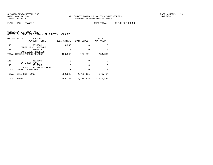|     | ORGANIZATION<br>ACCOUNT<br>------ACCOUNT TITLE------   | 2015 ACTUAL | 2016 BUDGET | 2017<br>APPROVED |
|-----|--------------------------------------------------------|-------------|-------------|------------------|
| 118 | 3699001                                                | 3,830       | $\Omega$    | $\Omega$         |
| 118 | OTHER MISC<br>REVENUE<br>3699012<br>INSURANCE PROCEEDS | 0           | $\Omega$    | $\Omega$         |
|     | TOTAL MISCELLANEOUS REVENUE                            | 183,948     | 157,081     | 154,000          |
| 118 | 3611100                                                | 0           | $\Omega$    | $\Omega$         |
| 118 | INTEREST-POOL<br>3613005                               | 0           | $\Omega$    | $\Omega$         |
|     | UNREALZD GAIN/LOSS INVEST<br>TOTAL INTEREST EARNINGS   | 0           | $\Omega$    | $\Omega$         |
|     | TOTAL TITLE NOT FOUND                                  | 7,990,245   | 4,775,125   | 4,970,434        |
|     | TOTAL TRANSIT                                          | 7,990,245   | 4,775,125   | 4,970,434        |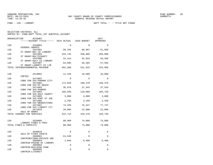FUND − 120 − LIBRARY DEPT TOTAL − − TITLE NOT FOUND

| ORGANIZATION<br>ACCOUNT<br>------ACCOUNT TITLE------ 2015 ACTUAL 2016 BUDGET |         |          | 2017<br>APPROVED |
|------------------------------------------------------------------------------|---------|----------|------------------|
| 120<br>3310001                                                               | 0       | $\Omega$ | $\Omega$         |
| FEDERAL GRANTS<br>120<br>3347001                                             | 50,335  | 60,997   | 61,899           |
| ST GRANT-BAY CO LIBRARY<br>120<br>3347003                                    | 334,745 | 350,000  | 350,000          |
| ST GRANT-MULTICOUNTY<br>120<br>3347006                                       | 52,413  | 52,553   | 56,366           |
| ST GRANT-GULF CO LIBRARY<br>120<br>3347007                                   | 64,095  | 58,365   | 57,593           |
| ST GRANT-LIBERTY CO LIB<br>TOTAL INTERGOVERNMENTAL REVENUE                   | 501,588 | 521,915  | 525,858          |
| 120<br>3419002                                                               | 11,193  | 10,000   | 10,000           |
| COPIES<br>120<br>3471001                                                     | 0       | 0        | 0                |
| CHRG FOR SVC-PANAMA CITY<br>120<br>3471002                                   | 171,029 | 169,470  | 169,470          |
| CHRG FOR SVC-PC BEACH<br>120<br>3471003                                      | 35,976  | 37,343   | 37,543           |
| CHRG FOR SVC-PARKER<br>120<br>3471004                                        | 105,930 | 110,060  | 104,720          |
| CHRG FOR SVC-GULF COUNTY<br>120<br>3471005                                   | 3,000   | 3,000    | 3,000            |
| CHRG FOR SVC-PORT ST JOE<br>120<br>3471006                                   | 2,250   | 2,250    | 2,250            |
| CHRG FOR SVC-WEWAHITCHKA<br>120<br>3471007                                   | 73,329  | 75,347   | 77,747           |
| CHRG FOR SVC-LIBERTY CTY<br>120<br>3471010                                   | 20,005  | 22,000   | 22,000           |
| SALE OF BOOKS<br>TOTAL CHARGES FOR SERVICES                                  | 422,713 | 429,470  | 426,730          |
| 120<br>3520005                                                               | 80,969  | 74,000   | 74,000           |
| LIBRARY FINES & FEES<br>TOTAL FINES & FORFEITS                               | 80,969  | 74,000   | 74,000           |
| 120<br>3640010                                                               | 0       | $\Omega$ | 0                |
| SALE OF FIXED ASSETS<br>120<br>3660001                                       | 61,636  | $\Omega$ | 0                |
| CONTRIBUTIONS-PRIVATE SRC<br>120<br>3660003                                  | 1,846   | 6,400    | 6,400            |
| CONTRIB-FRIEND OF LIBRARY<br>120<br>3660004                                  | 0       | $\Omega$ | 0                |
| CONTRIB-BUILDING FUND<br>120<br>3660005<br>CONTRIB-LITERACY                  | 0       | 0        | 0                |
|                                                                              |         |          |                  |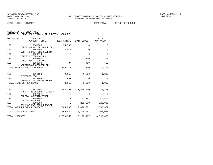| ORGANIZATION          | <b>ACCOUNT</b><br>----ACCOUNT TITLE------ 2015 ACTUAL   |             | 2016 BUDGET  | 2017<br>APPROVED |
|-----------------------|---------------------------------------------------------|-------------|--------------|------------------|
| 120                   | 3660008                                                 | 35,508      | 0            | $\mathbf 0$      |
| 120                   | CONTRIB-PRVT SRC-GULF CO<br>3660009                     | 6,410       | $\Omega$     | $\mathbf 0$      |
| 120                   | CONTRIB-PRVT SRC-LIBERTY<br>3660010                     | $\Omega$    | $\Omega$     | $\Omega$         |
| 120                   | CONTRIBUTIONS-OTHER<br>3699001                          | 775         | 300          | 300              |
| 120                   | OTHER MISC REVENUE<br>3699030                           | 404         | 400          | 400              |
|                       | VENDING/CONCESSION REV<br>TOTAL MISCELLANEOUS REVENUE   | 106,579     | 7,100        | 7,100            |
| 120                   | 3611100<br>INTEREST-POOL                                | 2,159       | 1,000        | 1,000            |
| 120                   | 3613005<br>UNREALZD GAIN/LOSS INVEST                    | 951         | $\mathbf{0}$ | $\mathbf 0$      |
| TOTAL                 | INTEREST EARNINGS                                       | 3,110       | 1,000        | 1,000            |
| 120                   | 3810001                                                 | 1,545,000   | 1,545,000    | 1,785,418        |
| 120                   | TRNSF FRM GENERAL FD(001)<br>3897001                    | $\Omega$    | $\Omega$     | $\Omega$         |
| 120                   | CAPITAL CONTRIB-OTHER<br>3899996                        | $\Omega$    | 282,982      | 46,861           |
| 120                   | RESERVE RELEASE<br>3899999                              | $\mathbf 0$ | 265,000      | 226,098          |
|                       | BALANCE FWD-CASH FORWARD<br>TOTAL OTHER REVENUE SOURCES | 1,545,000   | 2,092,982    | 2,058,377        |
| TOTAL TITLE NOT FOUND |                                                         | 2,659,959   | 3,126,467    | 3,093,065        |
| TOTAL LIBRARY         |                                                         | 2,659,959   | 3,126,467    | 3,093,065        |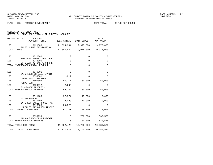FUND − 125 − TOURIST DEVELOPMENT DEPT TOTAL − − TITLE NOT FOUND

SELECTION CRITERIA: ALL

|     | ORGANIZATION<br>ACCOUNT<br>------ACCOUNT TITLE------ 2015 ACTUAL |              | 2016 BUDGET | 2017<br>APPROVED |
|-----|------------------------------------------------------------------|--------------|-------------|------------------|
| 125 | 3121000                                                          | 11,095,944   | 9,975,000   | 9,975,000        |
|     | SALES & USE TAX-TOURISM<br>TOTAL TAXES                           | 11,095,944   | 9,975,000   | 9,975,000        |
| 125 | 3312306                                                          | $\Omega$     | $\mathbf 0$ | $\mathbf 0$      |
| 125 | FED GRANT-HURRICANE IVAN<br>3342006                              | $\mathbf 0$  | $\mathbf 0$ | $\Omega$         |
|     | ST GRANT-MUTUAL AID/HURR<br>TOTAL INTERGOVERNMENTAL REVENUE      | $\mathbf 0$  | $\Omega$    | $\mathbf 0$      |
| 125 | 3670001                                                          | $\Omega$     | $\Omega$    | $\Omega$         |
| 125 | GAIN/LOSS ON SALE INVSTMT<br>3699001                             | 1,017        | $\Omega$    | $\mathbf 0$      |
| 125 | OTHER MISC REVENUE<br>3699005                                    | 65,717       | 50,000      | 50,000           |
| 125 | PENALTIES<br>3699012                                             | 2,608        | $\Omega$    | $\Omega$         |
|     | INSURANCE PROCEEDS<br>TOTAL MISCELLANEOUS REVENUE                | 69,342       | 50,000      | 50,000           |
| 125 | 3611100<br>INTEREST-POOL                                         | 37,374       | 15,000      | 15,000           |
| 125 | 3611108<br>INTEREST-SALES & USE TAX                              | 9,438        | 10,000      | 10,000           |
| 125 | 3613005<br>UNREALZD GAIN/LOSS INVEST                             | 20,326       | $\Omega$    | $\Omega$         |
|     | TOTAL INTEREST EARNINGS                                          | 67,137       | 25,000      | 25,000           |
| 125 | 3899999                                                          | $\mathbf 0$  | 700,000     | 530,526          |
|     | BALANCE FWD-CASH FORWARD<br>TOTAL OTHER REVENUE SOURCES          | $\Omega$     | 700,000     | 530,526          |
|     | TOTAL TITLE NOT FOUND                                            | 11,232,423   | 10,750,000  | 10,580,526       |
|     | TOTAL TOURIST DEVELOPMENT                                        | 11, 232, 423 | 10,750,000  | 10,580,526       |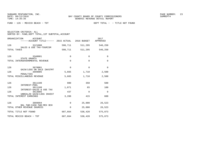SUNGARD PENTAMATION, INC.  $23$ 

FUND − 126 − MEXICO BEACH − TDT DEPT TOTAL − − TITLE NOT FOUND

SELECTION CRITERIA: ALLSORTED BY: FUND,DEPT TOTAL,1ST SUBTOTAL,ACCOUNT

ORGANIZATION ACCOUNT 2017 −−−−−−ACCOUNT TITLE−−−−−− 2015 ACTUAL 2016 BUDGET APPROVED126 3121000 598,711 511,295 546,250 SALES & USE TAX−TOURISMTOTAL TAXES 698,711 511,295 546,250 126 3340001 0 0 0 0 STATE GRANTS TOTAL INTERGOVERNMENTAL REVENUE 0 0 0 126 3670001 0 0 0 GAIN/LOSS ON SALE INVSTMT3699005 126 3699005 5,665 1,710 2,500 PENALTIES TOTAL MISCELLANEOUS REVENUE 5,665 1,710 2,500 126 3611100 980 350 500 INTEREST−POOL3611108 126 3611108 1,871 65 100 INTEREST−SALES & USE TAX126 3613005 437 0 0 UNREALZD GAIN/LOSS INVESTTOTAL INTEREST EARNINGS 3,288 415 600 126 3899994 0 25,000 26,523 BAL FWD−CASH FWD−MEX BCHTOTAL OTHER REVENUE SOURCES  $0$  25,000 26,523 TOTAL TITLE NOT FOUND 607,664 538,420 575,873 TOTAL MEXICO BEACH − TDT 607,664 538,420 575,873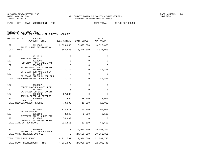FUND − 127 − BEACH NOURISHMENT − TDC DEPT TOTAL − − TITLE NOT FOUND

SELECTION CRITERIA: ALL

| ORGANIZATION<br><b>ACCOUNT</b><br>------ACCOUNT TITLE------ 2015 ACTUAL |             | 2016 BUDGET | 2017<br>APPROVED |
|-------------------------------------------------------------------------|-------------|-------------|------------------|
| 127<br>3121000                                                          | 3,698,648   | 3,325,000   | 3,325,000        |
| SALES & USE TAX-TOURISM<br>TOTAL TAXES                                  | 3,698,648   | 3,325,000   | 3,325,000        |
| 127<br>3312010                                                          | 0           | 0           | 0                |
| FED GRANT-FEMA<br>127<br>3312306                                        | 0           | 0           | 0                |
| FED GRANT-HURRICANE IVAN<br>127<br>3342006                              | $\Omega$    | $\Omega$    | $\Omega$         |
| ST GRANT-MUTUAL AID/HURR<br>127<br>3345001                              | 37,179      | $\mathbf 0$ | 40,895           |
| ST GRANT-BCH NOURISHMENT<br>127<br>3345002                              | $\mathbf 0$ | $\Omega$    | $\Omega$         |
| ST GRANT-CARILLON BCH PRJ<br>TOTAL INTERGOVERNMENTAL REVENUE            | 37,179      | 0           | 40,895           |
| 127<br>3660007                                                          | 0           | $\Omega$    | 0                |
| CONTRIB-OTHER GOVT UNITS<br>127<br>3670001                              | 0           | $\mathbf 0$ | 0                |
| GAIN/LOSS ON SALE INVSTMT<br>127<br>3699004                             | 57,003      | $\Omega$    | 0                |
| REFUND PRIOR YR EXPENSE<br>127<br>3699005                               | 21,906      | 19,000      | 19,000           |
| PENALTIES<br>TOTAL MISCELLANEOUS REVENUE                                | 78,909      | 19,000      | 19,000           |
|                                                                         |             |             |                  |
| 127<br>3611100<br>INTEREST-POOL                                         | 138,911     | 60,000      | 60,000           |
| 127<br>3611108<br>INTEREST-SALES & USE TAX                              | 3,146       | 2,500       | 2,500            |
| 127<br>3613005<br>UNREALZD GAIN/LOSS INVEST                             | 74,800      | 0           | $\Omega$         |
| TOTAL INTEREST EARNINGS                                                 | 216,856     | 62,500      | 62,500           |
| 127<br>3899999                                                          | 0           | 24,500,000  | 29, 352, 351     |
| BALANCE FWD-CASH FORWARD<br>TOTAL OTHER REVENUE SOURCES                 | $\Omega$    | 24,500,000  | 29, 352, 351     |
| TOTAL TITLE NOT FOUND                                                   | 4,031,592   | 27,906,500  | 32,799,746       |
| TOTAL BEACH NOURISHMENT - TDC                                           | 4,031,592   | 27,906,500  | 32,799,746       |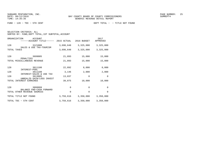SELECTION CRITERIA: ALL

| ORGANIZATION<br>ACCOUNT<br>-ACCOUNT TITLE------         | 2015 ACTUAL | 2016 BUDGET | 2017<br>APPROVED |
|---------------------------------------------------------|-------------|-------------|------------------|
| 128<br>3121000                                          | 3,698,648   | 3,325,000   | 3,325,000        |
| SALES & USE TAX-TOURISM<br>TOTAL TAXES                  | 3,698,648   | 3,325,000   | 3,325,000        |
| 128<br>3699005<br>PENALTIES                             | 21,893      | 15,000      | 15,000           |
| TOTAL MISCELLANEOUS REVENUE                             | 21,893      | 15,000      | 15,000           |
| 128<br>3611100<br>INTEREST-POOL                         | 22,892      | 8,000       | 8,000            |
| 128<br>3611108                                          | 3,146       | 2,000       | 2,000            |
| INTEREST-SALES & USE TAX<br>128<br>3613005              | 13,037      | $\Omega$    | $\mathbf 0$      |
| UNREALZD GAIN/LOSS INVEST<br>INTEREST EARNINGS<br>TOTAL | 39,075      | 10,000      | 10,000           |
| 128<br>3899999                                          | 0           | $\Omega$    | $\Omega$         |
| BALANCE FWD-CASH FORWARD<br>TOTAL OTHER REVENUE SOURCES | $\Omega$    | $\Omega$    | $\Omega$         |
| TOTAL TITLE NOT FOUND                                   | 3,759,616   | 3,350,000   | 3,350,000        |
| TOTAL TDC - 5TH CENT                                    | 3,759,616   | 3,350,000   | 3,350,000        |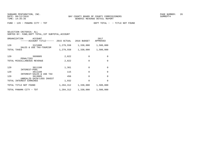| SELECTION CRITERIA: ALL |                          |                                                  |  |
|-------------------------|--------------------------|--------------------------------------------------|--|
| $\sim$                  | $\overline{\phantom{a}}$ | $\sim$ $\sim$ $\sim$ $\sim$ $\sim$ $\sim$ $\sim$ |  |

| ORGANIZATION<br>ACCOUNT<br>------ACCOUNT TITLE------    | 2015 ACTUAL | 2016 BUDGET | 2017<br>APPROVED |
|---------------------------------------------------------|-------------|-------------|------------------|
| 129<br>3121000<br>SALES & USE TAX-TOURISM               | 1,279,558   | 1,330,000   | 1,500,000        |
| TOTAL TAXES                                             | 1,279,558   | 1,330,000   | 1,500,000        |
| 129<br>3699005                                          | 2,822       | $\Omega$    | $\Omega$         |
| PENALTIES<br>TOTAL MISCELLANEOUS REVENUE                | 2,822       | $\Omega$    | $\Omega$         |
| 129<br>3611100                                          | 1,361       | $\Omega$    | $\Omega$         |
| INTEREST-POOL<br>129<br>3611108                         | 115         | $\Omega$    | $\Omega$         |
| INTEREST-SALES & USE TAX<br>129<br>3613005              | 456         | $\Omega$    | $\Omega$         |
| UNREALZD GAIN/LOSS INVEST<br>INTEREST EARNINGS<br>TOTAL | 1,932       | $\Omega$    | $\Omega$         |
| TOTAL TITLE NOT FOUND                                   | 1,284,312   | 1,330,000   | 1,500,000        |
| TOTAL PANAMA CITY - TDT                                 | 1,284,312   | 1,330,000   | 1,500,000        |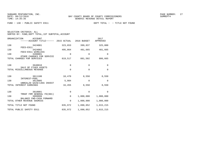FUND − 130 − PUBLIC SAFETY E911 DEPT TOTAL − − TITLE NOT FOUND

SELECTION CRITERIA: ALL

| ORGANIZATION<br>ACCOUNT<br>------ACCOUNT TITLE------ 2015 ACTUAL |             | 2016 BUDGET | 2017<br>APPROVED |
|------------------------------------------------------------------|-------------|-------------|------------------|
| 130<br>3424001<br>FEES-E911                                      | 323,653     | 399,837     | 325,000          |
| 130<br>3424002<br>FEES-E911 WIRELESS                             | 495,864     | 481,665     | 481,665          |
| 130<br>3490001<br>OTHER CHARGES FOR SERVICE                      | 0           | $\mathbf 0$ | $\Omega$         |
| TOTAL CHARGES FOR SERVICES                                       | 819,517     | 881,502     | 806,665          |
| 130<br>3640010<br>SALE OF FIXED ASSETS                           | $\mathbf 0$ | $\mathbf 0$ | $\mathbf 0$      |
| TOTAL MISCELLANEOUS REVENUE                                      | 0           | $\mathbf 0$ | $\mathbf 0$      |
| 130<br>3611100<br>INTEREST-POOL                                  | 10,470      | 8,550       | 8,550            |
| 130<br>3613005<br>UNREALZD GAIN/LOSS INVEST                      | 5,984       | $\mathbf 0$ | $\Omega$         |
| INTEREST EARNINGS<br>TOTAL                                       | 16,455      | 8,550       | 8,550            |
| 130<br>3810001<br>TRNSF FRM GENERAL FD(001)                      | $\mathbf 0$ | $\mathbf 0$ | $\Omega$         |
| 130<br>3899999                                                   | $\Omega$    | 1,000,000   | 1,000,000        |
| BALANCE FWD-CASH FORWARD<br>TOTAL OTHER REVENUE SOURCES          | 0           | 1,000,000   | 1,000,000        |
| TOTAL TITLE NOT FOUND                                            | 835,972     | 1,890,052   | 1,815,215        |
| TOTAL PUBLIC SAFETY E911                                         | 835,972     | 1,890,052   | 1,815,215        |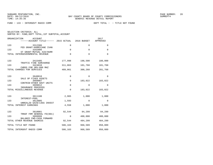FUND − 133 − INTERGOVT RADIO COMM DEPT TOTAL − − TITLE NOT FOUND

| ORGANIZATION<br>ACCOUNT<br>------ACCOUNT TITLE------ 2015 ACTUAL       |             | 2016 BUDGET | 2017<br>APPROVED |
|------------------------------------------------------------------------|-------------|-------------|------------------|
| 133<br>3312306                                                         | $\mathbf 0$ | $\Omega$    | $\mathbf 0$      |
| FED GRANT-HURRICANE IVAN<br>133<br>3342006<br>ST GRANT-MUTUAL AID/HURR | $\Omega$    | $\Omega$    | $\Omega$         |
| TOTAL INTERGOVERNMENTAL REVENUE                                        | $\Omega$    | $\Omega$    | $\Omega$         |
| 133<br>3415405                                                         | 177,998     | 198,500     | 180,000          |
| TRAFFIC FINE SURCHARGE<br>133<br>3424010                               | 311,063     | 101,768     | 101,768          |
| CHRGS FOR SRV-800 MHZ<br>TOTAL CHARGES FOR SERVICES                    | 489,061     | 300,268     | 281,768          |
| 133<br>3640010                                                         | $\mathbf 0$ | $\Omega$    | $\Omega$         |
| SALE OF FIXED ASSETS<br>133<br>3660007                                 | $\mathbf 0$ | 183,022     | 183,022          |
| CONTRIB-OTHER GOVT UNITS<br>133<br>3699012                             | $\Omega$    | $\Omega$    | $\Omega$         |
| INSURANCE PROCEEDS<br>TOTAL MISCELLANEOUS REVENUE                      | $\mathbf 0$ | 183,022     | 183,022          |
| 133<br>3611100                                                         | 2,965       | 1,000       | 1,000            |
| INTEREST-POOL<br>133<br>3613005                                        | 1,593       | $\Omega$    | $\Omega$         |
| UNREALZD GAIN/LOSS INVEST<br>TOTAL INTEREST EARNINGS                   | 4,558       | 1,000       | 1,000            |
|                                                                        |             |             |                  |
| 133<br>3810001<br>TRNSF FRM GENERAL FD(001)                            | 92,544      | 84,299      | 84,299           |
| 3899999<br>133<br>BALANCE FWD-CASH FORWARD                             | $\mathbf 0$ | 400,000     | 400,000          |
| TOTAL OTHER REVENUE SOURCES                                            | 92,544      | 484,299     | 484,299          |
| TOTAL TITLE NOT FOUND                                                  | 586,163     | 968,589     | 950,089          |
| TOTAL INTERGOVT RADIO COMM                                             | 586,163     | 968,589     | 950,089          |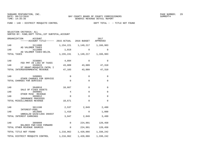FUND − 140 − DISTRICT MOSQUITO CONTROL DEPT TOTAL − − TITLE NOT FOUND

SELECTION CRITERIA: ALL

| ORGANIZATION<br>ACCOUNT<br>------ACCOUNT TITLE------ 2015 ACTUAL |             | 2016 BUDGET | 2017<br>APPROVED        |
|------------------------------------------------------------------|-------------|-------------|-------------------------|
| 140<br>3111000                                                   | 1,154,221   |             | 1, 149, 217 1, 166, 983 |
| AD VALOREM TAXES<br>140<br>3112000                               | 1,019       | 0           | 0                       |
| AD VALOREM TAXES-DELIN.<br>TOTAL TAXES                           | 1,155,241   |             | 1, 149, 217 1, 166, 983 |
| 140<br>3330001                                                   | 4,094       | $\Omega$    | $\Omega$                |
| FED PMT IN LIEU OF TAXES<br>140<br>3346015                       | 43,009      | 43,009      | 47,310                  |
| ST GRANT-MOSQUITO CNTRL I<br>TOTAL INTERGOVERNMENTAL REVENUE     | 47,103      | 43,009      | 47,310                  |
| 140<br>3490001                                                   | 0           | $\mathbf 0$ | 0                       |
| OTHER CHARGES FOR SERVICE<br>TOTAL CHARGES FOR SERVICES          | $\mathbf 0$ | $\Omega$    | $\Omega$                |
| 140<br>3640010                                                   | 10,667      | $\Omega$    | $\Omega$                |
| SALE OF FIXED ASSETS<br>140<br>3699001                           | 4           | 0           | 0                       |
| OTHER MISC REVENUE<br>140<br>3699012                             | $\Omega$    | $\Omega$    | $\Omega$                |
| INSURANCE PROCEEDS<br>TOTAL MISCELLANEOUS REVENUE                | 10,671      | $\Omega$    | $\Omega$                |
| 140<br>3611100                                                   | 2,537       | 2,849       | 2,499                   |
| INTEREST-POOL<br>140<br>3613005                                  | 1,410       | $\Omega$    | 1,000                   |
| UNREALZD GAIN/LOSS INVEST<br>TOTAL INTEREST EARNINGS             | 3,947       | 2,849       | 3,499                   |
| 140<br>3899999                                                   | 0           | 224,991     | 120,450                 |
| BALANCE FWD-CASH FORWARD<br>TOTAL OTHER REVENUE SOURCES          | 0           | 224,991     | 120,450                 |
| TOTAL TITLE NOT FOUND                                            | 1,216,962   |             | 1,420,066 1,338,242     |
| TOTAL DISTRICT MOSQUITO CONTROL                                  | 1,216,962   | 1,420,066   | 1,338,242               |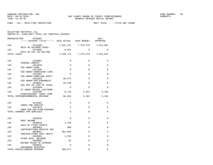FUND − 145 − MSTU−FIRE PROTECTION DEPT TOTAL − − TITLE NOT FOUND

SELECTION CRITERIA: ALL

| ORGANIZATION<br>ACCOUNT<br>------ACCOUNT TITLE------ 2015 ACTUAL 2016 BUDGET APPROVED |          |                               | 2017        |  |
|---------------------------------------------------------------------------------------|----------|-------------------------------|-------------|--|
| 145<br>3111005                                                                        |          | 7,331,151 7,375,279 7,614,687 |             |  |
| MSTU AD VALOREM TAXES<br>145<br>3112005<br>MSTU AD VAL TAX-DELINO                     | 9,624    | $\Omega$                      | $\Omega$    |  |
| TOTAL TAXES                                                                           |          | 7,340,774 7,375,279 7,614,687 |             |  |
| 145<br>3310001                                                                        | $\Omega$ | $\Omega$                      | $\mathbf 0$ |  |
| FEDERAL GRANTS<br>145<br>3312010                                                      | $\Omega$ | $\Omega$                      | $\Omega$    |  |
| FED GRANT-FEMA<br>145<br>3312306                                                      | $\Omega$ | $\Omega$                      | $\Omega$    |  |
| FED GRANT-HURRICANE IVAN<br>145<br>3312307                                            | $\Omega$ | $\Omega$                      | $\Omega$    |  |
| FED GRANT-HOMELAND SCRTY<br>145<br>3316101                                            | 50,473   | 0                             | 0           |  |
| FED GRANT-EMT/PARAMEDIC<br>145<br>3330001                                             | 28,246   | $\Omega$                      | $\Omega$    |  |
| FED PMT IN LIEU OF TAXES<br>145<br>3342006                                            | $\Omega$ | $\Omega$                      | 0           |  |
| ST GRANT-MUTUAL AID/HURR<br>145<br>3352300                                            | 8,143    | 5,101                         | 5,101       |  |
| FIREFIGHTERS' SUPPL COMP<br>TOTAL INTERGOVERNMENTAL REVENUE                           | 86,863   | 5,101                         | 5,101       |  |
| 145<br>3412001                                                                        | 0        | 0                             | 0           |  |
| CHRGS FOR SERVICE<br>145<br>3422014                                                   | $\Omega$ | $\Omega$                      | $\Omega$    |  |
| CHRG FOR SRV-FIRE/CEDARGV<br>TOTAL CHARGES FOR SERVICES                               | $\Omega$ | $\Omega$                      | 0           |  |
|                                                                                       |          |                               |             |  |
| 145<br>3620010<br>RENT INCOME                                                         | $\Omega$ | 0                             | $\mathbf 0$ |  |
| 145<br>3640010<br>SALE OF FIXED ASSETS                                                | 3,750    | $\Omega$                      | $\mathbf 0$ |  |
| 145<br>3660001<br>CONTRIBUTIONS-PRIVATE SRC                                           | 300      | $\mathbf{0}$                  | 0           |  |
| 145<br>3660007<br>CONTRIB-OTHER GOVT UNITS                                            | 381,048  | $\Omega$                      | $\Omega$    |  |
| 145<br>3699001                                                                        | 1,526    | $\Omega$                      | $\mathbf 0$ |  |
| OTHER MISC REVENUE<br>145<br>3699004                                                  | 53       | $\Omega$                      | 0           |  |
| REFUND PRIOR YR EXPENSE<br>145<br>3699012                                             | $\Omega$ | $\Omega$                      | 0           |  |
| INSURANCE PROCEEDS<br>TOTAL MISCELLANEOUS REVENUE                                     | 386,677  | $\Omega$                      | $\mathbf 0$ |  |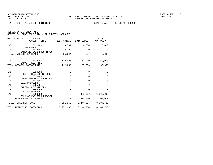FUND − 145 − MSTU−FIRE PROTECTION DEPT TOTAL − − TITLE NOT FOUND

| SELECTION CRITERIA: ALL |  |                                                    |  |
|-------------------------|--|----------------------------------------------------|--|
|                         |  | SORTED BY: FUND, DEPT TOTAL, 1ST SUBTOTAL, ACCOUNT |  |

| ORGANIZATION | ACCOUNT<br>$---ACCOUNT TITLE---2015 ACTUAL 2016 BUDGET$ |        |       | 2017<br>APPROVED |
|--------------|---------------------------------------------------------|--------|-------|------------------|
| 145          | 3611100<br>INTEREST-POOL                                | 16,707 | 4.554 | 5,000            |

| 145 | 3613005                                                         | 8,338     | $\Omega$    | $\Omega$  |
|-----|-----------------------------------------------------------------|-----------|-------------|-----------|
|     | UNREALZD GAIN/LOSS INVEST<br>TOTAL INTEREST EARNINGS            | 25,044    | 4,554       | 5,000     |
| 145 | 3632201<br>IMPACT FEES-FIRE                                     | 112,605   | 60,000      | 60,000    |
|     | TOTAL SPECIAL ASSESSMENTS                                       | 112,605   | 60,000      | 60,000    |
| 145 | 3810303                                                         | 0         | $\Omega$    | $\Omega$  |
| 145 | TRNSF FRM SALES TX 2002<br>3810440<br>TRNSF FRM BLDG SAFETY-440 | $\Omega$  | $\mathbf 0$ | $\Omega$  |
| 145 | 3840005<br>LOAN PROCEEDS                                        | $\Omega$  | $\Omega$    | $\Omega$  |
| 145 | 3895001<br>CAPITAL CONTRIB-FED                                  | 0         | $\Omega$    | $\Omega$  |
| 145 | 3899996<br>RESERVE RELEASE                                      | 0         | $\Omega$    | $\Omega$  |
| 145 | 3899999<br>BALANCE FWD-CASH FORWARD                             | $\Omega$  | 800,000     | 1,000,000 |
|     | TOTAL OTHER REVENUE SOURCES                                     | $\Omega$  | 800,000     | 1,000,000 |
|     | TOTAL TITLE NOT FOUND                                           | 7,951,963 | 8,244,934   | 8,684,788 |
|     | TOTAL MSTU-FIRE PROTECTION                                      | 7,951,963 | 8,244,934   | 8,684,788 |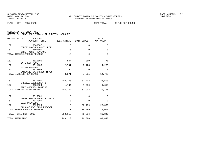| SELECTION CRITERIA: ALL |  |  |                                                    |  |
|-------------------------|--|--|----------------------------------------------------|--|
|                         |  |  | SORTED BY: FUND, DEPT TOTAL, 1ST SUBTOTAL, ACCOUNT |  |

|     | ORGANIZATION<br><b>ACCOUNT</b><br>------ACCOUNT TITLE------ 2015 ACTUAL 2016 BUDGET |             |              | 2017<br>APPROVED |
|-----|-------------------------------------------------------------------------------------|-------------|--------------|------------------|
| 167 | 3660007<br>CONTRIB-OTHER GOVT UNITS                                                 | $\mathbf 0$ | $\mathbf{0}$ | $\mathbf 0$      |
| 167 | 3699001<br>OTHER MISC REVENUE                                                       | 10          | $\mathbf 0$  | $\mathbf 0$      |
|     | TOTAL MISCELLANEOUS REVENUE                                                         | 10          | $\Omega$     | $\Omega$         |
| 167 | 3611100                                                                             | 847         | 380          | 475              |
| 167 | INTEREST-POOL<br>3611136<br>INTEREST-MSBU                                           | 2,761       | 7,125        | 14,250           |
| 167 | 3613005<br>UNREALZD GAIN/LOSS INVEST                                                | 364         | $\mathbf 0$  | $\Omega$         |
|     | TOTAL INTEREST EARNINGS                                                             | 3,971       | 7,505        | 14,725           |
| 167 | 3631001<br>SPECIAL ASSESSMENTS                                                      | 202,348     | 31,202       | 28,500           |
| 167 | 3631004<br>SPEC ASSESS-LIGHTING                                                     | 1,784       | 1,700        | 1,615            |
|     | TOTAL SPECIAL ASSESSMENTS                                                           | 204,132     | 32,902       | 30,115           |
| 167 | 3810001                                                                             | 0           | $\Omega$     | $\Omega$         |
| 167 | TRNSF FRM GENERAL FD(001)<br>3840005                                                | $\Omega$    | $\Omega$     | $\Omega$         |
| 167 | <b>LOAN PROCEEDS</b><br>3899999                                                     | $\Omega$    | 36,489       | 25,000           |
|     | BALANCE FWD-CASH FORWARD<br>TOTAL OTHER REVENUE SOURCES                             | 0           | 36,489       | 25,000           |
|     | TOTAL TITLE NOT FOUND                                                               | 208,113     | 76,896       | 69,840           |
|     | TOTAL MSBU FUND                                                                     | 208,113     | 76,896       | 69,840           |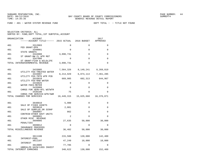SUNGARD PENTAMATION, INC.<br>
BAY COUNTY BOARD OF COUNTY COMMISSIONERS AND SUNREPT4 SUMREPT4

FUND − 401 − WATER SYSTEM REVENUE FUND DEPT TOTAL − − TITLE NOT FOUND

| SELECTION CRITERIA: ALL |  |  |                                                    |  |
|-------------------------|--|--|----------------------------------------------------|--|
|                         |  |  | SORTED BY: FUND, DEPT TOTAL, 1ST SUBTOTAL, ACCOUNT |  |

| ORGANIZATION<br><b>ACCOUNT</b><br>------ACCOUNT TITLE------ | 2015 ACTUAL | 2016 BUDGET             | 2017<br>APPROVED |
|-------------------------------------------------------------|-------------|-------------------------|------------------|
| 401<br>3312003                                              | $\Omega$    | $\Omega$                | $\Omega$         |
| FED GRANT-EPA<br>401<br>3340001                             | $\Omega$    | $\Omega$                | $\Omega$         |
| STATE GRANTS<br>401<br>3344908                              | 3,898,731   | $\Omega$                | $\Omega$         |
| ST GRANT-NW FL WTR MGT<br>401<br>3347906                    | $\Omega$    | $\Omega$                | $\Omega$         |
| ST GRANT-FISH & WILDLIFE<br>TOTAL INTERGOVERNMENTAL REVENUE | 3,898,731   | $\Omega$                | $\Omega$         |
| 401<br>3433005                                              | 7,564,326   | 8, 149, 241 8, 269, 819 |                  |
| UTILITY FEE-TREATED WATER<br>401<br>3433007                 | 8,214,929   | 6,874,114               | 7,461,285        |
| UTILITY FEE-TRTD WTR PCB<br>401<br>3433010                  | 669,985     | 602,313                 | 644,967          |
| UTILITY FEE-RAW WATER<br>401<br>3433025                     | 0           | $\Omega$                | $\Omega$         |
| WATER FEES-METER<br>401<br>3435060                          | $\mathbf 0$ | $\Omega$                | $\Omega$         |
| CHRGS FOR SERV-RTL WSTWTR<br>401<br>3436100                 | 75          | $\Omega$                | $\Omega$         |
| CHRGS FOR SERVICE-WTR/SWR<br>TOTAL CHARGES FOR SERVICES     | 16,449,315  | 15,625,668              | 16,376,071       |
| 401<br>3640010                                              | 5,900       | 0                       | 0                |
| SALE OF FIXED ASSETS<br>3659010<br>401                      | 2,081       | $\Omega$                | $\Omega$         |
| SALE OF SURPLUS OR SCRAP<br>401<br>3660007                  | 862         | 0                       | $\Omega$         |
| CONTRIB-OTHER GOVT UNITS<br>401<br>3699001                  | 2           | $\Omega$                | $\Omega$         |
| OTHER MISC REVENUE<br>401<br>3699005                        | 27,635      | 50,000                  | 30,000           |
| PENALTIES<br>401<br>3699012                                 | 0           | 0                       | 0                |
| INSURANCE PROCEEDS<br>TOTAL MISCELLANEOUS REVENUE           | 36,482      | 50,000                  | 30,000           |
| 401<br>3611100                                              | 215,588     | 120,000                 | 142,409          |
| INTEREST-POOL<br>401<br>3611107                             | 47,249      | 10,000                  | 10,000           |
| INTEREST<br>401<br>3613005                                  | 77,785      | 0                       | $\Omega$         |
| UNREALZD GAIN/LOSS INVEST<br>TOTAL INTEREST EARNINGS        | 340,622     | 130,000                 | 152,409          |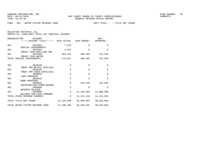FUND − 401 − WATER SYSTEM REVENUE FUND DEPT TOTAL − − TITLE NOT FOUND

| ORGANIZATION | ACCOUNT<br>------ACCOUNT TITLE------ 2015 ACTUAL         |              | 2016 BUDGET  | 2017<br>APPROVED |
|--------------|----------------------------------------------------------|--------------|--------------|------------------|
| 401          | 3631001                                                  | 7,679        | $\Omega$     | $\Omega$         |
| 401          | SPECIAL ASSESSMENTS<br>3632304                           | 3,047        | $\Omega$     | $\Omega$         |
| 401          | IMPACT FEES-WTR/LAKE MRL<br>3632305<br>IMPACT FEES-WATER | 463,231      | 388,485      | 221,929          |
|              | TOTAL SPECIAL ASSESSMENTS                                | 473,957      | 388,485      | 221,929          |
| 401          | 3810420                                                  | $\mathbf 0$  | $\mathbf{0}$ | $\mathbf 0$      |
| 401          | TRNSF FRM RETAIL WTR(420)<br>3810425                     | $\mathbf 0$  | $\mathbf 0$  | $\mathbf 0$      |
| 401          | TRNSF FRM INDUS WSTE (425)<br>3840005                    | 0            | $\Omega$     | $\mathbf 0$      |
| 401          | <b>LOAN PROCEEDS</b><br>3840010                          | 0            | $\Omega$     | $\Omega$         |
| 401          | <b>BOND PROCEEDS</b><br>3898010                          | 0            | 152,410      | 152,655          |
| 401          | CONTRIBUTION-STONE/ARZONA<br>3899996<br>RESERVE RELEASE  | $\Omega$     | $\Omega$     | $\Omega$         |
| 401          | 3899999<br>BALANCE FWD-CASH FORWARD                      | $\Omega$     | 12,120,000   | 14,000,000       |
|              | TOTAL OTHER REVENUE SOURCES                              | $\mathbf 0$  | 12,272,410   | 14, 152, 655     |
|              | TOTAL TITLE NOT FOUND                                    | 21,199,106   | 28,466,563   | 30,933,064       |
|              | TOTAL WATER SYSTEM REVENUE FUND                          | 21, 199, 106 | 28,466,563   | 30,933,064       |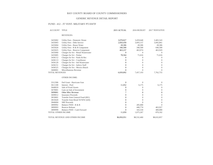## BAY COUNTY BOARD OF COUNTY COMMISSIONERS

## GENERIC REVENUE DETAIL REPORT

## FUND - 412 - JT VENT- MILITARY PT/AWTF

| <b>ACCOUNT</b>        | <b>TITLE</b>                        | 2015 ACTUAL  | 2016 BUDGET      | 2017 TENTATIVE |
|-----------------------|-------------------------------------|--------------|------------------|----------------|
|                       | <b>REVENUES:</b>                    |              |                  |                |
| 3435002               | Utility Fees - Domestic Waste       | 3,078,827    | 3,459,640        | 3,465,543      |
| 3435003               | Utility Fees - Debt Service         | 2,850,458    | 3,093,157        | 3,092,861      |
| 3435004               | Utility Fees - Reuse Water          | 28,306       | 28,306           | 28,306         |
| 3435020               | Utility Fees - R & R Component      | 340,500      | 340,500          | 640,500        |
| 3435025               | Utility Fees - Reserve Component    | 463,237      | 463,974          | 463,929        |
| 3435060               | Charges for Srv - Retail Wastewater | $\Omega$     | $\Omega$         | $\Omega$       |
| 3435005               | Charges for Srv - Parker            | 78,564       | 71,616           | 71,616         |
| 3436112               | Charges for Srv - Parks & Rec       | 0            | $\Omega$         | $\Omega$       |
| 3436113               | Charges for Srv - Courthouse        | $\mathbf{0}$ | $\boldsymbol{0}$ | $\theta$       |
| 3436120               | Charges for Srv - Ind Wastewater    | $\Omega$     | $\boldsymbol{0}$ | $\Omega$       |
| 3436151               | Charges for Srv - Indww Staff       | $\Omega$     | $\overline{0}$   | $\theta$       |
| 3436525               | Charges for Srv - Mexico Beach      | $\mathbf{0}$ | $\overline{0}$   | $\theta$       |
| 3600001               | Miscellaneous Revenue               | $\Omega$     | $\Omega$         | $\theta$       |
| <b>TOTAL REVENUES</b> |                                     | 6,839,892    | 7,457,193        | 7,762,755      |
|                       | <b>OTHER INCOME:</b>                |              |                  |                |
| 3312306               | Fed Grant - Hurricane Ivan          | $\mathbf{0}$ | $\overline{0}$   | $\theta$       |
| 3611100               | Interest - Pool                     | 11,052       | 6,175            | 6,175          |
| 3640010               | Sale of Fixed Assets                | $\mathbf{0}$ | $\overline{0}$   | $\Omega$       |
| 3670001               | Gain on Sale of Investment          | $\mathbf{0}$ | $\boldsymbol{0}$ | $\Omega$       |
| 3699001               | Other Misc Revenue                  | 7            | $\mathbf{0}$     | $\overline{0}$ |
| 3699012               | <b>Insurance Proceeds</b>           | $\mathbf{0}$ | $\boldsymbol{0}$ | $\theta$       |
| 3810001               | Transfer from General Fund (001)    | $\mathbf{0}$ | $\overline{0}$   | $\theta$       |
| 3810420               | Transfer from Retail W/WW (420)     | $\mathbf{0}$ | $\overline{0}$   | $\theta$       |
| 3840004               | <b>SRF</b> Proceeds                 | $\mathbf{0}$ | $\Omega$         | $\theta$       |
| 3899992               | Balance FWD - R & R                 | $\mathbf{0}$ | 285,000          | $\Omega$       |
| 3899993               | <b>Reserve Release</b>              | $\Omega$     | 440,774          | 463,927        |
| 3899999               | Balance FWD - Cash Forward          | $\Omega$     | 343,318          | 400,000        |
| TOTAL OTHER INCOME    |                                     | 11,059       | 1,075,267        | 870,102        |
|                       | TOTAL REVENUE AND OTHER INCOME      | \$6,850,951  | \$8,532,460      | \$8,632,857    |
|                       |                                     |              |                  |                |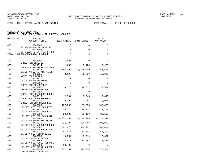FUND − 420 − RETAIL WATER & WASTEWATER DEPT TOTAL − − TITLE NOT FOUND

| ORGANIZATION<br>ACCOUNT<br>$----ACCOUNT$ TITLE $--- 2015$ ACTUAL 2016 BUDGET |             |                                     | 2017<br>APPROVED |
|------------------------------------------------------------------------------|-------------|-------------------------------------|------------------|
| 420<br>3343106<br>ST GRANT-FLA ENTERPRISE                                    | 0           | 0                                   | 0                |
| 420<br>3343108                                                               | $\mathbf 0$ | $\Omega$                            | 0                |
| ST GRANT-FL ENTP/AFRL PRJ<br>TOTAL INTERGOVERNMENTAL REVENUE                 | $\mathbf 0$ | 0                                   | 0                |
| 420<br>3412001<br>CHRGS FOR SERVICE                                          | 71,905      | $\mathbf 0$                         | $\Omega$         |
| 420<br>3429014                                                               | 1,600       | 3,420                               | 5,928            |
| CHRG FOR SRV-PLAN REV/ENG<br>420<br>3433022                                  |             | 3, 183, 092 2, 844, 499 2, 957, 503 |                  |
| UTILITY FEE-RETAIL WATER<br>420<br>3433025                                   | 43,125      | 56,000                              | 53,000           |
| WATER FEES-METER<br>420<br>3433027                                           | 0           | $\Omega$                            | $\Omega$         |
| UTILITY FEES-TANKERS<br>420<br>3435005                                       | 0           | $\Omega$                            | 0                |
| CHRGS FOR SRV-PARKER<br>420<br>3435007                                       | 18,376      | 19,532                              | 19,532           |
| CHRGS FOR SRV-MEX BCH<br>420<br>3435009                                      | $\Omega$    | $\Omega$                            | $\Omega$         |
| CHRGS FOR SRV-COURT HOUSE                                                    |             |                                     |                  |
| 420<br>3435010<br>CHRGS FOR SRV-PARKS&REC                                    | 2,794       | 3,045                               | 3,045            |
| 420<br>3435011<br>CHRGS FOR SRV-RDS&BRDGS                                    | 2,794       | 3,045                               | 3,045            |
| 420<br>3435030<br>UTILITY FEE-MEX BCH DEBT                                   | 187,333     | 187,333                             | 187,333          |
| 420<br>3435031                                                               | 15,714      | 15,714                              | 15,714           |
| UTILITY FEE-MEX BCH R&R<br>420<br>3435032                                    | 28,100      | 28,100                              | 28,100           |
| UTILITY FEE-MEX BCH RATE<br>420<br>3435040                                   |             | 4,052,183 4,208,999 4,013,347       |                  |
| UTILITY FEE-RETAIL SEWER<br>420<br>3435045                                   | 211,797     | 184,248                             | 198,992          |
| UTILITY FEE-WHLSLE/MEX BC<br>420<br>3435047                                  | 501,876     | 308,292                             | 542,804          |
| UTILITY FEE-WHLSLE/TYNDLL<br>420<br>3435049                                  |             | 61,457 61,457                       | 61,457           |
| UTILITY FEE-R&R/TYNDALL<br>420<br>3435050                                    | 10,334      | 7,719                               | 12,657           |
| UTILITY FEE-TXS/TYNDALL                                                      |             |                                     |                  |
| 420<br>3435052<br>UTILITY FEE-REUSE TYNDALL                                  |             | 14,818 13,483                       | 13,483           |
| 420<br>3435053<br>UTILITY FEE-MAINT & DEPRC                                  | 13,488      | $\Omega$                            | $\Omega$         |
| 420<br>3435055<br>CAP RESERVATION/TYNDALL                                    |             | 377,369 377,374                     | 377,374          |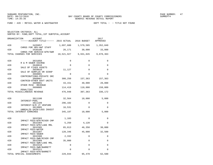FUND − 420 − RETAIL WATER & WASTEWATER DEPT TOTAL − − TITLE NOT FOUND

SELECTION CRITERIA: ALL

| ORGANIZATION<br>ACCOUNT                                 |           |                                | 2017<br>APPROVED |
|---------------------------------------------------------|-----------|--------------------------------|------------------|
| 420<br>3435057                                          | 1,697,600 | 1,579,585                      | 1,352,049        |
| CHRGS FOR SRV-AWT STAFF<br>420<br>3436100               | 26,171    | 30,000                         | 33,000           |
| CHRGS FOR SERVICE-WTR/SWR<br>TOTAL CHARGES FOR SERVICES |           | 10,521,927 9,931,845 9,878,363 |                  |
| 420<br>3631050                                          | $\Omega$  | 0                              | $\Omega$         |
| R & M SEWER ESCROW<br>420<br>3640010                    | $\Omega$  | $\Omega$                       | 0                |
| SALE OF FIXED ASSETS<br>420<br>3659010                  | 11,127    | $\Omega$                       | 0                |
| SALE OF SURPLUS OR SCRAP<br>420<br>3660001              | $\Omega$  | $\Omega$                       | $\Omega$         |
| CONTRIBUTIONS-PRIVATE SRC<br>420<br>3660007             | 308,250   | 157,363                        | 157,363          |
| CONTRIB-OTHER GOVT UNITS<br>420<br>3699001              | 43,151    | 40,000                         | 20,000           |
| OTHER MISC REVENUE<br>420<br>3699005                    | 114,419   | 110,000                        | 158,809          |
| PENALTIES<br>TOTAL MISCELLANEOUS REVENUE                | 476,948   | 307,363                        | 336,172          |
| 420<br>3611100                                          | 32,564    | 10,000                         | 5,000            |
| INTEREST-POOL<br>420<br>3611109                         | 296,102   | 0                              | 0                |
| INTEREST-N/R JT VENTURE<br>420<br>3613005               | 16,531    | $\Omega$                       | 0                |
| UNREALZD GAIN/LOSS INVEST<br>TOTAL INTEREST EARNINGS    | 345,197   | 10,000                         | 5,000            |
| 420<br>3632303                                          | 1,103     | 0                              | 0                |
| IMPACT FEES-WTR/RIVER CMP<br>420<br>3632304             | 5,250     | 4,120                          | 0                |
| IMPACT FEES-WTR/LAKE MRL<br>420<br>3632305              | 65,013    | 46,350                         | 30,000           |
| IMPACT FEES-WATER<br>420<br>3632307                     | 120,346   | 45,000                         | 32,500           |
| <b>IMPACT FEES-SEWER</b><br>420<br>3632308              | 2,332     | 0                              | 0                |
| IMPACT FEES-SWR/RIVER CMP<br>420<br>3632309             | 35,000    | $\Omega$                       | 0                |
| IMPACT FEES-SWR/LAKE MRL<br>420<br>3632310              | 0         | 0                              | 0                |
| IMPACT FEES-SWR/BARRETT<br>420<br>3632311               | $\Omega$  | $\Omega$                       | 0                |
| IMPACT FEES-WTR/BARRETT<br>TOTAL SPECIAL ASSESSMENTS    | 229,044   | 95,470                         | 62,500           |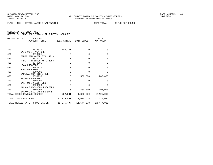FUND − 420 − RETAIL WATER & WASTEWATER DEPT TOTAL − − TITLE NOT FOUND

| ORGANIZATION | ACCOUNT<br>------ACCOUNT TITLE------ 2015 ACTUAL 2016 BUDGET |              |            | 2017<br>APPROVED    |
|--------------|--------------------------------------------------------------|--------------|------------|---------------------|
|              |                                                              |              |            |                     |
| 420          | 3613010<br>GAIN ON JT VENTURE                                | 702,381      | $\Omega$   | $\Omega$            |
| 420          | 3810401<br>TRNSF FRM WATER SYS (401)                         | $\Omega$     | $\Omega$   | $\Omega$            |
| 420          | 3810425<br>TRNSF FRM INDUS WSTE (425)                        | $\Omega$     | $\Omega$   | $\mathbf 0$         |
| 420          | 3840005<br><b>LOAN PROCEEDS</b>                              | $\Omega$     | $\Omega$   | $\Omega$            |
| 420          | 3840010<br><b>BOND PROCEEDS</b>                              | $\Omega$     | $\Omega$   | $\Omega$            |
| 420          | 3897001<br>CAPITAL CONTRIB-OTHER                             | $\Omega$     | $\Omega$   | $\Omega$            |
| 420          | 3899996<br>RESERVE RELEASE                                   | $\Omega$     | 530,000    | 1,200,000           |
| 420          | 3899997<br>BAL FWD-IMPACT FEES                               | $\Omega$     | $\Omega$   | $\Omega$            |
| 420          | 3899998<br>BALANCE FWD-BOND PROCEEDS                         | $\Omega$     | $\Omega$   | $\Omega$            |
| 420          | 3899999<br>BALANCE FWD-CASH FORWARD                          | $\Omega$     | 800,000    | 995,000             |
|              | TOTAL OTHER REVENUE SOURCES                                  | 702,381      |            | 1,330,000 2,195,000 |
|              | TOTAL TITLE NOT FOUND                                        | 12,275,497   | 11,674,678 | 12,477,035          |
|              | TOTAL RETAIL WATER & WASTEWATER                              | 12, 275, 497 | 11,674,678 | 12,477,035          |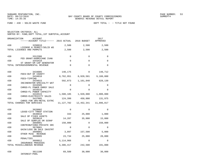SELECTION CRITERIA: ALL

| ORGANIZATION                | ACCOUNT<br>-----ACCOUNT TITLE------ 2015 ACTUAL 2016 BUDGET  |             |             | 2017<br>APPROVED |
|-----------------------------|--------------------------------------------------------------|-------------|-------------|------------------|
| 430                         | 3290010                                                      | 2,500       | 2,500       | 2,500            |
| TOTAL LICENSES AND PERMITS  | LICENSE & PERMIT/SOLID WS                                    | 2,500       | 2,500       | 2,500            |
| 430                         | 3312306<br>FED GRANT-HURRICANE IVAN                          | 0           | $\mathbf 0$ | 0                |
| 430                         | 3343410                                                      | 0           | 0           | $\Omega$         |
|                             | ST GRANT-SM CAP GENERATOR<br>TOTAL INTERGOVERNMENTAL REVENUE | $\Omega$    | $\Omega$    | $\Omega$         |
| 430                         | 3434005                                                      | 140,175     | $\Omega$    | 148,712          |
| 430                         | FEES-OUT OF COUNTY<br>3434010                                | 8,762,951   | 8,920,501   | 9,188,000        |
| 430                         | FEES-TIPPING<br>3434015                                      | 592,073     | 1,161,840   | 628,130          |
| 430                         | INCINERATOR-SPECIALTY WST<br>3434505                         | $\Omega$    | $\Omega$    | $\Omega$         |
| 430                         | CHRGS-FL POWER ENRGY SALE<br>3434510                         | 0           | $\Omega$    | $\Omega$         |
| 430                         | CHRGS-FL POWER CAPACITY<br>3434515                           | 1,508,185   | 1,920,000   | 1,800,000        |
| 430                         | CHRGS-ELECTRICITY SALES<br>3437005                           | 124,399     | 450,000     | 131,975          |
| TOTAL CHARGES FOR SERVICES  | CHRGS FOR SRV-METAL EXTRC                                    | 11,127,782  | 12,452,341  | 11,896,817       |
| 430                         | 3620002                                                      | 0           | $\Omega$    | $\Omega$         |
| 430                         | LEASE-CITY TRNSF STATION<br>3640010                          | 333         | 25,000      | 1,000            |
| 430                         | SALE OF FIXED ASSETS<br>3659010                              | 14,287      | 35,000      | 15,000           |
| 430                         | SALE OF SURPLUS OR SCRAP<br>3660001                          | 150,000     | 0           | 150,000          |
| 430                         | CONTRIBUTIONS-PRIVATE SRC<br>3670001                         | $\Omega$    | $\Omega$    | $\Omega$         |
| 430                         | GAIN/LOSS ON SALE INVSTMT<br>3699001                         | 3,097       | 157,500     | 5,000            |
| 430                         | OTHER MISC REVENUE<br>3699005                                | 23,734      | 25,000      | 20,000           |
| 430                         | PENALTIES<br>3699012                                         | 5, 114, 966 | $\Omega$    | $\Omega$         |
| TOTAL MISCELLANEOUS REVENUE | INSURANCE PROCEEDS                                           | 5,306,417   | 242,500     | 191,000          |
| 430                         | 3611100<br>INTEREST-POOL                                     | 69,589      | 30,000      | 30,000           |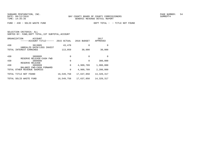FUND − 430 − SOLID WASTE FUND DEPT TOTAL − − TITLE NOT FOUND

| ORGANIZATION                | ACCOUNT<br>------ACCOUNT TITLE------ | 2015 ACTUAL | 2016 BUDGET | 2017<br>APPROVED |
|-----------------------------|--------------------------------------|-------------|-------------|------------------|
| 430                         | 3613005                              | 43,470      | $\Omega$    | $\Omega$         |
| TOTAL INTEREST EARNINGS     | UNREALZD GAIN/LOSS INVEST            | 113,059     | 30,000      | 30,000           |
| 430                         | 3899995                              | 0           | $\Omega$    | $\Omega$         |
| 430                         | RESERVE RELEASE-CASH FWD<br>3899996  | 0           | $\Omega$    | 300,000          |
| RESERVE RELEASE<br>430      | 3899999                              | 0           | 4,909,709   | 1,900,000        |
| TOTAL OTHER REVENUE SOURCES | BALANCE FWD-CASH FORWARD             | 0           | 4,909,709   | 2,200,000        |
| TOTAL TITLE NOT FOUND       |                                      | 16,549,758  | 17,637,050  | 14,320,317       |
| TOTAL SOLID WASTE FUND      |                                      | 16,549,758  | 17,637,050  | 14,320,317       |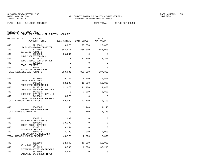| ORGANIZATION | <b>ACCOUNT</b><br>------ACCOUNT TITLE------ 2015 ACTUAL           |          | 2016 BUDGET | 2017<br>APPROVED |
|--------------|-------------------------------------------------------------------|----------|-------------|------------------|
| 440          | 3210001                                                           | 19,875   | 25,650      | 20,000           |
| 440          | LICENSES-PROF/OCCUPATIONL<br>3220001                              | 894,477  | 855,000     | 855,000          |
| 440          | BUILDING PERMITS<br>3220020<br>BLDG INSPECTION-PCB                | 35,684   | $\Omega$    | $\Omega$         |
| 440          | 3220021<br>BLDG INSPECTION-LYNN HVN                               | 0        | 12,350      | 12,350           |
| 440          | 3290015<br><b>BEACH PERMITS</b>                                   | $\Omega$ | $\Omega$    | $\Omega$         |
| 440          | 3290017                                                           | $\Omega$ | $\Omega$    | $\Omega$         |
|              | PLAN/SITE REVIEW FEE<br>TOTAL LICENSES AND PERMITS                | 950,036  | 893,000     | 887,350          |
| 440          | 3413000                                                           | 10,139   | 9,500       | 9,500            |
| 440          | CHRGS ADMIN FEES<br>3425005                                       | 18,206   | 19,000      | 19,000           |
| 440          | FEES-FIRE INSPECTIONS<br>3429019                                  | 21,078   | 11,400      | 11,400           |
| 440          | CHRG FOR SRV-PLAN REV PCB<br>3429020                              | 0        | 3,800       | 3,800            |
| 440          | CHRG FOR SRV-PLAN REV-L H<br>3490001                              | 10,070   | $\mathbf 0$ | $\Omega$         |
|              | OTHER CHARGES FOR SERVICE<br>TOTAL CHARGES FOR SERVICES           | 59,492   | 43,700      | 43,700           |
| 440          | 3540005                                                           | 150      | 1,140       | 1,140            |
|              | FINES-CODE ENFORCEMENT<br>TOTAL FINES & FORFEITS                  | 150      | 1,140       | 1,140            |
| 440          | 3640010                                                           | 11,000   | $\mathbf 0$ | 0                |
| 440          | SALE OF FIXED ASSETS<br>3699001                                   | 20,299   | $\Omega$    | $\Omega$         |
| 440          | OTHER MISC REVENUE<br>3699012                                     | 8,244    | $\Omega$    | $\Omega$         |
| 440          | INSURANCE PROCEEDS<br>3699022                                     | 4,233    | 2,000       | 2,000            |
|              | DPR SURCHARGE RETAINED<br>TOTAL MISCELLANEOUS REVENUE             | 43,776   | 2,000       | 2,000            |
| 440          | 3611100                                                           | 22,042   | 10,000      | 10,000           |
| 440          | INTEREST-POOL<br>3611120                                          | 18,580   | 6,000       | 37,210           |
| 440          | INTEREST-NOTES RECEIVABLE<br>3613005<br>UNREALZD GAIN/LOSS INVEST | 12,922   | 0           | 0                |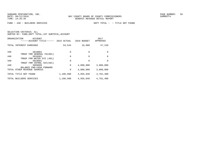FUND − 440 − BUILDERS SERVICES DEPT TOTAL − − TITLE NOT FOUND

| ORGANIZATION<br>ACCOUNT<br>-ACCOUNT TITLE-<br>$- - - - -$                | 2015 ACTUAL | 2016 BUDGET  | 2017<br>APPROVED |
|--------------------------------------------------------------------------|-------------|--------------|------------------|
| TOTAL INTEREST EARNINGS                                                  | 53,544      | 16,000       | 47,210           |
| 440<br>3810001<br>TRNSF FRM GENERAL FD(001)                              | $\Omega$    | 0            | $\Omega$         |
| 440<br>3810401                                                           | $\Omega$    | <sup>0</sup> | $\Omega$         |
| TRNSF FRM WATER SYS (401)<br>440<br>3810501<br>TRNSF FRM INTRNL SVC(501) | $\Omega$    | <sup>0</sup> | $\Omega$         |
| 440<br>3899999                                                           | $\Omega$    | 4,000,000    | 3,800,000        |
| BALANCE FWD-CASH FORWARD<br>TOTAL OTHER REVENUE SOURCES                  | 0           | 4,000,000    | 3,800,000        |
| TOTAL TITLE NOT FOUND                                                    | 1,106,998   | 4,955,840    | 4,781,400        |
| TOTAL BUILDERS<br>SERVICES                                               | 1,106,998   | 4,955,840    | 4,781,400        |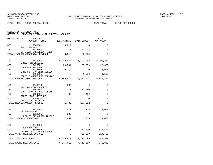FUND − 450 − EMERG MEDICAL SVCS DEPT TOTAL − − TITLE NOT FOUND

| ORGANIZATION<br><b>ACCOUNT</b><br>------ACCOUNT TITLE------ 2015 ACTUAL |           | 2016 BUDGET                   | 2017<br>APPROVED |
|-------------------------------------------------------------------------|-----------|-------------------------------|------------------|
| 450<br>3340001                                                          | 3,812     | $\Omega$                      | $\Omega$         |
| STATE GRANTS<br>450<br>3342007                                          | 0         | 30,925                        | 0                |
| ST GRANT-EMERGENCY MANGMT<br>TOTAL INTERGOVERNMENTAL REVENUE            | 3,812     | 30,925                        | $\Omega$         |
| 450<br>3412001                                                          |           | 6,830,644 6,792,288           | 6,792,288        |
| CHRGS FOR SERVICE<br>450<br>3426001<br>CHRG FOR SRV-EMS                 | 29,544    | 28,689                        | 28,689           |
| 450<br>3426005<br>CHRG FOR SRV-DEBT COLLECT                             | 9,232     | 0                             | 5,000            |
| 450<br>3490001<br>OTHER CHARGES FOR SERVICE                             | $\Omega$  | 1,500                         | 1,500            |
| TOTAL CHARGES FOR SERVICES                                              |           | 6,869,419 6,822,477 6,827,477 |                  |
| 450<br>3640010                                                          | 500       | $\Omega$                      | 0                |
| SALE OF FIXED ASSETS<br>450<br>3660007                                  | 0         | 157,480                       | 0                |
| CONTRIB-OTHER GOVT UNITS<br>450<br>3699001                              | 60        | 402                           | $\mathbf 0$      |
| OTHER MISC REVENUE<br>450<br>3699012<br>INSURANCE PROCEEDS              | 1,175     | $\Omega$                      | $\Omega$         |
| TOTAL MISCELLANEOUS REVENUE                                             | 1,736     | 157,882                       | 0                |
| 450<br>3611100                                                          | 1,070     | 1,315                         | 1,000            |
| INTEREST-POOL<br>450<br>3613005                                         | 582       | $\Omega$                      | $\Omega$         |
| UNREALZD GAIN/LOSS INVEST<br>TOTAL INTEREST EARNINGS                    | 1,652     | 1,315                         | 1,000            |
| 450<br>3840005                                                          | 0         | $\Omega$                      | $\Omega$         |
| <b>LOAN PROCEEDS</b><br>450<br>3899999                                  | 0         | 700,000                       | 814,462          |
| BALANCE FWD-CASH FORWARD<br>TOTAL OTHER REVENUE SOURCES                 | $\Omega$  | 700,000                       | 814,462          |
| TOTAL TITLE NOT FOUND                                                   | 6,876,619 | 7,712,599                     | 7,642,939        |
| TOTAL EMERG MEDICAL SVCS                                                | 6,876,619 | 7,712,599                     | 7,642,939        |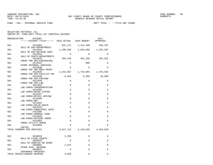FUND − 501 − INTERNAL SERVICE FUND DEPT TOTAL − − TITLE NOT FOUND

SELECTION CRITERIA: ALL

| ORGANIZATION | ACCOUNT                                                       |             |                 | 2017<br>APPROVED |
|--------------|---------------------------------------------------------------|-------------|-----------------|------------------|
| 501          | 3412005                                                       | 931,172     | 1,112,400       | 949,297          |
| 501          | SALE OF GAS-DEPARTMENTS<br>3412010                            | 1,298,258   | 2,016,000       | 1,392,587        |
| 501          | SALE OF GAS-OUTSIDE AGNY<br>3412015                           | $\Omega$    | $\Omega$        | $\Omega$         |
| 501          | SALE OF PARTS-DEPARTMENTS<br>3412020                          | 356,410     | 361,530 287,561 |                  |
| 501          | CHRGS FOR SRV-PURCHASING<br>3412025                           | $\Omega$    | 800             | 0                |
| 501          | OTHER INTERNAL SERVICES<br>3412030                            | $\Omega$    | $\Omega$        | $\Omega$         |
| 501          | CHRGS FOR SRV-MECH MAINT<br>3412035                           | 1,242,857   | 1,743,965       | 1,764,583        |
| 501          | CHRGS FOR SRV-FACILITY MN<br>3412040<br>CHRGS FOR SRV-POSTAGE | 9,010       | 8,350           | 10,000           |
| 501          | 3412550<br>CHRGS FOR SRV-LAB                                  | $\mathbf 0$ | 0               | $\mathbf 0$      |
| 501          | 3412553<br>LAB CHRGS-TRANSPORTATION                           | $\mathbf 0$ | 0               | 0                |
| 501          | 3412555<br>LAB CHRGS-WATER SYSTEM                             | $\mathbf 0$ | $\Omega$        | 0                |
| 501          | 3412557<br>LAB CHRGS-RETAIL WTR/WW                            | $\Omega$    | $\Omega$        | $\mathbf 0$      |
| 501          | 3412560<br>LAB CHRGS-AWT                                      | $\mathbf 0$ | $\Omega$        | $\mathbf 0$      |
| 501          | 3412565<br>LAB CHRGS-SOLID WASTE                              | $\Omega$    | $\Omega$        | $\Omega$         |
| 501          | 3412570<br>LAB CHRGS-INDUSTRIAL WSTE                          | $\mathbf 0$ | 0               | 0                |
| 501          | 3412580<br>LAB CHRGS-GENERAL FUND                             | $\mathbf 0$ | 0               | $\Omega$         |
| 501          | 3412599<br>LAB CHRGS-OUTSIDE USERS                            | $\Omega$    | $\Omega$        | $\Omega$         |
| 501          | 3413001<br>CHRGS UTILITY ADMIN                                | 0           | $\Omega$        | 0                |
| 501          | 3419002<br>COPIES                                             | 9           | $\Omega$        | $\Omega$         |
|              | TOTAL CHARGES FOR SERVICES                                    | 3,837,715   | 5,243,045       | 4,404,028        |
| 501          | 3640010                                                       | 1,355       | 0               | 0                |
| 501          | SALE OF FIXED ASSETS<br>3659010                               | $\Omega$    | $\Omega$        | $\Omega$         |
| 501          | SALE OF SURPLUS OR SCRAP<br>3699001                           | 1,673       | $\mathbf{0}$    | $\Omega$         |
| 501          | OTHER MISC REVENUE<br>3699012                                 | 0           | $\Omega$        | 0                |
|              | INSURANCE PROCEEDS<br>TOTAL MISCELLANEOUS REVENUE             | 3,028       | $\mathbf 0$     | 0                |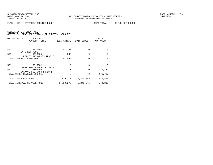FUND − 501 − INTERNAL SERVICE FUND DEPT TOTAL − − TITLE NOT FOUND

|       | ORGANIZATION<br><b>ACCOUNT</b><br>------ACCOUNT TITLE------ | 2015 ACTUAL | 2016 BUDGET | 2017<br>APPROVED |
|-------|-------------------------------------------------------------|-------------|-------------|------------------|
| 501   | 3611100                                                     | $-1,105$    | $\Omega$    | $\Omega$         |
| 501   | INTEREST-POOL<br>3613005                                    | $-360$      | $\Omega$    | $\Omega$         |
|       | UNREALZD GAIN/LOSS INVEST<br>TOTAL INTEREST EARNINGS        | $-1,465$    | $\Omega$    | $\Omega$         |
| 501   | 3810001                                                     | $\Omega$    | $\Omega$    | $\Omega$         |
| 501   | TRNSF FRM GENERAL FD(001)<br>3899999                        | $\Omega$    | $\Omega$    | 170,787          |
|       | BALANCE FWD-CASH FORWARD<br>TOTAL OTHER REVENUE SOURCES     | 0           | $\Omega$    | 170,787          |
|       | TOTAL TITLE NOT FOUND                                       | 3,839,278   | 5,243,045   | 4,574,815        |
| TOTAL | INTERNAL SERVICE FUND                                       | 3,839,278   | 5, 243, 045 | 4,574,815        |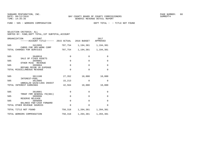FUND − 505 − WORKERS COMPENSATION DEPT TOTAL − − TITLE NOT FOUND

SELECTION CRITERIA: ALL

| ORGANIZATION<br><b>ACCOUNT</b>                          |             |                             | 2017<br>APPROVED        |
|---------------------------------------------------------|-------------|-----------------------------|-------------------------|
| 505<br>3412055<br>CHRGS FOR SRV-WORK COMP               |             | 707,754 1,194,381 1,194,381 |                         |
| TOTAL CHARGES FOR SERVICES                              | 707,754     |                             | 1, 194, 381 1, 194, 381 |
| 505<br>3640010<br>SALE OF FIXED ASSETS                  | $\mathbf 0$ | $\mathbf 0$                 | $\mathbf 0$             |
| 505<br>3699001<br>OTHER MISC REVENUE                    | $\Omega$    | $\Omega$                    | $\Omega$                |
| 505<br>3699004<br>REFUND PRIOR YR EXPENSE               | $\Omega$    | $\Omega$                    | $\Omega$                |
| TOTAL MISCELLANEOUS REVENUE                             | $\Omega$    | $\Omega$                    | $\Omega$                |
| 505<br>3611100<br>INTEREST-POOL                         | 27,352      | 10,000                      | 10,000                  |
| 505<br>3613005                                          | 15,213      | 0                           | $\Omega$                |
| UNREALZD GAIN/LOSS INVEST<br>TOTAL INTEREST EARNINGS    | 42,564      | 10,000                      | 10,000                  |
| 505<br>3810001                                          | $\mathbf 0$ | $\Omega$                    | $\Omega$                |
| TRNSF FRM GENERAL FD(001)<br>505<br>3899996             | $\Omega$    | $\Omega$                    | $\Omega$                |
| RESERVE RELEASE<br>505<br>3899999                       | $\mathbf 0$ | $\Omega$                    | $\mathbf 0$             |
| BALANCE FWD-CASH FORWARD<br>TOTAL OTHER REVENUE SOURCES | $\Omega$    | $\Omega$                    | $\Omega$                |
| TOTAL TITLE NOT FOUND                                   | 750,318     |                             | 1,204,381 1,204,381     |
| TOTAL WORKERS COMPENSATION                              | 750,318     | 1,204,381                   | 1,204,381               |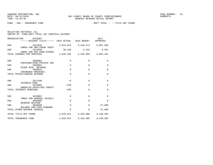| SELECTION CRITERIA: ALL |  |                                                    |  |
|-------------------------|--|----------------------------------------------------|--|
|                         |  | SORTED BY: FUND, DEPT TOTAL, 1ST SUBTOTAL, ACCOUNT |  |

|     | ORGANIZATION<br>ACCOUNT<br>------ACCOUNT TITLE------ 2015 ACTUAL 2016 BUDGET |             |                               | 2017<br>APPROVED |
|-----|------------------------------------------------------------------------------|-------------|-------------------------------|------------------|
| 506 | 3412045                                                                      |             | 2,614,875 3,420,573 3,087,560 |                  |
| 506 | CHRGS FOR SRV-INSUR TRUST<br>3412050                                         | 30,410      | 5,413                         | 4,931            |
|     | CHRGS FOR SRV-INSR OTHERS<br>TOTAL CHARGES FOR SERVICES                      |             | 2,645,285 3,425,986 3,092,491 |                  |
| 506 | 3660001<br>CONTRIBUTIONS-PRIVATE SRC                                         | $\mathbf 0$ | $\Omega$                      | 0                |
| 506 | 3699001                                                                      | $\mathbf 0$ | $\Omega$                      | $\mathbf 0$      |
| 506 | OTHER MISC REVENUE<br>3699012                                                | $\Omega$    | $\Omega$                      | $\mathbf 0$      |
|     | INSURANCE PROCEEDS<br>TOTAL MISCELLANEOUS REVENUE                            | $\Omega$    | $\Omega$                      | $\mathbf 0$      |
| 506 | 3611100<br>INTEREST-POOL                                                     | $-6$        | $\Omega$                      | $\mathbf 0$      |
| 506 | 3613005                                                                      | $-259$      | $\Omega$                      | $\mathbf 0$      |
|     | UNREALZD GAIN/LOSS INVEST<br>TOTAL INTEREST EARNINGS                         | $-265$      | $\Omega$                      | $\Omega$         |
| 506 | 3810001                                                                      | $\mathbf 0$ | $\Omega$                      | $\Omega$         |
| 506 | TRNSF FRM GENERAL FD(001)<br>3899996                                         | $\mathbf 0$ | $\Omega$                      | $\Omega$         |
| 506 | RESERVE RELEASE<br>3899999                                                   | $\Omega$    | $\Omega$                      | 47,890           |
|     | BALANCE FWD-CASH FORWARD<br>TOTAL OTHER REVENUE SOURCES                      | $\Omega$    | $\mathbf{0}$                  | 47,890           |
|     | TOTAL TITLE NOT FOUND                                                        |             | 2,645,021 3,425,986 3,140,381 |                  |
|     | TOTAL INSURANCE FUND                                                         | 2,645,021   | 3,425,986                     | 3,140,381        |